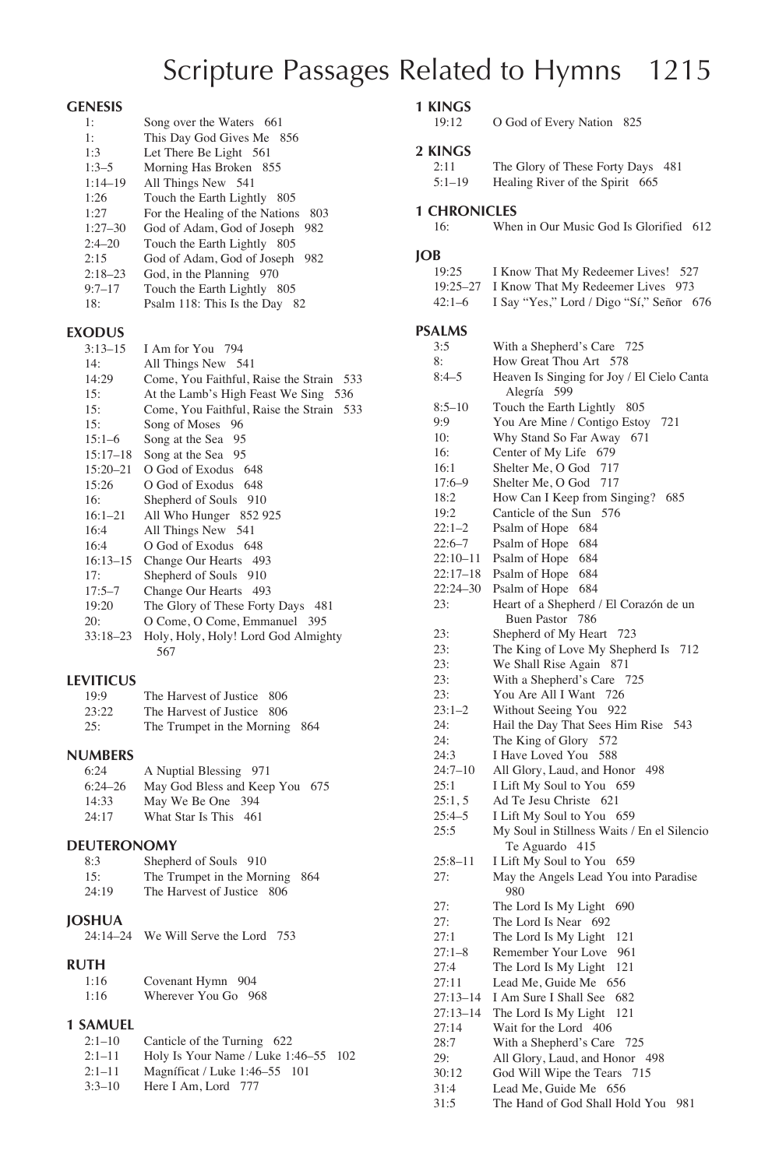# Scripture Passages Related to Hymns 1215

### **GENESIS**

| 1٠          | Song over the Waters 661              |
|-------------|---------------------------------------|
| 1:          | This Day God Gives Me 856             |
| 1:3         | Let There Be Light 561                |
| $1:3-5$     | Morning Has Broken 855                |
| $1:14 - 19$ | All Things New 541                    |
| 1:26        | Touch the Earth Lightly 805           |
| 1:27        | For the Healing of the Nations<br>803 |
| $1:27 - 30$ | God of Adam, God of Joseph 982        |
| $2:4 - 20$  | Touch the Earth Lightly 805           |
| 2:15        | God of Adam, God of Joseph 982        |
| $2:18 - 23$ | God, in the Planning 970              |
| $9:7 - 17$  | Touch the Earth Lightly 805           |
| 18:         | Psalm 118: This Is the Day<br>82      |
|             |                                       |

### **EXODUS**

| елеллоз      |                                          |
|--------------|------------------------------------------|
| $3:13-15$    | I Am for You 794                         |
| 14:          | All Things New 541                       |
| 14:29        | Come, You Faithful, Raise the Strain 533 |
| 15:          | At the Lamb's High Feast We Sing 536     |
| 15:          | Come, You Faithful, Raise the Strain 533 |
| 15:          | Song of Moses 96                         |
| $15:1-6$     | Song at the Sea 95                       |
| $15:17 - 18$ | Song at the Sea 95                       |
| $15:20 - 21$ | O God of Exodus 648                      |
| 15:26        | O God of Exodus 648                      |
| 16:          | Shepherd of Souls 910                    |
| $16:1 - 21$  | All Who Hunger 852 925                   |
| 16:4         | All Things New 541                       |
| 16:4         | O God of Exodus 648                      |
| $16:13-15$   | Change Our Hearts 493                    |
| 17:          | Shepherd of Souls 910                    |
| $17:5 - 7$   | Change Our Hearts 493                    |
| 19:20        | The Glory of These Forty Days 481        |
| 20:          | O Come, O Come, Emmanuel 395             |
| $33:18 - 23$ | Holy, Holy, Holy! Lord God Almighty      |
|              | 567                                      |

### **LEVITICUS**

| <b>VITICUS</b> |                                |  |
|----------------|--------------------------------|--|
| 19.9           | The Harvest of Justice 806     |  |
| 23:22          | The Harvest of Justice 806     |  |
| 25:            | The Trumpet in the Morning 864 |  |

# **NUMBERS**

| A Nuptial Blessing 971 |                                |
|------------------------|--------------------------------|
|                        |                                |
| May We Be One 394      |                                |
| What Star Is This 461  |                                |
|                        | May God Bless and Keep You 675 |

### **DEUTERONOMY**

| 8:3   | Shepherd of Souls 910          |  |
|-------|--------------------------------|--|
| 15:   | The Trumpet in the Morning 864 |  |
| 24:19 | The Harvest of Justice 806     |  |
|       |                                |  |

# **JOSHUA**

| 24:14–24 We Will Serve the Lord 753 |  |  |  |
|-------------------------------------|--|--|--|
|                                     |  |  |  |

# **RUTH**

| 1:16 | Covenant Hymn 904   |  |
|------|---------------------|--|
| 1:16 | Wherever You Go 968 |  |

# **1 SAMUEL**

| $2:1-10$   | Canticle of the Turning 622          |  |
|------------|--------------------------------------|--|
| $2:1-11$   | Holy Is Your Name / Luke 1:46–55 102 |  |
| $2:1-11$   | Magnificat / Luke 1:46–55 101        |  |
| $3.3 - 10$ | Here $I \Delta m I$ ord 777          |  |

3:3–10 Here I Am, Lord 777

# **1 KINGS**

0 God of Every Nation 825

### **2 KINGS**

| unu        |                                   |  |
|------------|-----------------------------------|--|
| 2:11       | The Glory of These Forty Days 481 |  |
| $5:1 - 19$ | Healing River of the Spirit 665   |  |

# **1 CHRONICLES**<br>16: When

When in Our Music God Is Glorified 612

### **JOB**

| 19:25    | I Know That My Redeemer Lives! 527         |
|----------|--------------------------------------------|
|          | 19:25–27 I Know That My Redeemer Lives 973 |
| $42:1-6$ | I Say "Yes," Lord / Digo "Sí," Señor 676   |

### **PSALMS**

| 3:5          | With a Shepherd's Care 725                                    |
|--------------|---------------------------------------------------------------|
| 8:           | How Great Thou Art 578                                        |
| $8:4 - 5$    | Heaven Is Singing for Joy / El Cielo Canta<br>Alegría 599     |
| $8:5 - 10$   | Touch the Earth Lightly 805                                   |
| 9:9          | You Are Mine / Contigo Estoy<br>721                           |
| 10:          | Why Stand So Far Away<br>671                                  |
| 16:          | Center of My Life 679                                         |
| 16:1         | Shelter Me, O God<br>717                                      |
| $17:6 - 9$   | Shelter Me, O God 717                                         |
| 18:2         | How Can I Keep from Singing? 685                              |
| 19:2         | Canticle of the Sun 576                                       |
| $22:1 - 2$   | Psalm of Hope 684                                             |
| $22:6 - 7$   | Psalm of Hope 684                                             |
| $22:10 - 11$ | Psalm of Hope 684                                             |
| 22:17-18     | Psalm of Hope 684                                             |
| $22:24 - 30$ | Psalm of Hope 684                                             |
| 23:          | Heart of a Shepherd / El Corazón de un                        |
|              | Buen Pastor 786                                               |
| 23:          | Shepherd of My Heart 723                                      |
| 23:          | The King of Love My Shepherd Is<br>712                        |
| 23:          | We Shall Rise Again 871                                       |
| 23:          | With a Shepherd's Care<br>725                                 |
| 23:          | You Are All I Want<br>726                                     |
| $23:1 - 2$   | Without Seeing You<br>922                                     |
| 24:          | Hail the Day That Sees Him Rise 543                           |
| 24:          | The King of Glory 572                                         |
| 24:3         | I Have Loved You 588                                          |
| $24:7 - 10$  | All Glory, Laud, and Honor<br>-498                            |
| 25:1         | I Lift My Soul to You<br>659                                  |
| 25:1, 5      | Ad Te Jesu Christe 621                                        |
| $25:4 - 5$   | I Lift My Soul to You 659                                     |
| 25:5         | My Soul in Stillness Waits / En el Silencio<br>Te Aguardo 415 |
| $25:8 - 11$  | I Lift My Soul to You 659                                     |
| 27:          | May the Angels Lead You into Paradise<br>980                  |
| 27:          | The Lord Is My Light<br>690                                   |
| 27:          | The Lord Is Near 692                                          |
| 27:1         | The Lord Is My Light 121                                      |
| $27:1 - 8$   | Remember Your Love 961                                        |
| 27:4         | The Lord Is My Light 121                                      |
| 27:11        | Lead Me, Guide Me<br>- 656                                    |
| $27:13 - 14$ | I Am Sure I Shall See<br>682                                  |
| $27:13 - 14$ | The Lord Is My Light<br>121                                   |
| 27:14        | Wait for the Lord 406                                         |
| 28:7         | With a Shepherd's Care 725                                    |
| 29:          | All Glory, Laud, and Honor 498                                |
| 30:12        | God Will Wipe the Tears<br>715                                |
| 31:4         | Lead Me, Guide Me<br>656                                      |

31:5 The Hand of God Shall Hold You 981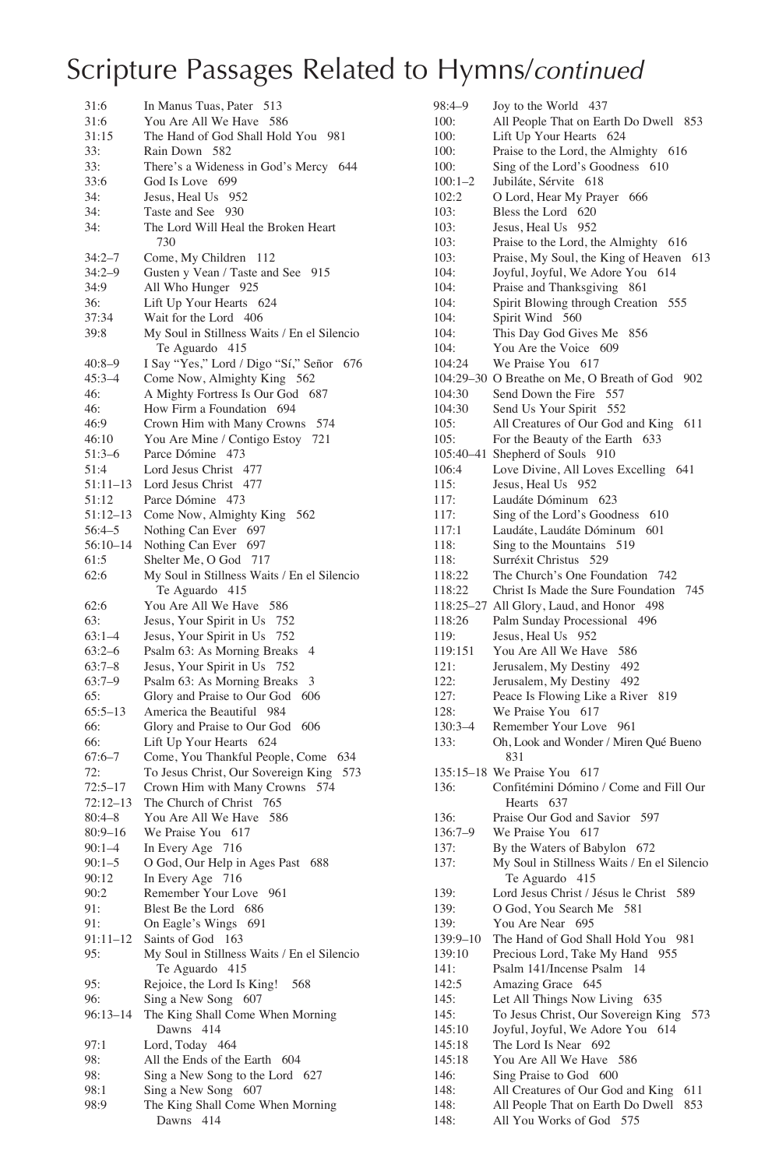| 31:6        | In Manus Tuas, Pater<br>513                 |
|-------------|---------------------------------------------|
| 31:6        | You Are All We Have 586                     |
| 31:15       | The Hand of God Shall Hold You 981          |
| 33:         | Rain Down 582                               |
|             |                                             |
| 33:         | There's a Wideness in God's Mercy 644       |
| 33:6        | God Is Love 699                             |
| 34:         | Jesus, Heal Us 952                          |
| 34:         | Taste and See<br>930                        |
| 34:         | The Lord Will Heal the Broken Heart         |
|             | 730                                         |
| $34:2 - 7$  | Come, My Children<br>112                    |
| $34:2 - 9$  | Gusten y Vean / Taste and See 915           |
| 34:9        | All Who Hunger 925                          |
|             |                                             |
| 36:         | Lift Up Your Hearts 624                     |
| 37:34       | Wait for the Lord 406                       |
| 39:8        | My Soul in Stillness Waits / En el Silencio |
|             | Te Aguardo 415                              |
| $40:8 - 9$  | I Say "Yes," Lord / Digo "Sí," Señor 676    |
| $45:3 - 4$  | Come Now, Almighty King 562                 |
| 46:         | A Mighty Fortress Is Our God 687            |
| 46:         | How Firm a Foundation 694                   |
| 46:9        | Crown Him with Many Crowns 574              |
| 46:10       |                                             |
|             | You Are Mine / Contigo Estoy 721            |
| $51:3-6$    | Parce Dómine 473                            |
| 51:4        | Lord Jesus Christ 477                       |
| 51:11–13    | Lord Jesus Christ 477                       |
| 51:12       | Parce Dómine 473                            |
| 51:12-13    | Come Now, Almighty King 562                 |
| $56:4 - 5$  | Nothing Can Ever 697                        |
| 56:10-14    | Nothing Can Ever 697                        |
| 61:5        | Shelter Me, O God<br>717                    |
| 62:6        | My Soul in Stillness Waits / En el Silencio |
|             | Te Aguardo 415                              |
| 62:6        | You Are All We Have<br>586                  |
|             |                                             |
| 63:         | Jesus, Your Spirit in Us 752                |
| $63:1-4$    | Jesus, Your Spirit in Us<br>752             |
| $63:2-6$    | Psalm 63: As Morning Breaks<br>4            |
| $63:7-8$    | Jesus, Your Spirit in Us<br>752             |
| $63:7-9$    | Psalm 63: As Morning Breaks<br>3            |
| 65:         | Glory and Praise to Our God<br>- 606        |
| $65:5-13$   | America the Beautiful 984                   |
| 66:         | Glory and Praise to Our God 606             |
| 66:         | Lift Up Your Hearts 624                     |
| $67:6 - 7$  | Come, You Thankful People, Come 634         |
| 72:         | To Jesus Christ, Our Sovereign King<br>573  |
|             | Crown Him with Many Crowns 574              |
| $72:5 - 17$ |                                             |
| 72:12–13    | The Church of Christ 765                    |
| $80:4 - 8$  | You Are All We Have<br>- 586                |
| $80:9 - 16$ | We Praise You 617                           |
| $90:1 - 4$  | In Every Age 716                            |
| $90:1 - 5$  | O God, Our Help in Ages Past 688            |
| 90:12       | In Every Age 716                            |
| 90:2        | Remember Your Love 961                      |
| 91:         | Blest Be the Lord 686                       |
| 91:         | On Eagle's Wings 691                        |
| 91:11–12    | Saints of God<br>163                        |
| 95:         | My Soul in Stillness Waits / En el Silencio |
|             |                                             |
|             | Te Aguardo 415                              |
| 95:         | Rejoice, the Lord Is King!<br>568           |
| 96:         | Sing a New Song 607                         |
| 96:13–14    | The King Shall Come When Morning            |
|             | Dawns 414                                   |
| 97:1        | Lord, Today 464                             |
| 98:         | All the Ends of the Earth 604               |
| 98:         | Sing a New Song to the Lord 627             |
| 98:1        | Sing a New Song 607                         |
| 98:9        | The King Shall Come When Morning            |
|             | Dawns 414                                   |
|             |                                             |

| 98:4–9      | Joy to the World 437                                                    |
|-------------|-------------------------------------------------------------------------|
| 100:        | All People That on Earth Do Dwell 853                                   |
| 100:        | Lift Up Your Hearts 624                                                 |
| 100:        | Praise to the Lord, the Almighty 616                                    |
| 100:        | Sing of the Lord's Goodness 610                                         |
| $100:1-2$   | Jubiláte, Sérvite 618                                                   |
| 102:2       | O Lord, Hear My Prayer 666                                              |
| 103:        | Bless the Lord 620                                                      |
| 103:        | Jesus, Heal Us<br>952                                                   |
| 103:        | Praise to the Lord, the Almighty 616                                    |
| 103:        | Praise, My Soul, the King of Heaven<br>613                              |
| 104:        | Joyful, Joyful, We Adore You<br>614                                     |
| 104:        |                                                                         |
|             | Praise and Thanksgiving<br>861                                          |
| 104:        | Spirit Blowing through Creation<br>555                                  |
| 104:        | Spirit Wind<br>560                                                      |
| 104:        | This Day God Gives Me<br>856                                            |
| 104:        | You Are the Voice 609                                                   |
| 104:24      | We Praise You 617                                                       |
|             | 104:29-30 O Breathe on Me, O Breath of God 902                          |
| 104:30      | Send Down the Fire<br>557                                               |
| 104:30      | Send Us Your Spirit 552                                                 |
| 105:        | All Creatures of Our God and King<br>611                                |
| 105:        | For the Beauty of the Earth<br>633                                      |
|             | 105:40-41 Shepherd of Souls 910                                         |
| 106:4       | Love Divine, All Loves Excelling 641                                    |
| 115:        | Jesus, Heal Us 952                                                      |
| 117:        | Laudáte Dóminum 623                                                     |
| 117:        | Sing of the Lord's Goodness<br>610                                      |
| 117:1       | Laudáte, Laudáte Dóminum<br>601                                         |
| 118:        | Sing to the Mountains<br>519                                            |
| 118:        | Surréxit Christus<br>529                                                |
| 118:22      | The Church's One Foundation 742                                         |
| 118:22      | Christ Is Made the Sure Foundation<br>745                               |
|             |                                                                         |
|             |                                                                         |
|             | 118:25-27 All Glory, Laud, and Honor<br>498                             |
| 118:26      | Palm Sunday Processional 496                                            |
| 119:        | Jesus, Heal Us 952                                                      |
| 119:151     | You Are All We Have<br>586                                              |
| 121:        | Jerusalem, My Destiny 492                                               |
| 122:        | Jerusalem, My Destiny 492                                               |
| 127:        | Peace Is Flowing Like a River<br>819                                    |
| 128:        | We Praise You<br>617                                                    |
| $130:3 - 4$ | Remember Your Love 961                                                  |
| 133:        | Oh, Look and Wonder / Miren Qué Bueno<br>831                            |
|             | 135:15-18 We Praise You 617                                             |
| 136:        |                                                                         |
|             | Confitémini Dómino / Come and Fill Our<br>Hearts 637                    |
|             | 597                                                                     |
| 136:        | Praise Our God and Savior<br>617                                        |
| 136:7-9     | We Praise You                                                           |
| 137:        | By the Waters of Babylon 672                                            |
| 137:        | My Soul in Stillness Waits / En el Silencio                             |
|             | Te Aguardo<br>415                                                       |
| 139:        | Lord Jesus Christ / Jésus le Christ<br>589                              |
| 139:        | O God, You Search Me 581                                                |
| 139:        | You Are Near 695                                                        |
| 139:9-10    | The Hand of God Shall Hold You 981                                      |
| 139:10      | Precious Lord, Take My Hand<br>955                                      |
| 141:        | Psalm 141/Incense Psalm<br>14                                           |
| 142:5       | Amazing Grace<br>645                                                    |
| 145:        | Let All Things Now Living 635                                           |
| 145:        | To Jesus Christ, Our Sovereign King<br>573                              |
| 145:10      | Joyful, Joyful, We Adore You 614                                        |
| 145:18      | The Lord Is Near 692                                                    |
| 145:18      | You Are All We Have<br>586                                              |
| 146:        | Sing Praise to God<br>600                                               |
| 148:        | All Creatures of Our God and King<br>611                                |
| 148:        | All People That on Earth Do Dwell<br>853<br>All You Works of God<br>575 |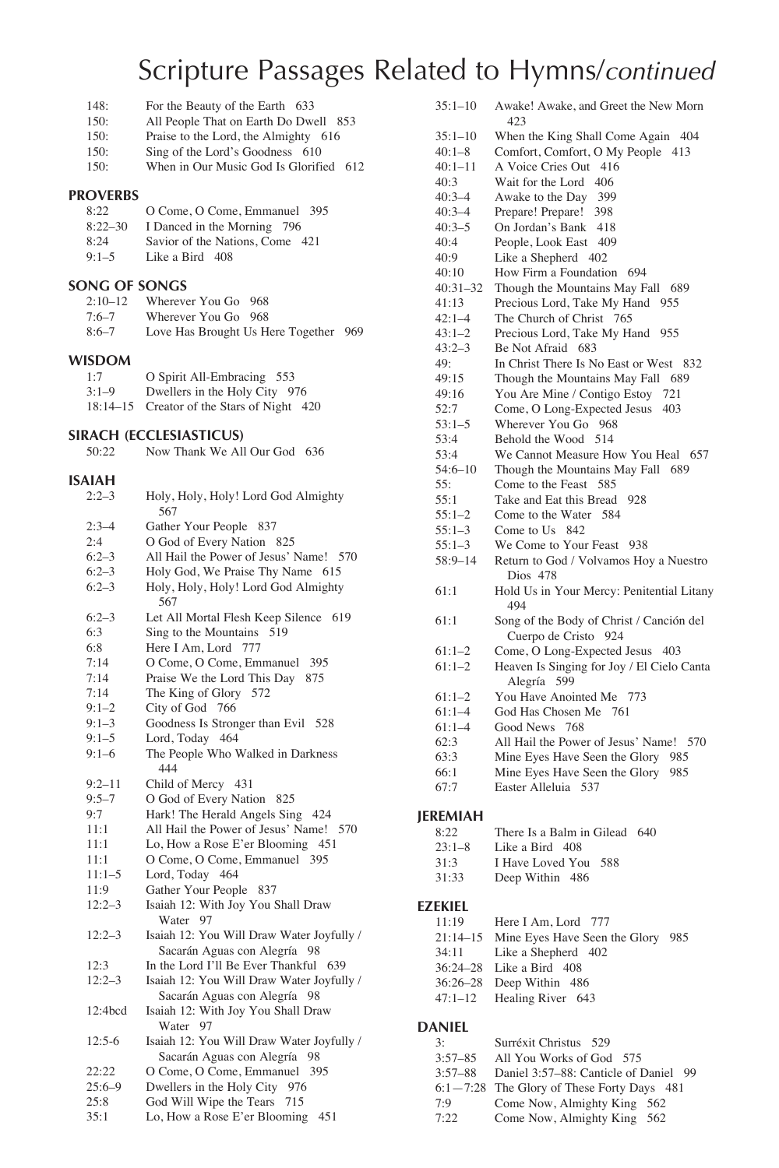- 148: For the Beauty of the Earth 633<br>150: All People That on Earth Do Dwe
- 150: All People That on Earth Do Dwell 853<br>150: Praise to the Lord, the Almighty 616
- Praise to the Lord, the Almighty 616
- 150: Sing of the Lord's Goodness 610<br>150: When in Our Music God Is Glorific When in Our Music God Is Glorified 612

#### **PROVERBS**

| 8:22        | O Come, O Come, Emmanuel 395    |
|-------------|---------------------------------|
| $8:22 - 30$ | I Danced in the Morning 796     |
| 8:24        | Savior of the Nations, Come 421 |
| $9:1 - 5$   | Like a Bird 408                 |

# **SONG OF SONGS**

| $2:10-12$ | Wherever You Go 968                   |  |
|-----------|---------------------------------------|--|
| $7:6 - 7$ | Wherever You Go 968                   |  |
| $8:6 - 7$ | Love Has Brought Us Here Together 969 |  |

### **WISDOM**

| 1:7          | O Spirit All-Embracing 553        |
|--------------|-----------------------------------|
| $3:1-9$      | Dwellers in the Holy City 976     |
| $18:14 - 15$ | Creator of the Stars of Night 420 |

# **SIRACH (ECCLESIASTICUS)**<br>50:22 Now Thank We All

Now Thank We All Our God 636

| <b>ISAIAH</b> |                                                                              |
|---------------|------------------------------------------------------------------------------|
| $2:2-3$       | Holy, Holy, Holy! Lord God Almighty<br>567                                   |
| $2:3-4$       | Gather Your People 837                                                       |
| 2:4           | O God of Every Nation 825                                                    |
| $6:2-3$       | All Hail the Power of Jesus' Name! 570                                       |
| $6:2-3$       | Holy God, We Praise Thy Name 615                                             |
| $6:2-3$       | Holy, Holy, Holy! Lord God Almighty<br>567                                   |
| $6:2-3$       | Let All Mortal Flesh Keep Silence<br>619                                     |
| 6:3           | Sing to the Mountains 519                                                    |
| 6:8           | Here I Am, Lord 777                                                          |
| 7:14          | O Come, O Come, Emmanuel<br>395                                              |
| 7:14          | Praise We the Lord This Day<br>875                                           |
| 7:14          | The King of Glory 572                                                        |
| $9:1 - 2$     | City of God 766                                                              |
| $9:1-3$       | Goodness Is Stronger than Evil 528                                           |
| $9:1 - 5$     | Lord, Today 464                                                              |
| $9:1 - 6$     | The People Who Walked in Darkness<br>444                                     |
| $9:2 - 11$    | Child of Mercy 431                                                           |
| $9:5 - 7$     | O God of Every Nation<br>825                                                 |
| 9:7           | Hark! The Herald Angels Sing 424                                             |
| 11:1          | All Hail the Power of Jesus' Name! 570                                       |
| 11:1          | Lo, How a Rose E'er Blooming<br>451                                          |
| 11:1          | O Come, O Come, Emmanuel<br>395                                              |
| $11:1-5$      | Lord, Today<br>464                                                           |
| 11:9          | Gather Your People 837                                                       |
| $12:2-3$      | Isaiah 12: With Joy You Shall Draw<br>Water 97                               |
| $12:2-3$      | Isaiah 12: You Will Draw Water Joyfully /<br>Sacarán Aguas con Alegría<br>98 |
| 12:3          | In the Lord I'll Be Ever Thankful<br>639                                     |
| $12:2 - 3$    | Isaiah 12: You Will Draw Water Joyfully /<br>Sacarán Aguas con Alegría<br>98 |
| 12:4bcd       | Isaiah 12: With Joy You Shall Draw<br>Water 97                               |
| $12:5-6$      | Isaiah 12: You Will Draw Water Joyfully /<br>Sacarán Aguas con Alegría<br>98 |
| 22:22         | O Come, O Come, Emmanuel<br>395                                              |
| $25:6 - 9$    | Dwellers in the Holy City<br>976                                             |
| 25:8          | God Will Wipe the Tears<br>715                                               |
| 35:1          | Lo, How a Rose E'er Blooming<br>451                                          |

| $35:1 - 10$  | Awake! Awake, and Greet the New Morn<br>423                      |
|--------------|------------------------------------------------------------------|
| $35:1 - 10$  | When the King Shall Come Again 404                               |
| $40:1 - 8$   | Comfort, Comfort, O My People 413                                |
| $40:1 - 11$  | A Voice Cries Out 416                                            |
| 40:3         | Wait for the Lord<br>406                                         |
| $40:3 - 4$   | Awake to the Day<br>399                                          |
| $40:3 - 4$   | Prepare! Prepare!<br>398                                         |
| $40:3 - 5$   | On Jordan's Bank<br>-418                                         |
| 40:4         | People, Look East<br>409                                         |
| 40:9         | Like a Shepherd 402                                              |
| 40:10        | How Firm a Foundation 694                                        |
| $40:31 - 32$ | Though the Mountains May Fall<br>-689                            |
| 41:13        | Precious Lord, Take My Hand 955                                  |
| $42:1 - 4$   | The Church of Christ<br>765                                      |
| $43:1 - 2$   | Precious Lord, Take My Hand<br>955                               |
| $43:2 - 3$   | Be Not Afraid 683                                                |
| 49:          | In Christ There Is No East or West 832                           |
| 49:15        | Though the Mountains May Fall 689                                |
| 49:16        | You Are Mine / Contigo Estoy<br>721                              |
| 52:7         | Come, O Long-Expected Jesus<br>403                               |
| $53:1 - 5$   | Wherever You Go 968                                              |
| 53:4         | Behold the Wood<br>514                                           |
| 53:4         | We Cannot Measure How You Heal 657                               |
| $54:6 - 10$  | Though the Mountains May Fall<br>689                             |
| 55:          | Come to the Feast 585                                            |
| 55:1         | Take and Eat this Bread 928                                      |
| $55:1 - 2$   | Come to the Water 584                                            |
| $55:1 - 3$   | Come to Us<br>842                                                |
| $55:1 - 3$   | We Come to Your Feast 938                                        |
| $58:9 - 14$  | Return to God / Volvamos Hoy a Nuestro<br>Dios 478               |
| 61:1         | Hold Us in Your Mercy: Penitential Litany<br>494                 |
| 61:1         | Song of the Body of Christ / Canción del<br>Cuerpo de Cristo 924 |
| $61:1-2$     | Come, O Long-Expected Jesus 403                                  |
| $61:1-2$     | Heaven Is Singing for Joy / El Cielo Canta<br>Alegría 599        |
| $61:1-2$     | You Have Anointed Me 773                                         |
| $61:1 - 4$   | God Has Chosen Me 761                                            |
| $61:1 - 4$   | Good News 768                                                    |
| 62:3         | All Hail the Power of Jesus' Name! 570                           |
| 63:3         | Mine Eyes Have Seen the Glory<br>985                             |
| 66:1         | Mine Eyes Have Seen the Glory<br>985                             |
| 67:7         | Easter Alleluia 537                                              |
| JEREMIAH     |                                                                  |
| 8:22         | There Is a Balm in Gilead 640                                    |
| $22.1$ Q     | $\overline{1}$ ika a $\overline{D}$ ind $\overline{408}$         |

- 23:1–8 Like a Bird 408
- 31:3 I Have Loved You 588
- 31:33 Deep Within 486

#### **EZEKIEL**

| 11:19 | Here I Am. Lord 777 |  |
|-------|---------------------|--|
|-------|---------------------|--|

- 21:14–15 Mine Eyes Have Seen the Glory 985
- 34:11 Like a Shepherd 402
- 36:24–28 Like a Bird 408
- 36:26–28 Deep Within 486
- 47:1–12 Healing River 643

### **DANIEL**

| 3:          | Surréxit Christus 529                      |
|-------------|--------------------------------------------|
| $3:57 - 85$ | All You Works of God 575                   |
| $3:57 - 88$ | Daniel 3:57-88: Canticle of Daniel 99      |
|             | 6:1-7:28 The Glory of These Forty Days 481 |
| 7:9         | Come Now, Almighty King 562                |
| 7:22        | Come Now, Almighty King 562                |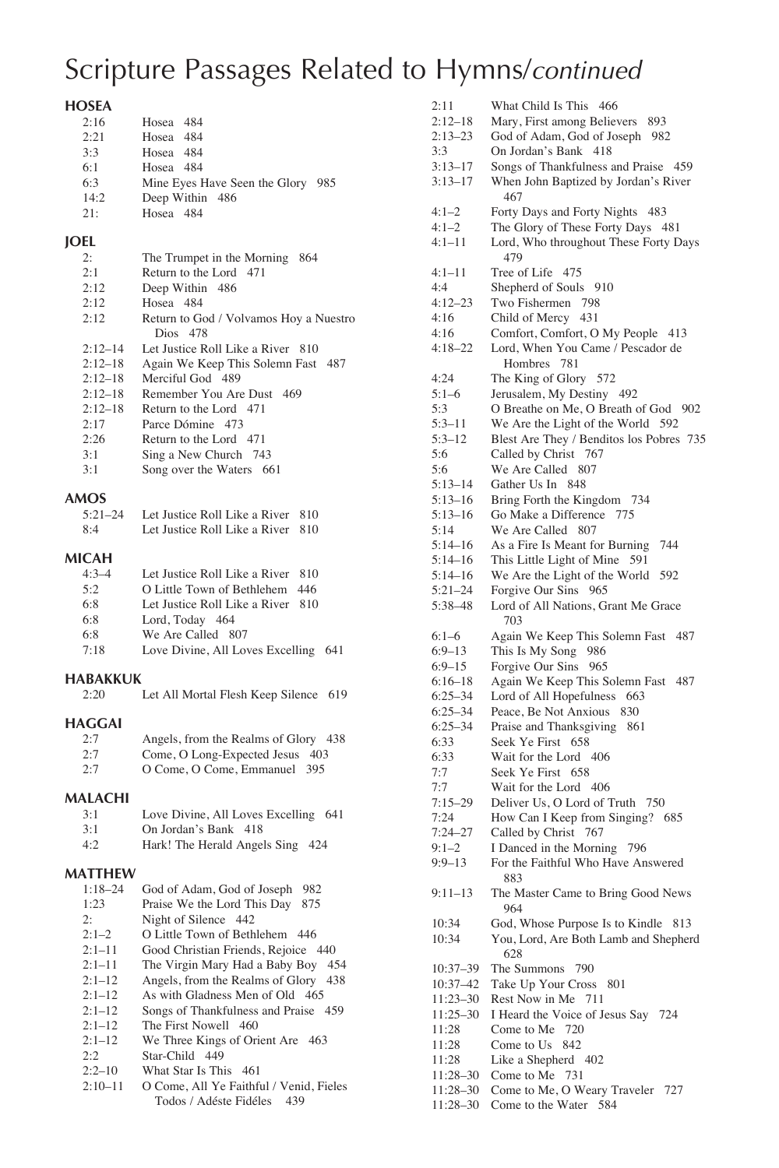# **HOSEA**

| 2:16 | Hosea 484                         |  |
|------|-----------------------------------|--|
| 2:21 | Hosea 484                         |  |
| 3:3  | Hosea 484                         |  |
| 6:1  | Hosea 484                         |  |
| 6:3  | Mine Eyes Have Seen the Glory 985 |  |
| 14:2 | Deep Within 486                   |  |
| 21:  | Hosea 484                         |  |
|      |                                   |  |

### **JOEL**

| 2:          | The Trumpet in the Morning<br>864      |
|-------------|----------------------------------------|
| 2:1         | Return to the Lord 471                 |
| 2:12        | Deep Within 486                        |
| 2:12        | Hosea 484                              |
| 2:12        | Return to God / Volvamos Hoy a Nuestro |
|             | Dios 478                               |
| $2.12 - 14$ | Let Justice Roll Like a River 810      |
| $2:12 - 18$ | Again We Keep This Solemn Fast 487     |
| $2.12 - 18$ | Merciful God 489                       |
| $2:12 - 18$ | Remember You Are Dust 469              |
| $2:12 - 18$ | Return to the Lord 471                 |
| 2:17        | Parce Dómine 473                       |
| 2:26        | Return to the Lord 471                 |
| 3:1         | Sing a New Church 743                  |
| 3:1         | Song over the Waters 661               |
|             |                                        |

### **AMOS**

| $5:21-24$ | Let Justice Roll Like a River 810 |  |
|-----------|-----------------------------------|--|
| 8.4       | Let Justice Roll Like a River 810 |  |

### **MICAH**

| $4.3 - 4$ | Let Justice Roll Like a River 810    |
|-----------|--------------------------------------|
| 5.2       | O Little Town of Bethlehem 446       |
| 6:8       | Let Justice Roll Like a River 810    |
| 6:8       | Lord, Today 464                      |
| 6:8       | We Are Called 807                    |
| 7:18      | Love Divine, All Loves Excelling 641 |
|           |                                      |

# **HABAKKUK**

| 2:20 |  |  |  |  | Let All Mortal Flesh Keep Silence 619 |  |
|------|--|--|--|--|---------------------------------------|--|
|------|--|--|--|--|---------------------------------------|--|

# **HAGGAI**

| 2:7 | Angels, from the Realms of Glory 438 |  |
|-----|--------------------------------------|--|
| 2:7 | Come, O Long-Expected Jesus 403      |  |
| 2:7 | O Come, O Come, Emmanuel 395         |  |

### **MALACHI**

| 3:1 | Love Divine, All Loves Excelling 641 |
|-----|--------------------------------------|
| 3:1 | On Jordan's Bank 418                 |
| 4:2 | Hark! The Herald Angels Sing 424     |

### **MATTHEW**

| $1:18 - 24$ | God of Adam, God of Joseph<br>982     |
|-------------|---------------------------------------|
| 1:23        | 875<br>Praise We the Lord This Day    |
| 2:          | Night of Silence 442                  |
| $2:1-2$     | O Little Town of Bethlehem 446        |
| $2:1-11$    | Good Christian Friends, Rejoice 440   |
| $2:1-11$    | The Virgin Mary Had a Baby Boy<br>454 |
| $2:1-12$    | Angels, from the Realms of Glory 438  |
| $2:1-12$    | As with Gladness Men of Old 465       |
| $2:1-12$    | Songs of Thankfulness and Praise 459  |
| $2:1-12$    | The First Nowell 460                  |
| $2:1-12$    | We Three Kings of Orient Are 463      |
| 2:2         | Star-Child 449                        |
| $2:2 - 10$  | What Star Is This 461                 |

2:10–11 O Come, All Ye Faithful / Venid, Fieles Todos / Adéste Fidéles 439

| 2:11                 | What Child Is This 466                                       |
|----------------------|--------------------------------------------------------------|
|                      |                                                              |
| $2:12 - 18$          | Mary, First among Believers 893                              |
| $2:13 - 23$          | God of Adam, God of Joseph 982                               |
|                      |                                                              |
| 3:3                  | On Jordan's Bank 418                                         |
| $3:13 - 17$          | Songs of Thankfulness and Praise 459                         |
|                      |                                                              |
| $3:13 - 17$          | When John Baptized by Jordan's River                         |
|                      | 467                                                          |
| $4:1-2$              | Forty Days and Forty Nights<br>483                           |
|                      |                                                              |
| $4:1 - 2$            | The Glory of These Forty Days 481                            |
| $4:1 - 11$           | Lord, Who throughout These Forty Days                        |
|                      | 479                                                          |
|                      |                                                              |
| $4:1 - 11$           | Tree of Life 475                                             |
| 4:4                  | Shepherd of Souls<br>910                                     |
|                      |                                                              |
| $4:12 - 23$          | Two Fishermen<br>798                                         |
| 4:16                 | Child of Mercy<br>431                                        |
|                      |                                                              |
| 4:16                 | Comfort, Comfort, O My People 413                            |
| $4:18 - 22$          | Lord, When You Came / Pescador de                            |
|                      |                                                              |
|                      | Hombres 781                                                  |
| 4:24                 | The King of Glory 572                                        |
|                      |                                                              |
| $5:1-6$              | Jerusalem, My Destiny 492                                    |
| 5:3                  | O Breathe on Me, O Breath of God 902                         |
| $5:3 - 11$           | We Are the Light of the World 592                            |
|                      |                                                              |
| $5:3 - 12$           | Blest Are They / Benditos los Pobres 735                     |
| 5:6                  | Called by Christ 767                                         |
|                      |                                                              |
| 5:6                  | We Are Called<br>807                                         |
| 5:13-14              | Gather Us In<br>848                                          |
| $5:13 - 16$          | Bring Forth the Kingdom 734                                  |
|                      |                                                              |
| $5:13 - 16$          | Go Make a Difference 775                                     |
| 5:14                 | We Are Called 807                                            |
|                      |                                                              |
| $5:14 - 16$          | As a Fire Is Meant for Burning<br>744                        |
| $5:14 - 16$          | This Little Light of Mine<br>591                             |
|                      |                                                              |
| 5:14-16              | We Are the Light of the World<br>592                         |
| $5:21 - 24$          | Forgive Our Sins<br>965                                      |
| 5:38-48              | Lord of All Nations, Grant Me Grace                          |
|                      |                                                              |
|                      | 703                                                          |
| $6:1 - 6$            | Again We Keep This Solemn Fast 487                           |
|                      | 986                                                          |
| $6:9-13$             | This Is My Song                                              |
| $6:9 - 15$           | Forgive Our Sins 965                                         |
| $6:16 - 18$          | Again We Keep This Solemn Fast 487                           |
|                      |                                                              |
| $6:25 - 34$          | Lord of All Hopefulness<br>663                               |
| $6:25 - 34$          | Peace, Be Not Anxious<br>830                                 |
| $6:25 - 34$          |                                                              |
|                      | Praise and Thanksgiving<br>861                               |
| 6:33                 | Seek Ye First 658                                            |
| 6:33                 | Wait for the Lord 406                                        |
|                      |                                                              |
|                      |                                                              |
| 7:7                  | Seek Ye First 658                                            |
|                      |                                                              |
| 7:7                  | Wait for the Lord 406                                        |
| $7:15 - 29$          | Deliver Us, O Lord of Truth 750                              |
| 7:24                 |                                                              |
|                      | How Can I Keep from Singing? 685                             |
| 7:24–27              | Called by Christ 767                                         |
| $9:1 - 2$            | I Danced in the Morning<br>796                               |
|                      |                                                              |
| $9:9 - 13$           | For the Faithful Who Have Answered                           |
|                      | 883                                                          |
| $9:11 - 13$          | The Master Came to Bring Good News                           |
|                      |                                                              |
|                      | 964                                                          |
| 10:34                | God, Whose Purpose Is to Kindle 813                          |
|                      |                                                              |
| 10:34                | You, Lord, Are Both Lamb and Shepherd                        |
|                      | 628                                                          |
| 10:37-39             | The Summons<br>790                                           |
|                      |                                                              |
| 10:37-42             | Take Up Your Cross<br>801                                    |
| 11:23-30             | Rest Now in Me 711                                           |
|                      |                                                              |
| 11:25-30             | I Heard the Voice of Jesus Say 724                           |
| 11:28                | Come to Me<br>720                                            |
|                      | Come to Us<br>842                                            |
| 11:28                |                                                              |
| 11:28                | Like a Shepherd 402                                          |
| 11:28–30             | Come to Me 731                                               |
|                      |                                                              |
| 11:28-30<br>11:28-30 | Come to Me, O Weary Traveler<br>727<br>Come to the Water 584 |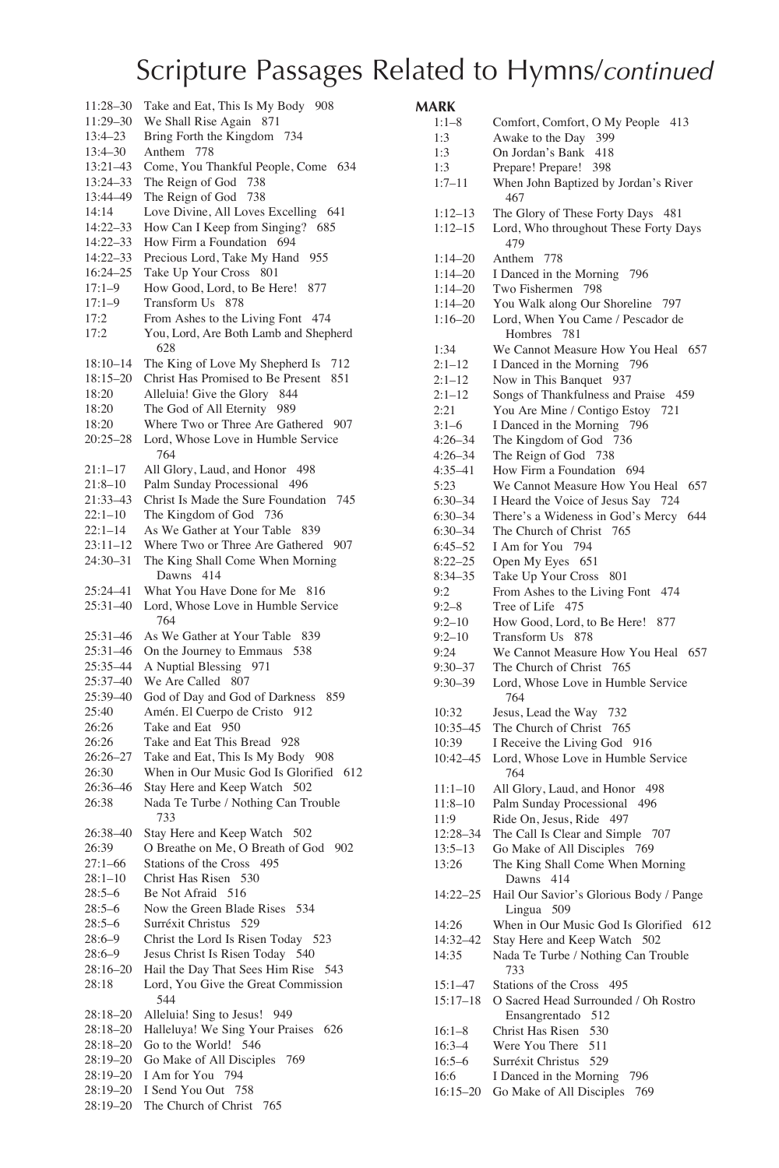| 11:28–30     | Take and Eat, This Is My Body<br>908             |
|--------------|--------------------------------------------------|
| 11:29–30     | We Shall Rise Again 871                          |
| 13:4–23      | Bring Forth the Kingdom<br>-734                  |
| 13:4-30      | Anthem 778                                       |
| 13:21-43     | Come, You Thankful People, Come 634              |
| 13:24-33     | The Reign of God<br>738                          |
| 13:44-49     | The Reign of God 738                             |
| 14:14        | Love Divine, All Loves Excelling<br>641          |
| 14:22-33     | How Can I Keep from Singing?<br>685              |
| 14:22-33     | How Firm a Foundation 694                        |
| 14:22-33     | Precious Lord, Take My Hand<br>955               |
| 16:24-25     | Take Up Your Cross 801                           |
| $17:1 - 9$   | How Good, Lord, to Be Here!<br>877               |
| $17:1 - 9$   | Transform Us 878                                 |
| 17:2         | From Ashes to the Living Font 474                |
| 17:2         | You, Lord, Are Both Lamb and Shepherd<br>628     |
| 18:10–14     | The King of Love My Shepherd Is<br>712           |
| $18:15 - 20$ | Christ Has Promised to Be Present<br>851         |
| 18:20        | Alleluia! Give the Glory<br>844                  |
| 18:20        | The God of All Eternity<br>989                   |
| 18:20        | Where Two or Three Are Gathered 907              |
| $20:25 - 28$ | Lord, Whose Love in Humble Service<br>764        |
| $21:1 - 17$  | All Glory, Laud, and Honor 498                   |
| $21:8 - 10$  | Palm Sunday Processional 496                     |
| 21:33-43     | Christ Is Made the Sure Foundation<br>745        |
| $22:1 - 10$  | The Kingdom of God 736                           |
| $22:1 - 14$  | As We Gather at Your Table<br>839                |
| $23:11 - 12$ | Where Two or Three Are Gathered<br>907           |
| $24:30 - 31$ | The King Shall Come When Morning<br>Dawns<br>414 |
| 25:24-41     | What You Have Done for Me<br>816                 |
| 25:31-40     | Lord, Whose Love in Humble Service               |
|              | 764                                              |
| 25:31-46     | As We Gather at Your Table<br>839                |
| 25:31-46     | On the Journey to Emmaus<br>538                  |
| 25:35-44     | A Nuptial Blessing<br>971                        |
| 25:37-40     | We Are Called<br>807                             |
| 25:39-40     | God of Day and God of Darkness<br>859            |
| 25:40        | Amén. El Cuerpo de Cristo 912                    |
| 26:26        | Take and Eat<br>950                              |
| 26:26        | Take and Eat This Bread 928                      |
| $26:26 - 27$ | Take and Eat, This Is My Body 908                |
| 26:30        | When in Our Music God Is Glorified 612           |
| 26:36-46     | Stay Here and Keep Watch 502                     |
| 26:38        | Nada Te Turbe / Nothing Can Trouble<br>733       |
| 26:38-40     | Stay Here and Keep Watch<br>502                  |
| 26:39        | O Breathe on Me, O Breath of God<br>902          |
| $27:1 - 66$  | Stations of the Cross 495                        |
| 28:1–10      | Christ Has Risen<br>530                          |
| $28:5 - 6$   | Be Not Afraid 516                                |
| $28:5 - 6$   | Now the Green Blade Rises<br>534                 |
| 28:5–6       | Surréxit Christus 529                            |
| $28:6 - 9$   | Christ the Lord Is Risen Today 523               |
| $28:6 - 9$   | Jesus Christ Is Risen Today 540                  |
| 28:16-20     | Hail the Day That Sees Him Rise<br>543           |
| 28:18        | Lord, You Give the Great Commission<br>544       |
| $28:18 - 20$ | Alleluia! Sing to Jesus!<br>949                  |
| 28:18-20     | Halleluya! We Sing Your Praises<br>626           |
| $28:18 - 20$ | Go to the World! 546                             |
| $28:19 - 20$ | Go Make of All Disciples<br>769                  |
| $28:19 - 20$ | I Am for You<br>794                              |
| $28:19 - 20$ | I Send You Out<br>758                            |
| 28:19-20     | The Church of Christ 765                         |
|              |                                                  |

# **MARK**

| $1:1-8$      | Comfort, Comfort, O My People 413                            |
|--------------|--------------------------------------------------------------|
| 1:3          | Awake to the Day 399                                         |
| 1:3          | On Jordan's Bank<br>418                                      |
| 1:3          | Prepare! Prepare!<br>398                                     |
| $1:7 - 11$   | When John Baptized by Jordan's River<br>467                  |
| $1:12-13$    | The Glory of These Forty Days 481                            |
| $1:12 - 15$  | Lord, Who throughout These Forty Days<br>479                 |
| $1:14 - 20$  | Anthem<br>778                                                |
| $1:14 - 20$  | I Danced in the Morning<br>796                               |
| $1:14 - 20$  | Two Fishermen 798                                            |
| $1:14 - 20$  | You Walk along Our Shoreline<br>797                          |
| $1:16 - 20$  | Lord, When You Came / Pescador de<br>781<br>Hombres          |
| 1:34         | We Cannot Measure How You Heal 657                           |
| $2:1-12$     | I Danced in the Morning 796                                  |
| $2:1-12$     | Now in This Banquet 937                                      |
| $2:1-12$     | Songs of Thankfulness and Praise 459                         |
| 2:21         | You Are Mine / Contigo Estoy<br>721                          |
| $3:1-6$      | I Danced in the Morning<br>796                               |
| 4:26–34      | The Kingdom of God<br>736                                    |
| $4:26 - 34$  | The Reign of God<br>738                                      |
| $4:35 - 41$  | How Firm a Foundation<br>694                                 |
| 5:23         | We Cannot Measure How You Heal<br>657                        |
| 6:30–34      | I Heard the Voice of Jesus Say 724                           |
| $6:30 - 34$  | There's a Wideness in God's Mercy<br>644                     |
| $6:30 - 34$  | The Church of Christ<br>765                                  |
| $6:45 - 52$  | 794<br>I Am for You                                          |
| $8:22 - 25$  | Open My Eyes 651                                             |
| 8:34-35      | Take Up Your Cross<br>801                                    |
| 9:2          | From Ashes to the Living Font 474                            |
| $9:2 - 8$    | Tree of Life 475                                             |
| $9:2 - 10$   | How Good, Lord, to Be Here!<br>877                           |
| $9:2 - 10$   | <b>Transform Us</b><br>878                                   |
| 9:24         | We Cannot Measure How You Heal 657                           |
| $9:30 - 37$  | The Church of Christ 765                                     |
| $9:30 - 39$  | Lord, Whose Love in Humble Service<br>764                    |
| 10:32        | Jesus, Lead the Way<br>732                                   |
| 10:35-45     | The Church of Christ<br>765                                  |
| 10:39        | I Receive the Living God 916                                 |
| 10:42-45     | Lord, Whose Love in Humble Service<br>764                    |
| $11:1 - 10$  | All Glory, Laud, and Honor<br>498                            |
| 11:8–10      | Palm Sunday Processional<br>496                              |
| 11:9         | Ride On, Jesus, Ride<br>497                                  |
| 12:28-34     | The Call Is Clear and Simple 707                             |
| $13:5 - 13$  | Go Make of All Disciples 769                                 |
| 13:26        | The King Shall Come When Morning<br>Dawns 414                |
| 14:22-25     | Hail Our Savior's Glorious Body / Pange<br>Lingua<br>509     |
| 14:26        | When in Our Music God Is Glorified 612                       |
| 14:32-42     | Stay Here and Keep Watch 502                                 |
| 14:35        | Nada Te Turbe / Nothing Can Trouble<br>733                   |
| $15:1 - 47$  | Stations of the Cross 495                                    |
| $15:17 - 18$ | O Sacred Head Surrounded / Oh Rostro<br>Ensangrentado<br>512 |
| $16:1 - 8$   | Christ Has Risen<br>530                                      |
| $16:3 - 4$   | Were You There<br>511                                        |
| $16:5 - 6$   | Surréxit Christus<br>529                                     |
| 16:6         | I Danced in the Morning<br>796                               |
| 16:15–20     | Go Make of All Disciples<br>769                              |
|              |                                                              |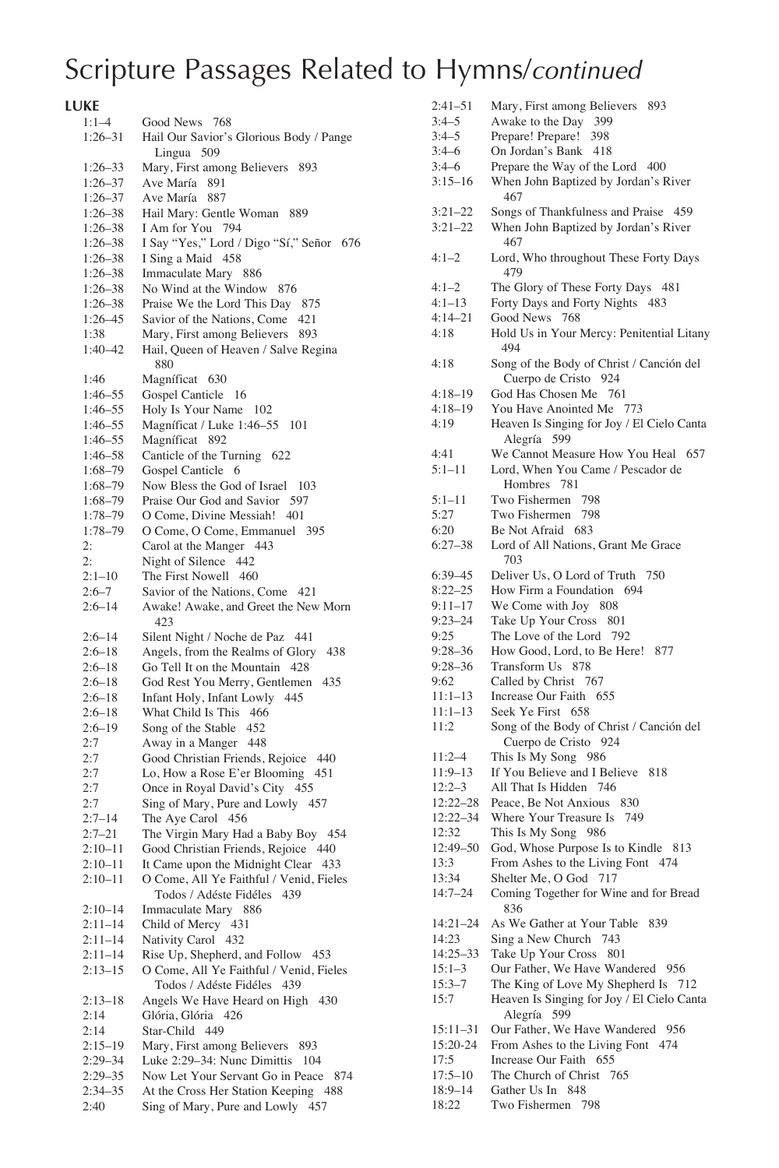**LUKE** 

| $1:1 - 4$   | Good News 768                            |
|-------------|------------------------------------------|
| 1:26–31     | Hail Our Savior's Glorious Body / Pange  |
|             | Lingua 509                               |
| $1:26 - 33$ | Mary, First among Believers<br>893       |
| $1:26 - 37$ | Ave María<br>891                         |
| 1:26–37     | Ave María 887                            |
| 1:26–38     | Hail Mary: Gentle Woman<br>889           |
| 1:26-38     | I Am for You 794                         |
| 1:26-38     | I Say "Yes," Lord / Digo "Sí," Señor 676 |
| 1:26-38     | I Sing a Maid 458                        |
| 1:26–38     | Immaculate Mary 886                      |
| 1:26-38     | No Wind at the Window 876                |
| 1:26-38     | Praise We the Lord This Day<br>875       |
| 1:26–45     | Savior of the Nations, Come 421          |
| 1:38        | Mary, First among Believers<br>893       |
|             | Hail, Queen of Heaven / Salve Regina     |
| 1:40–42     | 880                                      |
|             |                                          |
| 1:46        | Magníficat 630                           |
| 1:46–55     | Gospel Canticle 16                       |
| 1:46–55     | Holy Is Your Name<br>102                 |
| 1:46–55     | Magníficat / Luke 1:46-55<br>-101        |
| 1:46–55     | Magníficat 892                           |
| 1:46–58     | Canticle of the Turning 622              |
| 1:68-79     | Gospel Canticle 6                        |
| 1:68–79     | Now Bless the God of Israel 103          |
| 1:68–79     | Praise Our God and Savior 597            |
| $1:78 - 79$ | O Come, Divine Messiah! 401              |
| $1:78 - 79$ | O Come, O Come, Emmanuel<br>395          |
| 2:          | Carol at the Manger 443                  |
| 2:          | Night of Silence<br>442                  |
| $2:1 - 10$  | The First Nowell 460                     |
| $2:6 - 7$   | Savior of the Nations, Come 421          |
| $2:6 - 14$  | Awake! Awake, and Greet the New Morn     |
|             | 423                                      |
| $2:6 - 14$  | Silent Night / Noche de Paz 441          |
| 2:6–18      | Angels, from the Realms of Glory<br>438  |
| $2:6 - 18$  | Go Tell It on the Mountain 428           |
| $2:6 - 18$  | God Rest You Merry, Gentlemen<br>435     |
| $2:6 - 18$  | Infant Holy, Infant Lowly<br>445         |
| $2:6 - 18$  | What Child Is This 466                   |
| $2:6 - 19$  | Song of the Stable 452                   |
| 2:7         | Away in a Manger 448                     |
| 2:7         | Good Christian Friends, Rejoice<br>440   |
| 2:7         | Lo, How a Rose E'er Blooming<br>451      |
| 2:7         | Once in Royal David's City 455           |
| 2:7         | Sing of Mary, Pure and Lowly 457         |
| $2:7 - 14$  | The Aye Carol 456                        |
| $2:7 - 21$  | The Virgin Mary Had a Baby Boy 454       |
| 2:10–11     | Good Christian Friends, Rejoice 440      |
| $2:10 - 11$ | It Came upon the Midnight Clear 433      |
| $2:10-11$   | O Come, All Ye Faithful / Venid, Fieles  |
|             | Todos / Adéste Fidéles 439               |
| $2:10 - 14$ | Immaculate Mary<br>886                   |
| 2:11–14     | Child of Mercy 431                       |
| 2:11–14     | Nativity Carol 432                       |
| 2:11–14     | Rise Up, Shepherd, and Follow 453        |
| $2:13 - 15$ | O Come, All Ye Faithful / Venid, Fieles  |
|             | Todos / Adéste Fidéles 439               |
| $2:13 - 18$ | Angels We Have Heard on High<br>430      |
| 2:14        | Glória, Glória<br>426                    |
| 2:14        | Star-Child 449                           |
| $2:15 - 19$ | Mary, First among Believers<br>893       |
| 2:29–34     | Luke 2:29-34: Nunc Dimittis<br>104       |
| 2:29–35     | Now Let Your Servant Go in Peace<br>874  |
| $2:34 - 35$ | At the Cross Her Station Keeping<br>-488 |
| 2:40        | Sing of Mary, Pure and Lowly 457         |
|             |                                          |

| $2:41 - 51$      | Mary, First among Believers<br>893          |
|------------------|---------------------------------------------|
|                  |                                             |
| $3:4 - 5$        | Awake to the Day 399                        |
| $3:4 - 5$        | Prepare! Prepare!<br>398                    |
|                  |                                             |
| $3:4-6$          | On Jordan's Bank 418                        |
| $3:4 - 6$        | Prepare the Way of the Lord 400             |
| $3:15 - 16$      |                                             |
|                  | When John Baptized by Jordan's River        |
|                  | 467                                         |
| $3:21 - 22$      | Songs of Thankfulness and Praise<br>459     |
|                  |                                             |
| $3:21 - 22$      | When John Baptized by Jordan's River        |
|                  | 467                                         |
|                  |                                             |
| $4:1 - 2$        | Lord, Who throughout These Forty Days       |
|                  | 479                                         |
|                  |                                             |
| $4:1 - 2$        | The Glory of These Forty Days 481           |
| $4:1-13$         | Forty Days and Forty Nights<br>- 483        |
| $4:14 - 21$      | Good News 768                               |
|                  |                                             |
| 4:18             | Hold Us in Your Mercy: Penitential Litany   |
|                  | 494                                         |
| 4:18             | Song of the Body of Christ / Canción del    |
|                  |                                             |
|                  | Cuerpo de Cristo<br>924                     |
| $4:18-19$        | God Has Chosen Me 761                       |
|                  |                                             |
| $4:18 - 19$      | You Have Anointed Me 773                    |
| 4:19             | Heaven Is Singing for Joy / El Cielo Canta  |
|                  |                                             |
|                  | 599<br>Alegría                              |
| 4:41             | We Cannot Measure How You Heal 657          |
| $5:1 - 11$       | Lord, When You Came / Pescador de           |
|                  |                                             |
|                  | Hombres<br>781                              |
| 5:1–11           | Two Fishermen<br>798                        |
|                  |                                             |
| 5:27             | Two Fishermen<br>798                        |
| 6:20             | Be Not Afraid 683                           |
| $6:27 - 38$      | Lord of All Nations, Grant Me Grace         |
|                  |                                             |
|                  | 703                                         |
| $6:39-45$        | Deliver Us, O Lord of Truth<br>750          |
| $8:22 - 25$      | How Firm a Foundation<br>694                |
|                  |                                             |
| $9:11 - 17$      | We Come with Joy<br>808                     |
| $9:23 - 24$      | Take Up Your Cross<br>801                   |
|                  |                                             |
| 9:25             | The Love of the Lord 792                    |
| $9:28 - 36$      | How Good, Lord, to Be Here!<br>877          |
| $9:28 - 36$      | Transform Us 878                            |
|                  |                                             |
| 9:62             | Called by Christ<br>767                     |
|                  |                                             |
|                  |                                             |
| $11:1-13$        | Increase Our Faith<br>655                   |
| 11:1–13          | Seek Ye First 658                           |
| 11:2             | Song of the Body of Christ / Canción del    |
|                  |                                             |
|                  | Cuerpo de Cristo<br>924                     |
| $11:2-4$         | This Is My Song<br>986                      |
| 11:9–13          | If You Believe and I Believe<br>818         |
|                  | 746                                         |
| 12:2–3           | All That Is Hidden                          |
| 12:22–28         | Peace, Be Not Anxious 830                   |
| 12:22-34         | Where Your Treasure Is<br>749               |
|                  |                                             |
| 12:32            | This Is My Song<br>986                      |
| 12:49-50         | God, Whose Purpose Is to Kindle<br>813      |
| 13:3             | From Ashes to the Living Font<br>474        |
|                  |                                             |
| 13:34            | Shelter Me, O God 717                       |
| $14:7 - 24$      | Coming Together for Wine and for Bread      |
|                  | 836                                         |
| 14:21–24         | As We Gather at Your Table<br>839           |
| 14:23            | Sing a New Church<br>743                    |
|                  |                                             |
| 14:25-33         | Take Up Your Cross<br>801                   |
| $15:1 - 3$       | Our Father, We Have Wandered 956            |
|                  |                                             |
| $15:3 - 7$       | The King of Love My Shepherd Is 712         |
| 15:7             | Heaven Is Singing for Joy / El Cielo Canta  |
|                  | Alegría<br>599                              |
| 15:11–31         | Our Father, We Have Wandered<br>956         |
|                  |                                             |
| 15:20-24         | From Ashes to the Living Font<br>474        |
| 17:5             | Increase Our Faith<br>655                   |
|                  |                                             |
| $17:5 - 10$      | The Church of Christ 765                    |
| 18:9–14<br>18:22 | Gather Us In<br>848<br>Two Fishermen<br>798 |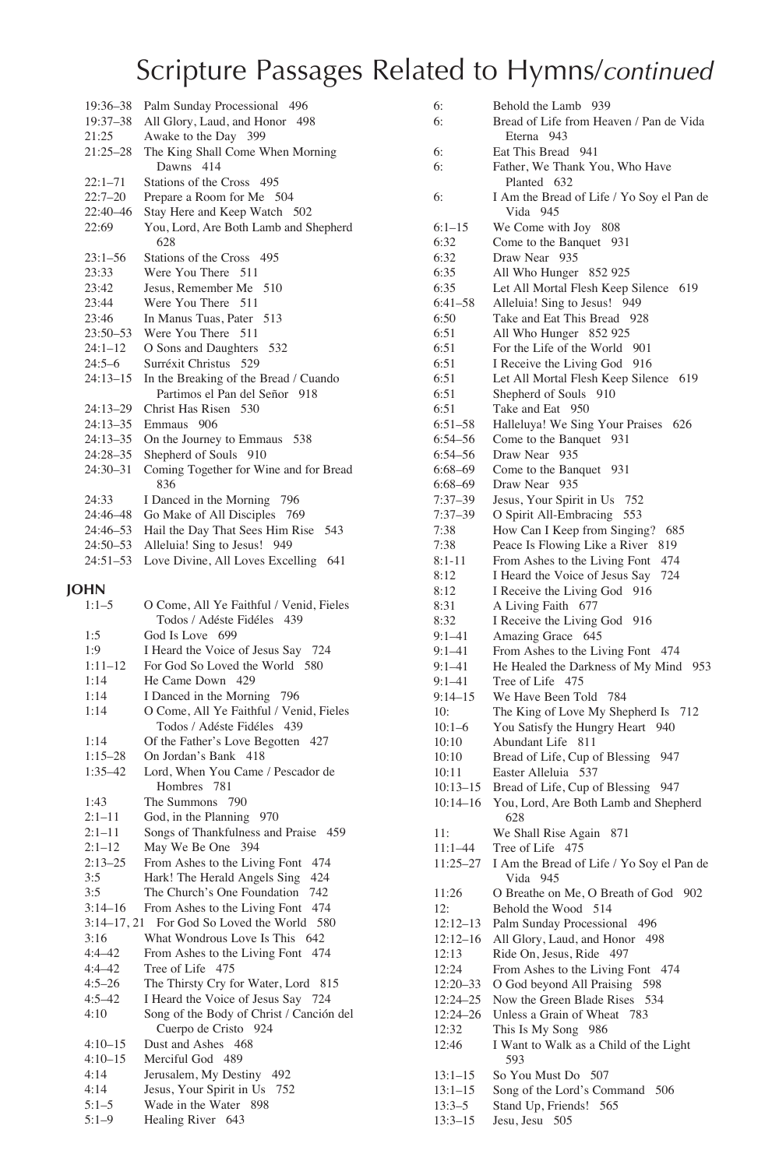| 19:36–38     | Palm Sunday Processional 496                 |
|--------------|----------------------------------------------|
| 19:37-38     | All Glory, Laud, and Honor 498               |
| 21:25        | Awake to the Day 399                         |
| $21:25 - 28$ | The King Shall Come When Morning             |
|              | Dawns 414                                    |
| $22:1 - 71$  | Stations of the Cross 495                    |
| $22:7 - 20$  | Prepare a Room for Me 504                    |
| 22:40-46     | Stay Here and Keep Watch 502                 |
| 22:69        | You, Lord, Are Both Lamb and Shepherd<br>628 |
| $23:1 - 56$  | Stations of the Cross 495                    |
| 23:33        | Were You There 511                           |
| 23:42        | Jesus, Remember Me 510                       |
| 23:44        | Were You There 511                           |
| 23:46        | In Manus Tuas, Pater 513                     |
| $23:50 - 53$ | Were You There 511                           |
| $24:1 - 12$  | O Sons and Daughters 532                     |
| $24:5-6$     | Surréxit Christus 529                        |
| $24:13 - 15$ | In the Breaking of the Bread / Cuando        |
|              | Partimos el Pan del Señor 918                |
| $24:13-29$   | Christ Has Risen 530                         |
| $24:13-35$   | Emmaus 906                                   |
| $24:13 - 35$ | On the Journey to Emmaus 538                 |
| $24:28 - 35$ | Shepherd of Souls 910                        |
| $24:30 - 31$ | Coming Together for Wine and for Bread       |
|              | 836                                          |
| 24:33        | I Danced in the Morning 796                  |
| 24:46-48     | Go Make of All Disciples 769                 |
| 24:46-53     | Hail the Day That Sees Him Rise 543          |
| $24:50 - 53$ | Alleluia! Sing to Jesus!<br>949              |
| $24:51 - 53$ | Love Divine, All Loves Excelling<br>641      |

#### **JOHN**

| O Come, All Ye Faithful / Venid, Fieles           |
|---------------------------------------------------|
| Todos / Adéste Fidéles 439                        |
| God Is Love 699                                   |
| I Heard the Voice of Jesus Say 724                |
| For God So Loved the World 580                    |
| He Came Down 429                                  |
| I Danced in the Morning 796                       |
| O Come, All Ye Faithful / Venid, Fieles           |
| Todos / Adéste Fidéles 439                        |
| Of the Father's Love Begotten 427                 |
| On Jordan's Bank 418                              |
| Lord, When You Came / Pescador de                 |
| Hombres 781                                       |
| The Summons 790                                   |
| God, in the Planning 970                          |
| Songs of Thankfulness and Praise 459              |
| May We Be One 394                                 |
| From Ashes to the Living Font<br>474              |
| Hark! The Herald Angels Sing<br>424               |
| The Church's One Foundation<br>742                |
| From Ashes to the Living Font<br>474              |
| $3:14-17.21$<br>For God So Loved the World<br>580 |
| What Wondrous Love Is This 642                    |
| From Ashes to the Living Font<br>474              |
| Tree of Life 475                                  |
| The Thirsty Cry for Water, Lord<br>815            |
| I Heard the Voice of Jesus Say 724                |
| Song of the Body of Christ / Canción del          |
| Cuerpo de Cristo 924                              |
| Dust and Ashes 468                                |
| Merciful God 489                                  |
| Jerusalem, My Destiny 492                         |
| Jesus, Your Spirit in Us 752                      |
| Wade in the Water 898                             |
| Healing River 643                                 |
|                                                   |

| 6:           | Behold the Lamb 939                       |
|--------------|-------------------------------------------|
|              |                                           |
| 6:           | Bread of Life from Heaven / Pan de Vida   |
|              | 943<br>Eterna                             |
| 6:           | Eat This Bread 941                        |
| 6:           | Father, We Thank You, Who Have            |
|              | Planted 632                               |
|              |                                           |
| 6:           | I Am the Bread of Life / Yo Soy el Pan de |
|              | Vida 945                                  |
| $6:1-15$     | We Come with Joy 808                      |
| 6:32         | Come to the Banquet 931                   |
| 6:32         | Draw Near 935                             |
| 6:35         | All Who Hunger 852 925                    |
|              |                                           |
| 6:35         | Let All Mortal Flesh Keep Silence 619     |
| $6:41 - 58$  | Alleluia! Sing to Jesus! 949              |
| 6:50         | Take and Eat This Bread 928               |
| 6:51         | All Who Hunger 852 925                    |
| 6:51         | For the Life of the World<br>- 901        |
| 6:51         |                                           |
|              | I Receive the Living God 916              |
| 6:51         | Let All Mortal Flesh Keep Silence 619     |
| 6:51         | Shepherd of Souls<br>910                  |
| 6:51         | Take and Eat 950                          |
| $6:51 - 58$  | Halleluya! We Sing Your Praises<br>626    |
| $6:54 - 56$  | Come to the Banquet 931                   |
| $6:54 - 56$  | Draw Near 935                             |
|              |                                           |
| $6:68 - 69$  | Come to the Banquet<br>931                |
| 6:68-69      | Draw Near 935                             |
| $7:37 - 39$  | Jesus, Your Spirit in Us<br>752           |
| 7:37-39      | O Spirit All-Embracing<br>553             |
| 7:38         | How Can I Keep from Singing? 685          |
| 7:38         | Peace Is Flowing Like a River<br>-819     |
| $8:1 - 11$   | From Ashes to the Living Font<br>474      |
|              | I Heard the Voice of Jesus Say<br>724     |
| 8:12         |                                           |
| 8:12         | I Receive the Living God 916              |
| 8:31         | A Living Faith<br>677                     |
| 8:32         | I Receive the Living God<br>916           |
| 9:1–41       | Amazing Grace 645                         |
| $9:1 - 41$   | From Ashes to the Living Font 474         |
| $9:1 - 41$   | He Healed the Darkness of My Mind<br>953  |
| $9:1 - 41$   | Tree of Life<br>475                       |
| $9:14 - 15$  | We Have Been Told 784                     |
| 10:          | The King of Love My Shepherd Is<br>712    |
|              |                                           |
| $10:1-6$     | You Satisfy the Hungry Heart 940          |
| 10:10        | Abundant Life 811                         |
| 10:10        | Bread of Life, Cup of Blessing<br>947     |
| 10:11        | Easter Alleluia 537                       |
| $10:13 - 15$ | Bread of Life, Cup of Blessing<br>947     |
| $10:14 - 16$ | You, Lord, Are Both Lamb and Shepherd     |
|              | 628                                       |
| 11:          | We Shall Rise Again 871                   |
| 11:1–44      | Tree of Life 475                          |
|              |                                           |
| $11:25 - 27$ | I Am the Bread of Life / Yo Soy el Pan de |
|              | Vida 945                                  |
| 11:26        | O Breathe on Me, O Breath of God<br>902   |
| 12:          | Behold the Wood 514                       |
| $12:12 - 13$ | Palm Sunday Processional 496              |
| $12:12 - 16$ | All Glory, Laud, and Honor<br>498         |
| 12:13        | Ride On, Jesus, Ride 497                  |
|              |                                           |
| 12:24        | From Ashes to the Living Font 474         |
| $12:20 - 33$ | O God beyond All Praising<br>598          |
| 12:24-25     | Now the Green Blade Rises<br>534          |
| $12:24 - 26$ | Unless a Grain of Wheat<br>783            |
| 12:32        | This Is My Song<br>986                    |
| 12:46        | I Want to Walk as a Child of the Light    |
|              | 593                                       |
| $13:1 - 15$  | So You Must Do 507                        |
| $13:1 - 15$  | Song of the Lord's Command<br>506         |
|              |                                           |
| $13:3 - 5$   | Stand Up, Friends! 565                    |

13:3–15 Jesu, Jesu 505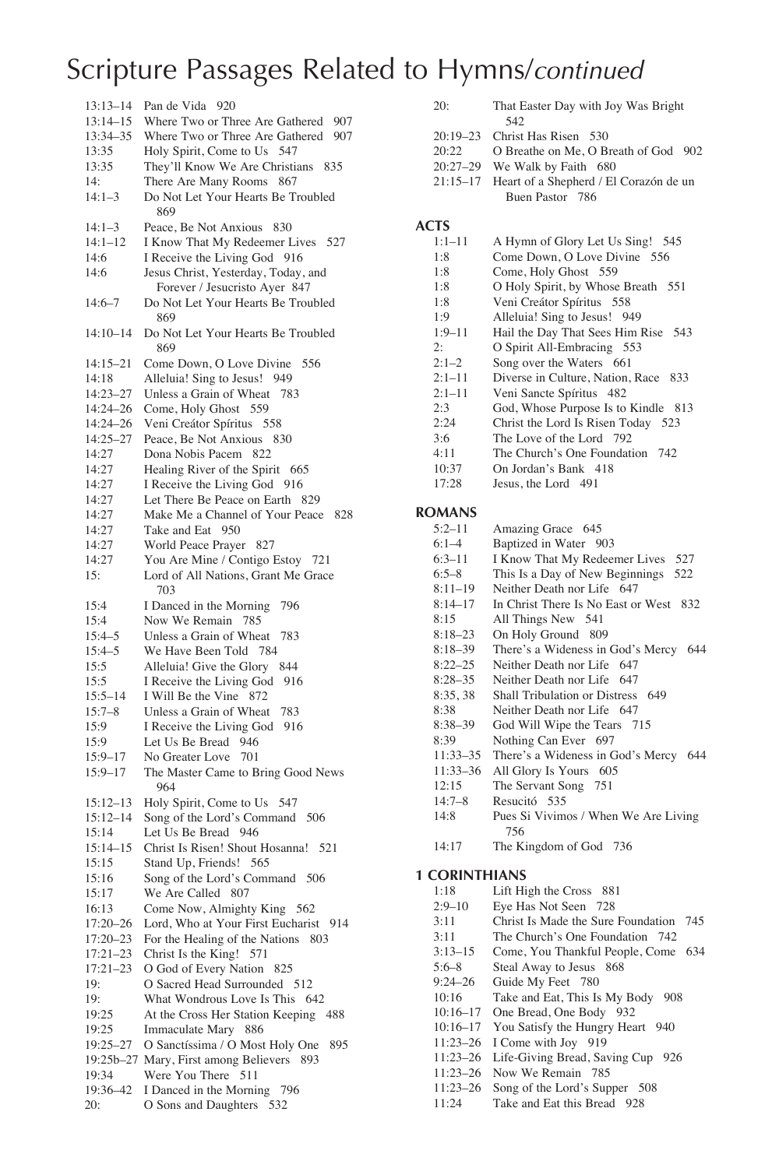| $13:13 - 14$ | Pan de Vida 920                                                     |
|--------------|---------------------------------------------------------------------|
| 13:14-15     | Where Two or Three Are Gathered<br>907                              |
| 13:34-35     | Where Two or Three Are Gathered<br>907                              |
| 13:35        | Holy Spirit, Come to Us 547                                         |
| 13:35        | They'll Know We Are Christians 835                                  |
| 14:          | There Are Many Rooms 867                                            |
|              | Do Not Let Your Hearts Be Troubled                                  |
| $14:1-3$     | 869                                                                 |
|              | Peace, Be Not Anxious 830                                           |
| 14:1–3       |                                                                     |
| $14:1 - 12$  | I Know That My Redeemer Lives<br>527                                |
| 14:6         | I Receive the Living God 916                                        |
| 14:6         | Jesus Christ, Yesterday, Today, and                                 |
| $14:6 - 7$   | Forever / Jesucristo Ayer 847<br>Do Not Let Your Hearts Be Troubled |
|              | 869                                                                 |
| $14:10 - 14$ | Do Not Let Your Hearts Be Troubled                                  |
|              | 869                                                                 |
| 14:15–21     | Come Down, O Love Divine<br>556                                     |
| 14:18        | Alleluia! Sing to Jesus! 949                                        |
| 14:23-27     | Unless a Grain of Wheat<br>783                                      |
| 14:24-26     | Come, Holy Ghost 559                                                |
| 14:24-26     | Veni Creátor Spíritus 558                                           |
| 14:25-27     | Peace, Be Not Anxious<br>830                                        |
| 14:27        | Dona Nobis Pacem 822                                                |
| 14:27        | Healing River of the Spirit 665                                     |
| 14:27        | I Receive the Living God 916                                        |
| 14:27        | Let There Be Peace on Earth 829                                     |
|              | Make Me a Channel of Your Peace                                     |
| 14:27        | 828                                                                 |
| 14:27        | Take and Eat 950                                                    |
| 14:27        | World Peace Prayer<br>827                                           |
| 14:27        | You Are Mine / Contigo Estoy 721                                    |
| 15:          | Lord of All Nations, Grant Me Grace<br>703                          |
| 15:4         | I Danced in the Morning<br>796                                      |
| 15:4         | Now We Remain<br>785                                                |
| 15:4–5       | Unless a Grain of Wheat<br>783                                      |
| $15:4 - 5$   | We Have Been Told 784                                               |
| 15:5         | Alleluia! Give the Glory<br>844                                     |
| 15:5         | I Receive the Living God<br>916                                     |
| 15:5-14      | I Will Be the Vine 872                                              |
| $15:7 - 8$   | Unless a Grain of Wheat<br>783                                      |
| 15:9         | I Receive the Living God 916                                        |
| 15:9         | Let Us Be Bread<br>946                                              |
| $15:9 - 17$  | No Greater Love<br>701                                              |
|              |                                                                     |
| $15:9 - 17$  | The Master Came to Bring Good News<br>964                           |
| 15:12–13     | Holy Spirit, Come to Us 547                                         |
| 15:12–14     | Song of the Lord's Command<br>506                                   |
| 15:14        | Let Us Be Bread 946                                                 |
| $15:14 - 15$ | Christ Is Risen! Shout Hosanna!<br>521                              |
| 15:15        | Stand Up, Friends! 565                                              |
| 15:16        | Song of the Lord's Command 506                                      |
| 15:17        | We Are Called<br>807                                                |
| 16:13        | Come Now, Almighty King 562                                         |
| 17:20-26     | Lord, Who at Your First Eucharist 914                               |
| 17:20-23     | For the Healing of the Nations<br>803                               |
| $17:21 - 23$ | Christ Is the King!<br>571                                          |
| $17:21 - 23$ | O God of Every Nation<br>825                                        |
| 19:          | O Sacred Head Surrounded 512                                        |
| 19:          | What Wondrous Love Is This<br>642                                   |
| 19:25        | At the Cross Her Station Keeping 488                                |
| 19:25        | Immaculate Mary 886                                                 |
|              | O Sanctíssima / O Most Holy One                                     |
| 19:25-27     | 895                                                                 |
|              | 19:25b-27 Mary, First among Believers 893                           |
| 19:34        | Were You There 511                                                  |
| 19:36-42     | I Danced in the Morning<br>796                                      |
| 20:          | O Sons and Daughters<br>532                                         |

| 20:   | That Easter Day with Joy Was Bright<br>542      |  |
|-------|-------------------------------------------------|--|
|       | 20:19–23 Christ Has Risen 530                   |  |
| 20.22 | O Breathe on Me, O Breath of God 902            |  |
|       | 20:27-29 We Walk by Faith 680                   |  |
|       | 21:15–17 Heart of a Shepherd / El Corazón de un |  |
|       | Buen Pastor 786                                 |  |
| ACTS  |                                                 |  |

# **ACTS**

| $1:1 - 11$    | A Hymn of Glory Let Us Sing! 545            |
|---------------|---------------------------------------------|
| 1:8           | Come Down, O Love Divine 556                |
| 1:8           | Come, Holy Ghost 559                        |
| 1:8           | O Holy Spirit, by Whose Breath 551          |
| 1:8           | Veni Creátor Spíritus 558                   |
| 1:9           | Alleluia! Sing to Jesus!<br>949             |
| $1:9 - 11$    | Hail the Day That Sees Him Rise<br>543      |
| 2:            | O Spirit All-Embracing 553                  |
| $2:1-2$       | Song over the Waters 661                    |
| $2:1 - 11$    | Diverse in Culture, Nation, Race<br>833     |
| $2:1 - 11$    | Veni Sancte Spíritus 482                    |
| 2:3           | God, Whose Purpose Is to Kindle 813         |
| 2:24          | Christ the Lord Is Risen Today 523          |
| 3:6           | The Love of the Lord 792                    |
| 4:11          | The Church's One Foundation 742             |
| 10:37         | On Jordan's Bank 418                        |
| 17:28         | Jesus, the Lord 491                         |
|               |                                             |
| <b>ROMANS</b> |                                             |
| $5:2 - 11$    | Amazing Grace 645                           |
| $6:1-4$       | Baptized in Water 903                       |
| $6:3 - 11$    | I Know That My Redeemer Lives<br>527        |
| $6:5 - 8$     | This Is a Day of New Beginnings<br>522      |
| $8:11-19$     | Neither Death nor Life 647                  |
| $8:14 - 17$   | In Christ There Is No East or West<br>832   |
| 8:15          | All Things New 541                          |
| $8:18 - 23$   | On Holy Ground 809                          |
| $8:18-39$     | There's a Wideness in God's Mercy 644       |
| $8:22 - 25$   | Neither Death nor Life<br>647               |
| $8:28 - 35$   | Neither Death nor Life<br>647               |
| 8:35, 38      | <b>Shall Tribulation or Distress</b><br>649 |
| 8:38          | Neither Death nor Life 647                  |
| $8:38-39$     | God Will Wipe the Tears 715                 |
| 8:39          | Nothing Can Ever 697                        |
| 11:33–35      | There's a Wideness in God's Mercy<br>644    |
| 11:33-36      | All Glory Is Yours<br>605                   |

- 12:15 The Servant Song 751
- 
- 14:7–8 Resucitó 535 Pues Si Vivimos / When We Are Living 756<br>14:17 The Ki
- The Kingdom of God 736

# **1 CORINTHIANS**

| 1:18         | Lift High the Cross 881                |
|--------------|----------------------------------------|
| $2:9 - 10$   | Eye Has Not Seen 728                   |
| 3:11         | Christ Is Made the Sure Foundation 745 |
| 3:11         | The Church's One Foundation 742        |
| $3:13-15$    | Come, You Thankful People, Come<br>634 |
| $5:6 - 8$    | Steal Away to Jesus 868                |
| $9:24 - 26$  | Guide My Feet 780                      |
| 10:16        | Take and Eat, This Is My Body<br>908   |
| $10:16 - 17$ | One Bread, One Body 932                |
| $10:16 - 17$ | You Satisfy the Hungry Heart 940       |
| $11:23 - 26$ | I Come with Joy 919                    |
| $11:23 - 26$ | Life-Giving Bread, Saving Cup 926      |
| $11:23 - 26$ | Now We Remain 785                      |
| $11:23 - 26$ | Song of the Lord's Supper 508          |
| 11:24        | Take and Eat this Bread 928            |
|              |                                        |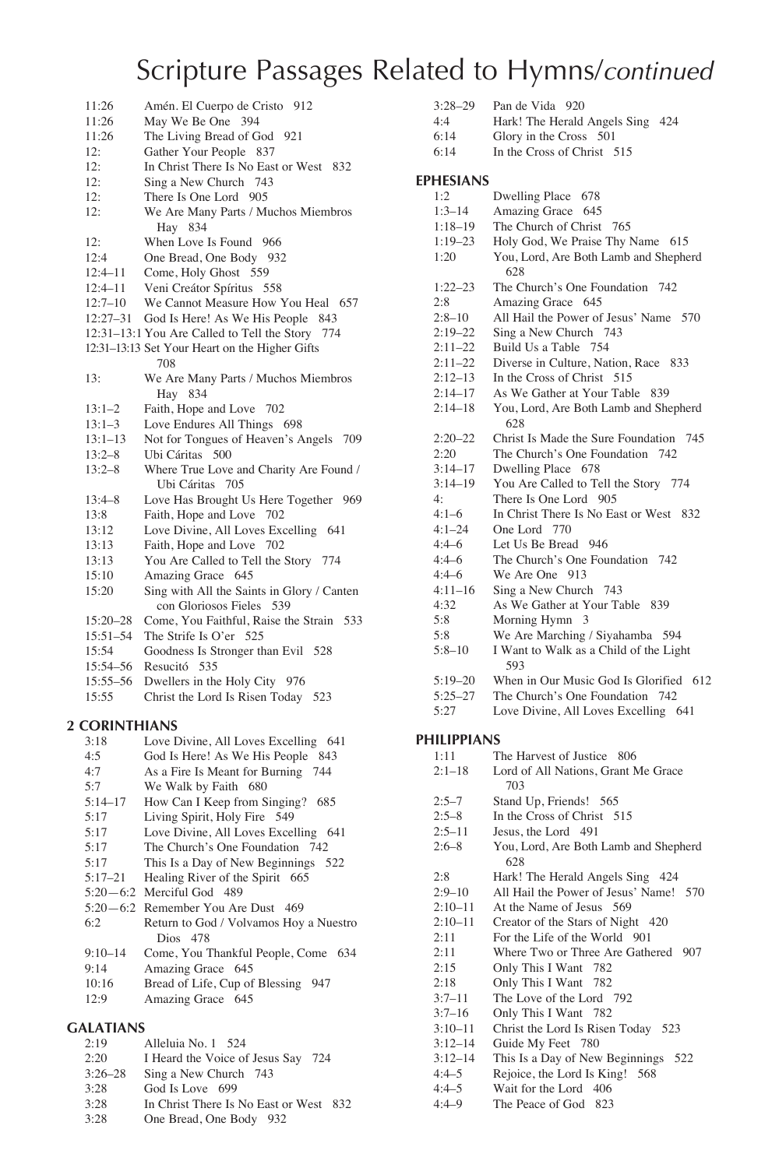| 11:26<br>11:26       | May We Be One 394<br>The Living Bread of God 921                                                                                       |
|----------------------|----------------------------------------------------------------------------------------------------------------------------------------|
|                      |                                                                                                                                        |
|                      |                                                                                                                                        |
|                      | Gather Your People 837                                                                                                                 |
| 12:                  | In Christ There Is No East or West 832                                                                                                 |
|                      | Sing a New Church 743                                                                                                                  |
|                      | There Is One Lord 905                                                                                                                  |
|                      | We Are Many Parts / Muchos Miembros                                                                                                    |
|                      | Hay 834                                                                                                                                |
| 12:                  | When Love Is Found 966                                                                                                                 |
| 12:4                 | One Bread, One Body 932                                                                                                                |
| $12:4 - 11$          | Come, Holy Ghost 559                                                                                                                   |
| $12:4 - 11$          | Veni Creátor Spíritus 558                                                                                                              |
| $12:7 - 10$          | We Cannot Measure How You Heal 657                                                                                                     |
| $12:27 - 31$         | God Is Here! As We His People<br>843                                                                                                   |
|                      | 12:31-13:1 You Are Called to Tell the Story 774                                                                                        |
|                      | 12:31-13:13 Set Your Heart on the Higher Gifts<br>708                                                                                  |
| 13:                  | We Are Many Parts / Muchos Miembros<br>Hay 834                                                                                         |
|                      | Faith, Hope and Love 702                                                                                                               |
|                      | Love Endures All Things 698                                                                                                            |
|                      | Not for Tongues of Heaven's Angels 709                                                                                                 |
| $13:2 - 8$           | Ubi Cáritas 500                                                                                                                        |
| $13:2 - 8$           | Where True Love and Charity Are Found /<br>Ubi Cáritas 705                                                                             |
|                      |                                                                                                                                        |
|                      | Love Has Brought Us Here Together 969<br>Faith, Hope and Love 702                                                                      |
|                      |                                                                                                                                        |
|                      | Love Divine, All Loves Excelling 641                                                                                                   |
|                      | Faith, Hope and Love 702<br>You Are Called to Tell the Story 774                                                                       |
|                      |                                                                                                                                        |
|                      | Amazing Grace 645                                                                                                                      |
|                      | Sing with All the Saints in Glory / Canten<br>con Gloriosos Fieles 539                                                                 |
| $15:20 - 28$         | Come, You Faithful, Raise the Strain 533                                                                                               |
| $15:51 - 54$         | The Strife Is O'er 525                                                                                                                 |
| 15:54                | Goodness Is Stronger than Evil 528                                                                                                     |
| 15:54-56             | Resucitó 535                                                                                                                           |
| 15:55-56             | Dwellers in the Holy City 976                                                                                                          |
| 15:55                | Christ the Lord Is Risen Today 523                                                                                                     |
| <b>2 CORINTHIANS</b> | $\mathbf{r}$<br>111<br><b>A 11 Y</b>                                                                                                   |
|                      | 12:<br>12:<br>12:<br>12:<br>$13:1 - 2$<br>$13:1 - 3$<br>$13:1 - 13$<br>$13:4 - 8$<br>13:8<br>13:12<br>13:13<br>13:13<br>15:10<br>15:20 |

#### 3:18 Love Divine, All Loves Excelling 641<br>4:5 God Is Here! As We His People 843 4:5 God Is Here! As We His People 843<br>4:7 As a Fire Is Meant for Burning 744 4:7 As a Fire Is Meant for Burning 744<br>5:7 We Walk by Faith 680 5:7 We Walk by Faith 680<br>5:14–17 How Can I Keep from S How Can I Keep from Singing? 685 5:17 Living Spirit, Holy Fire 549 5:17 Love Divine, All Loves Excelling 641<br>5:17 The Church's One Foundation 742 5:17 The Church's One Foundation 742<br>5:17 This Is a Dav of New Beginnings 5 This Is a Day of New Beginnings 522 5:17–21 Healing River of the Spirit 665 5:20—6:2 Merciful God 489 5:20 - 6:2 Remember You Are Dust 469<br>6:2 Return to God / Volvamos Hov Return to God / Volvamos Hoy a Nuestro Dios 478 9:10–14 Come, You Thankful People, Come 634 9:14 Amazing Grace 645 10:16 Bread of Life, Cup of Blessing 947<br>12:9 Amazing Grace 645 Amazing Grace 645

### **GALATIANS**

| 2:19        | Alleluia No. 1 524                     |
|-------------|----------------------------------------|
| 2:20        | I Heard the Voice of Jesus Say<br>724  |
| $3:26 - 28$ | Sing a New Church 743                  |
| 3:28        | God Is Love 699                        |
| 3:28        | In Christ There Is No East or West 832 |
| 3:28        | One Bread, One Body 932                |

| $3:28 - 29$      | Pan de Vida<br>920                            |
|------------------|-----------------------------------------------|
| 4:4              | Hark! The Herald Angels Sing 424              |
| 6:14             | Glory in the Cross<br>501                     |
| 6:14             | In the Cross of Christ 515                    |
| <b>EPHESIANS</b> |                                               |
| 1:2              | Dwelling Place 678                            |
| $1:3-14$         | Amazing Grace 645                             |
| $1:18 - 19$      | The Church of Christ 765                      |
| $1:19-23$        | Holy God, We Praise Thy Name 615              |
| 1:20             | You, Lord, Are Both Lamb and Shepherd<br>628  |
| $1:22 - 23$      | The Church's One Foundation 742               |
| 2:8              | Amazing Grace 645                             |
| $2:8 - 10$       | All Hail the Power of Jesus' Name 570         |
| $2:19 - 22$      | Sing a New Church 743                         |
| $2:11 - 22$      | Build Us a Table 754                          |
| $2:11 - 22$      | Diverse in Culture, Nation, Race 833          |
| $2:12-13$        | In the Cross of Christ 515                    |
| $2:14 - 17$      | As We Gather at Your Table<br>839             |
| $2:14 - 18$      | You, Lord, Are Both Lamb and Shepherd<br>628  |
| $2:20 - 22$      | Christ Is Made the Sure Foundation<br>745     |
| 2:20             | The Church's One Foundation 742               |
| $3:14 - 17$      | Dwelling Place 678                            |
| $3:14 - 19$      | You Are Called to Tell the Story 774          |
| 4:               | There Is One Lord 905                         |
| $4:1-6$          | In Christ There Is No East or West 832        |
| $4:1 - 24$       | One Lord 770                                  |
| $4:4-6$          | Let Us Be Bread 946                           |
| $4:4-6$          | The Church's One Foundation 742               |
| $4:4-6$          | We Are One 913                                |
| $4:11 - 16$      | Sing a New Church 743                         |
| 4:32             | As We Gather at Your Table 839                |
| 5:8              | Morning Hymn 3                                |
| 5:8              | We Are Marching / Siyahamba 594               |
| $5:8 - 10$       | I Want to Walk as a Child of the Light<br>593 |
| $5:19 - 20$      | When in Our Music God Is Glorified 612        |
| $5:25 - 27$      | The Church's One Foundation<br>742            |
| 5:27             | Love Divine, All Loves Excelling<br>641       |
|                  |                                               |

# **PHILIPPIANS**

| PHILIPPIANS |                                              |  |
|-------------|----------------------------------------------|--|
| 1:11        | The Harvest of Justice 806                   |  |
| $2:1 - 18$  | Lord of All Nations, Grant Me Grace          |  |
|             | 703                                          |  |
| $2:5 - 7$   | Stand Up, Friends! 565                       |  |
| $2:5-8$     | In the Cross of Christ 515                   |  |
| $2:5 - 11$  | Jesus, the Lord 491                          |  |
| $2:6 - 8$   | You, Lord, Are Both Lamb and Shepherd<br>628 |  |
| 2:8         | Hark! The Herald Angels Sing 424             |  |
| $2:9 - 10$  | All Hail the Power of Jesus' Name! 570       |  |
| $2:10-11$   | At the Name of Jesus 569                     |  |
| $2:10-11$   | Creator of the Stars of Night 420            |  |
| 2:11        | For the Life of the World 901                |  |
| 2:11        | Where Two or Three Are Gathered 907          |  |
| 2:15        | Only This I Want 782                         |  |
| 2:18        | Only This I Want 782                         |  |
| $3:7-11$    | The Love of the Lord 792                     |  |
| $3:7-16$    | Only This I Want 782                         |  |
| $3:10-11$   | Christ the Lord Is Risen Today 523           |  |
| $3:12 - 14$ | Guide My Feet 780                            |  |
| $3:12 - 14$ | This Is a Day of New Beginnings 522          |  |
| $4:4-5$     | Rejoice, the Lord Is King! 568               |  |
| $4:4-5$     | Wait for the Lord 406                        |  |
| $4:4-9$     | The Peace of God 823                         |  |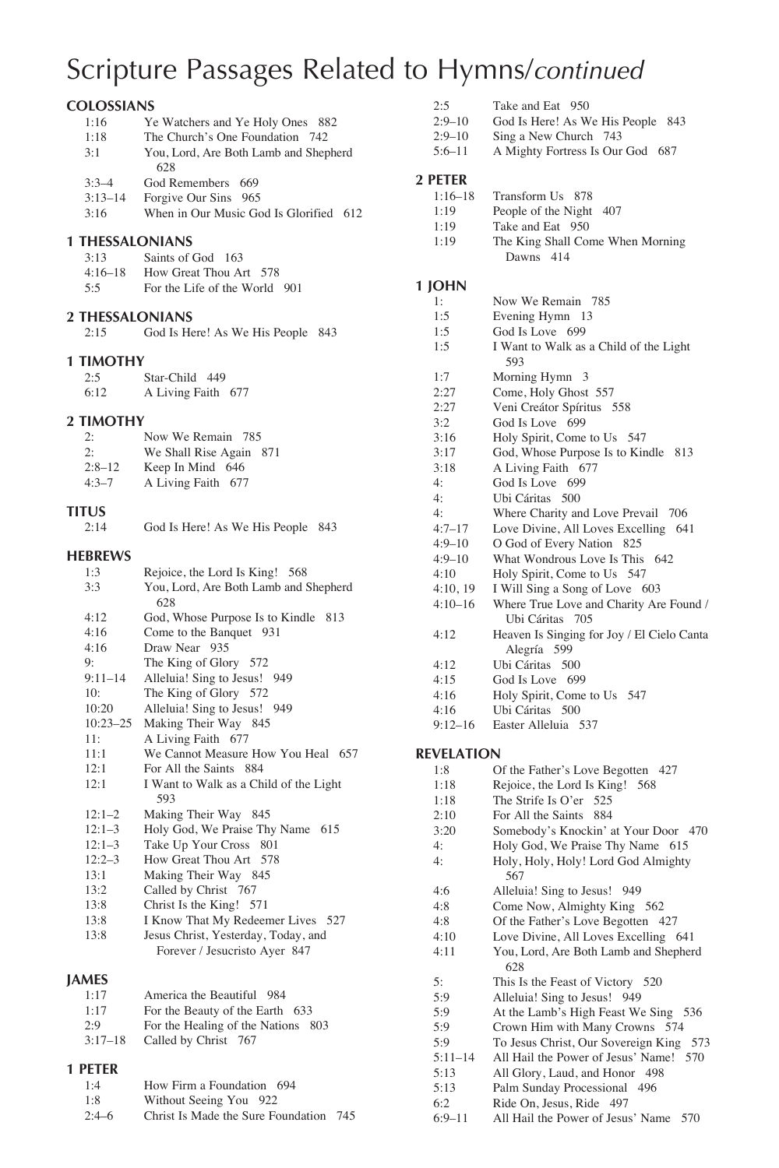# **COLOSSIANS**

| 1:16      | Ye Watchers and Ye Holy Ones 882       |
|-----------|----------------------------------------|
| 1:18      | The Church's One Foundation 742        |
| 3:1       | You, Lord, Are Both Lamb and Shepherd  |
|           | 628                                    |
| $3.3 - 4$ | God Remembers 669                      |
| $3:13-14$ | Forgive Our Sins 965                   |
| 3:16      | When in Our Music God Is Glorified 612 |

### **1 THESSALONIANS**

| 3:13      | Saints of God 163             |
|-----------|-------------------------------|
| $4:16-18$ | How Great Thou Art 578        |
| 5.5       | For the Life of the World 901 |

# **2 THESSALONIANS**<br>2:15 God Is He

God Is Here! As We His People 843

### **1 TIMOTHY**

| 2:5  | Star-Child 449     |  |
|------|--------------------|--|
| 6:12 | A Living Faith 677 |  |

### **2 TIMOTHY**

| 2:        | Now We Remain 785       |
|-----------|-------------------------|
| 2:        | We Shall Rise Again 871 |
| $2:8-12$  | Keep In Mind 646        |
| $4:3 - 7$ | A Living Faith 677      |

# $TITUS$ <sub>2:14</sub>

|  | 2:14 | God Is Here! As We His People 843 |  |  |
|--|------|-----------------------------------|--|--|
|--|------|-----------------------------------|--|--|

### **HEBREWS**

| 1:3         | Rejoice, the Lord Is King! 568         |
|-------------|----------------------------------------|
| 3:3         | You, Lord, Are Both Lamb and Shepherd  |
|             | 628                                    |
| 4:12        | God, Whose Purpose Is to Kindle 813    |
| 4:16        | Come to the Banquet 931                |
| 4:16        | Draw Near 935                          |
| 9:          | The King of Glory 572                  |
| $9:11 - 14$ | Alleluia! Sing to Jesus! 949           |
| 10:         | The King of Glory 572                  |
| 10:20       | Alleluia! Sing to Jesus! 949           |
|             | 10:23-25 Making Their Way 845          |
| 11:         | A Living Faith 677                     |
| 11:1        | We Cannot Measure How You Heal 657     |
| 12:1        | For All the Saints 884                 |
| 12:1        | I Want to Walk as a Child of the Light |
|             | 593                                    |
| $12:1-2$    | Making Their Way 845                   |
| $12:1-3$    | Holy God, We Praise Thy Name<br>615    |
| $12:1-3$    | Take Up Your Cross 801                 |
| $12:2-3$    | How Great Thou Art 578                 |
| 13:1        | Making Their Way 845                   |
| 13:2        | Called by Christ 767                   |
| 13:8        | Christ Is the King! 571                |
| 13:8        | I Know That My Redeemer Lives 527      |
| 13:8        | Jesus Christ, Yesterday, Today, and    |
|             | Forever / Jesucristo Ayer 847          |
|             |                                        |

### **JAMES**

| 1.17      | America the Beautiful 984          |
|-----------|------------------------------------|
| 1:17      | For the Beauty of the Earth 633    |
| 2.9       | For the Healing of the Nations 803 |
| $3:17-18$ | Called by Christ 767               |

### **1 PETER**

| 1:4     | How Firm a Foundation 694              |  |
|---------|----------------------------------------|--|
| 1:8     | Without Seeing You 922                 |  |
| $2:4-6$ | Christ Is Made the Sure Foundation 745 |  |

| 2:5          | Take and Eat 950             |  |
|--------------|------------------------------|--|
| $2.0 \pm 10$ | $C = 1$ L. II, $A = W$ . II. |  |

- 2:9–10 God Is Here! As We His People 843
- 2:9–10 Sing a New Church 743
- 5:6–11 A Mighty Fortress Is Our God 687

# **2 PETER**

| .         |                     |  |
|-----------|---------------------|--|
| $1:16-18$ | Transform Us 878    |  |
| 1.19      | People of the Night |  |

- 1:19 People of the Night 407<br>1:19 Take and Eat 950
- Take and Eat 950
- 1:19 The King Shall Come When Morning Dawns 414

# **1 JOHN**

| 1:                | Now We Remain 785                          |  |  |
|-------------------|--------------------------------------------|--|--|
| 1:5               | Evening Hymn 13                            |  |  |
| 1:5               | God Is Love 699                            |  |  |
| 1:5               | I Want to Walk as a Child of the Light     |  |  |
|                   | 593                                        |  |  |
| 1:7               | Morning Hymn 3                             |  |  |
| 2:27              | Come, Holy Ghost 557                       |  |  |
| 2:27              | Veni Creátor Spíritus 558                  |  |  |
| 3:2               | God Is Love 699                            |  |  |
| 3:16              | Holy Spirit, Come to Us 547                |  |  |
| 3:17              | God, Whose Purpose Is to Kindle 813        |  |  |
| 3:18              | A Living Faith 677                         |  |  |
| $4\cdot$          | God Is Love 699                            |  |  |
| 4:                | Ubi Cáritas 500                            |  |  |
| 4:                | Where Charity and Love Prevail 706         |  |  |
| $4:7 - 17$        | Love Divine, All Loves Excelling 641       |  |  |
| $4:9 - 10$        | O God of Every Nation 825                  |  |  |
| $4:9 - 10$        | What Wondrous Love Is This 642             |  |  |
| 4:10              | Holy Spirit, Come to Us 547                |  |  |
| 4:10, 19          | I Will Sing a Song of Love 603             |  |  |
| $4:10-16$         | Where True Love and Charity Are Found /    |  |  |
|                   | Ubi Cáritas 705                            |  |  |
| 4:12              | Heaven Is Singing for Joy / El Cielo Canta |  |  |
|                   | Alegría 599                                |  |  |
| 4:12              | Ubi Cáritas 500                            |  |  |
| 4:15              | God Is Love 699                            |  |  |
| 4:16              | Holy Spirit, Come to Us 547                |  |  |
| 4:16              | Ubi Cáritas 500                            |  |  |
| $9:12-16$         | Easter Alleluia 537                        |  |  |
| <b>REVELATION</b> |                                            |  |  |
| 1:8               | Of the Father's Love Begotten<br>427       |  |  |
|                   |                                            |  |  |

# **R**

| 1:8         | Of the Father's Love Begotten $427$     |
|-------------|-----------------------------------------|
| 1:18        | Rejoice, the Lord Is King! 568          |
| 1:18        | The Strife Is O'er 525                  |
| 2:10        | For All the Saints<br>884               |
| 3:20        | Somebody's Knockin' at Your Door 470    |
| 4:          | Holy God, We Praise Thy Name 615        |
| 4:          | Holy, Holy, Holy! Lord God Almighty     |
|             | 567                                     |
| 4:6         | Alleluia! Sing to Jesus! 949            |
| 4:8         | Come Now, Almighty King 562             |
| 4:8         | Of the Father's Love Begotten 427       |
| 4:10        | Love Divine, All Loves Excelling 641    |
| 4:11        | You, Lord, Are Both Lamb and Shepherd   |
|             | 628                                     |
| 5:          | This Is the Feast of Victory 520        |
| 5:9         | Alleluia! Sing to Jesus! 949            |
| 5:9         | At the Lamb's High Feast We Sing 536    |
| 5:9         | Crown Him with Many Crowns 574          |
| 5:9         | To Jesus Christ, Our Sovereign King 573 |
| $5:11 - 14$ | All Hail the Power of Jesus' Name! 570  |
| 5:13        | All Glory, Laud, and Honor 498          |
| 5:13        | Palm Sunday Processional 496            |
| 6:2         | Ride On, Jesus, Ride 497                |
| $6:9 - 11$  | All Hail the Power of Jesus' Name 570   |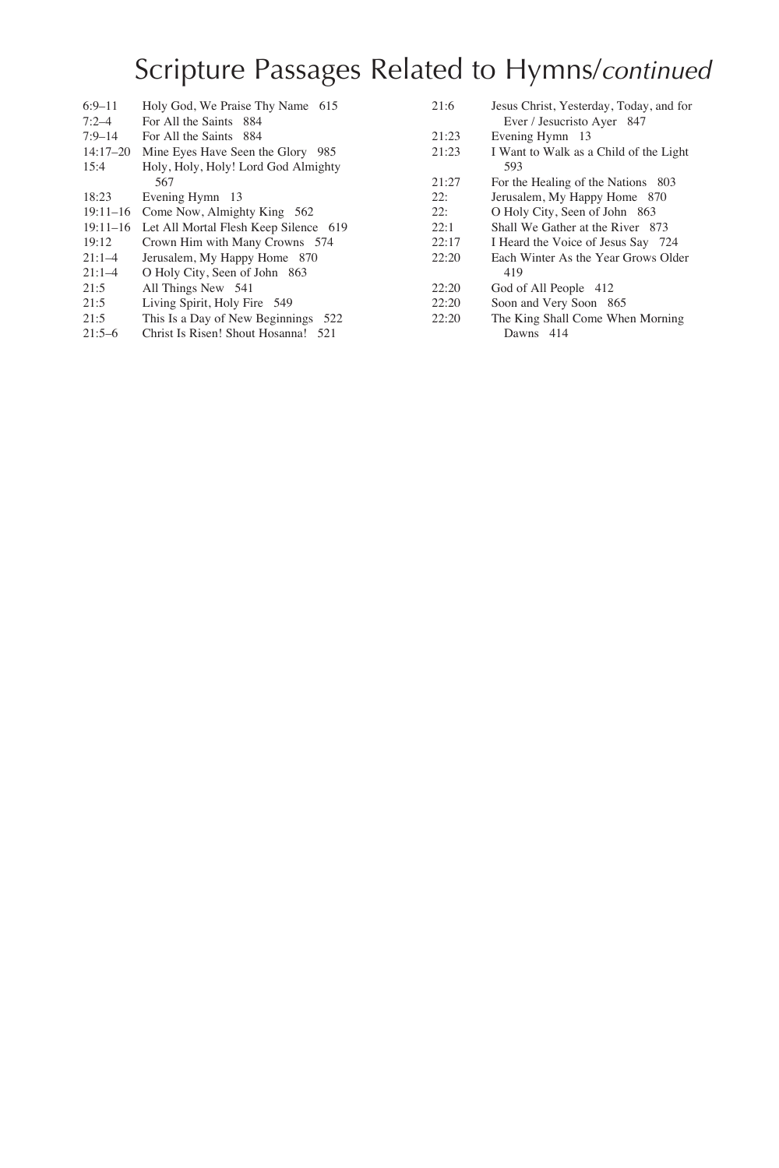| $6:9 - 11$   | Holy God, We Praise Thy Name 615               | 21:6  | Jesus Christ, Yesterday, Today, and for |
|--------------|------------------------------------------------|-------|-----------------------------------------|
| $7:2 - 4$    | For All the Saints 884                         |       | Ever / Jesucristo Ayer 847              |
| $7:9 - 14$   | For All the Saints 884                         | 21:23 | Evening Hymn 13                         |
| $14:17 - 20$ | Mine Eyes Have Seen the Glory 985              | 21:23 | I Want to Walk as a Child of the Light  |
| 15:4         | Holy, Holy, Holy! Lord God Almighty            |       | 593                                     |
|              | 567                                            | 21:27 | For the Healing of the Nations 803      |
| 18:23        | Evening Hymn 13                                | 22:   | Jerusalem, My Happy Home 870            |
| $19:11 - 16$ | Come Now, Almighty King 562                    | 22:   | O Holy City, Seen of John 863           |
|              | 19:11-16 Let All Mortal Flesh Keep Silence 619 | 22:1  | Shall We Gather at the River 873        |
| 19:12        | Crown Him with Many Crowns 574                 | 22:17 | I Heard the Voice of Jesus Say 724      |
| $21:1-4$     | Jerusalem, My Happy Home 870                   | 22:20 | Each Winter As the Year Grows Older     |
| $21:1-4$     | O Holy City, Seen of John 863                  |       | 419                                     |
| 21:5         | All Things New 541                             | 22:20 | God of All People 412                   |
| 21:5         | Living Spirit, Holy Fire 549                   | 22:20 | Soon and Very Soon 865                  |
| 21:5         | This Is a Day of New Beginnings 522            | 22:20 | The King Shall Come When Morning        |
| $21:5-6$     | Christ Is Risen! Shout Hosanna! 521            |       | Dawns 414                               |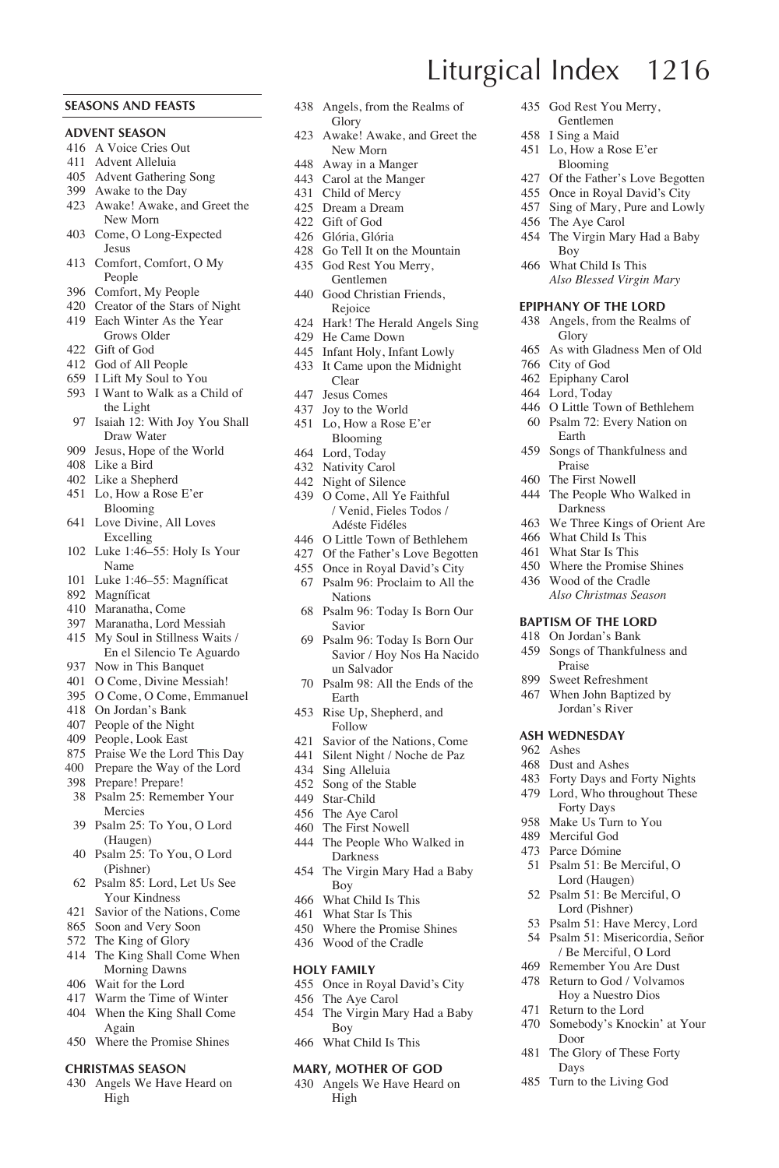### **SEASONS AND FEASTS**

#### **ADVENT SEASON**

- A Voice Cries Out
- Advent Alleluia
- Advent Gathering Song
- Awake to the Day
- Awake! Awake, and Greet the New Morn
- Come, O Long-Expected Jesus
- Comfort, Comfort, O My People
- Comfort, My People
- Creator of the Stars of Night Each Winter As the Year
- Grows Older Gift of God
- God of All People
- I Lift My Soul to You
- I Want to Walk as a Child of
- the Light Isaiah 12: With Joy You Shall Draw Water
- Jesus, Hope of the World
- Like a Bird
- Like a Shepherd
- Lo, How a Rose E'er Blooming
- Love Divine, All Loves Excelling
- Luke 1:46–55: Holy Is Your Name
- Luke 1:46–55: Magníficat
- Magníficat
- Maranatha, Come
- Maranatha, Lord Messiah
- My Soul in Stillness Waits / En el Silencio Te Aguardo
- Now in This Banquet
- O Come, Divine Messiah!
- O Come, O Come, Emmanuel
- On Jordan's Bank People of the Night
- People, Look East
- Praise We the Lord This Day
- 400 Prepare the Way of the Lord
- Prepare! Prepare!
- Psalm 25: Remember Your Mercies
- Psalm 25: To You, O Lord (Haugen)
- Psalm 25: To You, O Lord (Pishner)
- Psalm 85: Lord, Let Us See Your Kindness
- Savior of the Nations, Come
- Soon and Very Soon
- The King of Glory
- The King Shall Come When Morning Dawns
- Wait for the Lord
- Warm the Time of Winter
- When the King Shall Come Again
- Where the Promise Shines

#### **CHRISTMAS SEASON**

 Angels We Have Heard on High

- Angels, from the Realms of **Glory**
- Awake! Awake, and Greet the New Morn
- Away in a Manger
- Carol at the Manger
- Child of Mercy
- Dream a Dream
- Gift of God
- Glória, Glória
- Go Tell It on the Mountain God Rest You Merry, Gentlemen
- Good Christian Friends, Rejoice
- Hark! The Herald Angels Sing
- He Came Down
- Infant Holy, Infant Lowly
- It Came upon the Midnight Clear
- Jesus Comes
- Joy to the World
- Lo, How a Rose E'er Blooming
- Lord, Today
- Nativity Carol
- Night of Silence
- O Come, All Ye Faithful / Venid, Fieles Todos / Adéste Fidéles
- O Little Town of Bethlehem
- Of the Father's Love Begotten
- Once in Royal David's City Psalm 96: Proclaim to All the
- Nations
- Psalm 96: Today Is Born Our Savior
- Psalm 96: Today Is Born Our Savior / Hoy Nos Ha Nacido un Salvador
- Psalm 98: All the Ends of the Earth
- Rise Up, Shepherd, and Follow
- Savior of the Nations, Come
- Silent Night / Noche de Paz
- Sing Alleluia
- Song of the Stable
- Star-Child
- The Aye Carol
- The First Nowell
- The People Who Walked in Darkness
- The Virgin Mary Had a Baby Boy
- What Child Is This
- What Star Is This
- Where the Promise Shines Wood of the Cradle
- 

#### **HOLY FAMILY**

- Once in Royal David's City
- The Aye Carol
- The Virgin Mary Had a Baby Boy
- What Child Is This

### **MARY, MOTHER OF GOD**

 Angels We Have Heard on High

 God Rest You Merry, Gentlemen

 Lo, How a Rose E'er Blooming Of the Father's Love Begotten Once in Royal David's City Sing of Mary, Pure and Lowly

The Virgin Mary Had a Baby

As with Gladness Men of Old

 O Little Town of Bethlehem Psalm 72: Every Nation on

I Sing a Maid

The Aye Carol

Boy What Child Is This  *Also Blessed Virgin Mary* **EPIPHANY OF THE LORD** Angels, from the Realms of

Glory

 City of God Epiphany Carol Lord, Today

Earth Songs of Thankfulness and Praise The First Nowell The People Who Walked in Darkness We Three Kings of Orient Are What Child Is This What Star Is This Where the Promise Shines Wood of the Cradle *Also Christmas Season* **BAPTISM OF THE LORD** On Jordan's Bank Songs of Thankfulness and Praise Sweet Refreshment When John Baptized by Jordan's River **ASH WEDNESDAY** Ashes Dust and Ashes Forty Days and Forty Nights Lord, Who throughout These Forty Days Make Us Turn to You Merciful God Parce Dómine Psalm 51: Be Merciful, O Lord (Haugen) Psalm 51: Be Merciful, O Lord (Pishner) Psalm 51: Have Mercy, Lord Psalm 51: Misericordia, Señor / Be Merciful, O Lord Remember You Are Dust Return to God / Volvamos Hoy a Nuestro Dios Return to the Lord Somebody's Knockin' at Your

Door The Glory of These Forty Days Turn to the Living God

Liturgical Index 1216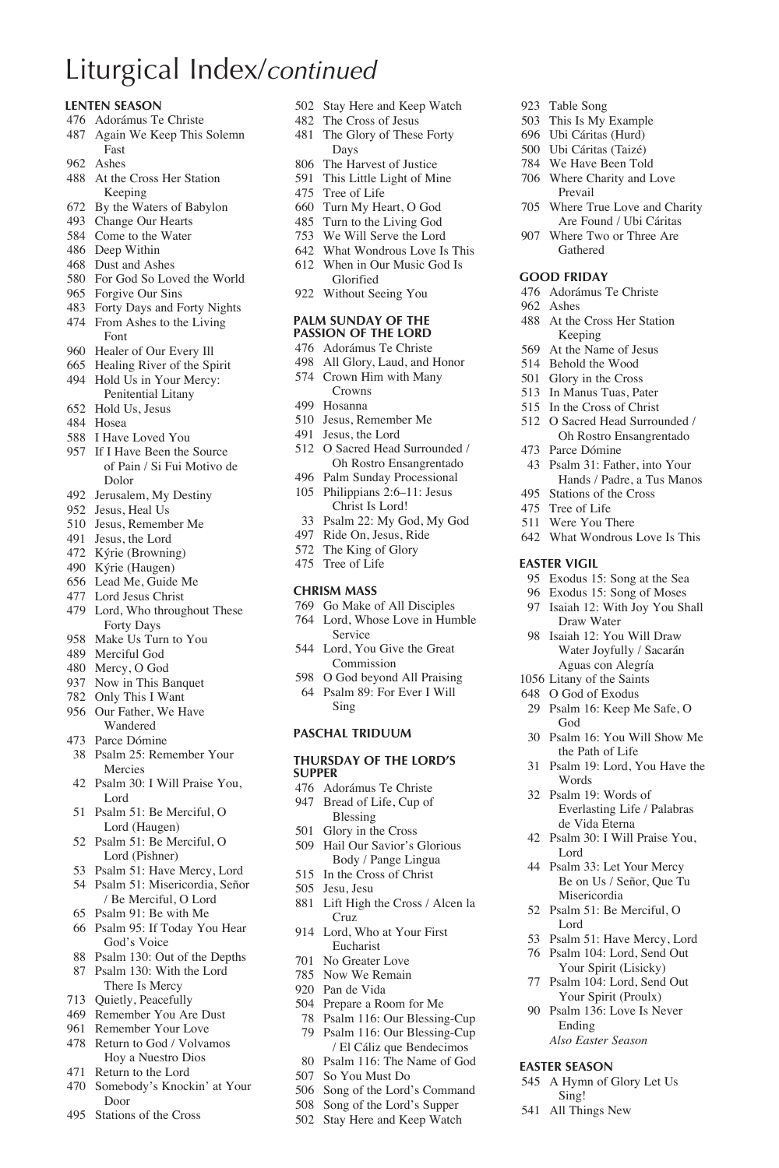# Liturgical Index/*continued*

#### **LENTEN SEASON**

- Adorámus Te Christe
- Again We Keep This Solemn
- Fast
- Ashes
- At the Cross Her Station Keeping
- By the Waters of Babylon
- Change Our Hearts
- Come to the Water
- Deep Within
- Dust and Ashes
- For God So Loved the World
- Forgive Our Sins
- Forty Days and Forty Nights
- From Ashes to the Living Font
- Healer of Our Every Ill
- Healing River of the Spirit
- 494 Hold Us in Your Mercy: Penitential Litany
- Hold Us, Jesus
- Hosea
- I Have Loved You
- If I Have Been the Source
- of Pain / Si Fui Motivo de Dolor
- Jerusalem, My Destiny
- Jesus, Heal Us
- Jesus, Remember Me
- Jesus, the Lord
- Kýrie (Browning)
- Kýrie (Haugen)
- Lead Me, Guide Me
- Lord Jesus Christ
- Lord, Who throughout These Forty Days
- Make Us Turn to You
- Merciful God
- Mercy, O God
- Now in This Banquet
- Only This I Want
- Our Father, We Have Wandered
- Parce Dómine
- Psalm 25: Remember Your Mercies
- Psalm 30: I Will Praise You, Lord
- Psalm 51: Be Merciful, O Lord (Haugen)
- Psalm 51: Be Merciful, O Lord (Pishner)
- Psalm 51: Have Mercy, Lord
- Psalm 51: Misericordia, Señor / Be Merciful, O Lord
- Psalm 91: Be with Me
- Psalm 95: If Today You Hear God's Voice
- Psalm 130: Out of the Depths
- Psalm 130: With the Lord There Is Mercy
- Quietly, Peacefully
- Remember You Are Dust
- Remember Your Love
- Return to God / Volvamos Hoy a Nuestro Dios
- Return to the Lord
- Somebody's Knockin' at Your Door
- Stations of the Cross

Stay Here and Keep Watch

 Table Song This Is My Example Ubi Cáritas (Hurd) Ubi Cáritas (Taizé) We Have Been Told Where Charity and Love Prevail

Ashes

Parce Dómine

**EASTER VIGIL**

God

Words Psalm 19: Words of

Lord

**EASTER SEASON**

 A Hymn of Glory Let Us Sing! All Things New

 Where True Love and Charity Are Found / Ubi Cáritas Where Two or Three Are Gathered **GOOD FRIDAY** Adorámus Te Christe

 At the Cross Her Station Keeping At the Name of Jesus Behold the Wood Glory in the Cross In Manus Tuas, Pater In the Cross of Christ O Sacred Head Surrounded / Oh Rostro Ensangrentado

 Psalm 31: Father, into Your Hands / Padre, a Tus Manos

 Exodus 15: Song at the Sea Exodus 15: Song of Moses Isaiah 12: With Joy You Shall Draw Water Isaiah 12: You Will Draw Water Joyfully / Sacarán Aguas con Alegría Litany of the Saints O God of Exodus Psalm 16: Keep Me Safe, O

 Psalm 16: You Will Show Me the Path of Life Psalm 19: Lord, You Have the

Everlasting Life / Palabras de Vida Eterna Psalm 30: I Will Praise You,

 Psalm 33: Let Your Mercy Be on Us / Señor, Que Tu Misericordia Psalm 51: Be Merciful, O Lord

 Psalm 51: Have Mercy, Lord Psalm 104: Lord, Send Out Your Spirit (Lisicky) Psalm 104: Lord, Send Out Your Spirit (Proulx) Psalm 136: Love Is Never Ending  *Also Easter Season*

 Stations of the Cross Tree of Life Were You There What Wondrous Love Is This

- The Cross of Jesus
- The Glory of These Forty Days
- The Harvest of Justice
- This Little Light of Mine
- Tree of Life
- Turn My Heart, O God
- Turn to the Living God
- We Will Serve the Lord
- What Wondrous Love Is This
- When in Our Music God Is Glorified
- Without Seeing You

#### **PALM SUNDAY OF THE PASSION OF THE LORD**

- Adorámus Te Christe
- All Glory, Laud, and Honor
- Crown Him with Many
- Crowns Hosanna
- Jesus, Remember Me
- Jesus, the Lord
- O Sacred Head Surrounded /
- Oh Rostro Ensangrentado Palm Sunday Processional
- Philippians 2:6–11: Jesus Christ Is Lord!
- Psalm 22: My God, My God
- Ride On, Jesus, Ride
- The King of Glory
- Tree of Life

#### **CHRISM MASS**

- Go Make of All Disciples
- Lord, Whose Love in Humble Service
- Lord, You Give the Great Commission
- O God beyond All Praising
- Psalm 89: For Ever I Will Sing

### **PASCHAL TRIDUUM**

#### **THURSDAY OF THE LORD'S SUPPER**

- Adorámus Te Christe Bread of Life, Cup of
- Blessing Glory in the Cross
- Hail Our Savior's Glorious Body / Pange Lingua
- In the Cross of Christ
- Jesu, Jesu
- Lift High the Cross / Alcen la Cruz
- Lord, Who at Your First Eucharist

 Prepare a Room for Me Psalm 116: Our Blessing-Cup Psalm 116: Our Blessing-Cup / El Cáliz que Bendecimos Psalm 116: The Name of God

- No Greater Love
- Now We Remain Pan de Vida

 So You Must Do Song of the Lord's Command Song of the Lord's Supper Stay Here and Keep Watch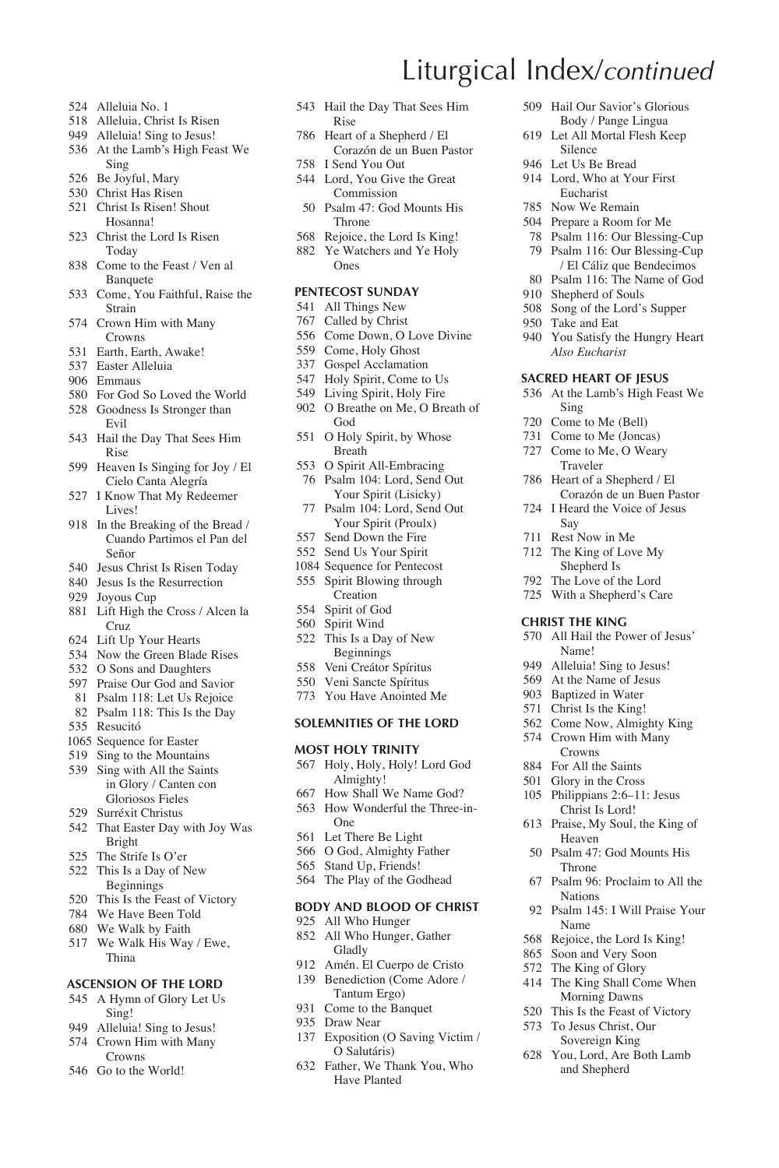- Alleluia No. 1
- Alleluia, Christ Is Risen
- Alleluia! Sing to Jesus!
- At the Lamb's High Feast We Sing
- Be Joyful, Mary
- Christ Has Risen
- Christ Is Risen! Shout Hosanna!
- Christ the Lord Is Risen Today
- Come to the Feast / Ven al **Banquete**
- Come, You Faithful, Raise the Strain
- Crown Him with Many Crowns
- Earth, Earth, Awake!
- Easter Alleluia
- Emmaus
- For God So Loved the World Goodness Is Stronger than
- Evil
- Hail the Day That Sees Him Rise
- Heaven Is Singing for Joy / El Cielo Canta Alegría
- I Know That My Redeemer Lives!
- In the Breaking of the Bread / Cuando Partimos el Pan del Señor
- Jesus Christ Is Risen Today
- Jesus Is the Resurrection
- Joyous Cup
- Lift High the Cross / Alcen la Cruz
- Lift Up Your Hearts
- Now the Green Blade Rises
- O Sons and Daughters
- Praise Our God and Savior
- Psalm 118: Let Us Rejoice
- Psalm 118: This Is the Day
- Resucitó
- Sequence for Easter
- Sing to the Mountains
- Sing with All the Saints in Glory / Canten con Gloriosos Fieles
- Surréxit Christus
- That Easter Day with Joy Was Bright
- The Strife Is O'er
- This Is a Day of New Beginnings
- This Is the Feast of Victory
- We Have Been Told
- We Walk by Faith
- We Walk His Way / Ewe, Thina

#### **ASCENSION OF THE LORD**

- A Hymn of Glory Let Us Sing!
- 949 Alleluia! Sing to Jesus!
- Crown Him with Many Crowns
- Go to the World!
- Hail the Day That Sees Him Rise
- Heart of a Shepherd / El Corazón de un Buen Pastor
- I Send You Out Lord, You Give the Great
- Commission Psalm 47: God Mounts His
- Throne
- Rejoice, the Lord Is King! Ye Watchers and Ye Holy
	- Ones

#### **PENTECOST SUNDAY**

- All Things New
- Called by Christ
- Come Down, O Love Divine
- Come, Holy Ghost
- Gospel Acclamation
- Holy Spirit, Come to Us
- Living Spirit, Holy Fire
- O Breathe on Me, O Breath of God
- O Holy Spirit, by Whose Breath
- O Spirit All-Embracing Psalm 104: Lord, Send Out Your Spirit (Lisicky)
- Psalm 104: Lord, Send Out Your Spirit (Proulx)
- Send Down the Fire
- Send Us Your Spirit
- Sequence for Pentecost
- Spirit Blowing through Creation
- Spirit of God
- Spirit Wind
- This Is a Day of New Beginnings
- Veni Creátor Spíritus
- Veni Sancte Spíritus
- You Have Anointed Me

#### **SOLEMNITIES OF THE LORD**

#### **MOST HOLY TRINITY**

- Holy, Holy, Holy! Lord God Almighty!
- How Shall We Name God?
- How Wonderful the Three-in-One
- Let There Be Light
- O God, Almighty Father
- Stand Up, Friends!
- The Play of the Godhead

#### **BODY AND BLOOD OF CHRIST**

- All Who Hunger
- All Who Hunger, Gather Gladly
- Amén. El Cuerpo de Cristo Benediction (Come Adore / Tantum Ergo)
- Come to the Banquet
- Draw Near
- Exposition (O Saving Victim / O Salutáris)
- Father, We Thank You, Who Have Planted
- Hail Our Savior's Glorious Body / Pange Lingua
- Let All Mortal Flesh Keep Silence
- Let Us Be Bread

Liturgical Index/*continued*

- Lord, Who at Your First Eucharist
- Now We Remain

 Shepherd of Souls Song of the Lord's Supper

Take and Eat

Sing Come to Me (Bell) Come to Me (Joncas) Come to Me, O Weary Traveler Heart of a Shepherd / El Corazón de un Buen Pastor I Heard the Voice of Jesus

Say Rest Now in Me The King of Love My Shepherd Is The Love of the Lord With a Shepherd's Care **CHRIST THE KING**

 All Hail the Power of Jesus' Name! 949 Alleluia! Sing to Jesus! At the Name of Jesus Baptized in Water Christ Is the King! Come Now, Almighty King Crown Him with Many Crowns For All the Saints Glory in the Cross Philippians 2:6–11: Jesus Christ Is Lord! Praise, My Soul, the King of Heaven Psalm 47: God Mounts His Throne

Psalm 96: Proclaim to All the

Psalm 145: I Will Praise Your

Nations

Name Rejoice, the Lord Is King! Soon and Very Soon The King of Glory The King Shall Come When Morning Dawns This Is the Feast of Victory To Jesus Christ, Our Sovereign King You, Lord, Are Both Lamb and Shepherd

- Prepare a Room for Me
- Psalm 116: Our Blessing-Cup Psalm 116: Our Blessing-Cup / El Cáliz que Bendecimos Psalm 116: The Name of God

 You Satisfy the Hungry Heart  *Also Eucharist* **SACRED HEART OF JESUS** At the Lamb's High Feast We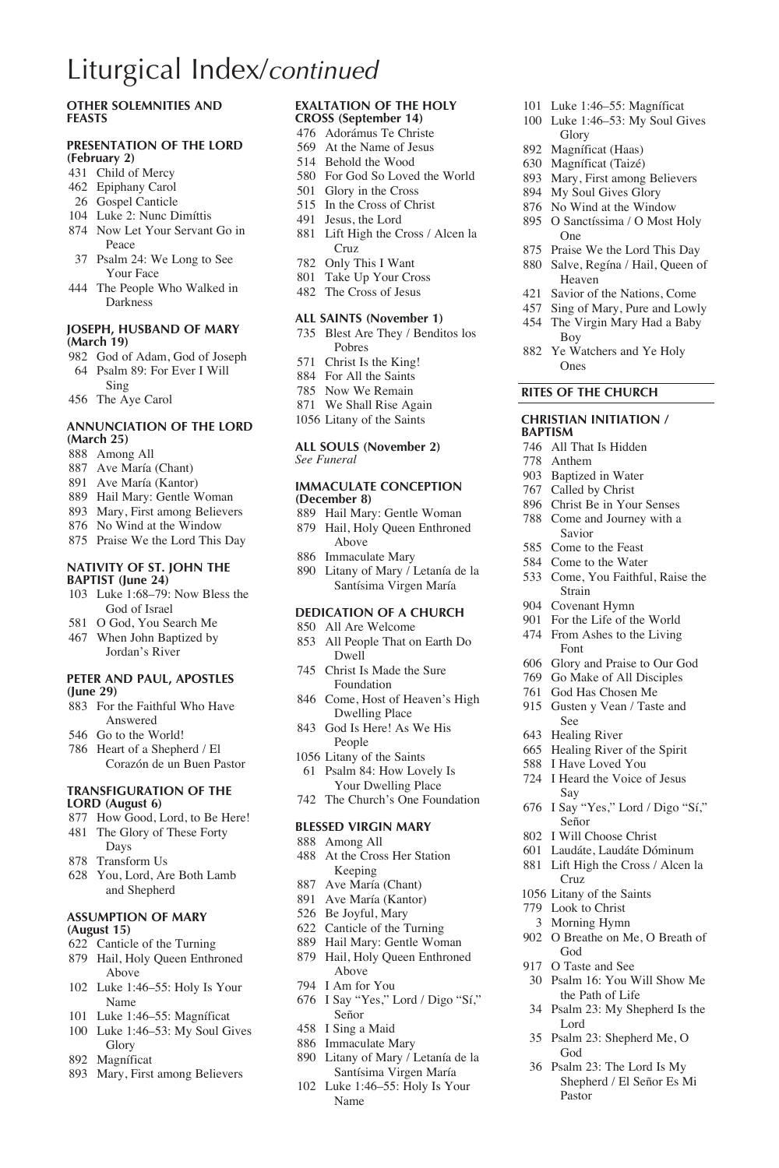# Liturgical Index/*continued*

### **Other SOLEMNITIES and FEASTS**

#### **PRESENTATION OF THE LORD (February 2)**

- Child of Mercy
- Epiphany Carol
- Gospel Canticle
- Luke 2: Nunc Dimíttis
- Now Let Your Servant Go in Peace
- Psalm 24: We Long to See Your Face
- The People Who Walked in Darkness

#### **JOSEPH, HUSBAND OF MARY (March 19)**

- God of Adam, God of Joseph Psalm 89: For Ever I Will Sing
- The Aye Carol

#### **ANNUNCIATION OF THE LORD (March 25)**

- Among All
- Ave María (Chant)
- Ave María (Kantor)
- Hail Mary: Gentle Woman
- Mary, First among Believers
- No Wind at the Window
- Praise We the Lord This Day

#### **NATIVITY OF ST. JOHN THE BAPTIST (June 24)**

- Luke 1:68–79: Now Bless the God of Israel
- O God, You Search Me
- When John Baptized by Jordan's River

#### **PETER AND PAUL, APOSTLES (June 29)**

- For the Faithful Who Have Answered
- Go to the World!
- Heart of a Shepherd / El Corazón de un Buen Pastor

#### **TRANSFIGURATION OF THE LORD (August 6)**

- How Good, Lord, to Be Here!
- The Glory of These Forty Days
- Transform Us
- You, Lord, Are Both Lamb and Shepherd

#### **ASSUMPTION OF MARY (August 15)**

- Canticle of the Turning
- Hail, Holy Queen Enthroned Above
- Luke 1:46–55: Holy Is Your Name
- Luke 1:46–55: Magníficat
- Luke 1:46–53: My Soul Gives Glory
- Magníficat
- Mary, First among Believers

#### **EXALTATION OF THE HOLY CROSS (September 14)**

- Adorámus Te Christe At the Name of Jesus
- Behold the Wood
- For God So Loved the World
- Glory in the Cross
- In the Cross of Christ
- Jesus, the Lord
- Lift High the Cross / Alcen la Cruz
- Only This I Want
- Take Up Your Cross
- The Cross of Jesus

### **ALL SAINTS (November 1)**

- Blest Are They / Benditos los Pobres
- Christ Is the King!
- For All the Saints
- Now We Remain
- We Shall Rise Again
- Litany of the Saints

#### **ALL SOULS (November 2)** *See Funeral*

#### **IMMACULATE CONCEPTION (December 8)**

- Hail Mary: Gentle Woman Hail, Holy Queen Enthroned Above
- Immaculate Mary
- Litany of Mary / Letanía de la Santísima Virgen María

#### **DEDICATION OF A CHURCH**

- All Are Welcome All People That on Earth Do Dwell
- Christ Is Made the Sure Foundation
- Come, Host of Heaven's High Dwelling Place
- God Is Here! As We His People
- Litany of the Saints Psalm 84: How Lovely Is
- Your Dwelling Place The Church's One Foundation

#### **BLESSED VIRGIN MARY**

- Among All
- At the Cross Her Station Keeping
- Ave María (Chant)
- Ave María (Kantor)
- Be Joyful, Mary
- Canticle of the Turning
- Hail Mary: Gentle Woman
- Hail, Holy Queen Enthroned Above
- I Am for You
- I Say "Yes," Lord / Digo "Sí," Señor
- I Sing a Maid
- Immaculate Mary
- Litany of Mary / Letanía de la Santísima Virgen María
- Luke 1:46–55: Holy Is Your Name
- Luke 1:46–55: Magníficat
- Luke 1:46–53: My Soul Gives Glory
- Magníficat (Haas)
- Magníficat (Taizé)
- Mary, First among Believers
- My Soul Gives Glory
- No Wind at the Window
- O Sanctíssima / O Most Holy One
- Praise We the Lord This Day
- Salve, Regína / Hail, Queen of Heaven
- Savior of the Nations, Come
- Sing of Mary, Pure and Lowly
- The Virgin Mary Had a Baby Boy Ye Watchers and Ye Holy

Ones **RITES OF THE CHURCH CHRISTIAN INITIATION /** 

 All That Is Hidden Anthem Baptized in Water Called by Christ Christ Be in Your Senses Come and Journey with a Savior Come to the Feast Come to the Water Come, You Faithful, Raise the

Strain Covenant Hymn For the Life of the World From Ashes to the Living Font

See Healing River Healing River of the Spirit I Have Loved You I Heard the Voice of Jesus

Say

Señor I Will Choose Christ Laudáte, Laudáte Dóminum Lift High the Cross / Alcen la

Cruz Litany of the Saints Look to Christ Morning Hymn O Breathe on Me, O Breath of

God O Taste and See

Lord

God

Pastor

 Glory and Praise to Our God Go Make of All Disciples God Has Chosen Me Gusten y Vean / Taste and

I Say "Yes," Lord / Digo "Sí,"

 Psalm 16: You Will Show Me the Path of Life Psalm 23: My Shepherd Is the

Psalm 23: Shepherd Me, O

 Psalm 23: The Lord Is My Shepherd / El Señor Es Mi

**BAPTISM**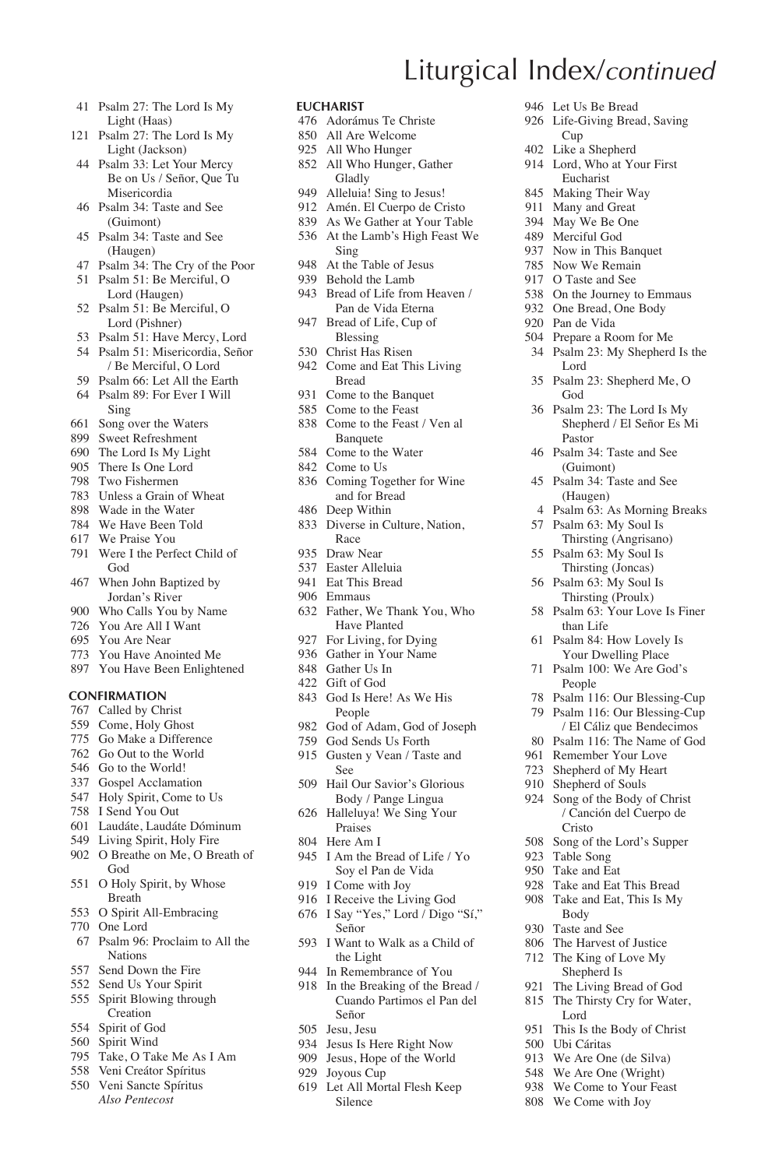- Psalm 27: The Lord Is My Light (Haas)
- Psalm 27: The Lord Is My Light (Jackson)
- Psalm 33: Let Your Mercy Be on Us / Señor, Que Tu Misericordia
- Psalm 34: Taste and See (Guimont)
- Psalm 34: Taste and See (Haugen)
- Psalm 34: The Cry of the Poor
- Psalm 51: Be Merciful, O
- Lord (Haugen) Psalm 51: Be Merciful, O Lord (Pishner)
- Psalm 51: Have Mercy, Lord
- Psalm 51: Misericordia, Señor
- / Be Merciful, O Lord Psalm 66: Let All the Earth
- Psalm 89: For Ever I Will Sing
- Song over the Waters
- Sweet Refreshment
- The Lord Is My Light
- There Is One Lord
- Two Fishermen
- Unless a Grain of Wheat
- Wade in the Water
- We Have Been Told We Praise You
- 
- Were I the Perfect Child of God
- When John Baptized by Jordan's River
- Who Calls You by Name
- You Are All I Want
- You Are Near
- You Have Anointed Me
- You Have Been Enlightened

#### **CONFIRMATION**

- Called by Christ
- Come, Holy Ghost
- Go Make a Difference
- Go Out to the World
- Go to the World!
- Gospel Acclamation
- Holy Spirit, Come to Us
- I Send You Out
- Laudáte, Laudáte Dóminum
- Living Spirit, Holy Fire
- O Breathe on Me, O Breath of God
- O Holy Spirit, by Whose Breath
- O Spirit All-Embracing
- One Lord
- Psalm 96: Proclaim to All the Nations
- Send Down the Fire
- Send Us Your Spirit
- Spirit Blowing through Creation
- Spirit of God
- Spirit Wind
- Take, O Take Me As I Am Veni Creátor Spíritus
- Veni Sancte Spíritus
- *Also Pentecost*

#### **EUCHARIST**

- Adorámus Te Christe
- All Are Welcome
- All Who Hunger
- All Who Hunger, Gather Gladly

Liturgical Index/*continued*

 Let Us Be Bread Life-Giving Bread, Saving

Cup Like a Shepherd Lord, Who at Your First Eucharist Making Their Way Many and Great May We Be One Merciful God Now in This Banquet Now We Remain O Taste and See On the Journey to Emmaus One Bread, One Body Pan de Vida Prepare a Room for Me Psalm 23: My Shepherd Is the

Lord

God

Pastor Psalm 34: Taste and See (Guimont) Psalm 34: Taste and See (Haugen)

Psalm 23: Shepherd Me, O

 Psalm 23: The Lord Is My Shepherd / El Señor Es Mi

 Psalm 63: As Morning Breaks Psalm 63: My Soul Is Thirsting (Angrisano) Psalm 63: My Soul Is Thirsting (Joncas) Psalm 63: My Soul Is Thirsting (Proulx) Psalm 63: Your Love Is Finer than Life Psalm 84: How Lovely Is Your Dwelling Place Psalm 100: We Are God's People

 Psalm 116: Our Blessing-Cup Psalm 116: Our Blessing-Cup / El Cáliz que Bendecimos Psalm 116: The Name of God Remember Your Love Shepherd of My Heart Shepherd of Souls Song of the Body of Christ / Canción del Cuerpo de

Cristo Song of the Lord's Supper

 Table Song Take and Eat Take and Eat This Bread Take and Eat, This Is My Body Taste and See The Harvest of Justice The King of Love My Shepherd Is The Living Bread of God The Thirsty Cry for Water,

Lord This Is the Body of Christ

 Ubi Cáritas We Are One (de Silva) We Are One (Wright) We Come to Your Feast We Come with Joy

- Alleluia! Sing to Jesus!
- Amén. El Cuerpo de Cristo
- As We Gather at Your Table At the Lamb's High Feast We Sing
- At the Table of Jesus
- Behold the Lamb
- Bread of Life from Heaven / Pan de Vida Eterna
- Bread of Life, Cup of Blessing
- Christ Has Risen
- Come and Eat This Living Bread
- Come to the Banquet
- Come to the Feast
- Come to the Feast / Ven al Banquete
- Come to the Water
- Come to Us
- Coming Together for Wine and for Bread
- Deep Within
- Diverse in Culture, Nation, Race
- Draw Near
- Easter Alleluia
- Eat This Bread
- Emmaus
- Father, We Thank You, Who Have Planted
- For Living, for Dying
- Gather in Your Name
- Gather Us In
- Gift of God
- God Is Here! As We His People
- God of Adam, God of Joseph
- God Sends Us Forth
- Gusten y Vean / Taste and See
- Hail Our Savior's Glorious Body / Pange Lingua
- Halleluya! We Sing Your Praises
- Here Am I
- I Am the Bread of Life / Yo Soy el Pan de Vida
- I Come with Joy
- I Receive the Living God
- I Say "Yes," Lord / Digo "Sí," Señor
- I Want to Walk as a Child of the Light
- In Remembrance of You
- In the Breaking of the Bread / Cuando Partimos el Pan del Señor
- Jesu, Jesu
- Jesus Is Here Right Now

Silence

 Jesus, Hope of the World Joyous Cup Let All Mortal Flesh Keep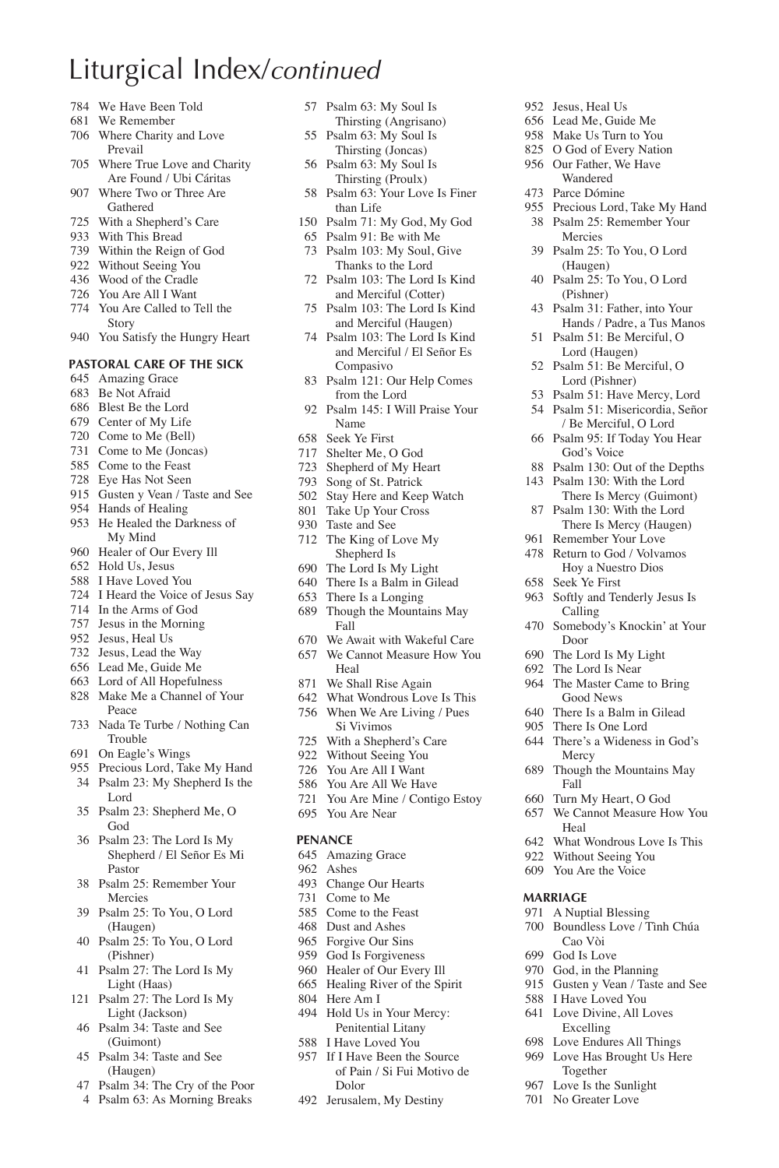# Liturgical Index/*continued*

- We Have Been Told
- We Remember
- Where Charity and Love Prevail
- Where True Love and Charity Are Found / Ubi Cáritas
- Where Two or Three Are Gathered
- With a Shepherd's Care
- With This Bread
- Within the Reign of God
- Without Seeing You
- Wood of the Cradle
- You Are All I Want
- You Are Called to Tell the Story
- You Satisfy the Hungry Heart

### **PASTORAL CARE OF THE SICK**

- Amazing Grace
- Be Not Afraid
- Blest Be the Lord
- Center of My Life
- Come to Me (Bell)
- Come to Me (Joncas)
- Come to the Feast
- Eye Has Not Seen
- Gusten y Vean / Taste and See
- Hands of Healing
- He Healed the Darkness of My Mind
- Healer of Our Every Ill
- Hold Us, Jesus
- I Have Loved You
- 
- I Heard the Voice of Jesus Say
- In the Arms of God Jesus in the Morning
- Jesus, Heal Us
- 
- Jesus, Lead the Way
- Lead Me, Guide Me
- Lord of All Hopefulness
- Make Me a Channel of Your Peace
- Nada Te Turbe / Nothing Can Trouble
- On Eagle's Wings
- Precious Lord, Take My Hand
- Psalm 23: My Shepherd Is the Lord
- Psalm 23: Shepherd Me, O God
- Psalm 23: The Lord Is My Shepherd / El Señor Es Mi Pastor
- Psalm 25: Remember Your Mercies
- Psalm 25: To You, O Lord (Haugen)
- Psalm 25: To You, O Lord (Pishner)
- Psalm 27: The Lord Is My Light (Haas)
- Psalm 27: The Lord Is My Light (Jackson)
- Psalm 34: Taste and See (Guimont)
- Psalm 34: Taste and See (Haugen)
- Psalm 34: The Cry of the Poor
- Psalm 63: As Morning Breaks
- Psalm 63: My Soul Is Thirsting (Angrisano)
- Psalm 63: My Soul Is Thirsting (Joncas)
- Psalm 63: My Soul Is Thirsting (Proulx)
- Psalm 63: Your Love Is Finer than Life

 Jesus, Heal Us Lead Me, Guide Me Make Us Turn to You O God of Every Nation Our Father, We Have Wandered Parce Dómine

Seek Ye First

Door The Lord Is My Light The Lord Is Near The Master Came to Bring Good News There Is a Balm in Gilead There Is One Lord There's a Wideness in God's Mercy Though the Mountains May

Fall Turn My Heart, O God We Cannot Measure How You

Heal

**MARRIAGE** A Nuptial Blessing Boundless Love / Tình Chúa Cao Vòi God Is Love God, in the Planning Gusten y Vean / Taste and See I Have Loved You Love Divine, All Loves Excelling Love Endures All Things Love Has Brought Us Here Together Love Is the Sunlight No Greater Love

 What Wondrous Love Is This Without Seeing You You Are the Voice

 Softly and Tenderly Jesus Is Calling

Somebody's Knockin' at Your

 Precious Lord, Take My Hand Psalm 25: Remember Your Mercies Psalm 25: To You, O Lord (Haugen) Psalm 25: To You, O Lord (Pishner) Psalm 31: Father, into Your Hands / Padre, a Tus Manos Psalm 51: Be Merciful, O Lord (Haugen) Psalm 51: Be Merciful, O Lord (Pishner) Psalm 51: Have Mercy, Lord Psalm 51: Misericordia, Señor / Be Merciful, O Lord Psalm 95: If Today You Hear God's Voice Psalm 130: Out of the Depths Psalm 130: With the Lord There Is Mercy (Guimont) Psalm 130: With the Lord There Is Mercy (Haugen) Remember Your Love Return to God / Volvamos Hoy a Nuestro Dios

- Psalm 71: My God, My God
- Psalm 91: Be with Me Psalm 103: My Soul, Give
- Thanks to the Lord Psalm 103: The Lord Is Kind
- and Merciful (Cotter) Psalm 103: The Lord Is Kind
- and Merciful (Haugen) Psalm 103: The Lord Is Kind
- and Merciful / El Señor Es Compasivo
- Psalm 121: Our Help Comes from the Lord
- Psalm 145: I Will Praise Your Name
- Seek Ye First
- Shelter Me, O God
- Shepherd of My Heart
- Song of St. Patrick
- Stay Here and Keep Watch Take Up Your Cross
- Taste and See
- 
- The King of Love My Shepherd Is
- The Lord Is My Light
- There Is a Balm in Gilead
- There Is a Longing
- Though the Mountains May Fall
- We Await with Wakeful Care
- We Cannot Measure How You Heal
- We Shall Rise Again
- What Wondrous Love Is This
- When We Are Living / Pues Si Vivimos
- With a Shepherd's Care
- Without Seeing You
- You Are All I Want
- You Are All We Have
- You Are Mine / Contigo Estoy
- You Are Near

#### **PENANCE**

- Amazing Grace
- Ashes
- Change Our Hearts
- Come to Me
- Come to the Feast
- Dust and Ashes Forgive Our Sins
- God Is Forgiveness
- Healer of Our Every Ill

 I Have Loved You If I Have Been the Source of Pain / Si Fui Motivo de

Dolor Jerusalem, My Destiny

- Healing River of the Spirit
- Here Am I
- Hold Us in Your Mercy: Penitential Litany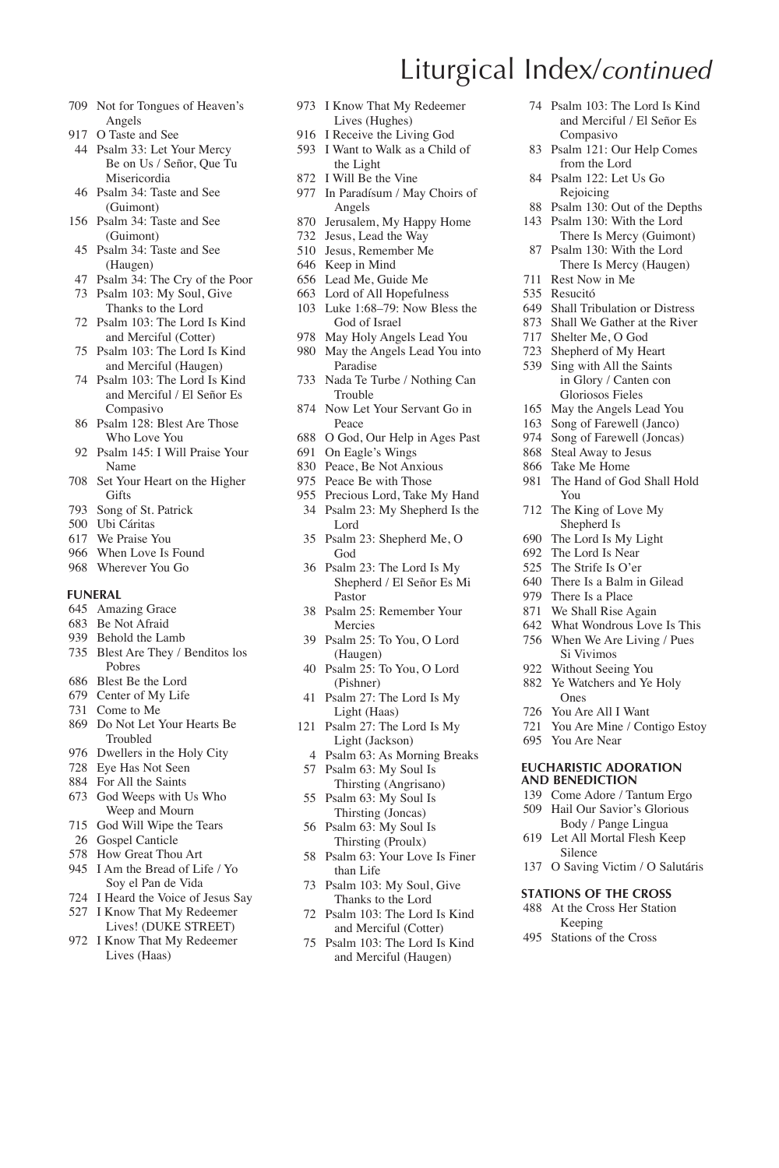- Not for Tongues of Heaven's Angels
- O Taste and See
- Psalm 33: Let Your Mercy Be on Us / Señor, Que Tu Misericordia
- Psalm 34: Taste and See (Guimont)
- Psalm 34: Taste and See (Guimont)
- Psalm 34: Taste and See (Haugen)
- Psalm 34: The Cry of the Poor
- Psalm 103: My Soul, Give Thanks to the Lord
- Psalm 103: The Lord Is Kind and Merciful (Cotter)
- Psalm 103: The Lord Is Kind and Merciful (Haugen)
- Psalm 103: The Lord Is Kind and Merciful / El Señor Es Compasivo
- Psalm 128: Blest Are Those Who Love You
- Psalm 145: I Will Praise Your Name
- Set Your Heart on the Higher **Gifts**
- Song of St. Patrick
- Ubi Cáritas
- We Praise You
- When Love Is Found
- Wherever You Go

#### **FUNERAL**

- Amazing Grace
- Be Not Afraid
- Behold the Lamb
- Blest Are They / Benditos los Pobres
- Blest Be the Lord
- Center of My Life
- Come to Me
- Do Not Let Your Hearts Be Troubled
- Dwellers in the Holy City
- Eye Has Not Seen
- For All the Saints
- God Weeps with Us Who Weep and Mourn
- God Will Wipe the Tears
- Gospel Canticle
- How Great Thou Art
- I Am the Bread of Life / Yo Soy el Pan de Vida
- I Heard the Voice of Jesus Say
- I Know That My Redeemer
- Lives! (DUKE STREET) I Know That My Redeemer Lives (Haas)
- I Know That My Redeemer Lives (Hughes)
- I Receive the Living God I Want to Walk as a Child of
- the Light
- I Will Be the Vine
- In Paradísum / May Choirs of Angels
- Jerusalem, My Happy Home
- Jesus, Lead the Way
- Jesus, Remember Me
- Keep in Mind
- Lead Me, Guide Me Lord of All Hopefulness
- Luke 1:68–79: Now Bless the God of Israel
- May Holy Angels Lead You
- May the Angels Lead You into Paradise
- Nada Te Turbe / Nothing Can Trouble
- Now Let Your Servant Go in Peace
- O God, Our Help in Ages Past
- On Eagle's Wings
- Peace, Be Not Anxious
- Peace Be with Those
- Precious Lord, Take My Hand Psalm 23: My Shepherd Is the Lord
- Psalm 23: Shepherd Me, O God
- Psalm 23: The Lord Is My Shepherd / El Señor Es Mi Pastor
- Psalm 25: Remember Your Mercies
- Psalm 25: To You, O Lord (Haugen)
- Psalm 25: To You, O Lord (Pishner)
- Psalm 27: The Lord Is My Light (Haas)
- Psalm 27: The Lord Is My Light (Jackson)
- Psalm 63: As Morning Breaks
- Psalm 63: My Soul Is Thirsting (Angrisano)
- Psalm 63: My Soul Is Thirsting (Joncas)
- Psalm 63: My Soul Is Thirsting (Proulx)
- Psalm 63: Your Love Is Finer than Life
- Psalm 103: My Soul, Give Thanks to the Lord
- Psalm 103: The Lord Is Kind and Merciful (Cotter)
- Psalm 103: The Lord Is Kind and Merciful (Haugen)
- Psalm 103: The Lord Is Kind and Merciful / El Señor Es Compasivo
- Psalm 121: Our Help Comes from the Lord
- Psalm 122: Let Us Go Rejoicing
- 88 Psalm 130: Out of the Depths
- Psalm 130: With the Lord There Is Mercy (Guimont)
- Psalm 130: With the Lord There Is Mercy (Haugen)
- Rest Now in Me
- Resucitó

Liturgical Index/*continued*

- Shall Tribulation or Distress
- Shall We Gather at the River
- Shelter Me, O God
- Shepherd of My Heart
- Sing with All the Saints in Glory / Canten con Gloriosos Fieles
- May the Angels Lead You
- Song of Farewell (Janco)
- Song of Farewell (Joncas)
- Steal Away to Jesus
- Take Me Home
- The Hand of God Shall Hold You
- The King of Love My Shepherd Is
- The Lord Is My Light
- The Lord Is Near
- The Strife Is O'er
- There Is a Balm in Gilead

 What Wondrous Love Is This When We Are Living / Pues Si Vivimos Without Seeing You Ye Watchers and Ye Holy Ones You Are All I Want You Are Mine / Contigo Estoy

There Is a Place

You Are Near

**EUCHARISTIC ADORATION AND BENEDICTION** Come Adore / Tantum Ergo Hail Our Savior's Glorious Body / Pange Lingua Let All Mortal Flesh Keep Silence

 O Saving Victim / O Salutáris **STATIONS OF THE CROSS** At the Cross Her Station Keeping Stations of the Cross

We Shall Rise Again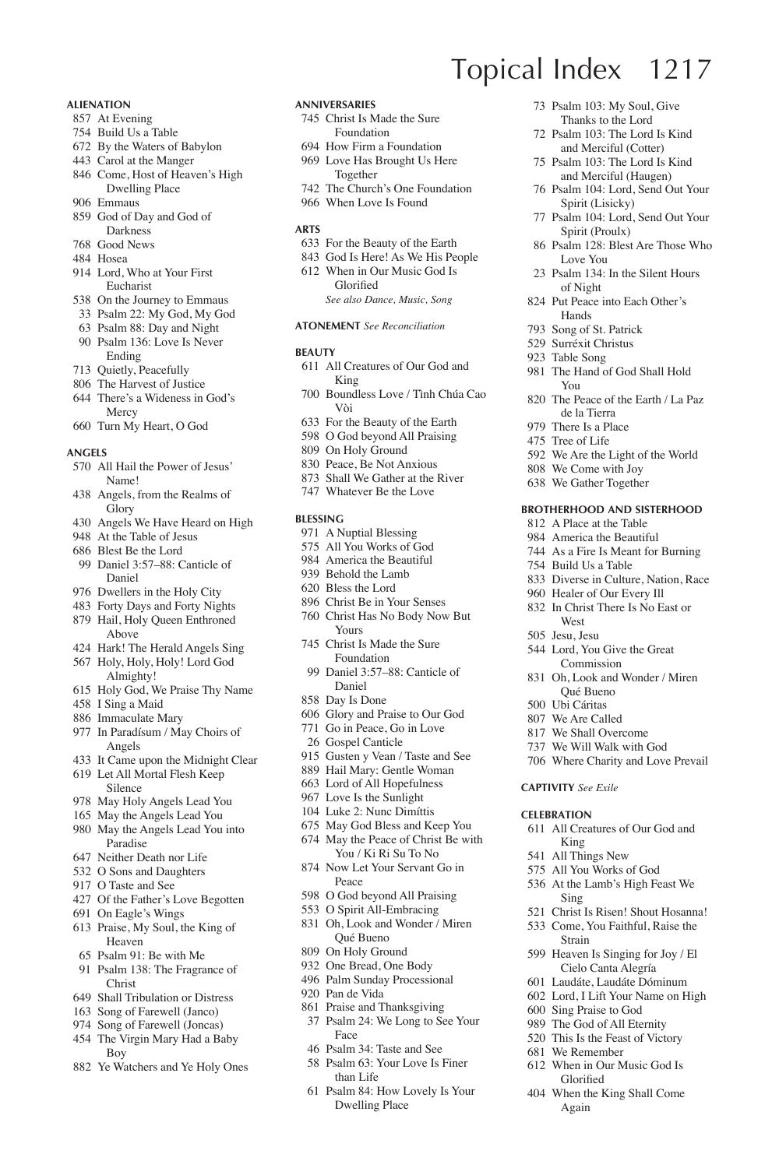#### **Alienation**

- At Evening
- Build Us a Table
- By the Waters of Babylon
- Carol at the Manger
- Come, Host of Heaven's High Dwelling Place
- Emmaus
- God of Day and God of Darkness
- Good News
- Hosea
- Lord, Who at Your First Eucharist
- On the Journey to Emmaus
- Psalm 22: My God, My God
- Psalm 88: Day and Night
- Psalm 136: Love Is Never Ending
- Quietly, Peacefully
- The Harvest of Justice There's a Wideness in God's Mercy
- Turn My Heart, O God

#### **Angels**

- All Hail the Power of Jesus' Name!
- Angels, from the Realms of Glory
- Angels We Have Heard on High
- At the Table of Jesus
- Blest Be the Lord
- Daniel 3:57–88: Canticle of Daniel
- Dwellers in the Holy City
- Forty Days and Forty Nights Hail, Holy Queen Enthroned
- Above Hark! The Herald Angels Sing
- Holy, Holy, Holy! Lord God
- Almighty!
- Holy God, We Praise Thy Name
- I Sing a Maid
- Immaculate Mary In Paradísum / May Choirs of
- Angels It Came upon the Midnight Clear
- Let All Mortal Flesh Keep
- Silence May Holy Angels Lead You
- May the Angels Lead You
- May the Angels Lead You into Paradise
- Neither Death nor Life
- O Sons and Daughters
- O Taste and See
- Of the Father's Love Begotten
- On Eagle's Wings
- Praise, My Soul, the King of Heaven
- Psalm 91: Be with Me
- Psalm 138: The Fragrance of Christ
- Shall Tribulation or Distress
- Song of Farewell (Janco)
- Song of Farewell (Joncas)
- The Virgin Mary Had a Baby Boy
- Ye Watchers and Ye Holy Ones

#### **Anniversaries**

- Christ Is Made the Sure Foundation
- How Firm a Foundation
- Love Has Brought Us Here Together

Topical Index 1217

Love You Psalm 134: In the Silent Hours

of Night Put Peace into Each Other's Hands Song of St. Patrick Surréxit Christus Table Song

You

Build Us a Table

**West** Jesu, Jesu

**Captivity** *See Exile* **Celebration**

King All Things New All You Works of God At the Lamb's High Feast We

Sing

Strain

The Hand of God Shall Hold

 The Peace of the Earth / La Paz de la Tierra There Is a Place Tree of Life

 We Are the Light of the World We Come with Joy We Gather Together

**Brotherhood and Sisterhood** A Place at the Table America the Beautiful As a Fire Is Meant for Burning

 Diverse in Culture, Nation, Race Healer of Our Every Ill In Christ There Is No East or

 Lord, You Give the Great Commission Oh, Look and Wonder / Miren Qué Bueno Ubi Cáritas We Are Called We Shall Overcome We Will Walk with God Where Charity and Love Prevail

All Creatures of Our God and

 Christ Is Risen! Shout Hosanna! Come, You Faithful, Raise the

 Heaven Is Singing for Joy / El Cielo Canta Alegría Laudáte, Laudáte Dóminum Lord, I Lift Your Name on High Sing Praise to God The God of All Eternity This Is the Feast of Victory We Remember When in Our Music God Is Glorified When the King Shall Come Again

 Psalm 103: My Soul, Give Thanks to the Lord Psalm 103: The Lord Is Kind and Merciful (Cotter) Psalm 103: The Lord Is Kind and Merciful (Haugen) Psalm 104: Lord, Send Out Your Spirit (Lisicky) Psalm 104: Lord, Send Out Your Spirit (Proulx) Psalm 128: Blest Are Those Who

- The Church's One Foundation
- When Love Is Found

#### **Arts**

- For the Beauty of the Earth
- God Is Here! As We His People
- When in Our Music God Is Glorified

*See also Dance, Music, Song*

**Atonement** *See Reconciliation*

#### **Beauty**

- All Creatures of Our God and King
- Boundless Love / Tình Chúa Cao Vòi
- For the Beauty of the Earth
- O God beyond All Praising
- On Holy Ground
- Peace, Be Not Anxious
- Shall We Gather at the River
- Whatever Be the Love

#### **Blessing**

- A Nuptial Blessing
- All You Works of God
- America the Beautiful
- Behold the Lamb
- Bless the Lord
- Christ Be in Your Senses Christ Has No Body Now But
- Yours Christ Is Made the Sure
- Foundation
- Daniel 3:57–88: Canticle of Daniel
- Day Is Done
- Glory and Praise to Our God
- Go in Peace, Go in Love
- Gospel Canticle
- Gusten y Vean / Taste and See
- Hail Mary: Gentle Woman Lord of All Hopefulness
- Love Is the Sunlight
- Luke 2: Nunc Dimíttis
- May God Bless and Keep You
- May the Peace of Christ Be with
- You / Ki Ri Su To No Now Let Your Servant Go in
- Peace
- O God beyond All Praising
- O Spirit All-Embracing
- Oh, Look and Wonder / Miren Qué Bueno

Psalm 24: We Long to See Your

 Psalm 84: How Lovely Is Your Dwelling Place

- On Holy Ground
- One Bread, One Body

Face Psalm 34: Taste and See Psalm 63: Your Love Is Finer

than Life

 Palm Sunday Processional Pan de Vida Praise and Thanksgiving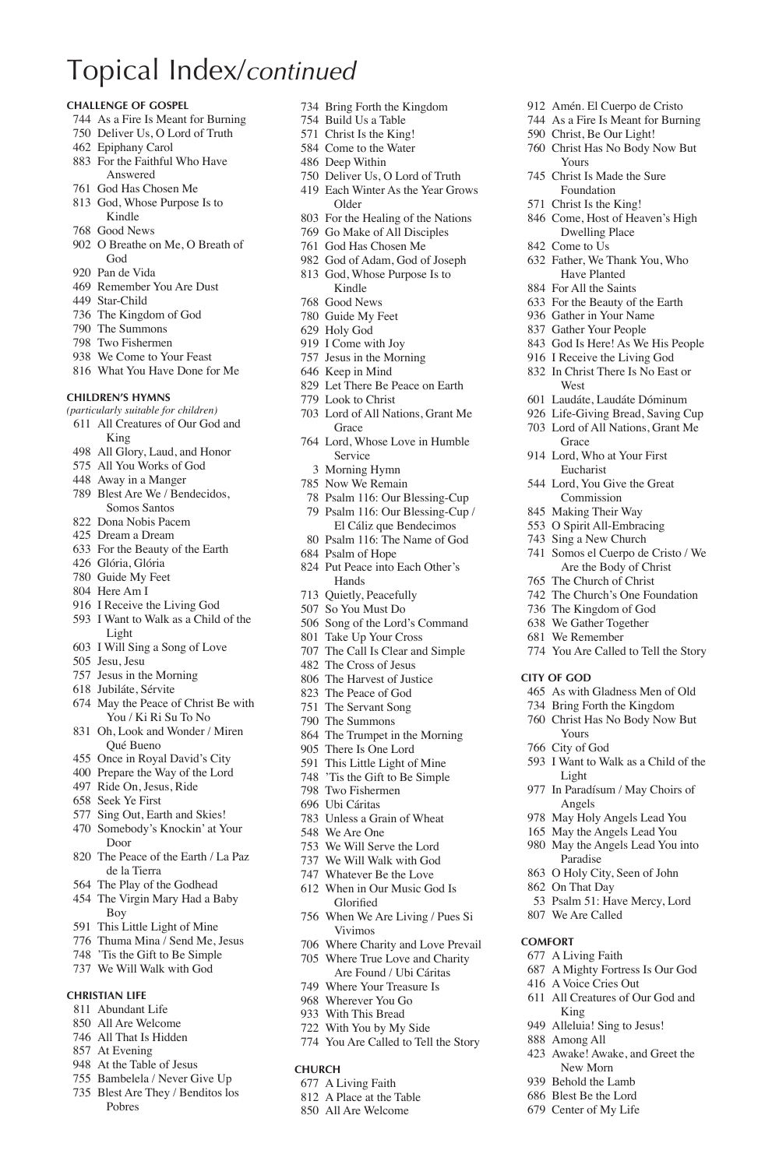#### **Challenge of Gospel**

- As a Fire Is Meant for Burning
- Deliver Us, O Lord of Truth
- Epiphany Carol
- For the Faithful Who Have Answered
- God Has Chosen Me
- God, Whose Purpose Is to Kindle
- Good News
- O Breathe on Me, O Breath of God
- Pan de Vida
- Remember You Are Dust
- Star-Child
- The Kingdom of God
- The Summons
- Two Fishermen
- We Come to Your Feast
- What You Have Done for Me

#### **Children's Hymns**

- *(particularly suitable for children)*
- All Creatures of Our God and King
- All Glory, Laud, and Honor
- All You Works of God
- Away in a Manger
- Blest Are We / Bendecidos, Somos Santos
- Dona Nobis Pacem
- Dream a Dream
- For the Beauty of the Earth
- Glória, Glória Guide My Feet
- Here Am I
- 
- I Receive the Living God
- I Want to Walk as a Child of the Light
- I Will Sing a Song of Love
- Jesu, Jesu
- Jesus in the Morning
- Jubiláte, Sérvite
- May the Peace of Christ Be with You / Ki Ri Su To No
- Oh, Look and Wonder / Miren Qué Bueno
- Once in Royal David's City
- Prepare the Way of the Lord
- Ride On, Jesus, Ride
- Seek Ye First
- Sing Out, Earth and Skies!
- Somebody's Knockin' at Your Door
- The Peace of the Earth / La Paz de la Tierra
- The Play of the Godhead
- The Virgin Mary Had a Baby Boy
- This Little Light of Mine
- Thuma Mina / Send Me, Jesus
- 'Tis the Gift to Be Simple
- We Will Walk with God

#### **Christian Life**

- Abundant Life
- All Are Welcome
- All That Is Hidden
- At Evening
- At the Table of Jesus
- Bambelela / Never Give Up
- Blest Are They / Benditos los
- Pobres

Bring Forth the Kingdom

 Amén. El Cuerpo de Cristo As a Fire Is Meant for Burning Christ, Be Our Light! Christ Has No Body Now But

 Father, We Thank You, Who Have Planted For All the Saints For the Beauty of the Earth Gather in Your Name Gather Your People God Is Here! As We His People I Receive the Living God In Christ There Is No East or

 Laudáte, Laudáte Dóminum Life-Giving Bread, Saving Cup Lord of All Nations, Grant Me

You Are Called to Tell the Story

 As with Gladness Men of Old Bring Forth the Kingdom Christ Has No Body Now But

I Want to Walk as a Child of the

 In Paradísum / May Choirs of Angels May Holy Angels Lead You May the Angels Lead You May the Angels Lead You into Paradise O Holy City, Seen of John On That Day

Psalm 51: Have Mercy, Lord

 A Mighty Fortress Is Our God A Voice Cries Out All Creatures of Our God and

 Awake! Awake, and Greet the New Morn Behold the Lamb Blest Be the Lord Center of My Life

**City of God**

Yours City of God

Light

We Are Called

King Alleluia! Sing to Jesus! Among All

**Comfort** A Living Faith

Yours Christ Is Made the Sure Foundation Christ Is the King! Come, Host of Heaven's High Dwelling Place Come to Us

West

Grace Lord, Who at Your First Eucharist Lord, You Give the Great Commission Making Their Way O Spirit All-Embracing Sing a New Church Somos el Cuerpo de Cristo / We Are the Body of Christ The Church of Christ The Church's One Foundation The Kingdom of God We Gather Together We Remember

- Build Us a Table
- Christ Is the King!
- Come to the Water
- Deep Within
- Deliver Us, O Lord of Truth
- Each Winter As the Year Grows Older
- For the Healing of the Nations
- Go Make of All Disciples
- God Has Chosen Me
- God of Adam, God of Joseph God, Whose Purpose Is to Kindle
- Good News
- Guide My Feet
- 
- Holy God I Come with Joy
- Jesus in the Morning
- Keep in Mind
- Let There Be Peace on Earth
- Look to Christ
- Lord of All Nations, Grant Me Grace
- Lord, Whose Love in Humble Service
	- Morning Hymn
- Now We Remain
- Psalm 116: Our Blessing-Cup Psalm 116: Our Blessing-Cup /
- El Cáliz que Bendecimos Psalm 116: The Name of God
- Psalm of Hope
- Put Peace into Each Other's Hands
- Quietly, Peacefully
- So You Must Do
- Song of the Lord's Command
- Take Up Your Cross
- The Call Is Clear and Simple
- The Cross of Jesus
- The Harvest of Justice
- The Peace of God The Servant Song
- The Summons

 Two Fishermen Ubi Cáritas

Vivimos

**Church** A Living Faith A Place at the Table All Are Welcome

 Where Charity and Love Prevail Where True Love and Charity Are Found / Ubi Cáritas Where Your Treasure Is Wherever You Go With This Bread With You by My Side You Are Called to Tell the Story

- The Trumpet in the Morning
- There Is One Lord
- This Little Light of Mine 'Tis the Gift to Be Simple

 Unless a Grain of Wheat We Are One We Will Serve the Lord We Will Walk with God Whatever Be the Love When in Our Music God Is Glorified When We Are Living / Pues Si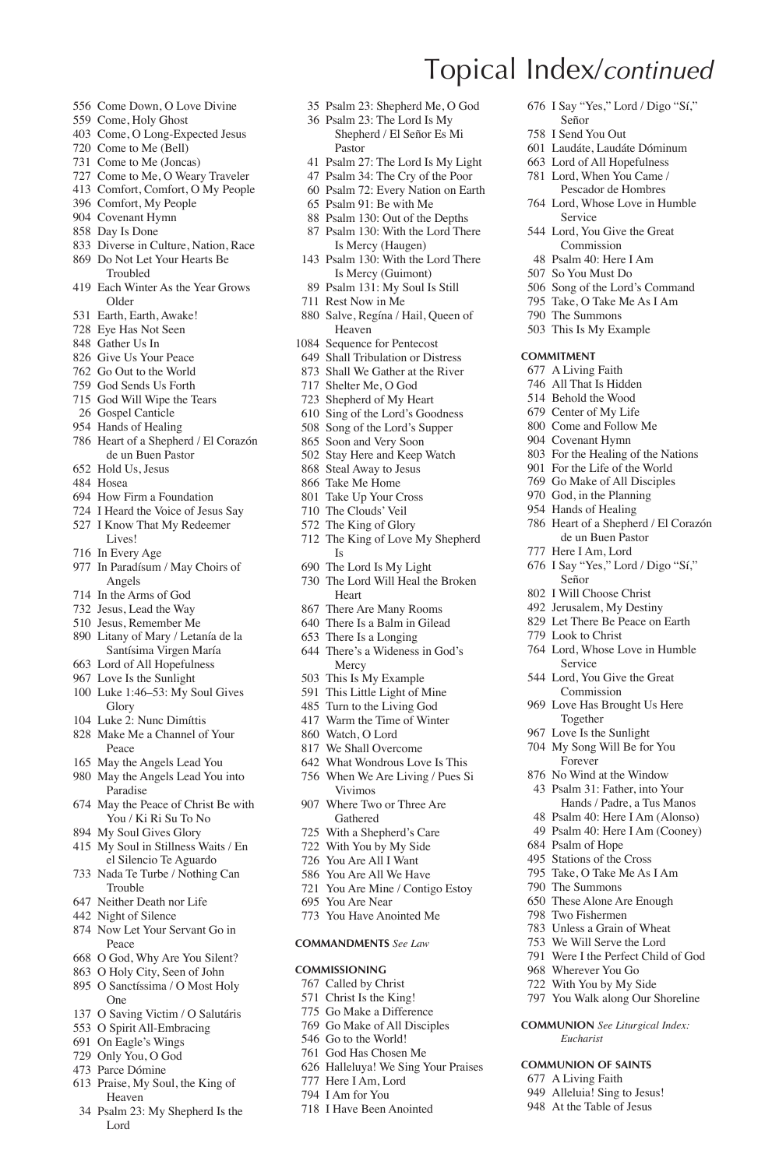- Come Down, O Love Divine
- Come, Holy Ghost
- Come, O Long-Expected Jesus
- Come to Me (Bell)
- Come to Me (Joncas)
- Come to Me, O Weary Traveler
- Comfort, Comfort, O My People
- Comfort, My People Covenant Hymn
- 
- Day Is Done
- Diverse in Culture, Nation, Race Do Not Let Your Hearts Be
- Troubled
- Each Winter As the Year Grows Older
- Earth, Earth, Awake!
- Eye Has Not Seen
- Gather Us In
- Give Us Your Peace
- Go Out to the World
- God Sends Us Forth
- God Will Wipe the Tears
- Gospel Canticle
- Hands of Healing
- Heart of a Shepherd / El Corazón de un Buen Pastor
- Hold Us, Jesus
- Hosea
- How Firm a Foundation
- I Heard the Voice of Jesus Say
- I Know That My Redeemer
- Lives!
- In Every Age
- In Paradísum / May Choirs of Angels
- In the Arms of God
- Jesus, Lead the Way
- Jesus, Remember Me
- Litany of Mary / Letanía de la Santísima Virgen María
- Lord of All Hopefulness
- Love Is the Sunlight
- Luke 1:46–53: My Soul Gives Glory
- Luke 2: Nunc Dimíttis
- Make Me a Channel of Your Peace
- May the Angels Lead You
- May the Angels Lead You into Paradise
- May the Peace of Christ Be with You / Ki Ri Su To No
- My Soul Gives Glory
- My Soul in Stillness Waits / En el Silencio Te Aguardo
- Nada Te Turbe / Nothing Can Trouble
- Neither Death nor Life
- Night of Silence
- Now Let Your Servant Go in Peace
- O God, Why Are You Silent?
- O Holy City, Seen of John
- O Sanctíssima / O Most Holy One
- O Saving Victim / O Salutáris
- O Spirit All-Embracing
- On Eagle's Wings
- Only You, O God
- Parce Dómine
- Praise, My Soul, the King of Heaven
- Psalm 23: My Shepherd Is the Lord

 Psalm 23: Shepherd Me, O God Psalm 23: The Lord Is My

Topical Index/*continued*

Señor I Send You Out Laudáte, Laudáte Dóminum Lord of All Hopefulness Lord, When You Came / Pescador de Hombres Lord, Whose Love in Humble Service Lord, You Give the Great Commission Psalm 40: Here I Am So You Must Do Song of the Lord's Command Take, O Take Me As I Am The Summons This Is My Example

**Commitment** A Living Faith All That Is Hidden Behold the Wood Center of My Life Come and Follow Me Covenant Hymn For the Healing of the Nations For the Life of the World Go Make of All Disciples God, in the Planning Hands of Healing

I Say "Yes," Lord / Digo "Sí,"

 Heart of a Shepherd / El Corazón de un Buen Pastor Here I Am, Lord I Say "Yes," Lord / Digo "Sí,"

 Lord, Whose Love in Humble Service Lord, You Give the Great Commission Love Has Brought Us Here Together Love Is the Sunlight My Song Will Be for You Forever No Wind at the Window Psalm 31: Father, into Your Hands / Padre, a Tus Manos Psalm 40: Here I Am (Alonso) Psalm 40: Here I Am (Cooney)

Señor I Will Choose Christ Jerusalem, My Destiny Let There Be Peace on Earth Look to Christ

 Psalm of Hope Stations of the Cross Take, O Take Me As I Am The Summons These Alone Are Enough Two Fishermen Unless a Grain of Wheat We Will Serve the Lord Were I the Perfect Child of God Wherever You Go With You by My Side You Walk along Our Shoreline **Communion** *See Liturgical Index: Eucharist* **Communion of Saints** A Living Faith Alleluia! Sing to Jesus! At the Table of Jesus

- Shepherd / El Señor Es Mi Pastor
- Psalm 27: The Lord Is My Light
- Psalm 34: The Cry of the Poor
- Psalm 72: Every Nation on Earth
- Psalm 91: Be with Me
- Psalm 130: Out of the Depths
- Psalm 130: With the Lord There Is Mercy (Haugen)
- Psalm 130: With the Lord There Is Mercy (Guimont)
- Psalm 131: My Soul Is Still
- Rest Now in Me
- Salve, Regína / Hail, Queen of Heaven
- Sequence for Pentecost
- Shall Tribulation or Distress
- Shall We Gather at the River
- Shelter Me, O God
- Shepherd of My Heart
- Sing of the Lord's Goodness
- Song of the Lord's Supper
- Soon and Very Soon
- Stay Here and Keep Watch
- Steal Away to Jesus Take Me Home
- 
- Take Up Your Cross The Clouds' Veil
- The King of Glory
- 
- The King of Love My Shepherd Is
- The Lord Is My Light
- The Lord Will Heal the Broken Heart
- There Are Many Rooms
- There Is a Balm in Gilead
- There Is a Longing
- There's a Wideness in God's Mercy
- This Is My Example
- This Little Light of Mine
- Turn to the Living God
- Warm the Time of Winter
- Watch, O Lord

Vivimos Where Two or Three Are Gathered With a Shepherd's Care With You by My Side You Are All I Want You Are All We Have You Are Mine / Contigo Estoy

 You Are Near You Have Anointed Me **Commandments** *See Law* **Commissioning** Called by Christ Christ Is the King! Go Make a Difference Go Make of All Disciples Go to the World! God Has Chosen Me Halleluya! We Sing Your Praises

 Here I Am, Lord I Am for You I Have Been Anointed

- We Shall Overcome
- What Wondrous Love Is This
- When We Are Living / Pues Si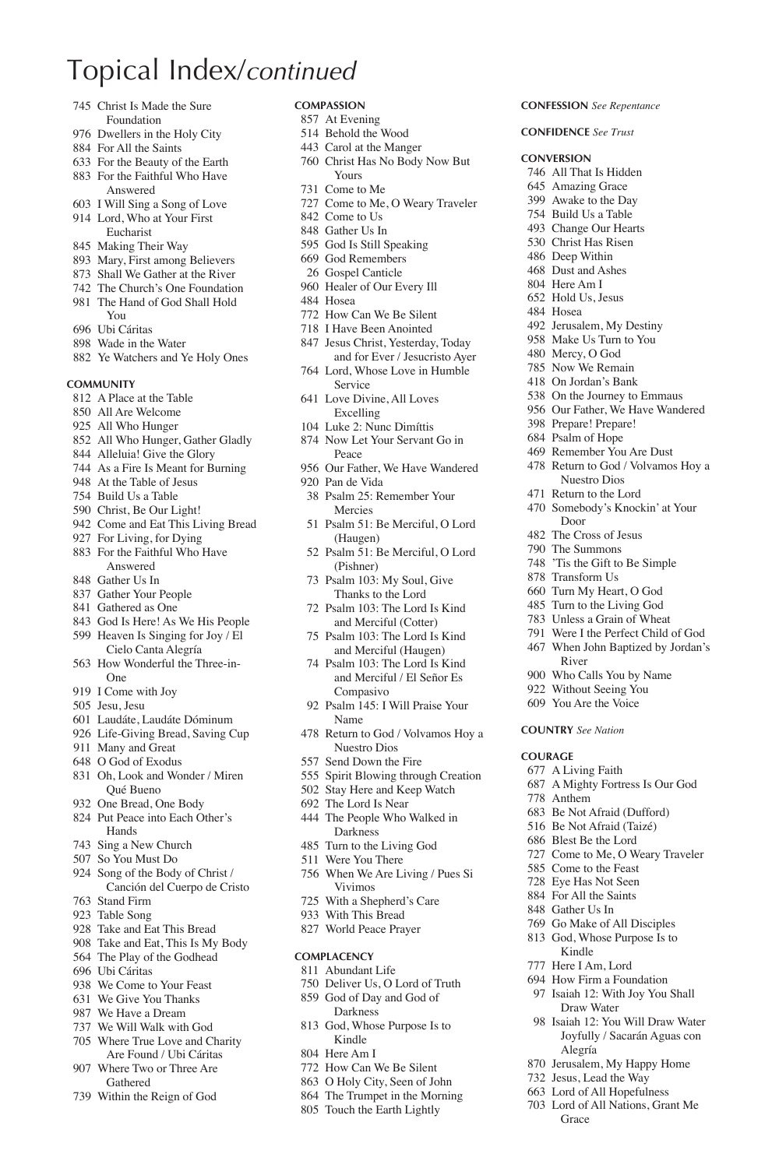- Christ Is Made the Sure Foundation
- Dwellers in the Holy City
- For All the Saints
- For the Beauty of the Earth For the Faithful Who Have
- Answered
- I Will Sing a Song of Love Lord, Who at Your First Eucharist
- Making Their Way
- Mary, First among Believers
- Shall We Gather at the River
- The Church's One Foundation
- The Hand of God Shall Hold You
- Ubi Cáritas
- Wade in the Water
- 
- Ye Watchers and Ye Holy Ones

#### **Community**

- A Place at the Table
- All Are Welcome
- All Who Hunger
- All Who Hunger, Gather Gladly
- Alleluia! Give the Glory
- As a Fire Is Meant for Burning
- At the Table of Jesus
- Build Us a Table
- Christ, Be Our Light!
- Come and Eat This Living Bread For Living, for Dying
- 
- For the Faithful Who Have Answered Gather Us In
- Gather Your People
- Gathered as One
- 
- God Is Here! As We His People
- Heaven Is Singing for Joy / El Cielo Canta Alegría
- How Wonderful the Three-in-One
- I Come with Joy
- Jesu, Jesu
- Laudáte, Laudáte Dóminum
- Life-Giving Bread, Saving Cup
- Many and Great
- O God of Exodus
- Oh, Look and Wonder / Miren Qué Bueno
- One Bread, One Body
- Put Peace into Each Other's Hands
- Sing a New Church
- So You Must Do
- Song of the Body of Christ / Canción del Cuerpo de Cristo
- Stand Firm
- Table Song
- Take and Eat This Bread
- Take and Eat, This Is My Body The Play of the Godhead
- Ubi Cáritas
- 
- We Come to Your Feast We Give You Thanks
- 
- We Have a Dream We Will Walk with God
- Where True Love and Charity
- Are Found / Ubi Cáritas Where Two or Three Are Gathered
- Within the Reign of God

### **Compassion**

- At Evening
- Behold the Wood Carol at the Manger
- 
- Christ Has No Body Now But Yours Come to Me
- Come to Me, O Weary Traveler

**Confession** *See Repentance* **Confidence** *See Trust* **Conversion** All That Is Hidden Amazing Grace Awake to the Day Build Us a Table Change Our Hearts Christ Has Risen Deep Within Dust and Ashes Here Am I Hold Us, Jesus Hosea

 Jerusalem, My Destiny 958 Make Us Turn to You Mercy, O God Now We Remain On Jordan's Bank On the Journey to Emmaus Our Father, We Have Wandered

 Prepare! Prepare! Psalm of Hope Remember You Are Dust Return to God / Volvamos Hoy a Nuestro Dios Return to the Lord Somebody's Knockin' at Your

Door The Cross of Jesus The Summons 'Tis the Gift to Be Simple Transform Us Turn My Heart, O God Turn to the Living God Unless a Grain of Wheat Were I the Perfect Child of God When John Baptized by Jordan's

River Who Calls You by Name Without Seeing You You Are the Voice **Country** *See Nation*

A Mighty Fortress Is Our God

 Be Not Afraid (Dufford) Be Not Afraid (Taizé) Blest Be the Lord Come to Me, O Weary Traveler Come to the Feast Eye Has Not Seen For All the Saints Gather Us In Go Make of All Disciples God, Whose Purpose Is to Kindle Here I Am, Lord How Firm a Foundation Isaiah 12: With Joy You Shall Draw Water Isaiah 12: You Will Draw Water Joyfully / Sacarán Aguas con

Alegría Jerusalem, My Happy Home Jesus, Lead the Way Lord of All Hopefulness Lord of All Nations, Grant Me

**Grace** 

**Courage** A Living Faith

Anthem

- Come to Us
- Gather Us In
- God Is Still Speaking
- God Remembers
	- Gospel Canticle
- Healer of Our Every Ill
- Hosea
- How Can We Be Silent
- I Have Been Anointed
- Jesus Christ, Yesterday, Today and for Ever / Jesucristo Ayer
- Lord, Whose Love in Humble Service
- Love Divine, All Loves Excelling
- Luke 2: Nunc Dimíttis
- Now Let Your Servant Go in Peace
- Our Father, We Have Wandered
- Pan de Vida Psalm 25: Remember Your
- Mercies
- Psalm 51: Be Merciful, O Lord (Haugen)
- Psalm 51: Be Merciful, O Lord (Pishner)
- Psalm 103: My Soul, Give Thanks to the Lord
- Psalm 103: The Lord Is Kind and Merciful (Cotter)
- Psalm 103: The Lord Is Kind and Merciful (Haugen)
- Psalm 103: The Lord Is Kind and Merciful / El Señor Es Compasivo
- Psalm 145: I Will Praise Your Name
- Return to God / Volvamos Hoy a Nuestro Dios
- Send Down the Fire
- Spirit Blowing through Creation
- Stay Here and Keep Watch
- The Lord Is Near
- The People Who Walked in Darkness
- Turn to the Living God
- Were You There
- When We Are Living / Pues Si Vivimos

 Deliver Us, O Lord of Truth God of Day and God of Darkness God, Whose Purpose Is to Kindle Here Am I How Can We Be Silent O Holy City, Seen of John The Trumpet in the Morning Touch the Earth Lightly

- With a Shepherd's Care
- With This Bread World Peace Prayer

**Complacency** Abundant Life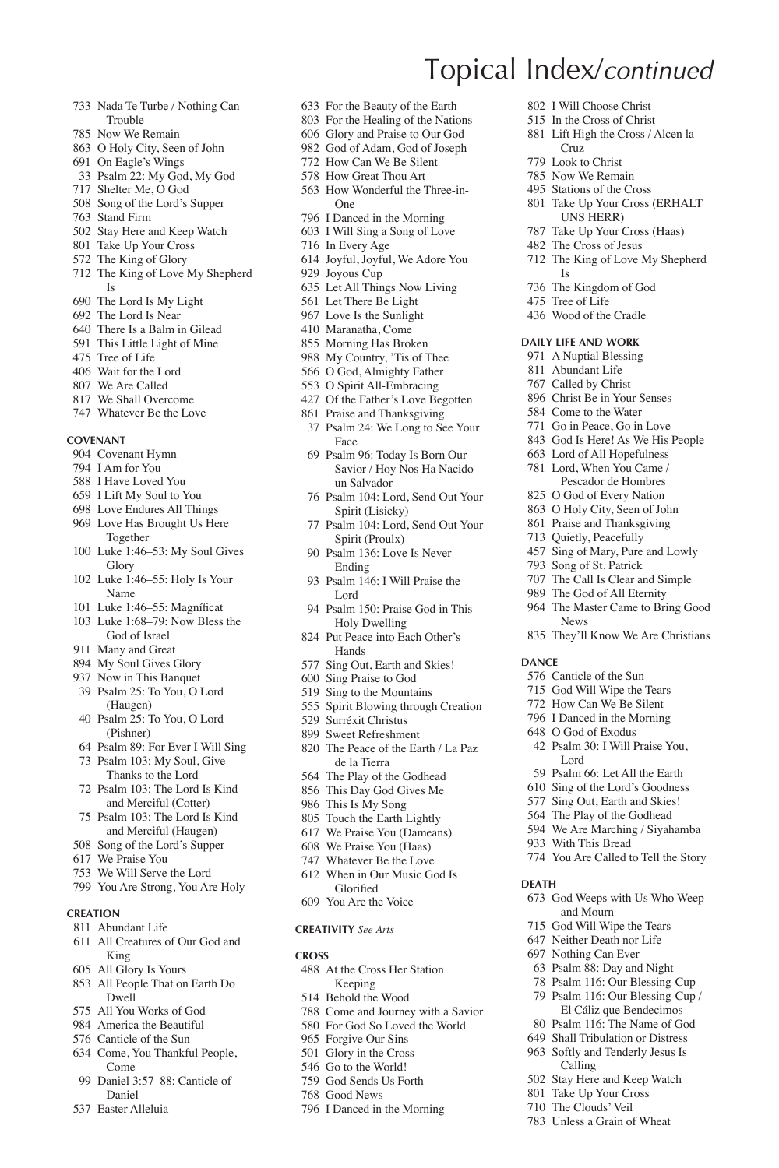- Nada Te Turbe / Nothing Can Trouble
- Now We Remain
- O Holy City, Seen of John
- On Eagle's Wings
- Psalm 22: My God, My God
- Shelter Me, O God
- Song of the Lord's Supper
- Stand Firm
- Stay Here and Keep Watch
- Take Up Your Cross
- The King of Glory
- The King of Love My Shepherd Is
- The Lord Is My Light
- The Lord Is Near
- There Is a Balm in Gilead
- This Little Light of Mine
- Tree of Life
- Wait for the Lord
- We Are Called
- We Shall Overcome
- Whatever Be the Love

#### **Covenant**

- Covenant Hymn
- I Am for You
- I Have Loved You
- I Lift My Soul to You
- Love Endures All Things
- Love Has Brought Us Here Together
- Luke 1:46–53: My Soul Gives Glory
- Luke 1:46–55: Holy Is Your Name
- 101 Luke 1:46–55: Magníficat
- Luke 1:68–79: Now Bless the God of Israel
- Many and Great
- My Soul Gives Glory
- Now in This Banquet
- Psalm 25: To You, O Lord (Haugen)
- Psalm 25: To You, O Lord (Pishner)
- Psalm 89: For Ever I Will Sing
- Psalm 103: My Soul, Give Thanks to the Lord
- Psalm 103: The Lord Is Kind and Merciful (Cotter)
- Psalm 103: The Lord Is Kind and Merciful (Haugen)
- Song of the Lord's Supper
- We Praise You
- We Will Serve the Lord
- You Are Strong, You Are Holy
- 

#### **Creation**

- Abundant Life
- All Creatures of Our God and King
- All Glory Is Yours
- All People That on Earth Do Dwell
- All You Works of God
- America the Beautiful
- Canticle of the Sun
- Come, You Thankful People, Come
- Daniel 3:57–88: Canticle of Daniel
- Easter Alleluia

For the Beauty of the Earth

Topical Index/*continued*

Cruz Look to Christ Now We Remain Stations of the Cross Take Up Your Cross (ERHALT UNS HERR) Take Up Your Cross (Haas) The Cross of Jesus The King of Love My Shepherd

Is The Kingdom of God Tree of Life Wood of the Cradle **Daily Life and Work** A Nuptial Blessing Abundant Life Called by Christ Christ Be in Your Senses Come to the Water Go in Peace, Go in Love God Is Here! As We His People Lord of All Hopefulness Lord, When You Came / Pescador de Hombres O God of Every Nation O Holy City, Seen of John Praise and Thanksgiving Quietly, Peacefully Sing of Mary, Pure and Lowly Song of St. Patrick The Call Is Clear and Simple The God of All Eternity The Master Came to Bring Good

News

 Canticle of the Sun God Will Wipe the Tears How Can We Be Silent I Danced in the Morning O God of Exodus Psalm 30: I Will Praise You,

Lord

With This Bread

 Psalm 66: Let All the Earth Sing of the Lord's Goodness Sing Out, Earth and Skies! The Play of the Godhead We Are Marching / Siyahamba

You Are Called to Tell the Story

 God Weeps with Us Who Weep and Mourn God Will Wipe the Tears Neither Death nor Life Nothing Can Ever Psalm 88: Day and Night Psalm 116: Our Blessing-Cup Psalm 116: Our Blessing-Cup / El Cáliz que Bendecimos Psalm 116: The Name of God Shall Tribulation or Distress Softly and Tenderly Jesus Is Calling Stay Here and Keep Watch Take Up Your Cross The Clouds' Veil Unless a Grain of Wheat

**Dance**

**Death**

They'll Know We Are Christians

 I Will Choose Christ In the Cross of Christ Lift High the Cross / Alcen la

- For the Healing of the Nations
- Glory and Praise to Our God
- God of Adam, God of Joseph How Can We Be Silent
- How Great Thou Art
- How Wonderful the Three-in-
- One
- I Danced in the Morning
- I Will Sing a Song of Love
- In Every Age
- Joyful, Joyful, We Adore You
- Joyous Cup
- Let All Things Now Living
- Let There Be Light
- Love Is the Sunlight
- Maranatha, Come
- Morning Has Broken
- My Country, 'Tis of Thee
- O God, Almighty Father
- O Spirit All-Embracing
- Of the Father's Love Begotten
- Praise and Thanksgiving
- Psalm 24: We Long to See Your Face
- Psalm 96: Today Is Born Our Savior / Hoy Nos Ha Nacido un Salvador
- Psalm 104: Lord, Send Out Your Spirit (Lisicky)
- Psalm 104: Lord, Send Out Your Spirit (Proulx)
- Psalm 136: Love Is Never Ending
- Psalm 146: I Will Praise the Lord
- Psalm 150: Praise God in This Holy Dwelling
- Put Peace into Each Other's Hands
- Sing Out, Earth and Skies!
- Sing Praise to God
- Sing to the Mountains
- Spirit Blowing through Creation
- Surréxit Christus
- Sweet Refreshment
- The Peace of the Earth / La Paz de la Tierra
- The Play of the Godhead
- This Day God Gives Me
- This Is My Song
- Touch the Earth Lightly
- We Praise You (Dameans) We Praise You (Haas)

 When in Our Music God Is Glorified You Are the Voice **Creativity** *See Arts*

 At the Cross Her Station Keeping Behold the Wood

 Come and Journey with a Savior For God So Loved the World Forgive Our Sins Glory in the Cross Go to the World! God Sends Us Forth Good News I Danced in the Morning

Whatever Be the Love

**Cross**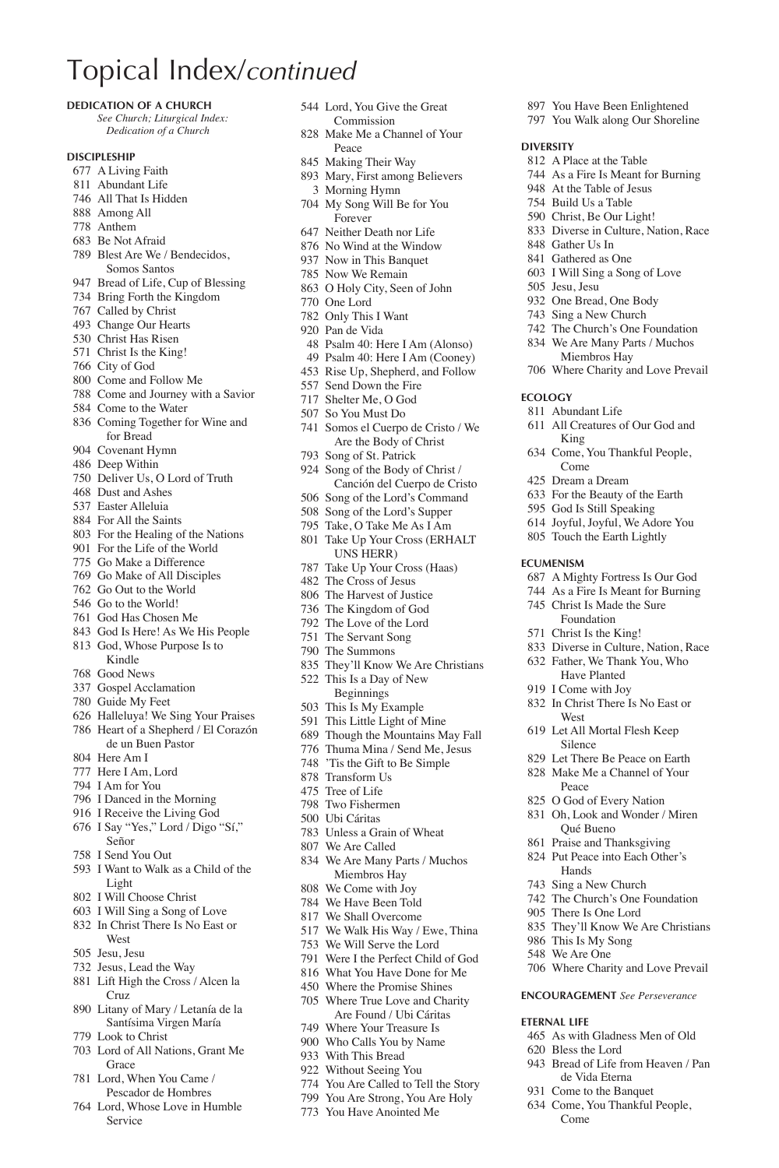#### **Dedication of a Church**

*See Church; Liturgical Index: Dedication of a Church*

#### **Discipleship**

- A Living Faith
- Abundant Life
- All That Is Hidden
- Among All
- Anthem
- Be Not Afraid Blest Are We / Bendecidos,
- Somos Santos
- Bread of Life, Cup of Blessing
- Bring Forth the Kingdom
- Called by Christ
- Change Our Hearts
- Christ Has Risen
- Christ Is the King!
- City of God
- Come and Follow Me
- Come and Journey with a Savior
- Come to the Water
- Coming Together for Wine and for Bread
- Covenant Hymn
- Deep Within
- Deliver Us, O Lord of Truth
- Dust and Ashes
- Easter Alleluia
- For All the Saints
- For the Healing of the Nations
- For the Life of the World
- Go Make a Difference
- Go Make of All Disciples
- Go Out to the World
- Go to the World!
- God Has Chosen Me
- God Is Here! As We His People
- God, Whose Purpose Is to
- Kindle Good News
- Gospel Acclamation
- Guide My Feet
- Halleluya! We Sing Your Praises
- Heart of a Shepherd / El Corazón de un Buen Pastor
- Here Am I
- Here I Am, Lord
- I Am for You
- I Danced in the Morning
- I Receive the Living God
- I Say "Yes," Lord / Digo "Sí,"
- Señor
- I Send You Out
- I Want to Walk as a Child of the Light
- I Will Choose Christ
- I Will Sing a Song of Love
- In Christ There Is No East or West
- Jesu, Jesu
- Jesus, Lead the Way
- Lift High the Cross / Alcen la Cruz
- Litany of Mary / Letanía de la Santísima Virgen María
- Look to Christ
- Lord of All Nations, Grant Me Grace
- Lord, When You Came / Pescador de Hombres
- Lord, Whose Love in Humble Service
- Lord, You Give the Great Commission
- Make Me a Channel of Your Peace

 You Have Been Enlightened You Walk along Our Shoreline

All Creatures of Our God and

Come, You Thankful People,

 A Mighty Fortress Is Our God As a Fire Is Meant for Burning Christ Is Made the Sure Foundation Christ Is the King!

 Diverse in Culture, Nation, Race Father, We Thank You, Who Have Planted I Come with Joy In Christ There Is No East or

They'll Know We Are Christians

 Where Charity and Love Prevail **Encouragement** *See Perseverance*

As with Gladness Men of Old

 Bread of Life from Heaven / Pan de Vida Eterna Come to the Banquet Come, You Thankful People,

 This Is My Song We Are One

**Eternal Life**

Bless the Lord

Come

 A Place at the Table As a Fire Is Meant for Burning At the Table of Jesus Build Us a Table Christ, Be Our Light! Diverse in Culture, Nation, Race

 Gather Us In Gathered as One I Will Sing a Song of Love

 Jesu, Jesu One Bread, One Body Sing a New Church The Church's One Foundation We Are Many Parts / Muchos Miembros Hay Where Charity and Love Prevail

**Ecology** Abundant Life

**Ecumenism**

**West**  Let All Mortal Flesh Keep Silence Let There Be Peace on Earth Make Me a Channel of Your Peace O God of Every Nation Oh, Look and Wonder / Miren Qué Bueno Praise and Thanksgiving Put Peace into Each Other's Hands Sing a New Church The Church's One Foundation There Is One Lord

King

Come Dream a Dream For the Beauty of the Earth God Is Still Speaking Joyful, Joyful, We Adore You Touch the Earth Lightly

**Diversity**

- Making Their Way
- Mary, First among Believers Morning Hymn
- My Song Will Be for You Forever
- Neither Death nor Life
- No Wind at the Window
- Now in This Banquet
- Now We Remain
- O Holy City, Seen of John
- One Lord
- Only This I Want
- Pan de Vida
- Psalm 40: Here I Am (Alonso)
- Psalm 40: Here I Am (Cooney)
- Rise Up, Shepherd, and Follow
- Send Down the Fire
- Shelter Me, O God
- So You Must Do
- Somos el Cuerpo de Cristo / We Are the Body of Christ
- Song of St. Patrick
- Song of the Body of Christ / Canción del Cuerpo de Cristo
- Song of the Lord's Command
- Song of the Lord's Supper
- Take, O Take Me As I Am
- Take Up Your Cross (ERHALT UNS HERR)
- Take Up Your Cross (Haas)
- The Cross of Jesus
- The Harvest of Justice
- The Kingdom of God
- The Love of the Lord The Servant Song
- The Summons
- 
- They'll Know We Are Christians
- This Is a Day of New
	- Beginnings
- This Is My Example
- This Little Light of Mine Though the Mountains May Fall Thuma Mina / Send Me, Jesus

 'Tis the Gift to Be Simple Transform Us Tree of Life Two Fishermen Ubi Cáritas Unless a Grain of Wheat We Are Called

 We Are Many Parts / Muchos Miembros Hay We Come with Joy We Have Been Told We Shall Overcome We Walk His Way / Ewe, Thina We Will Serve the Lord Were I the Perfect Child of God What You Have Done for Me Where the Promise Shines Where True Love and Charity Are Found / Ubi Cáritas Where Your Treasure Is Who Calls You by Name With This Bread Without Seeing You You Are Called to Tell the Story You Are Strong, You Are Holy You Have Anointed Me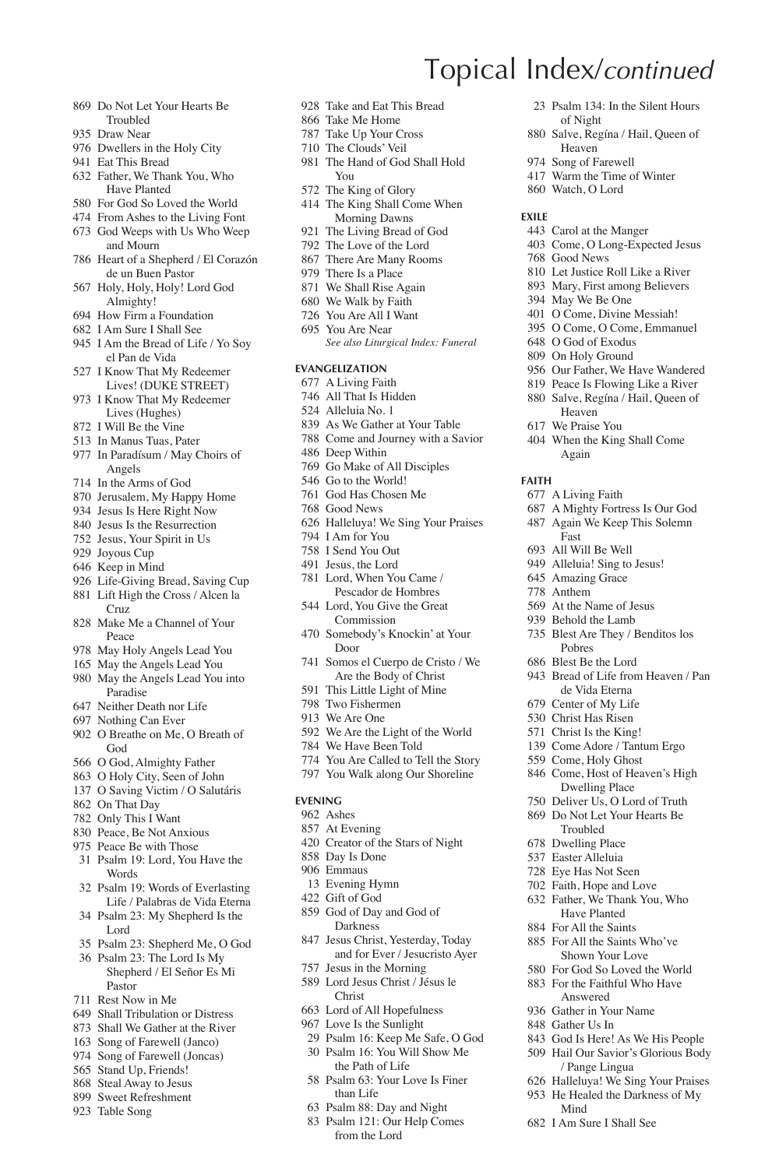- Do Not Let Your Hearts Be Troubled
- Draw Near
- Dwellers in the Holy City
- Eat This Bread
- Father, We Thank You, Who Have Planted
- For God So Loved the World
- From Ashes to the Living Font
- God Weeps with Us Who Weep and Mourn
- Heart of a Shepherd / El Corazón de un Buen Pastor
- Holy, Holy, Holy! Lord God Almighty!
- How Firm a Foundation
- I Am Sure I Shall See
- I Am the Bread of Life / Yo Soy el Pan de Vida
- I Know That My Redeemer Lives! (DUKE STREET)
- I Know That My Redeemer Lives (Hughes)
- I Will Be the Vine
- In Manus Tuas, Pater
- In Paradísum / May Choirs of Angels
- In the Arms of God
- Jerusalem, My Happy Home
- Jesus Is Here Right Now
- Jesus Is the Resurrection
- Jesus, Your Spirit in Us
- Joyous Cup
- Keep in Mind
- Life-Giving Bread, Saving Cup Lift High the Cross / Alcen la
- Cruz Make Me a Channel of Your
- Peace
- May Holy Angels Lead You
- May the Angels Lead You May the Angels Lead You into
- Paradise
- Neither Death nor Life
- Nothing Can Ever O Breathe on Me, O Breath of
- God
- O God, Almighty Father
- O Holy City, Seen of John O Saving Victim / O Salutáris
- 
- On That Day
- Only This I Want
- Peace, Be Not Anxious Peace Be with Those
- Psalm 19: Lord, You Have the Words
- Psalm 19: Words of Everlasting Life / Palabras de Vida Eterna
- Psalm 23: My Shepherd Is the Lord
- Psalm 23: Shepherd Me, O God
- Psalm 23: The Lord Is My Shepherd / El Señor Es Mi Pastor
- Rest Now in Me
- Shall Tribulation or Distress
- Shall We Gather at the River
- Song of Farewell (Janco)
- Song of Farewell (Joncas)
- Stand Up, Friends!
- Steal Away to Jesus
- Sweet Refreshment
- Table Song
- 
- Take and Eat This Bread
- Take Me Home
- Take Up Your Cross
- The Clouds' Veil
- The Hand of God Shall Hold You

of Night Salve, Regína / Hail, Queen of

Heaven Song of Farewell Warm the Time of Winter Watch, O Lord

 Carol at the Manger Come, O Long-Expected Jesus

Heaven We Praise You When the King Shall Come Again

A Living Faith

Fast All Will Be Well 949 Alleluia! Sing to Jesus! Amazing Grace Anthem At the Name of Jesus Behold the Lamb Blest Are They / Benditos los Pobres Blest Be the Lord

 Let Justice Roll Like a River Mary, First among Believers May We Be One O Come, Divine Messiah! O Come, O Come, Emmanuel O God of Exodus On Holy Ground

 Our Father, We Have Wandered Peace Is Flowing Like a River Salve, Regína / Hail, Queen of

 A Mighty Fortress Is Our God Again We Keep This Solemn

 Bread of Life from Heaven / Pan de Vida Eterna Center of My Life Christ Has Risen Christ Is the King! Come Adore / Tantum Ergo Come, Holy Ghost Come, Host of Heaven's High Dwelling Place Deliver Us, O Lord of Truth Do Not Let Your Hearts Be Troubled Dwelling Place Easter Alleluia Eye Has Not Seen Faith, Hope and Love Father, We Thank You, Who Have Planted For All the Saints For All the Saints Who've Shown Your Love For God So Loved the World 883 For the Faithful Who Have Answered Gather in Your Name Gather Us In

 God Is Here! As We His People Hail Our Savior's Glorious Body / Pange Lingua Halleluya! We Sing Your Praises He Healed the Darkness of My

Mind I Am Sure I Shall See

Good News

**Exile**

**Faith**

Psalm 134: In the Silent Hours

- The King of Glory
- The King Shall Come When Morning Dawns
- The Living Bread of God
- The Love of the Lord
- There Are Many Rooms
- There Is a Place
- We Shall Rise Again
- We Walk by Faith
- You Are All I Want
- You Are Near
	- *See also Liturgical Index: Funeral*

#### **Evangelization**

- A Living Faith
- All That Is Hidden
- Alleluia No. 1
- As We Gather at Your Table
- Come and Journey with a Savior Deep Within
- 
- Go Make of All Disciples Go to the World!
- God Has Chosen Me
- Good News
- 
- Halleluya! We Sing Your Praises
- I Am for You I Send You Out
- Jesus, the Lord
- Lord, When You Came / Pescador de Hombres
- Lord, You Give the Great Commission
- Somebody's Knockin' at Your Door
- Somos el Cuerpo de Cristo / We Are the Body of Christ
- This Little Light of Mine
- Two Fishermen
- We Are One
- We Are the Light of the World
- We Have Been Told
- You Are Called to Tell the Story
- You Walk along Our Shoreline

#### **Evening**

Ashes

 Emmaus Evening Hymn Gift of God God of Day and God of Darkness Jesus Christ, Yesterday, Today and for Ever / Jesucristo Ayer

- At Evening
- Creator of the Stars of Night Day Is Done

 Jesus in the Morning Lord Jesus Christ / Jésus le Christ Lord of All Hopefulness Love Is the Sunlight Psalm 16: Keep Me Safe, O God Psalm 16: You Will Show Me the Path of Life Psalm 63: Your Love Is Finer than Life Psalm 88: Day and Night Psalm 121: Our Help Comes from the Lord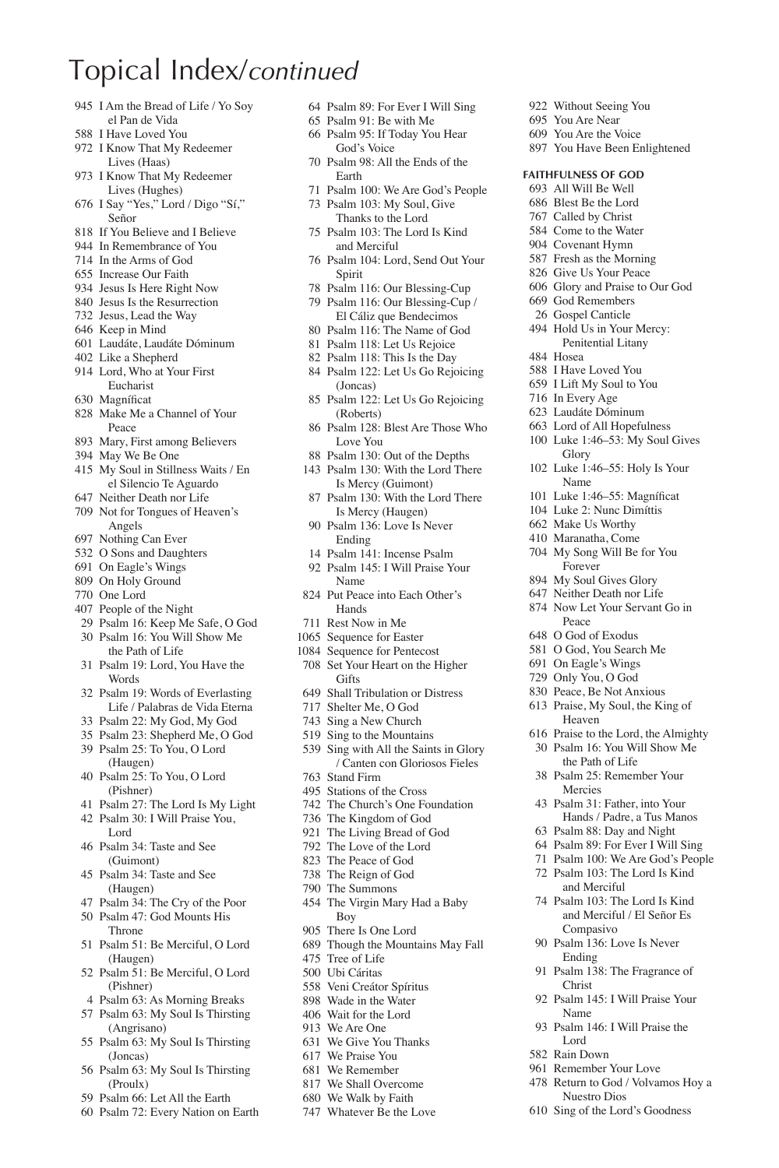- I Am the Bread of Life / Yo Soy el Pan de Vida
- I Have Loved You
- I Know That My Redeemer Lives (Haas)
- I Know That My Redeemer Lives (Hughes)
- I Say "Yes," Lord / Digo "Sí," Señor
- If You Believe and I Believe
- In Remembrance of You
- In the Arms of God
- Increase Our Faith
- Jesus Is Here Right Now
- Jesus Is the Resurrection
- Jesus, Lead the Way
- Keep in Mind
- Laudáte, Laudáte Dóminum
- Like a Shepherd
- Lord, Who at Your First Eucharist
- 630 Magníficat
- Make Me a Channel of Your Peace
- Mary, First among Believers
- May We Be One
- My Soul in Stillness Waits / En el Silencio Te Aguardo
- Neither Death nor Life
- Not for Tongues of Heaven's Angels
- Nothing Can Ever
- O Sons and Daughters
- On Eagle's Wings
- On Holy Ground
- One Lord
- People of the Night
- Psalm 16: Keep Me Safe, O God Psalm 16: You Will Show Me
- the Path of Life
- Psalm 19: Lord, You Have the **Words**
- Psalm 19: Words of Everlasting Life / Palabras de Vida Eterna
- Psalm 22: My God, My God
- Psalm 23: Shepherd Me, O God
- Psalm 25: To You, O Lord (Haugen)
- Psalm 25: To You, O Lord (Pishner)
- Psalm 27: The Lord Is My Light
- Psalm 30: I Will Praise You, Lord
- Psalm 34: Taste and See (Guimont)
- Psalm 34: Taste and See (Haugen)
- Psalm 34: The Cry of the Poor
- Psalm 47: God Mounts His Throne
- Psalm 51: Be Merciful, O Lord (Haugen)
- Psalm 51: Be Merciful, O Lord (Pishner)
- Psalm 63: As Morning Breaks
- Psalm 63: My Soul Is Thirsting (Angrisano)
- Psalm 63: My Soul Is Thirsting (Joncas)
- Psalm 63: My Soul Is Thirsting (Proulx)
- Psalm 66: Let All the Earth
- Psalm 72: Every Nation on Earth

Psalm 89: For Ever I Will Sing

 Without Seeing You You Are Near You Are the Voice You Have Been Enlightened

**Faithfulness of God** All Will Be Well Blest Be the Lord Called by Christ Come to the Water Covenant Hymn Fresh as the Morning Give Us Your Peace Glory and Praise to Our God God Remembers Gospel Canticle Hold Us in Your Mercy: Penitential Litany

 Hosea I Have Loved You I Lift My Soul to You In Every Age Laudáte Dóminum Lord of All Hopefulness Luke 1:46–53: My Soul Gives

Glory Luke 1:46–55: Holy Is Your Name 101 Luke 1:46–55: Magníficat Luke 2: Nunc Dimíttis Make Us Worthy Maranatha, Come My Song Will Be for You Forever My Soul Gives Glory Neither Death nor Life Now Let Your Servant Go in

Peace O God of Exodus O God, You Search Me On Eagle's Wings Only You, O God Peace, Be Not Anxious Praise, My Soul, the King of Heaven

 Praise to the Lord, the Almighty Psalm 16: You Will Show Me the Path of Life Psalm 25: Remember Your Mercies Psalm 31: Father, into Your Hands / Padre, a Tus Manos Psalm 88: Day and Night Psalm 89: For Ever I Will Sing Psalm 100: We Are God's People Psalm 103: The Lord Is Kind and Merciful Psalm 103: The Lord Is Kind and Merciful / El Señor Es

Compasivo Psalm 136: Love Is Never Ending

Christ

Name

Lord Rain Down Remember Your Love Return to God / Volvamos Hoy a Nuestro Dios Sing of the Lord's Goodness

Psalm 138: The Fragrance of

Psalm 145: I Will Praise Your

Psalm 146: I Will Praise the

- Psalm 91: Be with Me
- Psalm 95: If Today You Hear God's Voice
- Psalm 98: All the Ends of the Earth
- Psalm 100: We Are God's People Psalm 103: My Soul, Give
- Thanks to the Lord
- Psalm 103: The Lord Is Kind and Merciful
- Psalm 104: Lord, Send Out Your Spirit
- Psalm 116: Our Blessing-Cup Psalm 116: Our Blessing-Cup /
- El Cáliz que Bendecimos
- Psalm 116: The Name of God
- Psalm 118: Let Us Rejoice
- Psalm 118: This Is the Day
- Psalm 122: Let Us Go Rejoicing (Joncas)
- Psalm 122: Let Us Go Rejoicing (Roberts)
- Psalm 128: Blest Are Those Who Love You
- Psalm 130: Out of the Depths
- Psalm 130: With the Lord There Is Mercy (Guimont)
- Psalm 130: With the Lord There Is Mercy (Haugen)
- Psalm 136: Love Is Never Ending
- Psalm 141: Incense Psalm
- Psalm 145: I Will Praise Your Name
- Put Peace into Each Other's Hands
- Rest Now in Me
- Sequence for Easter
- Sequence for Pentecost
- Set Your Heart on the Higher **Gifts**
- Shall Tribulation or Distress
- Shelter Me, O God
- Sing a New Church
- Sing to the Mountains
- Sing with All the Saints in Glory / Canten con Gloriosos Fieles
- Stand Firm
- Stations of the Cross
- The Church's One Foundation
- The Kingdom of God
- The Living Bread of God
- The Love of the Lord
- The Peace of God
- The Reign of God
- The Summons
- The Virgin Mary Had a Baby Boy
- There Is One Lord
- Though the Mountains May Fall
- Tree of Life
- Ubi Cáritas

 We Are One We Give You Thanks We Praise You We Remember We Shall Overcome We Walk by Faith Whatever Be the Love

- Veni Creátor Spíritus
- Wade in the Water Wait for the Lord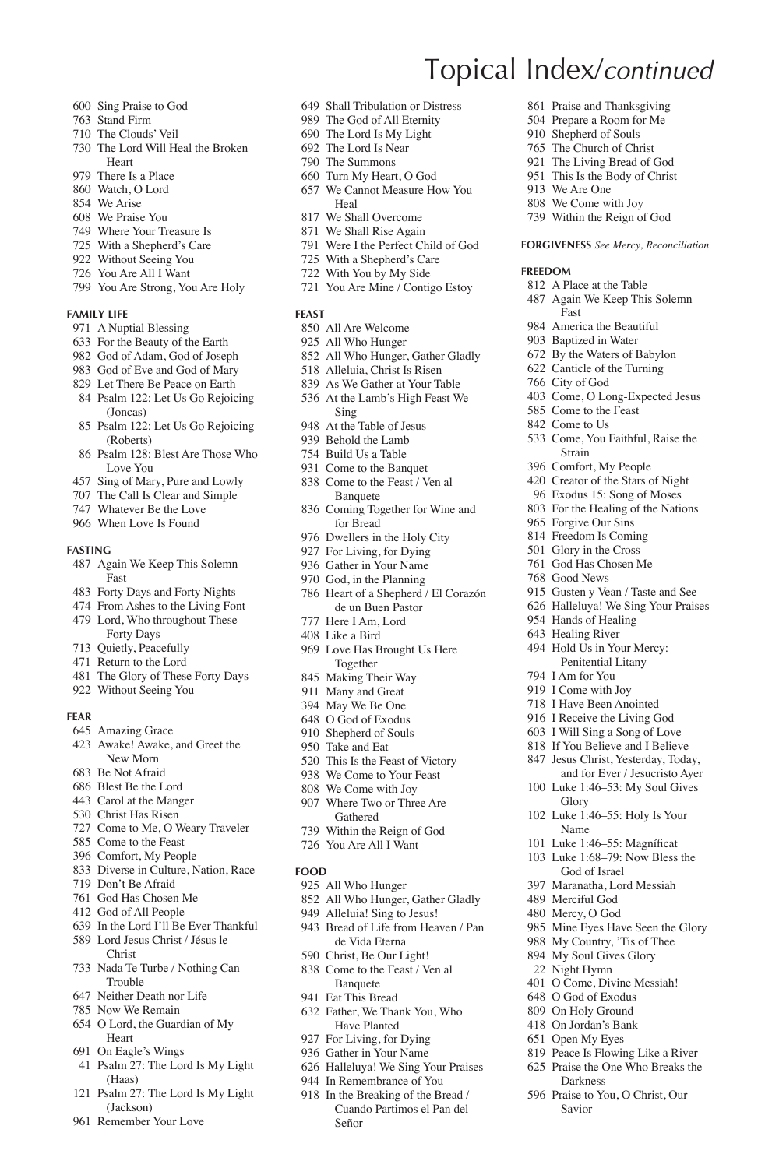- Sing Praise to God
- Stand Firm
- The Clouds' Veil
- The Lord Will Heal the Broken Heart
- There Is a Place
- Watch, O Lord
- We Arise
- We Praise You
- Where Your Treasure Is
- With a Shepherd's Care
- Without Seeing You
- You Are All I Want
- You Are Strong, You Are Holy

#### **Family Life**

- A Nuptial Blessing
- For the Beauty of the Earth
- God of Adam, God of Joseph
- God of Eve and God of Mary
- Let There Be Peace on Earth Psalm 122: Let Us Go Rejoicing
- (Joncas)
- Psalm 122: Let Us Go Rejoicing (Roberts)
- Psalm 128: Blest Are Those Who Love You
- Sing of Mary, Pure and Lowly
- The Call Is Clear and Simple
- Whatever Be the Love
- When Love Is Found

#### **Fasting**

- Again We Keep This Solemn Fast
- Forty Days and Forty Nights
- From Ashes to the Living Font
- Lord, Who throughout These Forty Days
- Quietly, Peacefully
- Return to the Lord
- The Glory of These Forty Days
- Without Seeing You

#### **Fear**

- Amazing Grace
- Awake! Awake, and Greet the New Morn
- Be Not Afraid
- Blest Be the Lord
- Carol at the Manger
- Christ Has Risen
- Come to Me, O Weary Traveler
- Come to the Feast
- Comfort, My People
- Diverse in Culture, Nation, Race
- Don't Be Afraid
- God Has Chosen Me
- God of All People
- In the Lord I'll Be Ever Thankful Lord Jesus Christ / Jésus le
- Christ
- Nada Te Turbe / Nothing Can Trouble
- Neither Death nor Life
- Now We Remain
- O Lord, the Guardian of My
- Heart
- On Eagle's Wings
- Psalm 27: The Lord Is My Light (Haas)
- Psalm 27: The Lord Is My Light (Jackson)
- Remember Your Love

Shall Tribulation or Distress

Topical Index/*continued*

 We Are One We Come with Joy Within the Reign of God **Forgiveness** *See Mercy, Reconciliation*

 A Place at the Table Again We Keep This Solemn

 Come, O Long-Expected Jesus Come to the Feast Come to Us

Come, You Faithful, Raise the

 Gusten y Vean / Taste and See Halleluya! We Sing Your Praises

 Hands of Healing Healing River Hold Us in Your Mercy: Penitential Litany

 I Am for You I Come with Joy I Have Been Anointed I Receive the Living God I Will Sing a Song of Love If You Believe and I Believe Jesus Christ, Yesterday, Today, and for Ever / Jesucristo Ayer Luke 1:46–53: My Soul Gives

Glory

Name 101 Luke 1:46–55: Magníficat Luke 1:68–79: Now Bless the God of Israel Maranatha, Lord Messiah Merciful God Mercy, O God

Luke 1:46–55: Holy Is Your

 Mine Eyes Have Seen the Glory My Country, 'Tis of Thee My Soul Gives Glory Night Hymn O Come, Divine Messiah! O God of Exodus On Holy Ground On Jordan's Bank Open My Eyes

 Peace Is Flowing Like a River Praise the One Who Breaks the Darkness Praise to You, O Christ, Our Savior

Fast America the Beautiful Baptized in Water By the Waters of Babylon Canticle of the Turning City of God

Strain Comfort, My People Creator of the Stars of Night Exodus 15: Song of Moses For the Healing of the Nations Forgive Our Sins Freedom Is Coming Glory in the Cross God Has Chosen Me Good News

**Freedom**

 Praise and Thanksgiving Prepare a Room for Me Shepherd of Souls The Church of Christ The Living Bread of God This Is the Body of Christ

- The God of All Eternity
- The Lord Is My Light
- The Lord Is Near
- The Summons
- Turn My Heart, O God
- We Cannot Measure How You Heal
- We Shall Overcome
- We Shall Rise Again
- Were I the Perfect Child of God
- With a Shepherd's Care
- With You by My Side
- You Are Mine / Contigo Estoy

#### **Feast**

- All Are Welcome
- All Who Hunger
- All Who Hunger, Gather Gladly
- Alleluia, Christ Is Risen
- As We Gather at Your Table At the Lamb's High Feast We
- Sing At the Table of Jesus
- 
- Behold the Lamb
- Build Us a Table Come to the Banquet
- Come to the Feast / Ven al
- Banquete Coming Together for Wine and
- for Bread
- Dwellers in the Holy City
- For Living, for Dying Gather in Your Name
- 
- God, in the Planning
- Heart of a Shepherd / El Corazón de un Buen Pastor
- Here I Am, Lord
- Like a Bird
- Love Has Brought Us Here Together
- Making Their Way
- Many and Great
- May We Be One
- O God of Exodus
- Shepherd of Souls

All Who Hunger

Señor

 All Who Hunger, Gather Gladly Alleluia! Sing to Jesus! Bread of Life from Heaven / Pan de Vida Eterna Christ, Be Our Light! Come to the Feast / Ven al **Banquete**  Eat This Bread Father, We Thank You, Who Have Planted For Living, for Dying Gather in Your Name Halleluya! We Sing Your Praises In Remembrance of You In the Breaking of the Bread / Cuando Partimos el Pan del

 We Come to Your Feast We Come with Joy Where Two or Three Are Gathered Within the Reign of God You Are All I Want

 Take and Eat This Is the Feast of Victory

**Food**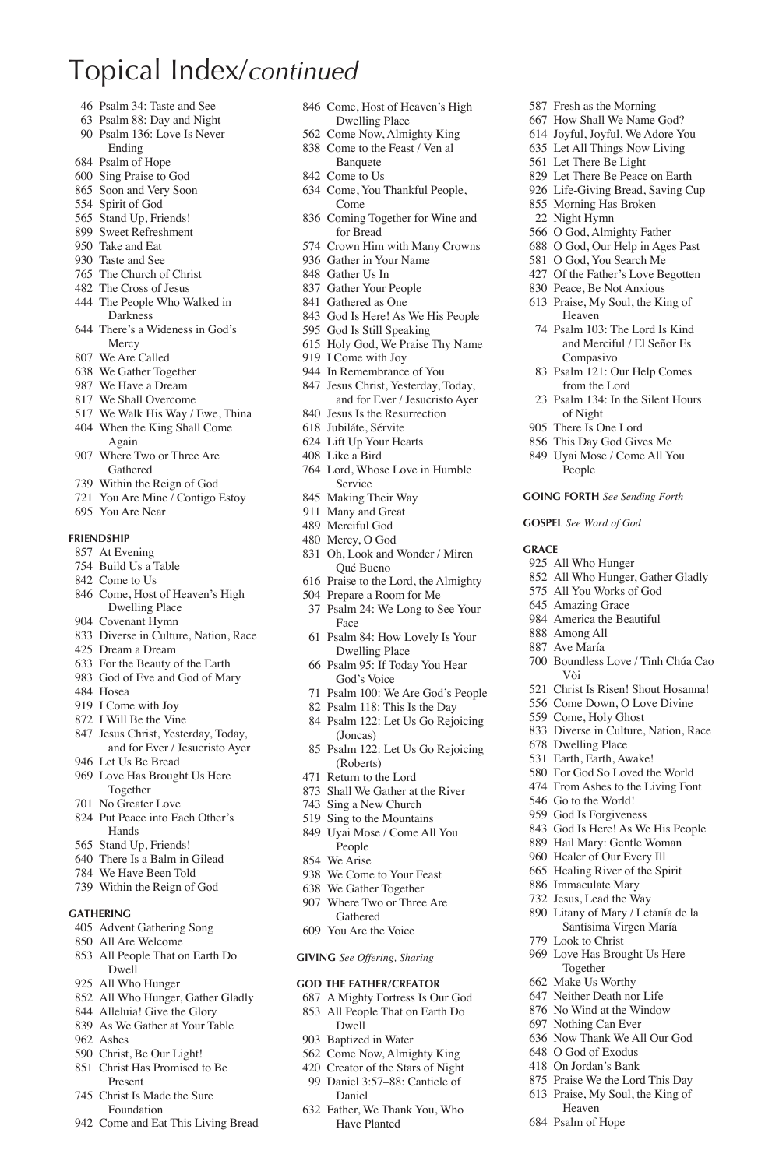- Psalm 34: Taste and See
- Psalm 88: Day and Night Psalm 136: Love Is Never
- Ending
- Psalm of Hope
- Sing Praise to God
- Soon and Very Soon
- Spirit of God
- Stand Up, Friends!
- Sweet Refreshment
- Take and Eat
- Taste and See
- The Church of Christ
- The Cross of Jesus
- The People Who Walked in Darkness
- There's a Wideness in God's Mercy
- We Are Called
- We Gather Together
- We Have a Dream
- We Shall Overcome
- We Walk His Way / Ewe, Thina
- When the King Shall Come
- Again Where Two or Three Are Gathered
- Within the Reign of God
- You Are Mine / Contigo Estoy
- You Are Near

#### **Friendship**

#### At Evening

- Build Us a Table
- Come to Us
- Come, Host of Heaven's High Dwelling Place
- Covenant Hymn
- Diverse in Culture, Nation, Race
- Dream a Dream
- For the Beauty of the Earth
- God of Eve and God of Mary
- Hosea
- I Come with Joy
- I Will Be the Vine
- Jesus Christ, Yesterday, Today, and for Ever / Jesucristo Ayer
- Let Us Be Bread
- Love Has Brought Us Here Together
- No Greater Love
- Put Peace into Each Other's Hands
- Stand Up, Friends!
- There Is a Balm in Gilead
- We Have Been Told
- Within the Reign of God

#### **Gathering**

- Advent Gathering Song
- All Are Welcome
- All People That on Earth Do Dwell
- All Who Hunger
- All Who Hunger, Gather Gladly
- Alleluia! Give the Glory
- As We Gather at Your Table
- Ashes
- Christ, Be Our Light!
- Christ Has Promised to Be Present
- Christ Is Made the Sure Foundation
- Come and Eat This Living Bread

 Come, Host of Heaven's High Dwelling Place

 Fresh as the Morning How Shall We Name God? Joyful, Joyful, We Adore You Let All Things Now Living Let There Be Light Let There Be Peace on Earth Life-Giving Bread, Saving Cup Morning Has Broken Night Hymn O God, Almighty Father O God, Our Help in Ages Past O God, You Search Me Of the Father's Love Begotten Peace, Be Not Anxious Praise, My Soul, the King of Heaven

 Psalm 103: The Lord Is Kind and Merciful / El Señor Es

Compasivo Psalm 121: Our Help Comes from the Lord Psalm 134: In the Silent Hours

of Night There Is One Lord This Day God Gives Me Uyai Mose / Come All You People **Going Forth** *See Sending Forth* **Gospel** *See Word of God*

All Who Hunger

Vòi

 Dwelling Place Earth, Earth, Awake! For God So Loved the World From Ashes to the Living Font

 Go to the World! God Is Forgiveness God Is Here! As We His People Hail Mary: Gentle Woman Healer of Our Every Ill Healing River of the Spirit Immaculate Mary Jesus, Lead the Way Litany of Mary / Letanía de la Santísima Virgen María

 Look to Christ Love Has Brought Us Here Together Make Us Worthy Neither Death nor Life No Wind at the Window Nothing Can Ever Now Thank We All Our God O God of Exodus On Jordan's Bank Praise We the Lord This Day Praise, My Soul, the King of Heaven Psalm of Hope

 All Who Hunger, Gather Gladly All You Works of God Amazing Grace America the Beautiful Among All Ave María

Boundless Love / Tình Chúa Cao

 Christ Is Risen! Shout Hosanna! Come Down, O Love Divine Come, Holy Ghost

Diverse in Culture, Nation, Race

**Grace**

- Come Now, Almighty King
- Come to the Feast / Ven al Banquete
- Come to Us
- Come, You Thankful People, Come
- Coming Together for Wine and for Bread
- Crown Him with Many Crowns
- Gather in Your Name
- Gather Us In Gather Your People
- Gathered as One
- 
- God Is Here! As We His People
- God Is Still Speaking Holy God, We Praise Thy Name
- I Come with Joy
- In Remembrance of You
- Jesus Christ, Yesterday, Today,
- and for Ever / Jesucristo Ayer Jesus Is the Resurrection
- Jubiláte, Sérvite
- Lift Up Your Hearts
- Like a Bird
- Lord, Whose Love in Humble Service
- Making Their Way
- Many and Great
- Merciful God
- Mercy, O God
- Oh, Look and Wonder / Miren Qué Bueno
- Praise to the Lord, the Almighty
- Prepare a Room for Me
- Psalm 24: We Long to See Your Face
- Psalm 84: How Lovely Is Your Dwelling Place
- Psalm 95: If Today You Hear God's Voice
- Psalm 100: We Are God's People
- Psalm 118: This Is the Day
- Psalm 122: Let Us Go Rejoicing
- (Joncas) Psalm 122: Let Us Go Rejoicing (Roberts)
- Return to the Lord

People We Arise

Dwell Baptized in Water Come Now, Almighty King Creator of the Stars of Night Daniel 3:57–88: Canticle of Daniel Father, We Thank You, Who Have Planted

- Shall We Gather at the River
- Sing a New Church
- Sing to the Mountains Uyai Mose / Come All You

 We Come to Your Feast We Gather Together Where Two or Three Are Gathered You Are the Voice **Giving** *See Offering, Sharing* **God the Father/Creator** A Mighty Fortress Is Our God All People That on Earth Do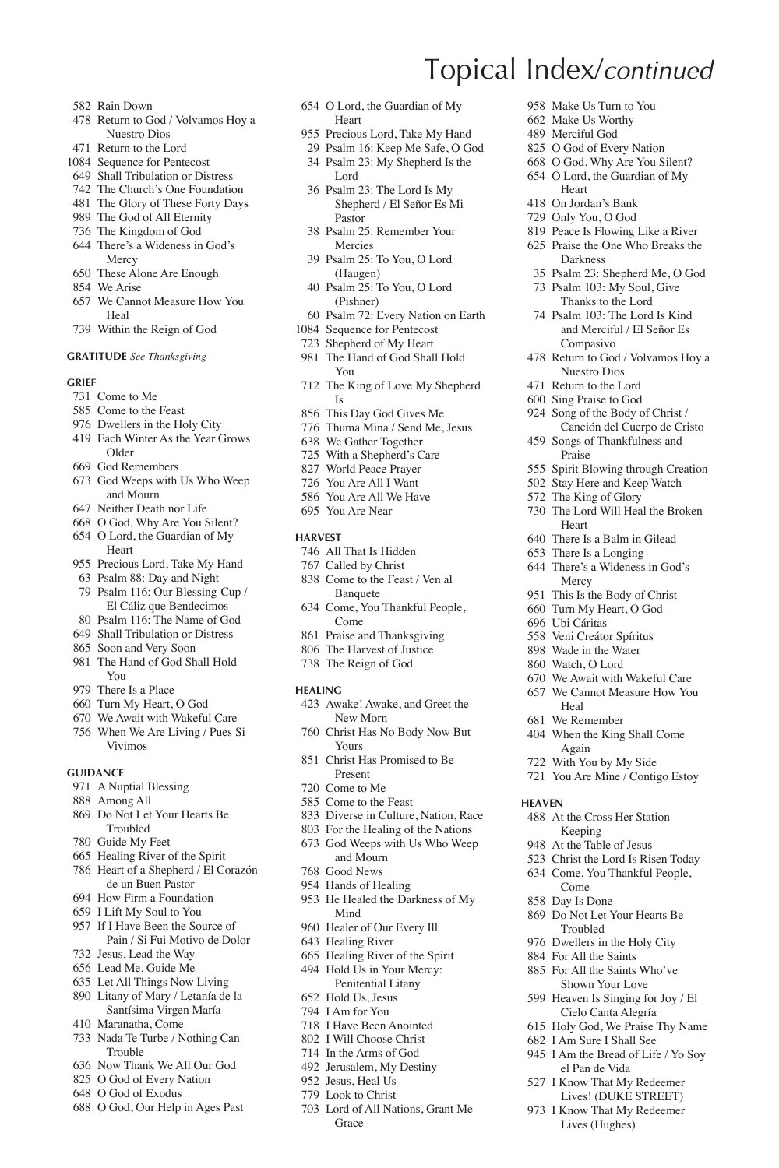- Rain Down
- Return to God / Volvamos Hoy a Nuestro Dios
- Return to the Lord
- Sequence for Pentecost
- Shall Tribulation or Distress
- The Church's One Foundation
- The Glory of These Forty Days The God of All Eternity
- The Kingdom of God
- 
- There's a Wideness in God's Mercy
- These Alone Are Enough
- We Arise
- We Cannot Measure How You Heal
- Within the Reign of God

### **Gratitude** *See Thanksgiving*

#### **Grief**

- Come to Me
- Come to the Feast
- Dwellers in the Holy City
- Each Winter As the Year Grows
- Older
- God Remembers
- God Weeps with Us Who Weep and Mourn
- Neither Death nor Life
- O God, Why Are You Silent?
- O Lord, the Guardian of My Heart
- Precious Lord, Take My Hand Psalm 88: Day and Night
- Psalm 116: Our Blessing-Cup / El Cáliz que Bendecimos
- Psalm 116: The Name of God
- Shall Tribulation or Distress
- Soon and Very Soon
- The Hand of God Shall Hold You
- There Is a Place
- Turn My Heart, O God
- We Await with Wakeful Care
- When We Are Living / Pues Si Vivimos

### **Guidance**

- A Nuptial Blessing
- Among All
- Do Not Let Your Hearts Be Troubled
- Guide My Feet
- Healing River of the Spirit
- Heart of a Shepherd / El Corazón de un Buen Pastor
- How Firm a Foundation
- I Lift My Soul to You
- If I Have Been the Source of Pain / Si Fui Motivo de Dolor
- Jesus, Lead the Way
- Lead Me, Guide Me
- Let All Things Now Living
- Litany of Mary / Letanía de la Santísima Virgen María
- Maranatha, Come
- Nada Te Turbe / Nothing Can Trouble
- Now Thank We All Our God
- O God of Every Nation O God of Exodus
- 
- O God, Our Help in Ages Past
- O Lord, the Guardian of My Heart
- Precious Lord, Take My Hand
- Psalm 16: Keep Me Safe, O God

Topical Index/*continued*

Heart On Jordan's Bank Only You, O God Peace Is Flowing Like a River Praise the One Who Breaks the Darkness

Compasivo Return to God / Volvamos Hoy a Nuestro Dios Return to the Lord Sing Praise to God Song of the Body of Christ / Canción del Cuerpo de Cristo Songs of Thankfulness and Praise

Heart There Is a Balm in Gilead There Is a Longing There's a Wideness in God's Mercy This Is the Body of Christ Turn My Heart, O God Ubi Cáritas Veni Creátor Spíritus Wade in the Water Watch, O Lord

Heal We Remember When the King Shall Come Again With You by My Side You Are Mine / Contigo Estoy

**Heaven**

 Make Us Turn to You Make Us Worthy Merciful God O God of Every Nation O God, Why Are You Silent? O Lord, the Guardian of My

 Psalm 23: Shepherd Me, O God Psalm 103: My Soul, Give Thanks to the Lord Psalm 103: The Lord Is Kind and Merciful / El Señor Es

 Spirit Blowing through Creation Stay Here and Keep Watch The King of Glory The Lord Will Heal the Broken

 We Await with Wakeful Care We Cannot Measure How You

 At the Cross Her Station Keeping At the Table of Jesus Christ the Lord Is Risen Today Come, You Thankful People,

 Do Not Let Your Hearts Be Troubled Dwellers in the Holy City For All the Saints For All the Saints Who've Shown Your Love Heaven Is Singing for Joy / El Cielo Canta Alegría Holy God, We Praise Thy Name I Am Sure I Shall See I Am the Bread of Life / Yo Soy el Pan de Vida I Know That My Redeemer Lives! (DUKE STREET) I Know That My Redeemer Lives (Hughes)

Come Day Is Done

- Psalm 23: My Shepherd Is the Lord
- Psalm 23: The Lord Is My Shepherd / El Señor Es Mi Pastor
- Psalm 25: Remember Your Mercies
- Psalm 25: To You, O Lord (Haugen)
- Psalm 25: To You, O Lord (Pishner)
- Psalm 72: Every Nation on Earth
- Sequence for Pentecost
- Shepherd of My Heart
- The Hand of God Shall Hold You
- The King of Love My Shepherd Is
- This Day God Gives Me
- Thuma Mina / Send Me, Jesus
- We Gather Together
- With a Shepherd's Care
- World Peace Prayer
- You Are All I Want
- You Are All We Have
- You Are Near

#### **Harvest**

- All That Is Hidden
- Called by Christ
- Come to the Feast / Ven al Banquete
- Come, You Thankful People, Come
- Praise and Thanksgiving
- The Harvest of Justice
- The Reign of God
- **Healing**
- Awake! Awake, and Greet the New Morn
- Christ Has No Body Now But Yours
- Christ Has Promised to Be Present
- Come to Me
- Come to the Feast
- Diverse in Culture, Nation, Race
- For the Healing of the Nations
- God Weeps with Us Who Weep and Mourn
- Good News
- Hands of Healing
- He Healed the Darkness of My Mind
- Healer of Our Every Ill
- Healing River

 Hold Us, Jesus I Am for You I Have Been Anointed I Will Choose Christ In the Arms of God Jerusalem, My Destiny Jesus, Heal Us Look to Christ

Grace

 Healing River of the Spirit Hold Us in Your Mercy: Penitential Litany

Lord of All Nations, Grant Me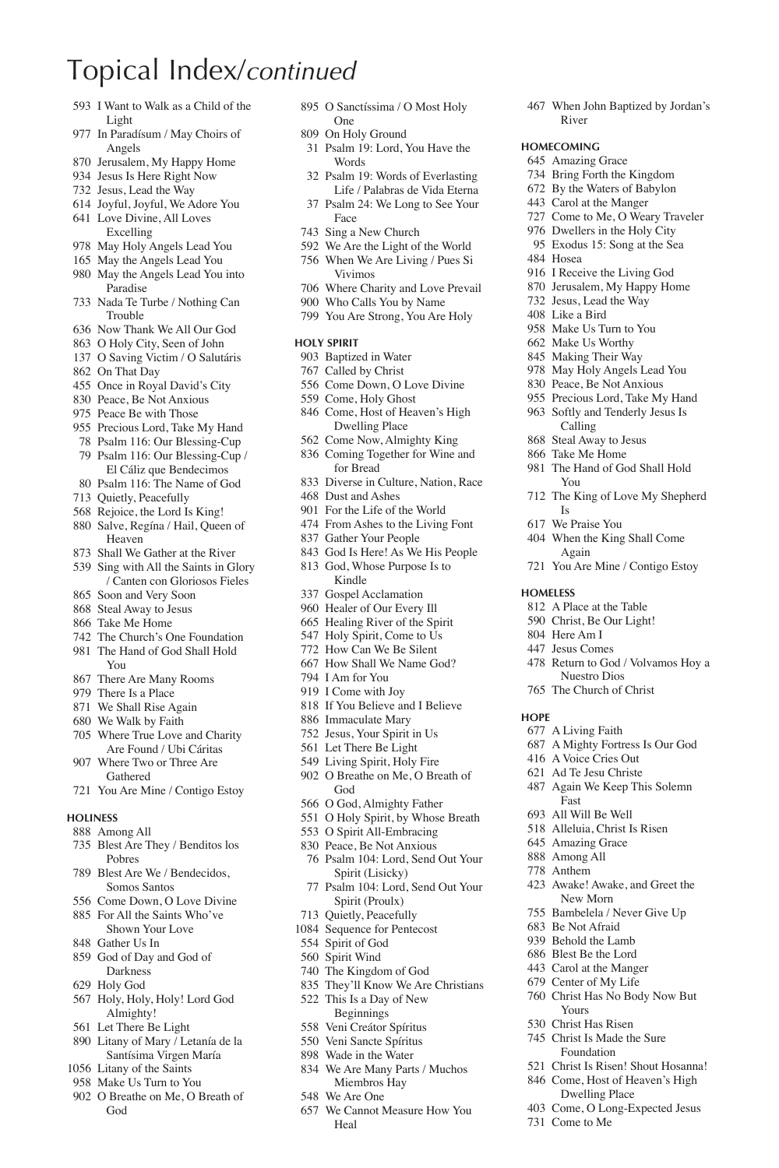- I Want to Walk as a Child of the Light
- In Paradísum / May Choirs of Angels
- Jerusalem, My Happy Home
- Jesus Is Here Right Now
- Jesus, Lead the Way
- Joyful, Joyful, We Adore You Love Divine, All Loves
- Excelling
- May Holy Angels Lead You
- May the Angels Lead You May the Angels Lead You into Paradise
- Nada Te Turbe / Nothing Can Trouble
- Now Thank We All Our God
- O Holy City, Seen of John
- O Saving Victim / O Salutáris
- On That Day
- Once in Royal David's City
- Peace, Be Not Anxious
- Peace Be with Those
- Precious Lord, Take My Hand
- Psalm 116: Our Blessing-Cup Psalm 116: Our Blessing-Cup /
- El Cáliz que Bendecimos Psalm 116: The Name of God
- Quietly, Peacefully
- Rejoice, the Lord Is King!
- Salve, Regína / Hail, Queen of Heaven
- Shall We Gather at the River
- Sing with All the Saints in Glory / Canten con Gloriosos Fieles
- Soon and Very Soon
- Steal Away to Jesus Take Me Home
- 
- The Church's One Foundation The Hand of God Shall Hold You
- There Are Many Rooms
- There Is a Place
- We Shall Rise Again
- We Walk by Faith
- Where True Love and Charity Are Found / Ubi Cáritas
- Where Two or Three Are Gathered
- You Are Mine / Contigo Estoy

#### **Holiness**

- Among All
- Blest Are They / Benditos los Pobres
- Blest Are We / Bendecidos, Somos Santos
- Come Down, O Love Divine
- For All the Saints Who've
- Shown Your Love Gather Us In
- God of Day and God of Darkness
- Holy God
- Holy, Holy, Holy! Lord God Almighty!
- Let There Be Light
- Litany of Mary / Letanía de la Santísima Virgen María
- Litany of the Saints
- Make Us Turn to You
- O Breathe on Me, O Breath of God

 O Sanctíssima / O Most Holy One

When John Baptized by Jordan's

River **Homecoming** Amazing Grace Bring Forth the Kingdom By the Waters of Babylon Carol at the Manger Come to Me, O Weary Traveler Dwellers in the Holy City Exodus 15: Song at the Sea

Hosea

You

Is We Praise You When the King Shall Come Again

**Homeless**

**Hope**

The King of Love My Shepherd

You Are Mine / Contigo Estoy

 Return to God / Volvamos Hoy a Nuestro Dios The Church of Christ

 A Mighty Fortress Is Our God A Voice Cries Out Ad Te Jesu Christe Again We Keep This Solemn

 Awake! Awake, and Greet the New Morn Bambelela / Never Give Up Be Not Afraid Behold the Lamb Blest Be the Lord Carol at the Manger Center of My Life Christ Has No Body Now But

 A Place at the Table Christ, Be Our Light! Here Am I Jesus Comes

A Living Faith

Fast All Will Be Well Alleluia, Christ Is Risen Amazing Grace Among All Anthem

Yours Christ Has Risen Christ Is Made the Sure Foundation Christ Is Risen! Shout Hosanna! Come, Host of Heaven's High Dwelling Place Come, O Long-Expected Jesus

Come to Me

 I Receive the Living God Jerusalem, My Happy Home Jesus, Lead the Way Like a Bird Make Us Turn to You Make Us Worthy Making Their Way May Holy Angels Lead You Peace, Be Not Anxious Precious Lord, Take My Hand Softly and Tenderly Jesus Is Calling Steal Away to Jesus Take Me Home The Hand of God Shall Hold

- On Holy Ground
- Psalm 19: Lord, You Have the **Words**
- Psalm 19: Words of Everlasting Life / Palabras de Vida Eterna
- Psalm 24: We Long to See Your Face
- Sing a New Church
- We Are the Light of the World
- When We Are Living / Pues Si Vivimos
- Where Charity and Love Prevail Who Calls You by Name
- You Are Strong, You Are Holy
- 

#### **Holy Spirit**

- Baptized in Water
- Called by Christ
- Come Down, O Love Divine
- Come, Holy Ghost
- Come, Host of Heaven's High Dwelling Place
- Come Now, Almighty King
- Coming Together for Wine and for Bread
- Diverse in Culture, Nation, Race
- Dust and Ashes
- For the Life of the World
- From Ashes to the Living Font
- Gather Your People
- God Is Here! As We His People God, Whose Purpose Is to
- Kindle
- Gospel Acclamation
- Healer of Our Every Ill
- Healing River of the Spirit
- 547 Holy Spirit, Come to Us
- How Can We Be Silent
- How Shall We Name God?
- I Am for You
- I Come with Joy
- If You Believe and I Believe
- Immaculate Mary
- Jesus, Your Spirit in Us
- Let There Be Light
- Living Spirit, Holy Fire
- O Breathe on Me, O Breath of
- God
- O God, Almighty Father
- O Holy Spirit, by Whose Breath
- O Spirit All-Embracing Peace, Be Not Anxious
- 
- Psalm 104: Lord, Send Out Your Spirit (Lisicky)
- Psalm 104: Lord, Send Out Your Spirit (Proulx)

We Cannot Measure How You

 Quietly, Peacefully Sequence for Pentecost

 Spirit of God Spirit Wind The Kingdom of God They'll Know We Are Christians This Is a Day of New Beginnings Veni Creátor Spíritus Veni Sancte Spíritus Wade in the Water We Are Many Parts / Muchos Miembros Hay We Are One

Heal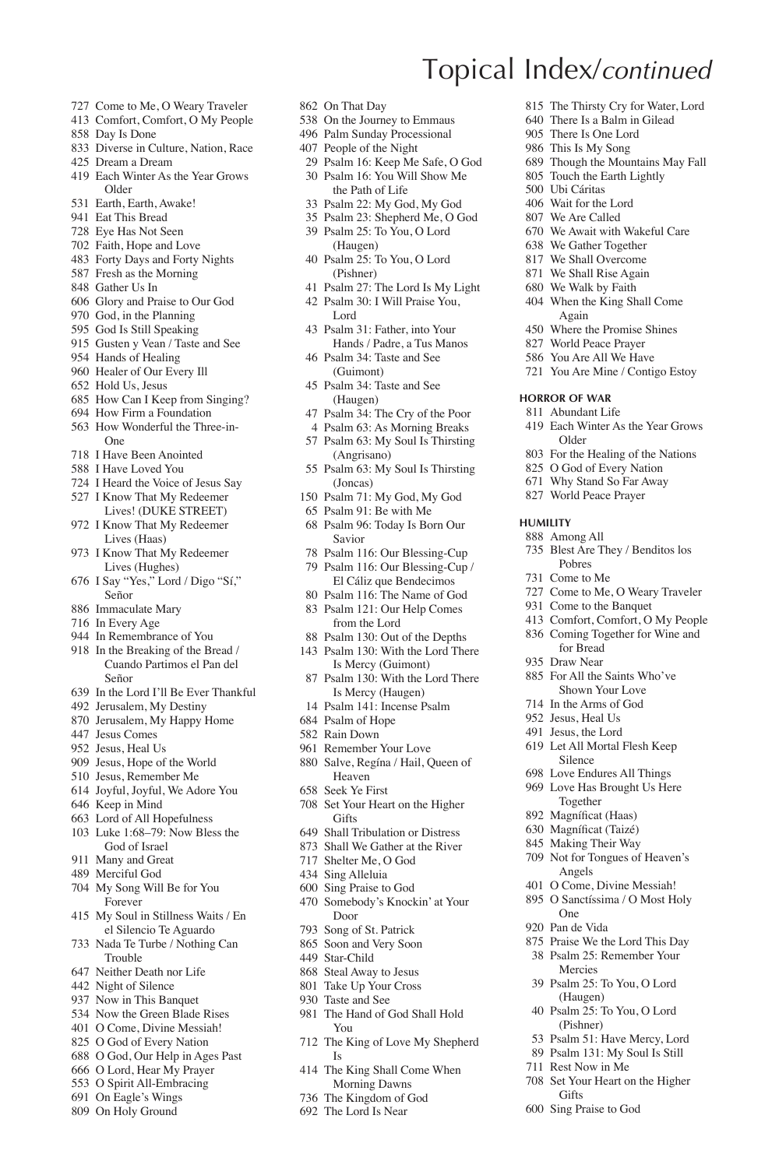- Come to Me, O Weary Traveler
- Comfort, Comfort, O My People
- Day Is Done
- Diverse in Culture, Nation, Race
- Dream a Dream
- Each Winter As the Year Grows Older
- Earth, Earth, Awake!
- Eat This Bread
- Eye Has Not Seen
- Faith, Hope and Love
- Forty Days and Forty Nights
- Fresh as the Morning
- Gather Us In
- Glory and Praise to Our God
- God, in the Planning
- God Is Still Speaking
- Gusten y Vean / Taste and See
- Hands of Healing
- Healer of Our Every Ill
- Hold Us, Jesus
- How Can I Keep from Singing? How Firm a Foundation
- How Wonderful the Three-in-
- One
- I Have Been Anointed
- I Have Loved You
- I Heard the Voice of Jesus Say
- I Know That My Redeemer Lives! (DUKE STREET)
- I Know That My Redeemer Lives (Haas)
- I Know That My Redeemer Lives (Hughes)
- I Say "Yes," Lord / Digo "Sí," Señor
- Immaculate Mary
- In Every Age
- In Remembrance of You
- In the Breaking of the Bread / Cuando Partimos el Pan del Señor
- In the Lord I'll Be Ever Thankful
- Jerusalem, My Destiny
- Jerusalem, My Happy Home
- Jesus Comes
- Jesus, Heal Us
- Jesus, Hope of the World
- Jesus, Remember Me
- Joyful, Joyful, We Adore You
- Keep in Mind
- Lord of All Hopefulness
- Luke 1:68–79: Now Bless the God of Israel
- Many and Great
- Merciful God
- My Song Will Be for You Forever
- My Soul in Stillness Waits / En el Silencio Te Aguardo
- Nada Te Turbe / Nothing Can Trouble
- Neither Death nor Life
- Night of Silence
- Now in This Banquet
- Now the Green Blade Rises
- O Come, Divine Messiah!
- O God of Every Nation
- O God, Our Help in Ages Past
- O Lord, Hear My Prayer
- O Spirit All-Embracing
- On Eagle's Wings
- On Holy Ground
- On That Day
- On the Journey to Emmaus
- Palm Sunday Processional
- People of the Night
- Psalm 16: Keep Me Safe, O God Psalm 16: You Will Show Me

**Horror of War** Abundant Life

Older

Pobres Come to Me

One Pan de Vida

**Gifts** Sing Praise to God

 Praise We the Lord This Day Psalm 25: Remember Your Mercies Psalm 25: To You, O Lord (Haugen) Psalm 25: To You, O Lord (Pishner) Psalm 51: Have Mercy, Lord Psalm 131: My Soul Is Still Rest Now in Me Set Your Heart on the Higher

**Humility** Among All

 The Thirsty Cry for Water, Lord There Is a Balm in Gilead There Is One Lord This Is My Song

 Though the Mountains May Fall Touch the Earth Lightly 500 Ubi Cáritas Wait for the Lord We Are Called

 We Await with Wakeful Care We Gather Together We Shall Overcome We Shall Rise Again We Walk by Faith When the King Shall Come Again Where the Promise Shines World Peace Prayer You Are All We Have You Are Mine / Contigo Estoy

Each Winter As the Year Grows

 For the Healing of the Nations O God of Every Nation Why Stand So Far Away World Peace Prayer

Blest Are They / Benditos los

 Come to Me, O Weary Traveler Come to the Banquet Comfort, Comfort, O My People Coming Together for Wine and for Bread Draw Near

 For All the Saints Who've Shown Your Love In the Arms of God Jesus, Heal Us Jesus, the Lord Let All Mortal Flesh Keep Silence Love Endures All Things Love Has Brought Us Here Together 892 Magníficat (Haas) 630 Magníficat (Taizé) Making Their Way Not for Tongues of Heaven's Angels O Come, Divine Messiah! O Sanctíssima / O Most Holy

- the Path of Life
- Psalm 22: My God, My God
- Psalm 23: Shepherd Me, O God
- Psalm 25: To You, O Lord
- (Haugen) Psalm 25: To You, O Lord
- (Pishner) Psalm 27: The Lord Is My Light
- Psalm 30: I Will Praise You, Lord
- Psalm 31: Father, into Your Hands / Padre, a Tus Manos
- Psalm 34: Taste and See (Guimont)
- Psalm 34: Taste and See (Haugen)
- Psalm 34: The Cry of the Poor
- Psalm 63: As Morning Breaks
- Psalm 63: My Soul Is Thirsting (Angrisano)
- Psalm 63: My Soul Is Thirsting (Joncas)
- Psalm 71: My God, My God
- Psalm 91: Be with Me
- Psalm 96: Today Is Born Our Savior
- Psalm 116: Our Blessing-Cup
- Psalm 116: Our Blessing-Cup / El Cáliz que Bendecimos
- Psalm 116: The Name of God Psalm 121: Our Help Comes from the Lord
- Psalm 130: Out of the Depths
- Psalm 130: With the Lord There Is Mercy (Guimont)
- Psalm 130: With the Lord There Is Mercy (Haugen)
- Psalm 141: Incense Psalm
- Psalm of Hope
- Rain Down
- Remember Your Love
- Salve, Regína / Hail, Queen of Heaven
- Seek Ye First
- Set Your Heart on the Higher Gifts
- Shall Tribulation or Distress
- Shall We Gather at the River

Somebody's Knockin' at Your

The Hand of God Shall Hold

 The King Shall Come When Morning Dawns The Kingdom of God The Lord Is Near

The King of Love My Shepherd

- Shelter Me, O God Sing Praise to God
- Sing Alleluia

Door Song of St. Patrick Soon and Very Soon Star-Child Steal Away to Jesus Take Up Your Cross Taste and See

You

Is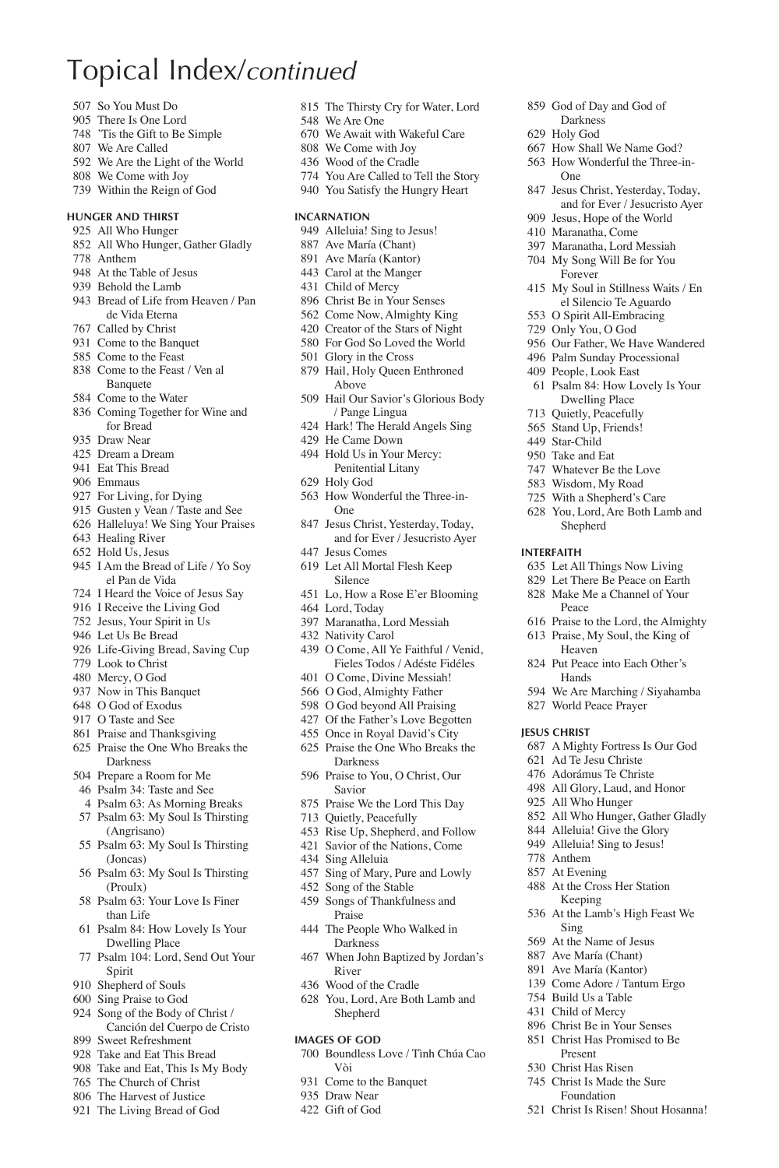- So You Must Do
- There Is One Lord
- 'Tis the Gift to Be Simple
- We Are Called
- We Are the Light of the World We Come with Joy
- Within the Reign of God
- 

#### **Hunger and Thirst** All Who Hunger

- All Who Hunger, Gather Gladly
- Anthem
- At the Table of Jesus
- Behold the Lamb
- Bread of Life from Heaven / Pan de Vida Eterna
- Called by Christ
- Come to the Banquet
- Come to the Feast
- Come to the Feast / Ven al Banquete
- Come to the Water
- Coming Together for Wine and for Bread
- Draw Near
- Dream a Dream
- Eat This Bread
- Emmaus
- For Living, for Dying
- Gusten y Vean / Taste and See
- Halleluya! We Sing Your Praises Healing River
- Hold Us, Jesus
- I Am the Bread of Life / Yo Soy el Pan de Vida
- I Heard the Voice of Jesus Say
- I Receive the Living God
- Jesus, Your Spirit in Us
- 946 Let Us Be Bread
- Life-Giving Bread, Saving Cup
- Look to Christ
- Mercy, O God
- Now in This Banquet
- O God of Exodus
- O Taste and See
- Praise and Thanksgiving
- Praise the One Who Breaks the Darkness
- Prepare a Room for Me
- Psalm 34: Taste and See
- Psalm 63: As Morning Breaks
- Psalm 63: My Soul Is Thirsting (Angrisano)
- Psalm 63: My Soul Is Thirsting (Joncas)
- Psalm 63: My Soul Is Thirsting (Proulx)
- Psalm 63: Your Love Is Finer than Life
- Psalm 84: How Lovely Is Your Dwelling Place
- Psalm 104: Lord, Send Out Your Spirit
- Shepherd of Souls
- Sing Praise to God
- Song of the Body of Christ / Canción del Cuerpo de Cristo
- 
- 
- Take and Eat, This Is My Body
- 
- 
- The Church of Christ
- The Harvest of Justice
- -
	- Sweet Refreshment
	- Take and Eat This Bread
	-
	-
	- The Living Bread of God

The Thirsty Cry for Water, Lord

 God of Day and God of Darkness Holy God

One

**Interfaith**

**Jesus Christ**

 Anthem At Evening At the Cross Her Station Keeping At the Lamb's High Feast We

Sing At the Name of Jesus Ave María (Chant) Ave María (Kantor) Come Adore / Tantum Ergo Build Us a Table Child of Mercy Christ Be in Your Senses Christ Has Promised to Be Present Christ Has Risen Christ Is Made the Sure Foundation Christ Is Risen! Shout Hosanna!

Peace

 How Shall We Name God? How Wonderful the Three-in-

 Jesus Christ, Yesterday, Today, and for Ever / Jesucristo Ayer Jesus, Hope of the World Maranatha, Come Maranatha, Lord Messiah My Song Will Be for You Forever

 My Soul in Stillness Waits / En el Silencio Te Aguardo O Spirit All-Embracing Only You, O God

 Our Father, We Have Wandered Palm Sunday Processional People, Look East Psalm 84: How Lovely Is Your Dwelling Place Quietly, Peacefully Stand Up, Friends! Star-Child Take and Eat Whatever Be the Love Wisdom, My Road With a Shepherd's Care You, Lord, Are Both Lamb and Shepherd

 Let All Things Now Living Let There Be Peace on Earth Make Me a Channel of Your

 Praise to the Lord, the Almighty Praise, My Soul, the King of Heaven Put Peace into Each Other's Hands

 We Are Marching / Siyahamba World Peace Prayer

 A Mighty Fortress Is Our God Ad Te Jesu Christe Adorámus Te Christe All Glory, Laud, and Honor All Who Hunger

 All Who Hunger, Gather Gladly Alleluia! Give the Glory Alleluia! Sing to Jesus!

- We Are One
- We Await with Wakeful Care
- We Come with Joy
- Wood of the Cradle
- You Are Called to Tell the Story
- You Satisfy the Hungry Heart

#### **Incarnation**

- 949 Alleluia! Sing to Jesus!
- Ave María (Chant)
- Ave María (Kantor)
- Carol at the Manger
- Child of Mercy
- Christ Be in Your Senses
- Come Now, Almighty King
- Creator of the Stars of Night
- For God So Loved the World
- Glory in the Cross
- Hail, Holy Queen Enthroned Above
- Hail Our Savior's Glorious Body / Pange Lingua
- Hark! The Herald Angels Sing He Came Down
- Hold Us in Your Mercy:
- Penitential Litany Holy God
- How Wonderful the Three-in-One
- Jesus Christ, Yesterday, Today,
- and for Ever / Jesucristo Ayer Jesus Comes Let All Mortal Flesh Keep
- Silence
- Lo, How a Rose E'er Blooming
- Lord, Today

Sing Alleluia

River Wood of the Cradle You, Lord, Are Both Lamb and Shepherd **Images of God**

Vòi Come to the Banquet Draw Near Gift of God

- Maranatha, Lord Messiah
- Nativity Carol
- O Come, All Ye Faithful / Venid, Fieles Todos / Adéste Fidéles
- O Come, Divine Messiah! O God, Almighty Father O God beyond All Praising

 Of the Father's Love Begotten Once in Royal David's City Praise the One Who Breaks the Darkness Praise to You, O Christ, Our Savior Praise We the Lord This Day Quietly, Peacefully Rise Up, Shepherd, and Follow Savior of the Nations, Come

 Sing of Mary, Pure and Lowly Song of the Stable Songs of Thankfulness and Praise The People Who Walked in Darkness

When John Baptized by Jordan's

Boundless Love / Tình Chúa Cao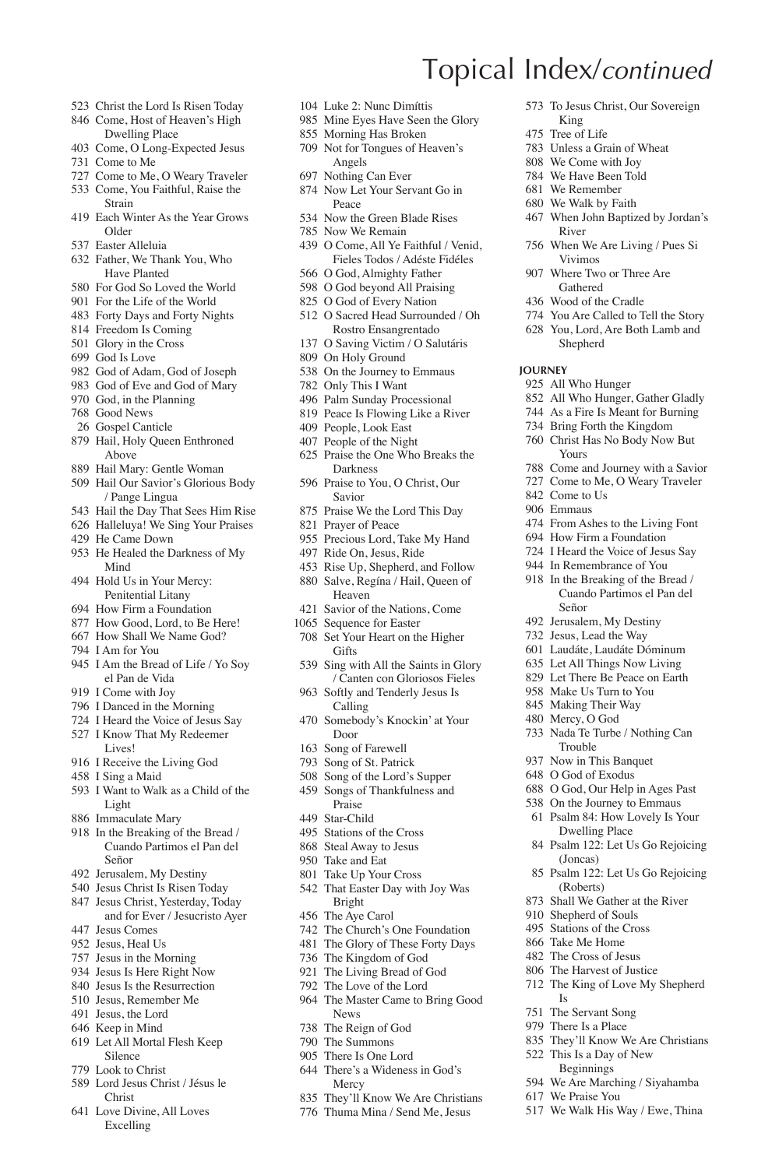- Christ the Lord Is Risen Today
- Come, Host of Heaven's High Dwelling Place
- Come, O Long-Expected Jesus
- Come to Me
- Come to Me, O Weary Traveler
- Come, You Faithful, Raise the Strain
- Each Winter As the Year Grows Older
- Easter Alleluia
- Father, We Thank You, Who Have Planted
- For God So Loved the World
- For the Life of the World
- Forty Days and Forty Nights
- Freedom Is Coming
- Glory in the Cross
- God Is Love
- God of Adam, God of Joseph
- God of Eve and God of Mary
- God, in the Planning
- Good News
- Gospel Canticle
- Hail, Holy Queen Enthroned Above
- Hail Mary: Gentle Woman
- Hail Our Savior's Glorious Body / Pange Lingua
- Hail the Day That Sees Him Rise
- Halleluya! We Sing Your Praises
- He Came Down
- He Healed the Darkness of My Mind
- Hold Us in Your Mercy: Penitential Litany
- How Firm a Foundation
- How Good, Lord, to Be Here!
- How Shall We Name God?
- I Am for You
- I Am the Bread of Life / Yo Soy el Pan de Vida
- I Come with Joy
- I Danced in the Morning
- I Heard the Voice of Jesus Say
- I Know That My Redeemer Lives!
- I Receive the Living God
- I Sing a Maid
- I Want to Walk as a Child of the Light
- Immaculate Mary
- In the Breaking of the Bread / Cuando Partimos el Pan del Señor
- Jerusalem, My Destiny
- Jesus Christ Is Risen Today
- Jesus Christ, Yesterday, Today and for Ever / Jesucristo Ayer
- Jesus Comes
- 952 Jesus, Heal Us
- Jesus in the Morning
- Jesus Is Here Right Now
- Jesus Is the Resurrection
- Jesus, Remember Me
- Jesus, the Lord
- Keep in Mind
- Let All Mortal Flesh Keep Silence
- Look to Christ
- Lord Jesus Christ / Jésus le Christ
- Love Divine, All Loves Excelling
- Luke 2: Nunc Dimíttis
- Mine Eyes Have Seen the Glory

King Tree of Life Unless a Grain of Wheat We Come with Joy We Have Been Told We Remember We Walk by Faith

River

All Who Hunger

Yours

 Come to Us Emmaus

Señor Jerusalem, My Destiny Jesus, Lead the Way Laudáte, Laudáte Dóminum Let All Things Now Living Let There Be Peace on Earth Make Us Turn to You Making Their Way Mercy, O God

**Journey**

To Jesus Christ, Our Sovereign

When John Baptized by Jordan's

 When We Are Living / Pues Si Vivimos Where Two or Three Are Gathered Wood of the Cradle You Are Called to Tell the Story You, Lord, Are Both Lamb and Shepherd

 All Who Hunger, Gather Gladly As a Fire Is Meant for Burning Bring Forth the Kingdom Christ Has No Body Now But

 Come and Journey with a Savior Come to Me, O Weary Traveler

 From Ashes to the Living Font How Firm a Foundation I Heard the Voice of Jesus Say In Remembrance of You In the Breaking of the Bread / Cuando Partimos el Pan del

 Nada Te Turbe / Nothing Can Trouble Now in This Banquet O God of Exodus O God, Our Help in Ages Past On the Journey to Emmaus Psalm 84: How Lovely Is Your Dwelling Place Psalm 122: Let Us Go Rejoicing

Psalm 122: Let Us Go Rejoicing

 They'll Know We Are Christians This Is a Day of New Beginnings We Are Marching / Siyahamba

We Walk His Way / Ewe, Thina

(Joncas)

(Roberts) Shall We Gather at the River Shepherd of Souls Stations of the Cross Take Me Home The Cross of Jesus The Harvest of Justice The King of Love My Shepherd

Is The Servant Song There Is a Place

We Praise You

- Morning Has Broken
- Not for Tongues of Heaven's Angels
- Nothing Can Ever
- Now Let Your Servant Go in Peace
- Now the Green Blade Rises
- Now We Remain
- O Come, All Ye Faithful / Venid, Fieles Todos / Adéste Fidéles
- O God, Almighty Father
- O God beyond All Praising
- O God of Every Nation
- O Sacred Head Surrounded / Oh Rostro Ensangrentado
- O Saving Victim / O Salutáris
- On Holy Ground
- On the Journey to Emmaus
- Only This I Want
- Palm Sunday Processional
- Peace Is Flowing Like a River
- People, Look East
- People of the Night
- Praise the One Who Breaks the Darkness
- Praise to You, O Christ, Our Savior
- Praise We the Lord This Day
- Prayer of Peace
- Precious Lord, Take My Hand
- Ride On, Jesus, Ride
- Rise Up, Shepherd, and Follow
- Salve, Regína / Hail, Queen of Heaven
- Savior of the Nations, Come
- Sequence for Easter
- Set Your Heart on the Higher Gifts
- Sing with All the Saints in Glory / Canten con Gloriosos Fieles
- Softly and Tenderly Jesus Is Calling
- Somebody's Knockin' at Your Door
- Song of Farewell
- Song of St. Patrick
- Song of the Lord's Supper
- Songs of Thankfulness and Praise

That Easter Day with Joy Was

 The Church's One Foundation The Glory of These Forty Days The Kingdom of God The Living Bread of God The Love of the Lord The Master Came to Bring Good

 They'll Know We Are Christians Thuma Mina / Send Me, Jesus

- Star-Child
- Stations of the Cross
- Steal Away to Jesus Take and Eat
- Take Up Your Cross Bright

The Aye Carol

News The Reign of God The Summons There Is One Lord There's a Wideness in God's Mercy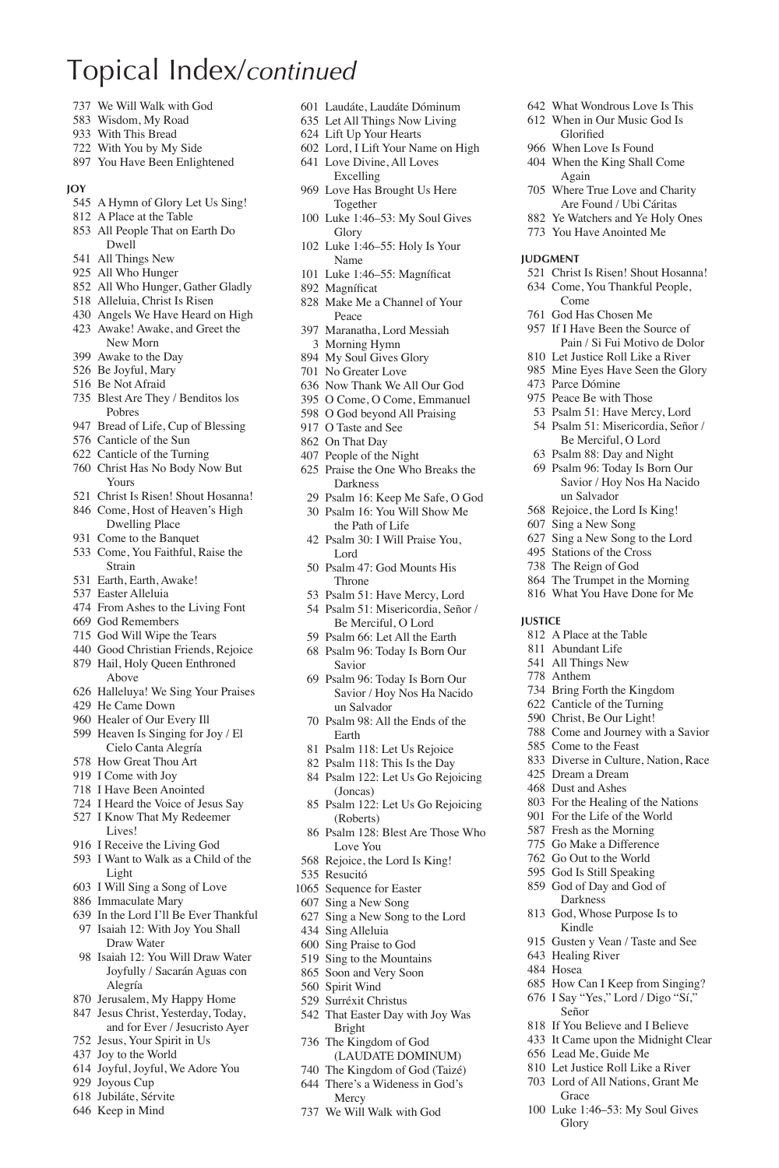- We Will Walk with God
- Wisdom, My Road
- With This Bread
- With You by My Side
- You Have Been Enlightened

#### **Joy**

- A Hymn of Glory Let Us Sing!
- A Place at the Table
- All People That on Earth Do Dwell
- All Things New
- All Who Hunger
- All Who Hunger, Gather Gladly
- Alleluia, Christ Is Risen
- Angels We Have Heard on High
- Awake! Awake, and Greet the New Morn
- Awake to the Day
- Be Joyful, Mary
- Be Not Afraid
- Blest Are They / Benditos los Pobres
- Bread of Life, Cup of Blessing
- Canticle of the Sun
- Canticle of the Turning
- Christ Has No Body Now But Yours
- Christ Is Risen! Shout Hosanna!
- Come, Host of Heaven's High Dwelling Place
- 931 Come to the Banquet
- Come, You Faithful, Raise the Strain
- Earth, Earth, Awake!
- Easter Alleluia
- From Ashes to the Living Font
- God Remembers
- God Will Wipe the Tears
- Good Christian Friends, Rejoice Hail, Holy Queen Enthroned Above
- Halleluya! We Sing Your Praises
- He Came Down
- Healer of Our Every Ill
- Heaven Is Singing for Joy / El Cielo Canta Alegría
- How Great Thou Art
- I Come with Joy
- I Have Been Anointed
- I Heard the Voice of Jesus Say
- I Know That My Redeemer Lives!
- I Receive the Living God
- I Want to Walk as a Child of the Light
- I Will Sing a Song of Love
- Immaculate Mary
- In the Lord I'll Be Ever Thankful
- Isaiah 12: With Joy You Shall Draw Water
- Isaiah 12: You Will Draw Water Joyfully / Sacarán Aguas con Alegría
- Jerusalem, My Happy Home
- Jesus Christ, Yesterday, Today, and for Ever / Jesucristo Ayer
- Jesus, Your Spirit in Us
- Joy to the World
- Joyful, Joyful, We Adore You
- Joyous Cup
- Jubiláte, Sérvite
- Keep in Mind

Laudáte, Laudáte Dóminum

 What Wondrous Love Is This When in Our Music God Is Glorified When Love Is Found When the King Shall Come Again

 Where True Love and Charity Are Found / Ubi Cáritas Ye Watchers and Ye Holy Ones You Have Anointed Me

 Christ Is Risen! Shout Hosanna! Come, You Thankful People,

**Judgment**

Come God Has Chosen Me If I Have Been the Source of Pain / Si Fui Motivo de Dolor Let Justice Roll Like a River Mine Eyes Have Seen the Glory

 Parce Dómine Peace Be with Those Psalm 51: Have Mercy, Lord Psalm 51: Misericordia, Señor / Be Merciful, O Lord Psalm 88: Day and Night Psalm 96: Today Is Born Our Savior / Hoy Nos Ha Nacido

un Salvador Rejoice, the Lord Is King! Sing a New Song Sing a New Song to the Lord Stations of the Cross The Reign of God The Trumpet in the Morning What You Have Done for Me

 A Place at the Table Abundant Life All Things New Anthem

Come to the Feast

 Dream a Dream Dust and Ashes

 Healing River Hosea

Señor

Grace

Glory

 Bring Forth the Kingdom Canticle of the Turning Christ, Be Our Light! Come and Journey with a Savior

Diverse in Culture, Nation, Race

 For the Healing of the Nations For the Life of the World Fresh as the Morning Go Make a Difference Go Out to the World God Is Still Speaking God of Day and God of Darkness God, Whose Purpose Is to Kindle

Gusten y Vean / Taste and See

 How Can I Keep from Singing? I Say "Yes," Lord / Digo "Sí,"

 If You Believe and I Believe It Came upon the Midnight Clear Lead Me, Guide Me Let Justice Roll Like a River Lord of All Nations, Grant Me

Luke 1:46–53: My Soul Gives

**Justice**

- Let All Things Now Living
- Lift Up Your Hearts
- Lord, I Lift Your Name on High Love Divine, All Loves Excelling
- Love Has Brought Us Here Together
- Luke 1:46–53: My Soul Gives Glory
- Luke 1:46–55: Holy Is Your Name
- 101 Luke 1:46–55: Magníficat 892 Magníficat
- Make Me a Channel of Your
- Peace
- Maranatha, Lord Messiah Morning Hymn
- My Soul Gives Glory
- No Greater Love
- Now Thank We All Our God
- O Come, O Come, Emmanuel
- O God beyond All Praising
- O Taste and See
- On That Day
- People of the Night
- Praise the One Who Breaks the Darkness
- Psalm 16: Keep Me Safe, O God
- Psalm 16: You Will Show Me the Path of Life
- Psalm 30: I Will Praise You, Lord
- Psalm 47: God Mounts His Throne
- Psalm 51: Have Mercy, Lord
- Psalm 51: Misericordia, Señor / Be Merciful, O Lord
- Psalm 66: Let All the Earth
- Psalm 96: Today Is Born Our Savior
- Psalm 96: Today Is Born Our Savior / Hoy Nos Ha Nacido un Salvador
- Psalm 98: All the Ends of the Earth
- Psalm 118: Let Us Rejoice
- Psalm 118: This Is the Day
- Psalm 122: Let Us Go Rejoicing (Joncas)
- Psalm 122: Let Us Go Rejoicing (Roberts)
- Psalm 128: Blest Are Those Who Love You
- Rejoice, the Lord Is King!
- Resucitó
- Sequence for Easter
- Sing a New Song
- Sing a New Song to the Lord
- Sing Alleluia

 Spirit Wind Surréxit Christus That Easter Day with Joy Was

Bright The Kingdom of God (LAUDATE DOMINUM) The Kingdom of God (Taizé) There's a Wideness in God's Mercy We Will Walk with God

 Sing Praise to God Sing to the Mountains Soon and Very Soon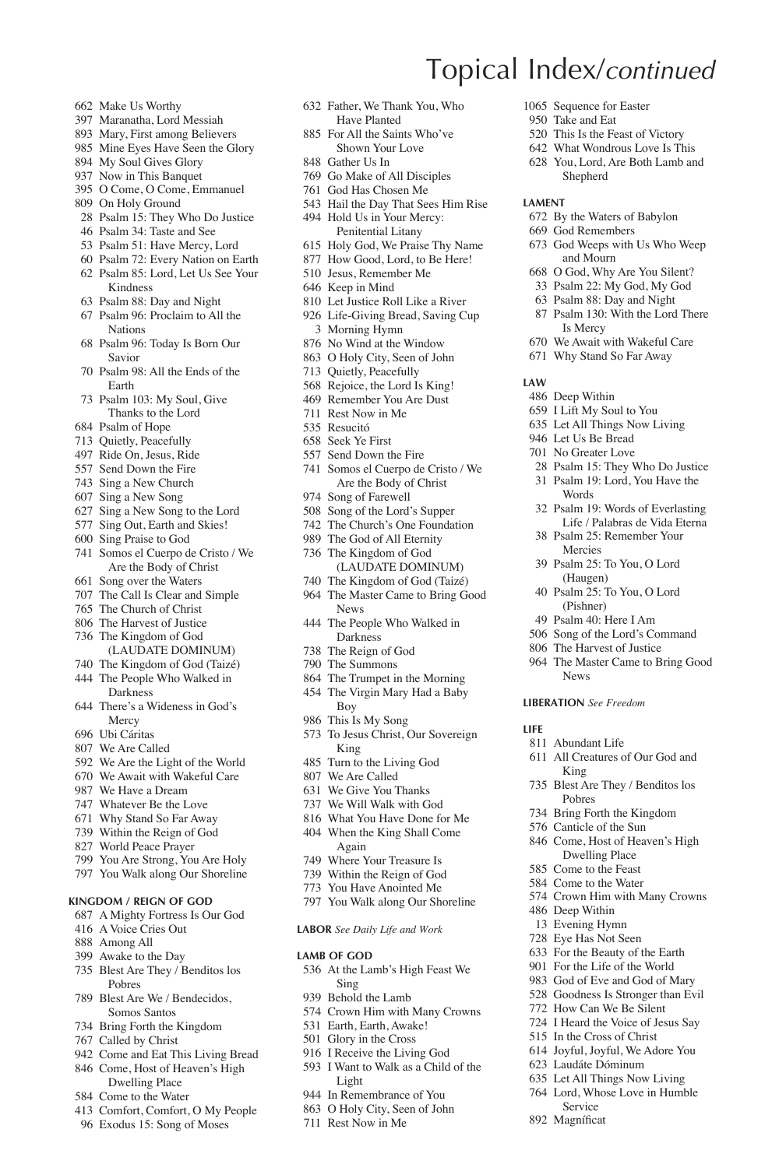- Make Us Worthy
- Maranatha, Lord Messiah
- Mary, First among Believers
- Mine Eyes Have Seen the Glory
- My Soul Gives Glory
- Now in This Banquet
- O Come, O Come, Emmanuel
- On Holy Ground
- Psalm 15: They Who Do Justice
- Psalm 34: Taste and See
- Psalm 51: Have Mercy, Lord
- Psalm 72: Every Nation on Earth Psalm 85: Lord, Let Us See Your Kindness
- Psalm 88: Day and Night
- Psalm 96: Proclaim to All the Nations
- Psalm 96: Today Is Born Our Savior
- Psalm 98: All the Ends of the Earth
- Psalm 103: My Soul, Give Thanks to the Lord
- Psalm of Hope
- Quietly, Peacefully
- Ride On, Jesus, Ride
- Send Down the Fire
- Sing a New Church
- Sing a New Song
- Sing a New Song to the Lord
- Sing Out, Earth and Skies!
- Sing Praise to God
- Somos el Cuerpo de Cristo / We Are the Body of Christ
- Song over the Waters
- The Call Is Clear and Simple
- The Church of Christ
- The Harvest of Justice
- The Kingdom of God (LAUDATE DOMINUM)
- The Kingdom of God (Taizé)
- The People Who Walked in Darkness
- There's a Wideness in God's **Mercy**
- Ubi Cáritas
- We Are Called
- We Are the Light of the World
- We Await with Wakeful Care
- We Have a Dream
- Whatever Be the Love
- Why Stand So Far Away
- Within the Reign of God
- World Peace Prayer
- You Are Strong, You Are Holy
- You Walk along Our Shoreline

### **Kingdom / Reign of God**

- A Mighty Fortress Is Our God
- A Voice Cries Out
- Among All
- Awake to the Day
- Blest Are They / Benditos los Pobres
- Blest Are We / Bendecidos, Somos Santos
- Bring Forth the Kingdom
- Called by Christ
- Come and Eat This Living Bread
- Come, Host of Heaven's High
- Dwelling Place Come to the Water
- 
- Comfort, Comfort, O My People
- Exodus 15: Song of Moses

 Father, We Thank You, Who Have Planted

Topical Index/*continued*

**Lament**

**Law**

 Sequence for Easter Take and Eat

 This Is the Feast of Victory What Wondrous Love Is This You, Lord, Are Both Lamb and Shepherd

 By the Waters of Babylon God Remembers

Is Mercy We Await with Wakeful Care Why Stand So Far Away

 Deep Within I Lift My Soul to You Let All Things Now Living Let Us Be Bread No Greater Love

Words

News **Liberation** *See Freedom*

Abundant Life

King

 Deep Within Evening Hymn Eye Has Not Seen For the Beauty of the Earth For the Life of the World God of Eve and God of Mary Goodness Is Stronger than Evil How Can We Be Silent I Heard the Voice of Jesus Say In the Cross of Christ Joyful, Joyful, We Adore You Laudáte Dóminum Let All Things Now Living Lord, Whose Love in Humble Service 892 Magníficat

All Creatures of Our God and

 Blest Are They / Benditos los Pobres Bring Forth the Kingdom Canticle of the Sun Come, Host of Heaven's High Dwelling Place Come to the Feast Come to the Water Crown Him with Many Crowns

**Life**

 God Weeps with Us Who Weep and Mourn O God, Why Are You Silent? Psalm 22: My God, My God Psalm 88: Day and Night Psalm 130: With the Lord There

 Psalm 15: They Who Do Justice Psalm 19: Lord, You Have the

 Psalm 19: Words of Everlasting Life / Palabras de Vida Eterna Psalm 25: Remember Your Mercies Psalm 25: To You, O Lord (Haugen) Psalm 25: To You, O Lord (Pishner) Psalm 40: Here I Am Song of the Lord's Command The Harvest of Justice The Master Came to Bring Good

- For All the Saints Who've Shown Your Love
- Gather Us In
- Go Make of All Disciples
- God Has Chosen Me
- Hail the Day That Sees Him Rise Hold Us in Your Mercy:
- Penitential Litany
- Holy God, We Praise Thy Name How Good, Lord, to Be Here!
- Jesus, Remember Me
- Keep in Mind
- Let Justice Roll Like a River
- Life-Giving Bread, Saving Cup
- Morning Hymn
- No Wind at the Window
- O Holy City, Seen of John
- Quietly, Peacefully
- Rejoice, the Lord Is King!
- Remember You Are Dust
- Rest Now in Me
- Resucitó
- Seek Ye First
- Send Down the Fire
- Somos el Cuerpo de Cristo / We Are the Body of Christ
- Song of Farewell
- Song of the Lord's Supper
- The Church's One Foundation
- The God of All Eternity The Kingdom of God
- (LAUDATE DOMINUM) The Kingdom of God (Taizé)
- The Master Came to Bring Good News
- The People Who Walked in Darkness
- The Reign of God
- The Summons
- The Trumpet in the Morning
- The Virgin Mary Had a Baby
- Boy
- This Is My Song
- To Jesus Christ, Our Sovereign King
- Turn to the Living God

 We Will Walk with God What You Have Done for Me When the King Shall Come Again Where Your Treasure Is Within the Reign of God You Have Anointed Me You Walk along Our Shoreline **Labor** *See Daily Life and Work*

At the Lamb's High Feast We

 Crown Him with Many Crowns Earth, Earth, Awake! Glory in the Cross I Receive the Living God I Want to Walk as a Child of the

 We Are Called We Give You Thanks

**LAMB** OF GOD

Sing Behold the Lamb

Light In Remembrance of You O Holy City, Seen of John Rest Now in Me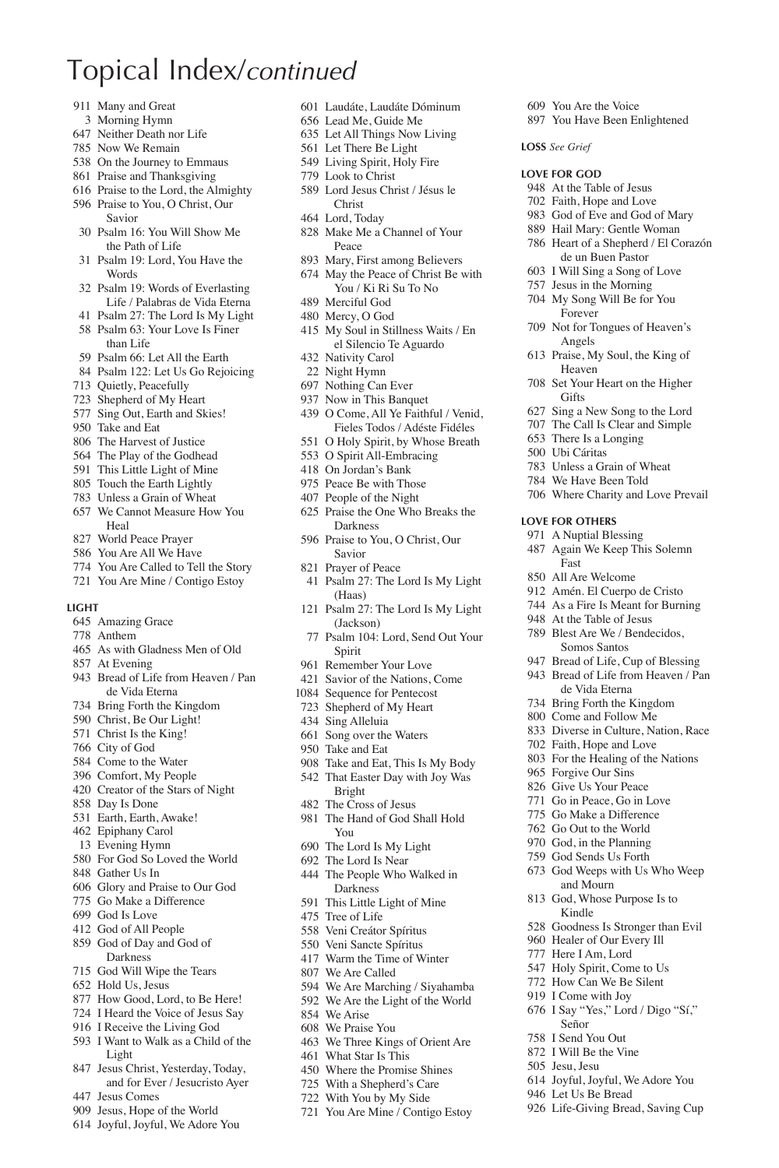- Many and Great
- Morning Hymn
- Neither Death nor Life
- Now We Remain
- On the Journey to Emmaus
- Praise and Thanksgiving
- Praise to the Lord, the Almighty
- Praise to You, O Christ, Our Savior
- Psalm 16: You Will Show Me the Path of Life
- Psalm 19: Lord, You Have the **Words**
- Psalm 19: Words of Everlasting Life / Palabras de Vida Eterna
- Psalm 27: The Lord Is My Light
- Psalm 63: Your Love Is Finer than Life
- Psalm 66: Let All the Earth
- Psalm 122: Let Us Go Rejoicing
- Quietly, Peacefully
- Shepherd of My Heart
- Sing Out, Earth and Skies!
- Take and Eat
- The Harvest of Justice
- The Play of the Godhead
- This Little Light of Mine
- Touch the Earth Lightly
- Unless a Grain of Wheat
- We Cannot Measure How You **Heal**
- World Peace Prayer
- You Are All We Have
- You Are Called to Tell the Story You Are Mine / Contigo Estoy
- 

#### **Light**

- Amazing Grace
- Anthem
- As with Gladness Men of Old
- At Evening
- Bread of Life from Heaven / Pan de Vida Eterna
- Bring Forth the Kingdom
- Christ, Be Our Light!
- Christ Is the King!
- City of God
- Come to the Water
- Comfort, My People
- Creator of the Stars of Night
- Day Is Done
- Earth, Earth, Awake!
- Epiphany Carol
- Evening Hymn
- For God So Loved the World
- Gather Us In
- Glory and Praise to Our God
- Go Make a Difference
- God Is Love
- God of All People
- God of Day and God of Darkness
- God Will Wipe the Tears
- Hold Us, Jesus
- How Good, Lord, to Be Here!
- I Heard the Voice of Jesus Say
- I Receive the Living God
- I Want to Walk as a Child of the Light
- Jesus Christ, Yesterday, Today, and for Ever / Jesucristo Ayer
- Jesus Comes
- Jesus, Hope of the World
- Joyful, Joyful, We Adore You

Laudáte, Laudáte Dóminum

 You Are the Voice You Have Been Enlightened

**Loss** *See Grief* **Love for God** At the Table of Jesus Faith, Hope and Love God of Eve and God of Mary Hail Mary: Gentle Woman Heart of a Shepherd / El Corazón de un Buen Pastor I Will Sing a Song of Love Jesus in the Morning My Song Will Be for You Forever Not for Tongues of Heaven's Angels Praise, My Soul, the King of Heaven Set Your Heart on the Higher

**Gifts** 

**Love for Others** A Nuptial Blessing Again We Keep This Solemn

Fast All Are Welcome Amén. El Cuerpo de Cristo As a Fire Is Meant for Burning At the Table of Jesus Blest Are We / Bendecidos, Somos Santos Bread of Life, Cup of Blessing Bread of Life from Heaven / Pan de Vida Eterna Bring Forth the Kingdom Come and Follow Me Diverse in Culture, Nation, Race Faith, Hope and Love For the Healing of the Nations Forgive Our Sins Give Us Your Peace Go in Peace, Go in Love Go Make a Difference Go Out to the World God, in the Planning God Sends Us Forth God Weeps with Us Who Weep and Mourn God, Whose Purpose Is to Kindle

 Sing a New Song to the Lord The Call Is Clear and Simple There Is a Longing Ubi Cáritas Unless a Grain of Wheat We Have Been Told Where Charity and Love Prevail

 Goodness Is Stronger than Evil Healer of Our Every Ill Here I Am, Lord Holy Spirit, Come to Us How Can We Be Silent I Come with Joy I Say "Yes," Lord / Digo "Sí,"

 Joyful, Joyful, We Adore You Let Us Be Bread

Life-Giving Bread, Saving Cup

Señor I Send You Out I Will Be the Vine Jesu, Jesu

- Lead Me, Guide Me
- Let All Things Now Living Let There Be Light
- Living Spirit, Holy Fire
- Look to Christ
- Lord Jesus Christ / Jésus le
	- Christ
- Lord, Today
- Make Me a Channel of Your Peace
- Mary, First among Believers
- May the Peace of Christ Be with You / Ki Ri Su To No
- Merciful God
- Mercy, O God
- My Soul in Stillness Waits / En el Silencio Te Aguardo
- Nativity Carol
- Night Hymn
- Nothing Can Ever
- Now in This Banquet
- O Come, All Ye Faithful / Venid, Fieles Todos / Adéste Fidéles
- O Holy Spirit, by Whose Breath
- O Spirit All-Embracing
- On Jordan's Bank
- Peace Be with Those
- People of the Night
- Praise the One Who Breaks the Darkness
- Praise to You, O Christ, Our Savior
- Prayer of Peace
- Psalm 27: The Lord Is My Light (Haas)
- Psalm 27: The Lord Is My Light (Jackson)
- Psalm 104: Lord, Send Out Your Spirit
- Remember Your Love
- Savior of the Nations, Come

 Take and Eat, This Is My Body That Easter Day with Joy Was

 We Are Marching / Siyahamba We Are the Light of the World

 We Three Kings of Orient Are What Star Is This Where the Promise Shines With a Shepherd's Care With You by My Side You Are Mine / Contigo Estoy

- Sequence for Pentecost
- Shepherd of My Heart
- Sing Alleluia

Bright The Cross of Jesus The Hand of God Shall Hold

You The Lord Is My Light The Lord Is Near The People Who Walked in Darkness This Little Light of Mine Tree of Life Veni Creátor Spíritus Veni Sancte Spíritus Warm the Time of Winter We Are Called

 We Arise We Praise You

 Song over the Waters Take and Eat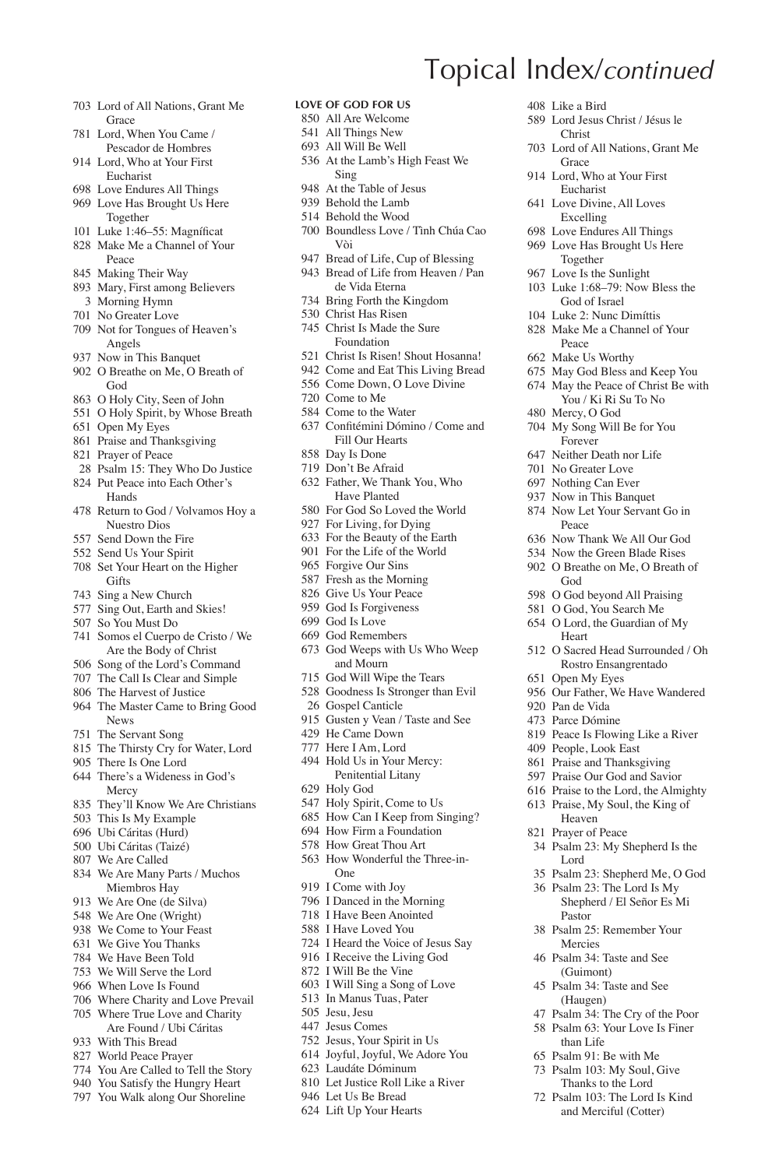- Lord of All Nations, Grant Me **Grace**
- Lord, When You Came / Pescador de Hombres
- Lord, Who at Your First Eucharist
- Love Endures All Things Love Has Brought Us Here
- Together 101 Luke 1:46–55: Magníficat
- Make Me a Channel of Your Peace
- Making Their Way
- Mary, First among Believers
- Morning Hymn
- No Greater Love
- Not for Tongues of Heaven's Angels
- Now in This Banquet
- O Breathe on Me, O Breath of God
- O Holy City, Seen of John
- O Holy Spirit, by Whose Breath
- Open My Eyes
- Praise and Thanksgiving
- Prayer of Peace
- Psalm 15: They Who Do Justice Put Peace into Each Other's
- Hands
- Return to God / Volvamos Hoy a Nuestro Dios
- Send Down the Fire
- Send Us Your Spirit
- Set Your Heart on the Higher **Gifts**
- Sing a New Church
- Sing Out, Earth and Skies!
- So You Must Do
- Somos el Cuerpo de Cristo / We Are the Body of Christ
- Song of the Lord's Command
- The Call Is Clear and Simple
- The Harvest of Justice
- The Master Came to Bring Good News
- The Servant Song
- The Thirsty Cry for Water, Lord
- There Is One Lord
- There's a Wideness in God's Mercy
- They'll Know We Are Christians
- This Is My Example
- Ubi Cáritas (Hurd)
- Ubi Cáritas (Taizé)
- We Are Called
- We Are Many Parts / Muchos Miembros Hay
- We Are One (de Silva)
- 
- 
- 
- 
- We Will Serve the Lord
- When Love Is Found
- Where Charity and Love Prevail Where True Love and Charity
- 
- 
- You Are Called to Tell the Story
- You Satisfy the Hungry Heart
- You Walk along Our Shoreline

- 
- 
- We Are One (Wright)
- We Come to Your Feast
- We Give You Thanks
- We Have Been Told
- 
- 
- 
- 
- 
- -
- 
- 
- Are Found / Ubi Cáritas
- With This Bread
- World Peace Prayer
- 
- -

### **Love of God for Us**

- All Are Welcome
- All Things New
- All Will Be Well
- At the Lamb's High Feast We Sing

Topical Index/*continued*

Like a Bird

**Grace**  Lord, Who at Your First Eucharist Love Divine, All Loves Excelling Love Endures All Things Love Has Brought Us Here Together Love Is the Sunlight Luke 1:68–79: Now Bless the God of Israel Luke 2: Nunc Dimíttis Make Me a Channel of Your

Peace Make Us Worthy May God Bless and Keep You May the Peace of Christ Be with You / Ki Ri Su To No

 Mercy, O God My Song Will Be for You Forever Neither Death nor Life No Greater Love Nothing Can Ever Now in This Banquet Now Let Your Servant Go in

Peace

God

Heart

Open My Eyes

 Pan de Vida Parce Dómine

Lord

Pastor Psalm 25: Remember Your Mercies Psalm 34: Taste and See (Guimont) Psalm 34: Taste and See (Haugen) Psalm 34: The Cry of the Poor Psalm 63: Your Love Is Finer than Life Psalm 91: Be with Me Psalm 103: My Soul, Give Thanks to the Lord Psalm 103: The Lord Is Kind and Merciful (Cotter)

 Now Thank We All Our God Now the Green Blade Rises O Breathe on Me, O Breath of

 O God beyond All Praising O God, You Search Me O Lord, the Guardian of My

 O Sacred Head Surrounded / Oh Rostro Ensangrentado

Our Father, We Have Wandered

 Peace Is Flowing Like a River People, Look East Praise and Thanksgiving Praise Our God and Savior Praise to the Lord, the Almighty Praise, My Soul, the King of Heaven Prayer of Peace

Psalm 23: My Shepherd Is the

 Psalm 23: Shepherd Me, O God Psalm 23: The Lord Is My Shepherd / El Señor Es Mi

 Lord Jesus Christ / Jésus le Christ

Lord of All Nations, Grant Me

- At the Table of Jesus
- Behold the Lamb
- Behold the Wood
- Boundless Love / Tình Chúa Cao Vòi
- Bread of Life, Cup of Blessing
- Bread of Life from Heaven / Pan de Vida Eterna
- Bring Forth the Kingdom
- Christ Has Risen
- Christ Is Made the Sure Foundation
- Christ Is Risen! Shout Hosanna!
- Come and Eat This Living Bread
- Come Down, O Love Divine Come to Me
- Come to the Water
- 637 Confitémini Dómino / Come and
- Fill Our Hearts Day Is Done
- Don't Be Afraid
- Father, We Thank You, Who Have Planted For God So Loved the World

 God Weeps with Us Who Weep and Mourn God Will Wipe the Tears Goodness Is Stronger than Evil

 Gospel Canticle Gusten y Vean / Taste and See

 He Came Down Here I Am, Lord Hold Us in Your Mercy: Penitential Litany

 Holy Spirit, Come to Us How Can I Keep from Singing? How Firm a Foundation How Great Thou Art How Wonderful the Three-in-

Holy God

One I Come with Joy I Danced in the Morning I Have Been Anointed I Have Loved You I Heard the Voice of Jesus Say I Receive the Living God I Will Be the Vine I Will Sing a Song of Love In Manus Tuas, Pater Jesu, Jesu Jesus Comes Jesus, Your Spirit in Us Joyful, Joyful, We Adore You Laudáte Dóminum Let Justice Roll Like a River Let Us Be Bread Lift Up Your Hearts

 For Living, for Dying For the Beauty of the Earth For the Life of the World Forgive Our Sins Fresh as the Morning Give Us Your Peace God Is Forgiveness God Is Love God Remembers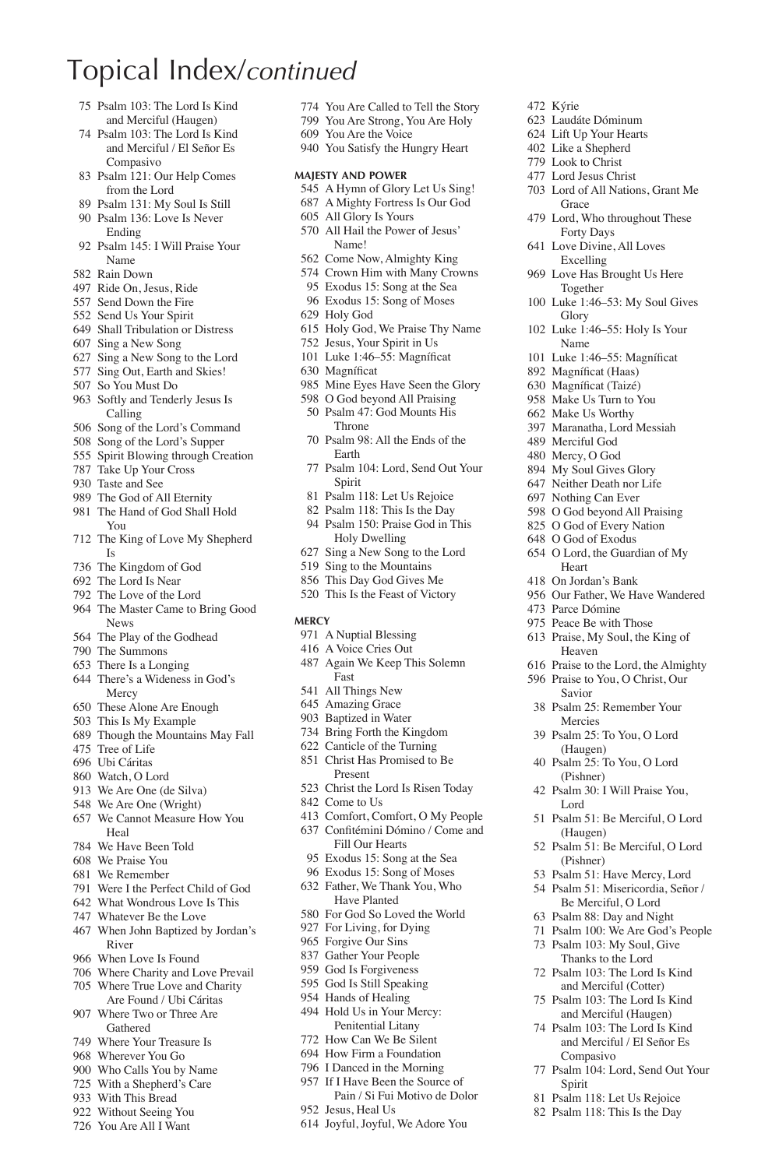- Psalm 103: The Lord Is Kind and Merciful (Haugen)
- Psalm 103: The Lord Is Kind and Merciful / El Señor Es Compasivo
- Psalm 121: Our Help Comes from the Lord
- Psalm 131: My Soul Is Still
- Psalm 136: Love Is Never Ending
- Psalm 145: I Will Praise Your Name
- Rain Down
- Ride On, Jesus, Ride
- Send Down the Fire
- Send Us Your Spirit
- Shall Tribulation or Distress
- Sing a New Song
- Sing a New Song to the Lord
- Sing Out, Earth and Skies!
- So You Must Do
- Softly and Tenderly Jesus Is Calling
- Song of the Lord's Command
- Song of the Lord's Supper
- Spirit Blowing through Creation
- Take Up Your Cross
- Taste and See
- The God of All Eternity
- The Hand of God Shall Hold You
- The King of Love My Shepherd Is
- The Kingdom of God
- The Lord Is Near
- The Love of the Lord
- The Master Came to Bring Good News
- The Play of the Godhead
- The Summons
- There Is a Longing
- There's a Wideness in God's Mercy
- These Alone Are Enough
- This Is My Example
- Though the Mountains May Fall
- Tree of Life
- Ubi Cáritas
- Watch, O Lord
- We Are One (de Silva)
- We Are One (Wright)
- We Cannot Measure How You Heal
- We Have Been Told
- We Praise You
- We Remember
- Were I the Perfect Child of God
- What Wondrous Love Is This
- Whatever Be the Love
- When John Baptized by Jordan's River
- When Love Is Found
- Where Charity and Love Prevail Where True Love and Charity
- Are Found / Ubi Cáritas Where Two or Three Are
- Gathered
- Where Your Treasure Is Wherever You Go
- 
- Who Calls You by Name
- With a Shepherd's Care
- With This Bread
- Without Seeing You
- You Are All I Want

You Are Called to Tell the Story

 Kýrie Laudáte Dóminum Lift Up Your Hearts Like a Shepherd Look to Christ Lord Jesus Christ Lord of All Nations, Grant Me

**Grace** 

Glory Luke 1:46–55: Holy Is Your Name 101 Luke 1:46–55: Magníficat 892 Magníficat (Haas) 630 Magníficat (Taizé) Make Us Turn to You Make Us Worthy Maranatha, Lord Messiah Merciful God Mercy, O God My Soul Gives Glory Neither Death nor Life Nothing Can Ever O God beyond All Praising O God of Every Nation O God of Exodus O Lord, the Guardian of My **Heart** On Jordan's Bank

 Lord, Who throughout These Forty Days Love Divine, All Loves Excelling Love Has Brought Us Here Together Luke 1:46–53: My Soul Gives

Our Father, We Have Wandered

 Praise to the Lord, the Almighty Praise to You, O Christ, Our Savior Psalm 25: Remember Your Mercies Psalm 25: To You, O Lord (Haugen) Psalm 25: To You, O Lord (Pishner) Psalm 30: I Will Praise You,

Psalm 51: Be Merciful, O Lord

Psalm 51: Be Merciful, O Lord

 Parce Dómine Peace Be with Those Praise, My Soul, the King of Heaven

Lord

(Haugen)

(Pishner) Psalm 51: Have Mercy, Lord Psalm 51: Misericordia, Señor / Be Merciful, O Lord Psalm 88: Day and Night Psalm 100: We Are God's People Psalm 103: My Soul, Give Thanks to the Lord Psalm 103: The Lord Is Kind and Merciful (Cotter) Psalm 103: The Lord Is Kind and Merciful (Haugen) Psalm 103: The Lord Is Kind and Merciful / El Señor Es

Compasivo

Spirit Psalm 118: Let Us Rejoice Psalm 118: This Is the Day

Psalm 104: Lord, Send Out Your

- You Are Strong, You Are Holy
- You Are the Voice
- You Satisfy the Hungry Heart

### **Majesty and Power**

- A Hymn of Glory Let Us Sing!
- A Mighty Fortress Is Our God
- All Glory Is Yours
- All Hail the Power of Jesus' Name!
- Come Now, Almighty King
- Crown Him with Many Crowns
- Exodus 15: Song at the Sea Exodus 15: Song of Moses
- Holy God
- Holy God, We Praise Thy Name
- 
- Jesus, Your Spirit in Us 101 Luke 1:46–55: Magníficat
- 630 Magníficat
- 
- Mine Eyes Have Seen the Glory O God beyond All Praising
- Psalm 47: God Mounts His Throne
- Psalm 98: All the Ends of the Earth
- Psalm 104: Lord, Send Out Your Spirit
- Psalm 118: Let Us Rejoice
- Psalm 118: This Is the Day
- Psalm 150: Praise God in This Holy Dwelling
- Sing a New Song to the Lord
- Sing to the Mountains
- This Day God Gives Me
- This Is the Feast of Victory

#### **Mercy**

- A Nuptial Blessing
- A Voice Cries Out
- Again We Keep This Solemn Fast
- All Things New
- Amazing Grace
- Baptized in Water

Jesus, Heal Us

Joyful, Joyful, We Adore You

- Bring Forth the Kingdom
- Canticle of the Turning
- Christ Has Promised to Be Present
- Christ the Lord Is Risen Today Come to Us

 Comfort, Comfort, O My People 637 Confitémini Dómino / Come and Fill Our Hearts Exodus 15: Song at the Sea Exodus 15: Song of Moses Father, We Thank You, Who Have Planted For God So Loved the World For Living, for Dying Forgive Our Sins Gather Your People God Is Forgiveness God Is Still Speaking Hands of Healing Hold Us in Your Mercy: Penitential Litany How Can We Be Silent How Firm a Foundation I Danced in the Morning If I Have Been the Source of Pain / Si Fui Motivo de Dolor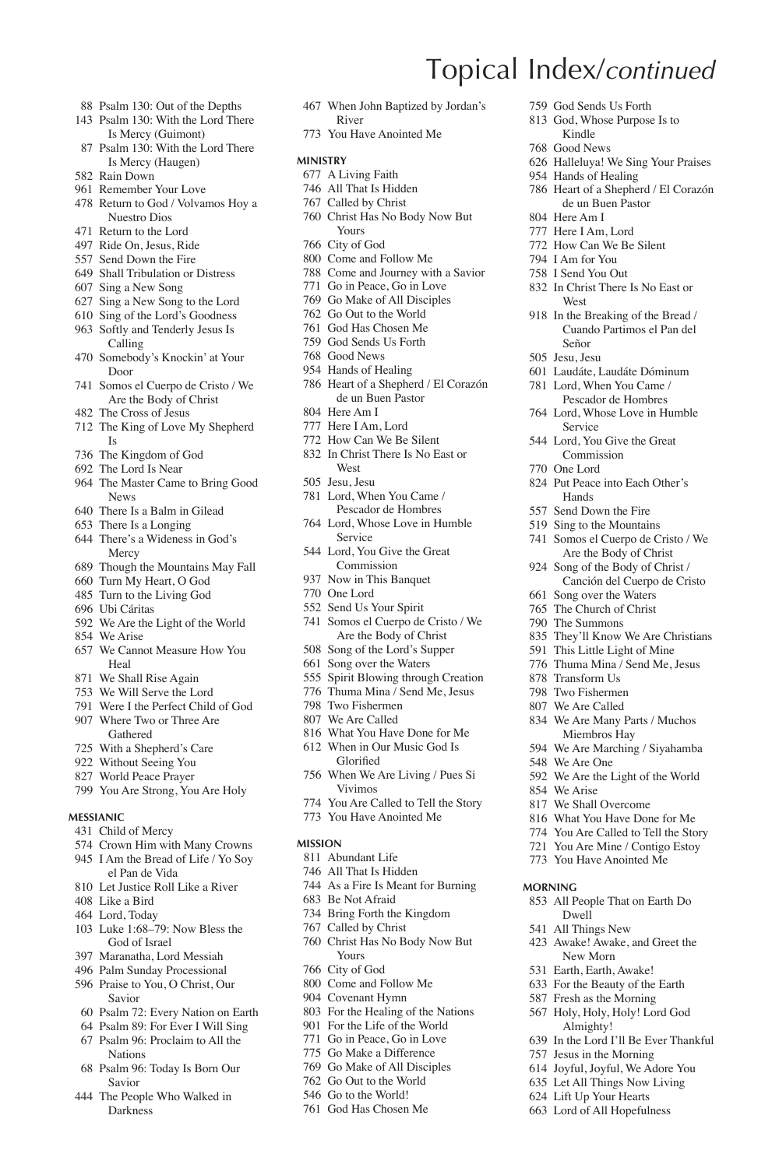- Psalm 130: Out of the Depths
- Psalm 130: With the Lord There Is Mercy (Guimont)
- Psalm 130: With the Lord There Is Mercy (Haugen)
- Rain Down
- Remember Your Love
- Return to God / Volvamos Hoy a Nuestro Dios
- Return to the Lord
- Ride On, Jesus, Ride
- Send Down the Fire
- Shall Tribulation or Distress
- Sing a New Song
- Sing a New Song to the Lord
- Sing of the Lord's Goodness
- Softly and Tenderly Jesus Is Calling
- Somebody's Knockin' at Your Door
- Somos el Cuerpo de Cristo / We Are the Body of Christ
- The Cross of Jesus
- The King of Love My Shepherd Is
- The Kingdom of God
- The Lord Is Near
- The Master Came to Bring Good News
- There Is a Balm in Gilead
- There Is a Longing
- There's a Wideness in God's Mercy
- Though the Mountains May Fall
- Turn My Heart, O God
- Turn to the Living God
- Ubi Cáritas
- We Are the Light of the World
- We Arise
- We Cannot Measure How You Heal
- We Shall Rise Again
- We Will Serve the Lord
- Were I the Perfect Child of God
- Where Two or Three Are Gathered
- With a Shepherd's Care
- Without Seeing You
- World Peace Prayer
- You Are Strong, You Are Holy

#### **Messianic**

- Child of Mercy
- Crown Him with Many Crowns I Am the Bread of Life / Yo Soy el Pan de Vida
- Let Justice Roll Like a River
- Like a Bird
- Lord, Today
- Luke 1:68–79: Now Bless the God of Israel
- Maranatha, Lord Messiah
- Palm Sunday Processional Praise to You, O Christ, Our
- Savior
- Psalm 72: Every Nation on Earth
- Psalm 89: For Ever I Will Sing
- Psalm 96: Proclaim to All the Nations
- Psalm 96: Today Is Born Our Savior
- The People Who Walked in Darkness

 When John Baptized by Jordan's River

Topical Index/*continued*

 God Sends Us Forth God, Whose Purpose Is to Kindle Good News

Hands of Healing

 Here Am I Here I Am, Lord How Can We Be Silent I Am for You I Send You Out In Christ There Is No East or

West

Señor Jesu, Jesu

Halleluya! We Sing Your Praises

 Heart of a Shepherd / El Corazón de un Buen Pastor

 In the Breaking of the Bread / Cuando Partimos el Pan del

 Laudáte, Laudáte Dóminum Lord, When You Came / Pescador de Hombres Lord, Whose Love in Humble Service Lord, You Give the Great Commission One Lord

 Put Peace into Each Other's Hands Send Down the Fire Sing to the Mountains Somos el Cuerpo de Cristo / We Are the Body of Christ Song of the Body of Christ / Canción del Cuerpo de Cristo

 Song over the Waters The Church of Christ The Summons

 Transform Us Two Fishermen We Are Called

We Are One

 We Arise We Shall Overcome What You Have Done for Me You Are Called to Tell the Story You Are Mine / Contigo Estoy You Have Anointed Me

**Morning**

 They'll Know We Are Christians This Little Light of Mine Thuma Mina / Send Me, Jesus

 We Are Many Parts / Muchos Miembros Hay We Are Marching / Siyahamba

We Are the Light of the World

 All People That on Earth Do Dwell All Things New Awake! Awake, and Greet the New Morn Earth, Earth, Awake! For the Beauty of the Earth Fresh as the Morning Holy, Holy, Holy! Lord God Almighty!

 In the Lord I'll Be Ever Thankful Jesus in the Morning Joyful, Joyful, We Adore You Let All Things Now Living Lift Up Your Hearts Lord of All Hopefulness

You Have Anointed Me

#### **Ministry**

- A Living Faith
- All That Is Hidden
- Called by Christ
- Christ Has No Body Now But Yours
- City of God
- Come and Follow Me
- Come and Journey with a Savior
- Go in Peace, Go in Love
- Go Make of All Disciples
- Go Out to the World
- God Has Chosen Me
- God Sends Us Forth
- Good News
- Hands of Healing Heart of a Shepherd / El Corazón de un Buen Pastor
- Here Am I
- Here I Am, Lord
- How Can We Be Silent
- In Christ There Is No East or West
- Jesu, Jesu
- Lord, When You Came / Pescador de Hombres
- Lord, Whose Love in Humble Service
- Lord, You Give the Great Commission
- Now in This Banquet
- One Lord
- Send Us Your Spirit
- Somos el Cuerpo de Cristo / We Are the Body of Christ
- Song of the Lord's Supper
- Song over the Waters
- Spirit Blowing through Creation
- Thuma Mina / Send Me, Jesus
- Two Fishermen
- We Are Called
- What You Have Done for Me
- When in Our Music God Is Glorified
- When We Are Living / Pues Si Vivimos
- You Are Called to Tell the Story
- You Have Anointed Me

#### **Mission**

- Abundant Life
- All That Is Hidden
- As a Fire Is Meant for Burning

Christ Has No Body Now But

 For the Healing of the Nations For the Life of the World Go in Peace, Go in Love Go Make a Difference Go Make of All Disciples Go Out to the World Go to the World! God Has Chosen Me

Be Not Afraid

Yours City of God Come and Follow Me Covenant Hymn

 Bring Forth the Kingdom Called by Christ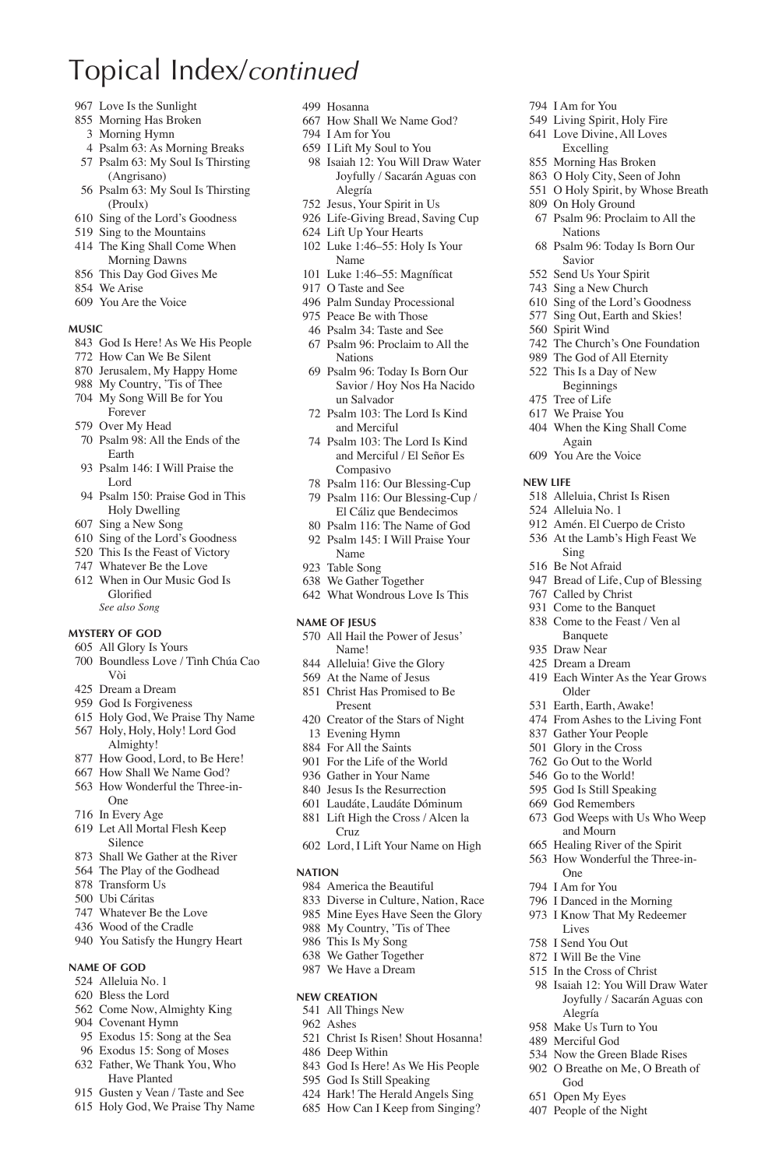- Love Is the Sunlight
- Morning Has Broken
- Morning Hymn
- Psalm 63: As Morning Breaks
- Psalm 63: My Soul Is Thirsting (Angrisano)
- Psalm 63: My Soul Is Thirsting (Proulx)
- Sing of the Lord's Goodness
- Sing to the Mountains
- The King Shall Come When Morning Dawns
- This Day God Gives Me
- We Arise
- You Are the Voice

#### **Music**

- God Is Here! As We His People
- How Can We Be Silent
- Jerusalem, My Happy Home
- My Country, 'Tis of Thee My Song Will Be for You
- Forever Over My Head
- 
- Psalm 98: All the Ends of the Earth
- Psalm 146: I Will Praise the Lord
- Psalm 150: Praise God in This Holy Dwelling
- Sing a New Song
- Sing of the Lord's Goodness
- This Is the Feast of Victory
- Whatever Be the Love
- When in Our Music God Is Glorified  *See also Song*

#### **Mystery of God**

- All Glory Is Yours Boundless Love / Tình Chúa Cao
- Vòi Dream a Dream
- God Is Forgiveness
- Holy God, We Praise Thy Name
- Holy, Holy, Holy! Lord God Almighty!
- How Good, Lord, to Be Here!
- How Shall We Name God?
- How Wonderful the Three-in-One
- In Every Age
- Let All Mortal Flesh Keep Silence
- Shall We Gather at the River
- The Play of the Godhead
- Transform Us
- Ubi Cáritas
- Whatever Be the Love
- Wood of the Cradle
- You Satisfy the Hungry Heart

### **Name of God**

- Alleluia No. 1
- Bless the Lord
- Come Now, Almighty King
- Covenant Hymn
- Exodus 15: Song at the Sea Exodus 15: Song of Moses
- Father, We Thank You, Who
- Have Planted
- Gusten y Vean / Taste and See
- Holy God, We Praise Thy Name
- Hosanna
- How Shall We Name God?
- I Am for You
- I Lift My Soul to You
- Isaiah 12: You Will Draw Water Joyfully / Sacarán Aguas con Alegría

 I Am for You Living Spirit, Holy Fire Love Divine, All Loves Excelling Morning Has Broken O Holy City, Seen of John O Holy Spirit, by Whose Breath

 On Holy Ground Psalm 96: Proclaim to All the

Nations Psalm 96: Today Is Born Our

Savior Send Us Your Spirit Sing a New Church Sing of the Lord's Goodness Sing Out, Earth and Skies!

Spirit Wind

**New Life**

 The Church's One Foundation The God of All Eternity This Is a Day of New Beginnings Tree of Life We Praise You When the King Shall Come Again You Are the Voice

 Alleluia, Christ Is Risen Alleluia No. 1 Amén. El Cuerpo de Cristo At the Lamb's High Feast We

Bread of Life, Cup of Blessing

Each Winter As the Year Grows

 God Weeps with Us Who Weep and Mourn Healing River of the Spirit How Wonderful the Three-in-

Sing Be Not Afraid

 Called by Christ Come to the Banquet Come to the Feast / Ven al Banquete Draw Near Dream a Dream

Older Earth, Earth, Awake! From Ashes to the Living Font Gather Your People Glory in the Cross Go Out to the World Go to the World! God Is Still Speaking God Remembers

One I Am for You I Danced in the Morning I Know That My Redeemer Lives I Send You Out I Will Be the Vine In the Cross of Christ Isaiah 12: You Will Draw Water Joyfully / Sacarán Aguas con

Alegría Make Us Turn to You Merciful God

God Open My Eyes People of the Night

 Now the Green Blade Rises O Breathe on Me, O Breath of

- Jesus, Your Spirit in Us
- Life-Giving Bread, Saving Cup
- Lift Up Your Hearts
- Luke 1:46–55: Holy Is Your Name
- 101 Luke 1:46–55: Magníficat
- O Taste and See
- Palm Sunday Processional
- Peace Be with Those
- Psalm 34: Taste and See
- Psalm 96: Proclaim to All the Nations
- Psalm 96: Today Is Born Our Savior / Hoy Nos Ha Nacido un Salvador
- Psalm 103: The Lord Is Kind and Merciful
- Psalm 103: The Lord Is Kind and Merciful / El Señor Es Compasivo
- Psalm 116: Our Blessing-Cup
- Psalm 116: Our Blessing-Cup / El Cáliz que Bendecimos
- Psalm 116: The Name of God Psalm 145: I Will Praise Your
- Name
- Table Song We Gather Together
- What Wondrous Love Is This
- 
- **Name of Jesus**
- All Hail the Power of Jesus' Name!
- Alleluia! Give the Glory
- At the Name of Jesus
- Christ Has Promised to Be Present
- Creator of the Stars of Night Evening Hymn
- For All the Saints
- For the Life of the World
- Gather in Your Name
- Jesus Is the Resurrection
- Laudáte, Laudáte Dóminum
- Lift High the Cross / Alcen la Cruz
- Lord, I Lift Your Name on High

#### **Nation**

- America the Beautiful
- Diverse in Culture, Nation, Race
- Mine Eyes Have Seen the Glory

Christ Is Risen! Shout Hosanna!

 God Is Here! As We His People God Is Still Speaking Hark! The Herald Angels Sing How Can I Keep from Singing?

- My Country, 'Tis of Thee
- This Is My Song We Gather Together We Have a Dream

**New Creation** All Things New Ashes

Deep Within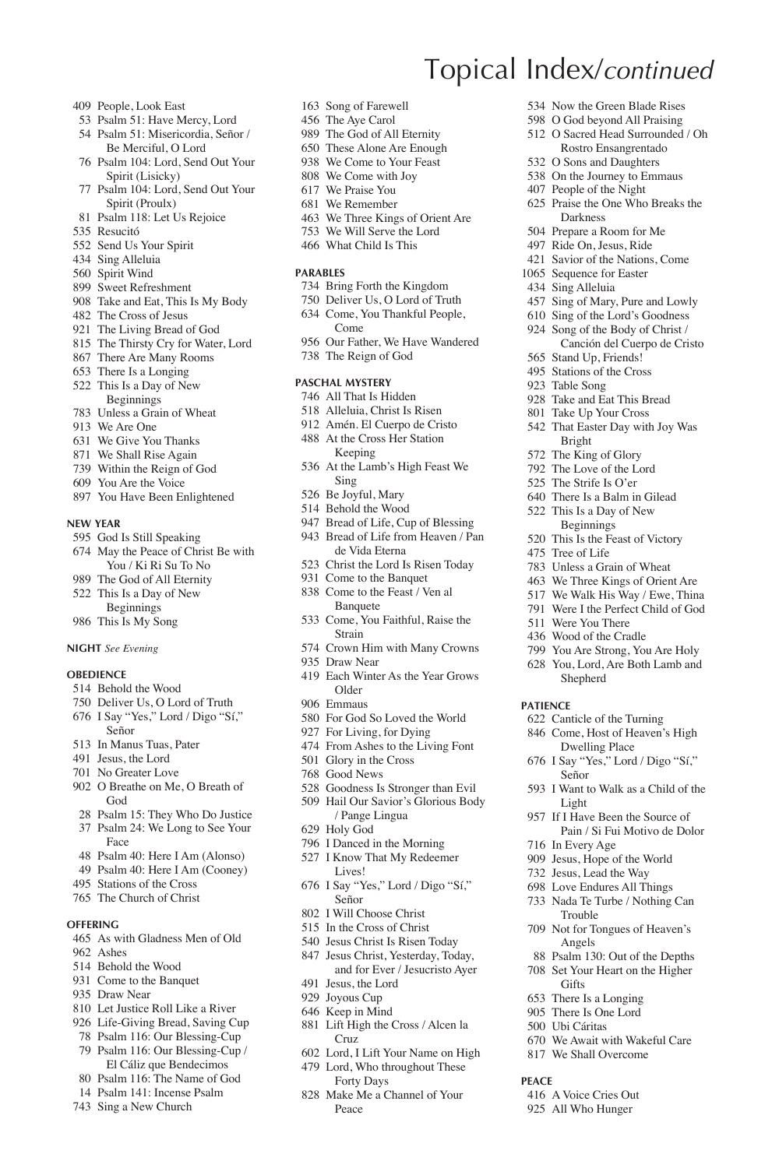- People, Look East
- Psalm 51: Have Mercy, Lord
- Psalm 51: Misericordia, Señor / Be Merciful, O Lord
- Psalm 104: Lord, Send Out Your Spirit (Lisicky)
- Psalm 104: Lord, Send Out Your Spirit (Proulx)
- Psalm 118: Let Us Rejoice
- Resucitó
- Send Us Your Spirit
- Sing Alleluia
- Spirit Wind
- Sweet Refreshment
- Take and Eat, This Is My Body
- The Cross of Jesus
- The Living Bread of God
- The Thirsty Cry for Water, Lord
- There Are Many Rooms
- There Is a Longing
- This Is a Day of New Beginnings
- Unless a Grain of Wheat
- We Are One
- We Give You Thanks
- We Shall Rise Again
- Within the Reign of God
- You Are the Voice
- You Have Been Enlightened

#### **New Year**

- God Is Still Speaking
- May the Peace of Christ Be with You / Ki Ri Su To No
- The God of All Eternity This Is a Day of New
- Beginnings
- This Is My Song

### **Night** *See Evening*

### **OBEDIENCE**

- Behold the Wood
- Deliver Us, O Lord of Truth I Say "Yes," Lord / Digo "Sí,"
- Señor
- In Manus Tuas, Pater
- Jesus, the Lord
- No Greater Love
- O Breathe on Me, O Breath of God
- Psalm 15: They Who Do Justice
- Psalm 24: We Long to See Your Face
- Psalm 40: Here I Am (Alonso)
- Psalm 40: Here I Am (Cooney)
- Stations of the Cross
- The Church of Christ
- **Offering**
- As with Gladness Men of Old
- Ashes
- Behold the Wood
- Come to the Banquet
- Draw Near
- Let Justice Roll Like a River
- Life-Giving Bread, Saving Cup
- Psalm 116: Our Blessing-Cup Psalm 116: Our Blessing-Cup /
- El Cáliz que Bendecimos
- Psalm 116: The Name of God
- Psalm 141: Incense Psalm
- Sing a New Church
- Song of Farewell
- The Aye Carol
- The God of All Eternity
- These Alone Are Enough

Topical Index/*continued*

 Now the Green Blade Rises O God beyond All Praising O Sacred Head Surrounded / Oh Rostro Ensangrentado O Sons and Daughters On the Journey to Emmaus People of the Night Praise the One Who Breaks the Darkness Prepare a Room for Me Ride On, Jesus, Ride Savior of the Nations, Come 1065 Sequence for Easter Sing Alleluia

 Sing of Mary, Pure and Lowly Sing of the Lord's Goodness Song of the Body of Christ / Canción del Cuerpo de Cristo

 Stand Up, Friends! Stations of the Cross Table Song Take and Eat This Bread Take Up Your Cross That Easter Day with Joy Was

Bright The King of Glory The Love of the Lord The Strife Is O'er There Is a Balm in Gilead This Is a Day of New Beginnings This Is the Feast of Victory

 Tree of Life Unless a Grain of Wheat We Three Kings of Orient Are We Walk His Way / Ewe, Thina Were I the Perfect Child of God

 Were You There Wood of the Cradle You Are Strong, You Are Holy You, Lord, Are Both Lamb and Shepherd

 Canticle of the Turning Come, Host of Heaven's High Dwelling Place I Say "Yes," Lord / Digo "Sí,"

I Want to Walk as a Child of the

 If I Have Been the Source of Pain / Si Fui Motivo de Dolor

 Psalm 130: Out of the Depths Set Your Heart on the Higher

 We Await with Wakeful Care We Shall Overcome

Señor

Light

 In Every Age Jesus, Hope of the World Jesus, Lead the Way Love Endures All Things Nada Te Turbe / Nothing Can Trouble Not for Tongues of Heaven's Angels

**Gifts**  There Is a Longing There Is One Lord 500 Ubi Cáritas

 A Voice Cries Out All Who Hunger

**Peace**

**Patience**

- We Come to Your Feast
- We Come with Joy
- We Praise You
- We Remember
- We Three Kings of Orient Are
- We Will Serve the Lord
- What Child Is This

### **Parables**

- Bring Forth the Kingdom
- Deliver Us, O Lord of Truth
- Come, You Thankful People, Come
- Our Father, We Have Wandered
- The Reign of God

#### **Paschal Mystery**

- All That Is Hidden
- Alleluia, Christ Is Risen
- Amén. El Cuerpo de Cristo
- At the Cross Her Station Keeping
- At the Lamb's High Feast We Sing
- Be Joyful, Mary
- Behold the Wood
- Bread of Life, Cup of Blessing
- Bread of Life from Heaven / Pan de Vida Eterna
- Christ the Lord Is Risen Today
- Come to the Banquet
- Come to the Feast / Ven al Banquete
- Come, You Faithful, Raise the Strain
- Crown Him with Many Crowns
- Draw Near Each Winter As the Year Grows
	- Older
- Emmaus
- For God So Loved the World
- For Living, for Dying
- From Ashes to the Living Font
- Glory in the Cross Good News
- 

Holy God

Señor I Will Choose Christ In the Cross of Christ Jesus Christ Is Risen Today Jesus Christ, Yesterday, Today, and for Ever / Jesucristo Ayer

 Jesus, the Lord Joyous Cup Keep in Mind

Cruz

Peace

 Goodness Is Stronger than Evil Hail Our Savior's Glorious Body / Pange Lingua

 I Danced in the Morning I Know That My Redeemer Lives!

I Say "Yes," Lord / Digo "Sí,"

Lift High the Cross / Alcen la

 Lord, I Lift Your Name on High Lord, Who throughout These Forty Days Make Me a Channel of Your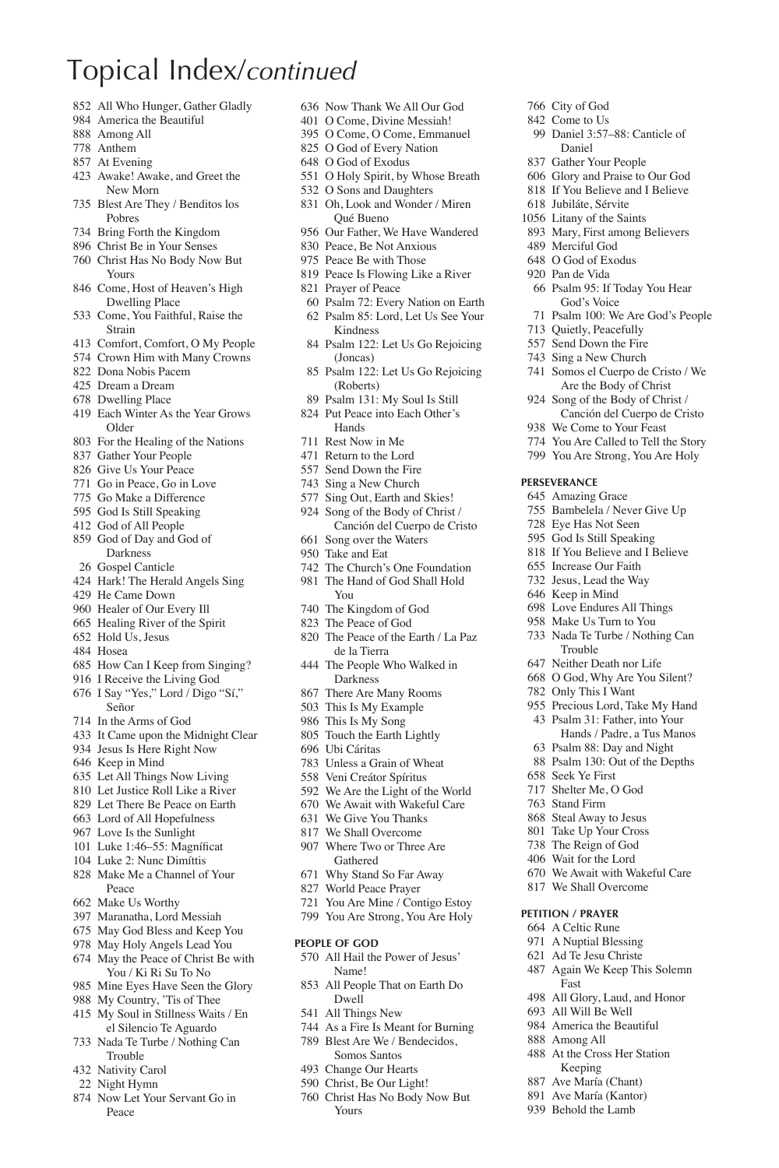- All Who Hunger, Gather Gladly
- America the Beautiful
- Among All
- Anthem
- At Evening
- Awake! Awake, and Greet the New Morn
- Blest Are They / Benditos los Pobres
- Bring Forth the Kingdom
- Christ Be in Your Senses
- Christ Has No Body Now But Yours
- Come, Host of Heaven's High Dwelling Place
- Come, You Faithful, Raise the Strain
- Comfort, Comfort, O My People
- Crown Him with Many Crowns
- Dona Nobis Pacem
- Dream a Dream
- Dwelling Place
- Each Winter As the Year Grows Older
- For the Healing of the Nations
- Gather Your People
- Give Us Your Peace
- Go in Peace, Go in Love
- Go Make a Difference
- God Is Still Speaking
- God of All People
- God of Day and God of Darkness
- Gospel Canticle
- Hark! The Herald Angels Sing
- He Came Down
- Healer of Our Every Ill
- Healing River of the Spirit
- Hold Us, Jesus
- Hosea
- How Can I Keep from Singing?
- I Receive the Living God I Say "Yes," Lord / Digo "Sí,"
- Señor In the Arms of God
- It Came upon the Midnight Clear
- Jesus Is Here Right Now
- Keep in Mind
- Let All Things Now Living
- Let Justice Roll Like a River
- Let There Be Peace on Earth
- Lord of All Hopefulness
- Love Is the Sunlight
- 101 Luke 1:46–55: Magníficat
- Luke 2: Nunc Dimíttis
- Make Me a Channel of Your Peace
- Make Us Worthy
- Maranatha, Lord Messiah
- May God Bless and Keep You
- May Holy Angels Lead You
- May the Peace of Christ Be with You / Ki Ri Su To No Mine Eyes Have Seen the Glory
- My Country, 'Tis of Thee
- My Soul in Stillness Waits / En
- el Silencio Te Aguardo
- Nada Te Turbe / Nothing Can Trouble
- Nativity Carol
- Night Hymn
- Now Let Your Servant Go in Peace

 Now Thank We All Our God O Come, Divine Messiah!

 City of God Come to Us

 Merciful God O God of Exodus Pan de Vida

 Quietly, Peacefully Send Down the Fire Sing a New Church Somos el Cuerpo de Cristo / We Are the Body of Christ Song of the Body of Christ / Canción del Cuerpo de Cristo

 We Come to Your Feast You Are Called to Tell the Story You Are Strong, You Are Holy

**Perseverance** Amazing Grace Bambelela / Never Give Up Eye Has Not Seen God Is Still Speaking If You Believe and I Believe Increase Our Faith Jesus, Lead the Way Keep in Mind Love Endures All Things Make Us Turn to You Nada Te Turbe / Nothing Can Trouble Neither Death nor Life O God, Why Are You Silent? Only This I Want Precious Lord, Take My Hand Psalm 31: Father, into Your Hands / Padre, a Tus Manos Psalm 88: Day and Night Psalm 130: Out of the Depths

 Seek Ye First Shelter Me, O God Stand Firm Steal Away to Jesus Take Up Your Cross The Reign of God Wait for the Lord We Await with Wakeful Care We Shall Overcome **Petition / Prayer** A Celtic Rune A Nuptial Blessing Ad Te Jesu Christe Again We Keep This Solemn

Fast

 All Glory, Laud, and Honor All Will Be Well America the Beautiful Among All At the Cross Her Station Keeping Ave María (Chant) Ave María (Kantor) Behold the Lamb

 Daniel 3:57–88: Canticle of Daniel Gather Your People Glory and Praise to Our God If You Believe and I Believe Jubiláte, Sérvite Litany of the Saints Mary, First among Believers

 Psalm 95: If Today You Hear God's Voice Psalm 100: We Are God's People

- O Come, O Come, Emmanuel
- O God of Every Nation
- O God of Exodus
- O Holy Spirit, by Whose Breath
- O Sons and Daughters
- Oh, Look and Wonder / Miren Qué Bueno
- Our Father, We Have Wandered
- Peace, Be Not Anxious
- Peace Be with Those
- Peace Is Flowing Like a River
- Prayer of Peace
- Psalm 72: Every Nation on Earth
- Psalm 85: Lord, Let Us See Your
- Kindness Psalm 122: Let Us Go Rejoicing (Joncas)
- Psalm 122: Let Us Go Rejoicing (Roberts)
- Psalm 131: My Soul Is Still
- Put Peace into Each Other's Hands
- Rest Now in Me
- Return to the Lord
- Send Down the Fire
- Sing a New Church
- Sing Out, Earth and Skies!
- Song of the Body of Christ / Canción del Cuerpo de Cristo
- Song over the Waters
- Take and Eat
- The Church's One Foundation
- The Hand of God Shall Hold
- You
- The Kingdom of God
- The Peace of God
- The Peace of the Earth / La Paz de la Tierra
- The People Who Walked in Darkness
- There Are Many Rooms
- This Is My Example
- This Is My Song
- Touch the Earth Lightly
- Ubi Cáritas

**People of God**

Dwell All Things New

Yours

- Unless a Grain of Wheat
- Veni Creátor Spíritus We Are the Light of the World

 We Await with Wakeful Care We Give You Thanks We Shall Overcome Where Two or Three Are Gathered Why Stand So Far Away World Peace Prayer You Are Mine / Contigo Estoy You Are Strong, You Are Holy

 All Hail the Power of Jesus' Name! All People That on Earth Do

 As a Fire Is Meant for Burning Blest Are We / Bendecidos, Somos Santos Change Our Hearts Christ, Be Our Light! Christ Has No Body Now But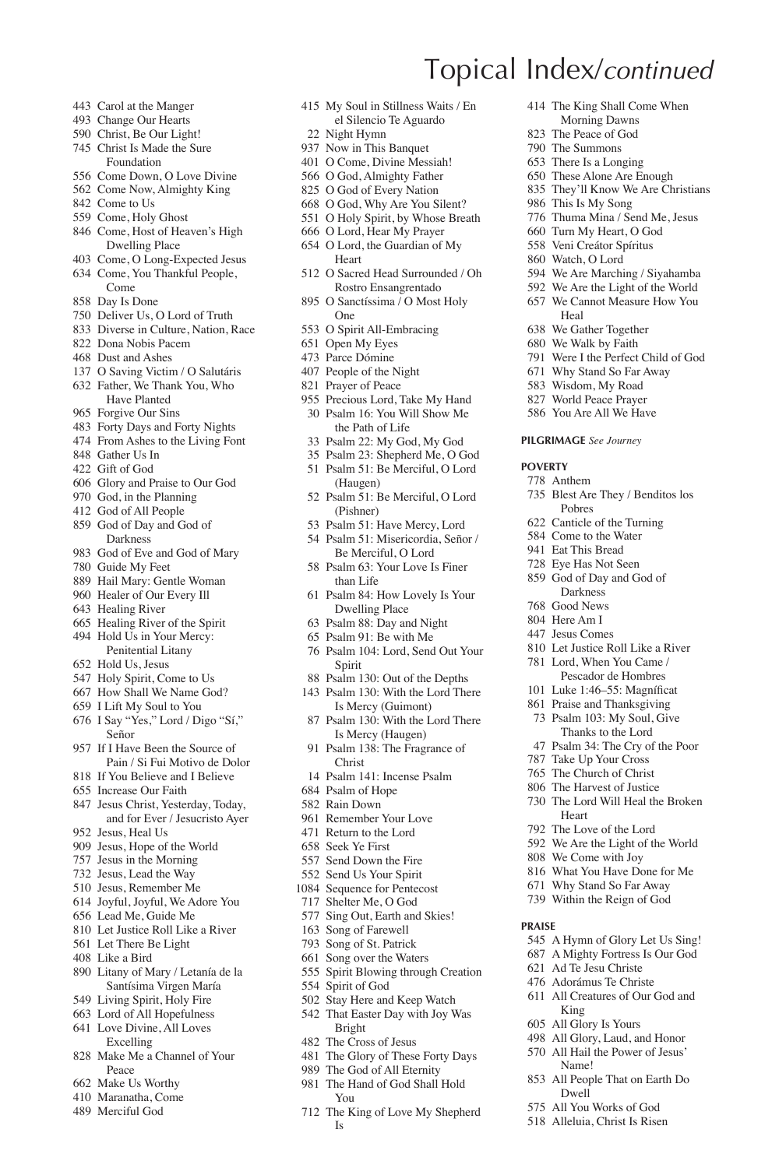- Carol at the Manger
- Change Our Hearts
- Christ, Be Our Light!
- Christ Is Made the Sure Foundation
- Come Down, O Love Divine Come Now, Almighty King
- 
- Come to Us
- Come, Holy Ghost
- Come, Host of Heaven's High Dwelling Place
- Come, O Long-Expected Jesus
- Come, You Thankful People, Come
- Day Is Done
- Deliver Us, O Lord of Truth
- Diverse in Culture, Nation, Race
- Dona Nobis Pacem
- Dust and Ashes
- O Saving Victim / O Salutáris Father, We Thank You, Who
- Have Planted
- Forgive Our Sins
- Forty Days and Forty Nights
- From Ashes to the Living Font
- Gather Us In
- Gift of God
- Glory and Praise to Our God
- God, in the Planning
- God of All People
- God of Day and God of Darkness
- God of Eve and God of Mary
- Guide My Feet
- Hail Mary: Gentle Woman
- Healer of Our Every Ill
- Healing River
- Healing River of the Spirit
- Hold Us in Your Mercy: Penitential Litany
- Hold Us, Jesus
- Holy Spirit, Come to Us
- How Shall We Name God?
- I Lift My Soul to You
- I Say "Yes," Lord / Digo "Sí," Señor
- If I Have Been the Source of Pain / Si Fui Motivo de Dolor
- If You Believe and I Believe
- Increase Our Faith
- Jesus Christ, Yesterday, Today, and for Ever / Jesucristo Ayer
- Jesus, Heal Us
- Jesus, Hope of the World
- Jesus in the Morning
- Jesus, Lead the Way
- Jesus, Remember Me
- Joyful, Joyful, We Adore You
- Lead Me, Guide Me
- Let Justice Roll Like a River
- Let There Be Light
- Like a Bird
- Litany of Mary / Letanía de la Santísima Virgen María
- Living Spirit, Holy Fire
- Lord of All Hopefulness
- Love Divine, All Loves Excelling
- Make Me a Channel of Your Peace
- Make Us Worthy
- Maranatha, Come
- Merciful God

 My Soul in Stillness Waits / En el Silencio Te Aguardo

Topical Index/*continued*

 This Is My Song Thuma Mina / Send Me, Jesus Turn My Heart, O God Veni Creátor Spíritus Watch, O Lord

Heal We Gather Together We Walk by Faith Were I the Perfect Child of God Why Stand So Far Away Wisdom, My Road World Peace Prayer You Are All We Have **Pilgrimage** *See Journey*

**Poverty** Anthem

 The King Shall Come When Morning Dawns The Peace of God The Summons There Is a Longing These Alone Are Enough They'll Know We Are Christians

 We Are Marching / Siyahamba We Are the Light of the World We Cannot Measure How You

 Blest Are They / Benditos los Pobres Canticle of the Turning Come to the Water Eat This Bread Eye Has Not Seen God of Day and God of Darkness Good News Here Am I Jesus Comes

 Let Justice Roll Like a River Lord, When You Came / Pescador de Hombres 101 Luke 1:46–55: Magníficat Praise and Thanksgiving Psalm 103: My Soul, Give Thanks to the Lord Psalm 34: The Cry of the Poor Take Up Your Cross The Church of Christ The Harvest of Justice The Lord Will Heal the Broken

 A Hymn of Glory Let Us Sing! A Mighty Fortress Is Our God Ad Te Jesu Christe Adorámus Te Christe All Creatures of Our God and

Heart The Love of the Lord We Are the Light of the World We Come with Joy What You Have Done for Me Why Stand So Far Away Within the Reign of God

King All Glory Is Yours All Glory, Laud, and Honor All Hail the Power of Jesus' Name! All People That on Earth Do Dwell All You Works of God Alleluia, Christ Is Risen

**Praise**

- Night Hymn
- Now in This Banquet
- O Come, Divine Messiah!
- O God, Almighty Father
- O God of Every Nation
- O God, Why Are You Silent?
- O Holy Spirit, by Whose Breath
- O Lord, Hear My Prayer
- O Lord, the Guardian of My Heart
- O Sacred Head Surrounded / Oh Rostro Ensangrentado
- O Sanctíssima / O Most Holy One
- O Spirit All-Embracing
- Open My Eyes
- Parce Dómine
- People of the Night
- Prayer of Peace
- Precious Lord, Take My Hand Psalm 16: You Will Show Me the Path of Life
- Psalm 22: My God, My God
- Psalm 23: Shepherd Me, O God
- Psalm 51: Be Merciful, O Lord (Haugen)
- Psalm 51: Be Merciful, O Lord (Pishner)
- Psalm 51: Have Mercy, Lord
- Psalm 51: Misericordia, Señor / Be Merciful, O Lord
- Psalm 63: Your Love Is Finer than Life
- Psalm 84: How Lovely Is Your Dwelling Place
- Psalm 88: Day and Night
- Psalm 91: Be with Me
- Psalm 104: Lord, Send Out Your Spirit
- Psalm 130: Out of the Depths
- Psalm 130: With the Lord There
- Is Mercy (Guimont) Psalm 130: With the Lord There Is Mercy (Haugen)
- Psalm 138: The Fragrance of Christ
- Psalm 141: Incense Psalm
- Psalm of Hope
- Rain Down
- Remember Your Love
- Return to the Lord

 Send Us Your Spirit Sequence for Pentecost Shelter Me, O God Sing Out, Earth and Skies! Song of Farewell Song of St. Patrick Song over the Waters Spirit Blowing through Creation

 Seek Ye First Send Down the Fire

Spirit of God

Bright The Cross of Jesus The Glory of These Forty Days The God of All Eternity The Hand of God Shall Hold

You

Is

 Stay Here and Keep Watch That Easter Day with Joy Was

The King of Love My Shepherd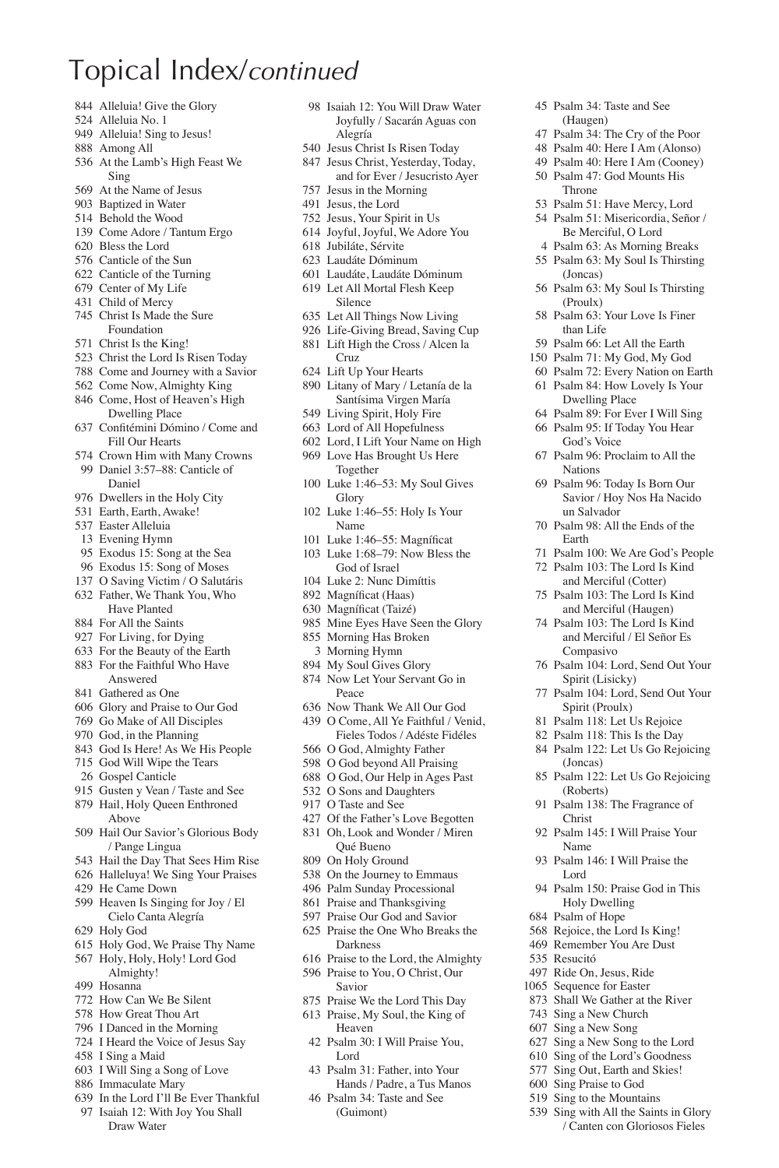- Alleluia! Give the Glory
- Alleluia No. 1
- 949 Alleluia! Sing to Jesus!
- Among All
- At the Lamb's High Feast We Sing
- At the Name of Jesus
- Baptized in Water
- Behold the Wood
- Come Adore / Tantum Ergo
- Bless the Lord
- Canticle of the Sun
- Canticle of the Turning
- Center of My Life
- Child of Mercy
- Christ Is Made the Sure Foundation
- Christ Is the King!
- Christ the Lord Is Risen Today
- Come and Journey with a Savior
- Come Now, Almighty King
- Come, Host of Heaven's High Dwelling Place
- 637 Confitémini Dómino / Come and Fill Our Hearts
- Crown Him with Many Crowns
- Daniel 3:57–88: Canticle of Daniel
- Dwellers in the Holy City
- Earth, Earth, Awake!
- Easter Alleluia
- Evening Hymn
- Exodus 15: Song at the Sea
- Exodus 15: Song of Moses O Saving Victim / O Salutáris
- Father, We Thank You, Who
- Have Planted
- For All the Saints
- For Living, for Dying
- For the Beauty of the Earth For the Faithful Who Have Answered
- Gathered as One
- Glory and Praise to Our God
- Go Make of All Disciples
- God, in the Planning
- God Is Here! As We His People
- God Will Wipe the Tears
- Gospel Canticle
- Gusten y Vean / Taste and See Hail, Holy Queen Enthroned Above
- Hail Our Savior's Glorious Body
- / Pange Lingua Hail the Day That Sees Him Rise
- 
- Halleluya! We Sing Your Praises He Came Down
- 
- Heaven Is Singing for Joy / El Cielo Canta Alegría
- Holy God
- Holy God, We Praise Thy Name Holy, Holy, Holy! Lord God
- Almighty!
- Hosanna
- How Can We Be Silent
- How Great Thou Art
- I Danced in the Morning
- I Heard the Voice of Jesus Say
- I Sing a Maid
- I Will Sing a Song of Love
- Immaculate Mary
- In the Lord I'll Be Ever Thankful
- Isaiah 12: With Joy You Shall Draw Water

 Isaiah 12: You Will Draw Water Joyfully / Sacarán Aguas con Alegría

 Psalm 34: Taste and See (Haugen) Psalm 34: The Cry of the Poor Psalm 40: Here I Am (Alonso) Psalm 40: Here I Am (Cooney) Psalm 47: God Mounts His Throne

 Psalm 51: Have Mercy, Lord Psalm 51: Misericordia, Señor / Be Merciful, O Lord Psalm 63: As Morning Breaks Psalm 63: My Soul Is Thirsting

Psalm 63: My Soul Is Thirsting

 Psalm 63: Your Love Is Finer than Life Psalm 66: Let All the Earth Psalm 71: My God, My God Psalm 72: Every Nation on Earth Psalm 84: How Lovely Is Your Dwelling Place Psalm 89: For Ever I Will Sing Psalm 95: If Today You Hear God's Voice Psalm 96: Proclaim to All the

 Psalm 96: Today Is Born Our Savior / Hoy Nos Ha Nacido

 Psalm 100: We Are God's People Psalm 103: The Lord Is Kind and Merciful (Cotter) Psalm 103: The Lord Is Kind and Merciful (Haugen) Psalm 103: The Lord Is Kind and Merciful / El Señor Es

(Joncas)

(Proulx)

Nations

Earth

un Salvador Psalm 98: All the Ends of the

Compasivo Psalm 104: Lord, Send Out Your Spirit (Lisicky) Psalm 104: Lord, Send Out Your Spirit (Proulx) Psalm 118: Let Us Rejoice Psalm 118: This Is the Day Psalm 122: Let Us Go Rejoicing

(Joncas)

(Roberts) Psalm 138: The Fragrance of

Christ

Name

Lord

 Resucitó Ride On, Jesus, Ride Sequence for Easter Shall We Gather at the River Sing a New Church Sing a New Song Sing a New Song to the Lord Sing of the Lord's Goodness Sing Out, Earth and Skies! Sing Praise to God Sing to the Mountains Sing with All the Saints in Glory / Canten con Gloriosos Fieles

Psalm 122: Let Us Go Rejoicing

Psalm 145: I Will Praise Your

Psalm 146: I Will Praise the

 Psalm 150: Praise God in This Holy Dwelling Psalm of Hope Rejoice, the Lord Is King! Remember You Are Dust

- Jesus Christ Is Risen Today
- Jesus Christ, Yesterday, Today, and for Ever / Jesucristo Ayer Jesus in the Morning
- Jesus, the Lord
- Jesus, Your Spirit in Us
- Joyful, Joyful, We Adore You
- Jubiláte, Sérvite
- Laudáte Dóminum
- Laudáte, Laudáte Dóminum
- Let All Mortal Flesh Keep Silence
- Let All Things Now Living
- Life-Giving Bread, Saving Cup
- Lift High the Cross / Alcen la Cruz
- Lift Up Your Hearts
- Litany of Mary / Letanía de la Santísima Virgen María
- Living Spirit, Holy Fire
- Lord of All Hopefulness
- Lord, I Lift Your Name on High
- Love Has Brought Us Here Together
- Luke 1:46–53: My Soul Gives Glory
- Luke 1:46–55: Holy Is Your Name
- 101 Luke 1:46–55: Magníficat
- Luke 1:68–79: Now Bless the God of Israel
- Luke 2: Nunc Dimíttis
- 892 Magníficat (Haas)
- 630 Magníficat (Taizé)
- Mine Eyes Have Seen the Glory Morning Has Broken
- Morning Hymn
- 
- My Soul Gives Glory
- Now Let Your Servant Go in Peace
- Now Thank We All Our God O Come, All Ye Faithful / Venid,
- Fieles Todos / Adéste Fidéles O God, Almighty Father
- O God beyond All Praising
- O God, Our Help in Ages Past
- O Sons and Daughters
- O Taste and See

Qué Bueno On Holy Ground On the Journey to Emmaus Palm Sunday Processional Praise and Thanksgiving Praise Our God and Savior Praise the One Who Breaks the Darkness

Lord

 Of the Father's Love Begotten Oh, Look and Wonder / Miren

 Praise to the Lord, the Almighty Praise to You, O Christ, Our Savior Praise We the Lord This Day Praise, My Soul, the King of Heaven Psalm 30: I Will Praise You,

 Psalm 31: Father, into Your Hands / Padre, a Tus Manos Psalm 34: Taste and See (Guimont)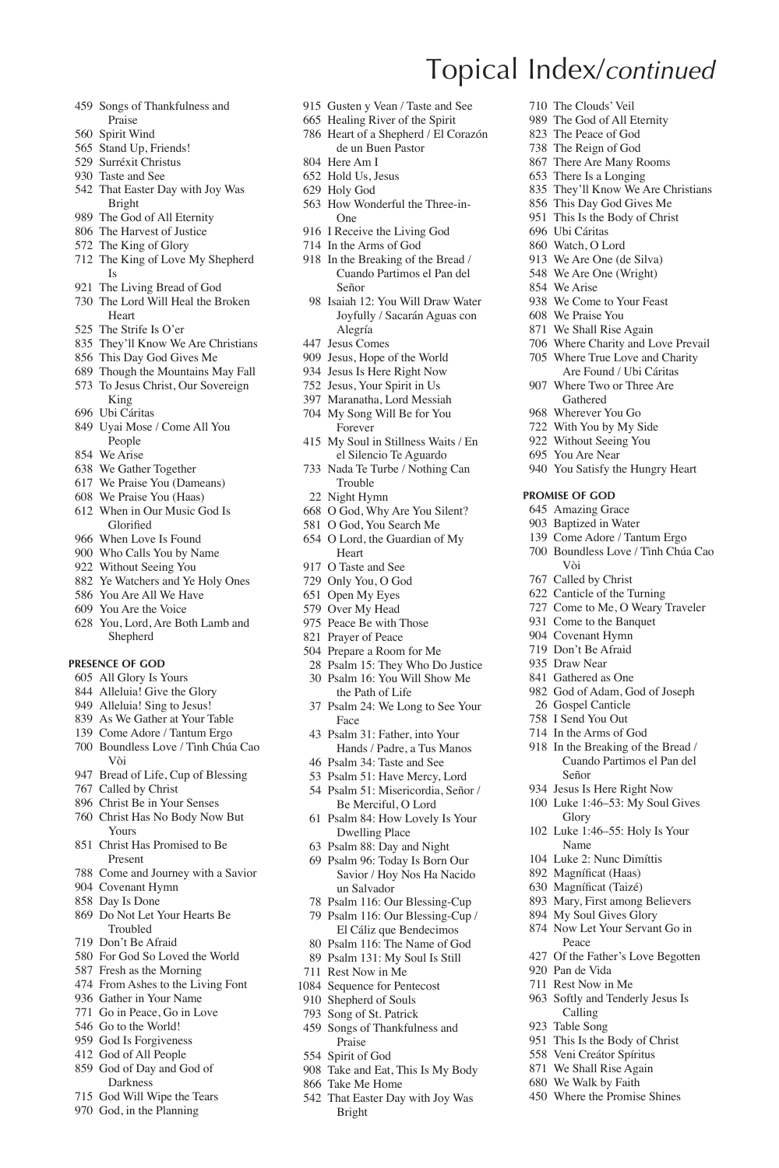- Songs of Thankfulness and Praise
- Spirit Wind
- Stand Up, Friends!
- Surréxit Christus
- Taste and See
- That Easter Day with Joy Was Bright
- The God of All Eternity
- The Harvest of Justice
- The King of Glory
- The King of Love My Shepherd Is
- The Living Bread of God The Lord Will Heal the Broken
- Heart
- The Strife Is O'er
- They'll Know We Are Christians
- This Day God Gives Me Though the Mountains May Fall
- To Jesus Christ, Our Sovereign
- King
- Ubi Cáritas
- Uyai Mose / Come All You **People**
- We Arise
- We Gather Together
- We Praise You (Dameans)
- We Praise You (Haas)
- When in Our Music God Is Glorified
- When Love Is Found
- Who Calls You by Name
- Without Seeing You
- Ye Watchers and Ye Holy Ones
- You Are All We Have You Are the Voice
- 
- You, Lord, Are Both Lamb and Shepherd

### **Presence of God**

- All Glory Is Yours
- Alleluia! Give the Glory
- Alleluia! Sing to Jesus!
- As We Gather at Your Table Come Adore / Tantum Ergo
- 
- Boundless Love / Tình Chúa Cao Vòi
- Bread of Life, Cup of Blessing
- Called by Christ
- Christ Be in Your Senses
- Christ Has No Body Now But Yours
- Christ Has Promised to Be Present
- Come and Journey with a Savior
- Covenant Hymn
- Day Is Done
- Do Not Let Your Hearts Be Troubled
- Don't Be Afraid
- For God So Loved the World
- Fresh as the Morning
- From Ashes to the Living Font
- Gather in Your Name
- Go in Peace, Go in Love Go to the World!
- God Is Forgiveness
- God of All People
- God of Day and God of
- Darkness
- God Will Wipe the Tears
- God, in the Planning
- Gusten y Vean / Taste and See
- Healing River of the Spirit
- Heart of a Shepherd / El Corazón de un Buen Pastor

Topical Index/*continued*

 Ubi Cáritas Watch, O Lord We Are One (de Silva) We Are One (Wright) We Arise

 We Come to Your Feast We Praise You We Shall Rise Again Where Charity and Love Prevail Where True Love and Charity Are Found / Ubi Cáritas Where Two or Three Are Gathered Wherever You Go With You by My Side Without Seeing You You Are Near

You Satisfy the Hungry Heart

**Promise of God** Amazing Grace Baptized in Water Come Adore / Tantum Ergo Boundless Love / Tình Chúa Cao

Vòi Called by Christ Canticle of the Turning Come to Me, O Weary Traveler Come to the Banquet Covenant Hymn Don't Be Afraid Draw Near Gathered as One God of Adam, God of Joseph Gospel Canticle I Send You Out In the Arms of God In the Breaking of the Bread / Cuando Partimos el Pan del

Señor Jesus Is Here Right Now Luke 1:46–53: My Soul Gives

Glory Luke 1:46–55: Holy Is Your Name Luke 2: Nunc Dimíttis 892 Magníficat (Haas) 630 Magníficat (Taizé) Mary, First among Believers My Soul Gives Glory Now Let Your Servant Go in

Peace

 Pan de Vida Rest Now in Me Softly and Tenderly Jesus Is Calling Table Song

Of the Father's Love Begotten

 This Is the Body of Christ Veni Creátor Spíritus We Shall Rise Again We Walk by Faith Where the Promise Shines

 The Clouds' Veil The God of All Eternity The Peace of God The Reign of God There Are Many Rooms There Is a Longing

 They'll Know We Are Christians This Day God Gives Me This Is the Body of Christ

- Here Am I
- Hold Us, Jesus
- Holy God
- How Wonderful the Three-in-One
- I Receive the Living God
- In the Arms of God
- In the Breaking of the Bread / Cuando Partimos el Pan del Señor
- Isaiah 12: You Will Draw Water Joyfully / Sacarán Aguas con Alegría
- Jesus Comes
- Jesus, Hope of the World
- Jesus Is Here Right Now
- Jesus, Your Spirit in Us
- Maranatha, Lord Messiah
- My Song Will Be for You Forever
- My Soul in Stillness Waits / En el Silencio Te Aguardo
- Nada Te Turbe / Nothing Can Trouble
- Night Hymn
- O God, Why Are You Silent?
- O God, You Search Me
- O Lord, the Guardian of My Heart
- O Taste and See
- Only You, O God
- Open My Eyes
- Over My Head
- Peace Be with Those Prayer of Peace
- Prepare a Room for Me
- Psalm 15: They Who Do Justice
- Psalm 16: You Will Show Me
- the Path of Life
- Psalm 24: We Long to See Your Face
- Psalm 31: Father, into Your Hands / Padre, a Tus Manos
- Psalm 34: Taste and See
- Psalm 51: Have Mercy, Lord
- Psalm 51: Misericordia, Señor /
- Be Merciful, O Lord Psalm 84: How Lovely Is Your Dwelling Place
- Psalm 88: Day and Night
- Psalm 96: Today Is Born Our
- Savior / Hoy Nos Ha Nacido un Salvador Psalm 116: Our Blessing-Cup Psalm 116: Our Blessing-Cup /

El Cáliz que Bendecimos Psalm 116: The Name of God Psalm 131: My Soul Is Still Rest Now in Me Sequence for Pentecost Shepherd of Souls Song of St. Patrick Songs of Thankfulness and Praise Spirit of God

Take and Eat, This Is My Body

That Easter Day with Joy Was

Take Me Home

Bright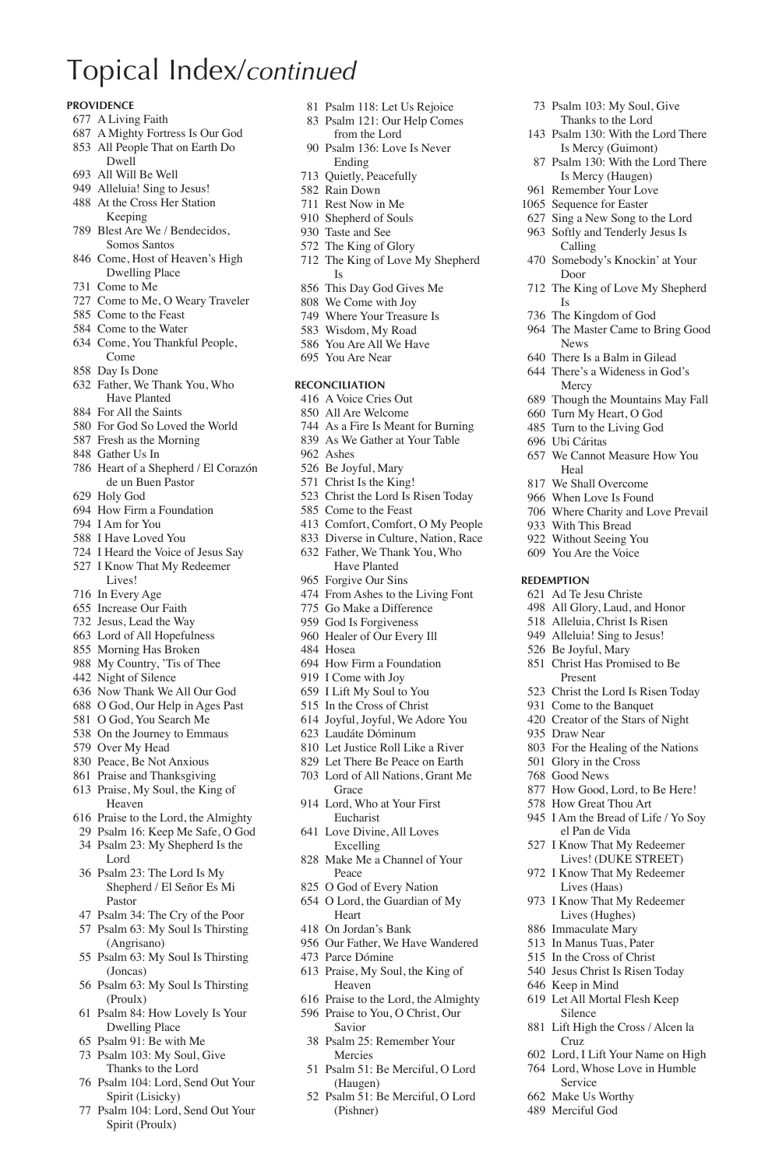### **Providence**

- A Living Faith
- A Mighty Fortress Is Our God
- All People That on Earth Do Dwell
- All Will Be Well
- Alleluia! Sing to Jesus! At the Cross Her Station
- Keeping Blest Are We / Bendecidos,
- Somos Santos
- Come, Host of Heaven's High Dwelling Place
- Come to Me
- Come to Me, O Weary Traveler Come to the Feast
- Come to the Water
- Come, You Thankful People,
- Come Day Is Done
- 
- Father, We Thank You, Who Have Planted
- For All the Saints
- For God So Loved the World
- Fresh as the Morning
- Gather Us In
- Heart of a Shepherd / El Corazón de un Buen Pastor
- Holy God
- How Firm a Foundation
- I Am for You
- I Have Loved You
- I Heard the Voice of Jesus Say I Know That My Redeemer
- Lives!
- In Every Age
- Increase Our Faith
- Jesus, Lead the Way
- Lord of All Hopefulness
- Morning Has Broken
- My Country, 'Tis of Thee
- Night of Silence
- Now Thank We All Our God
- O God, Our Help in Ages Past
- O God, You Search Me
- On the Journey to Emmaus
- Over My Head
- Peace, Be Not Anxious Praise and Thanksgiving
- Praise, My Soul, the King of
- Heaven
- Praise to the Lord, the Almighty
- Psalm 16: Keep Me Safe, O God Psalm 23: My Shepherd Is the
- Lord
- Psalm 23: The Lord Is My Shepherd / El Señor Es Mi Pastor
- Psalm 34: The Cry of the Poor
- Psalm 63: My Soul Is Thirsting (Angrisano)
- Psalm 63: My Soul Is Thirsting (Joncas)
- Psalm 63: My Soul Is Thirsting (Proulx)
- Psalm 84: How Lovely Is Your Dwelling Place
- Psalm 91: Be with Me
- Psalm 103: My Soul, Give Thanks to the Lord
- Psalm 104: Lord, Send Out Your Spirit (Lisicky)
- Psalm 104: Lord, Send Out Your Spirit (Proulx)

Psalm 118: Let Us Rejoice

 Psalm 103: My Soul, Give Thanks to the Lord Psalm 130: With the Lord There Is Mercy (Guimont) Psalm 130: With the Lord There Is Mercy (Haugen) Remember Your Love Sequence for Easter Sing a New Song to the Lord Softly and Tenderly Jesus Is Calling Somebody's Knockin' at Your

Door

News There Is a Balm in Gilead There's a Wideness in God's Mercy

Heal We Shall Overcome When Love Is Found Where Charity and Love Prevail

 With This Bread Without Seeing You You Are the Voice

**Redemption** Ad Te Jesu Christe All Glory, Laud, and Honor Alleluia, Christ Is Risen Alleluia! Sing to Jesus! Be Joyful, Mary Christ Has Promised to Be Present

Draw Near

Cruz

Service Make Us Worthy Merciful God

 Lord, I Lift Your Name on High Lord, Whose Love in Humble

Is The Kingdom of God The Master Came to Bring Good

The King of Love My Shepherd

 Though the Mountains May Fall Turn My Heart, O God Turn to the Living God Ubi Cáritas

We Cannot Measure How You

 Christ the Lord Is Risen Today Come to the Banquet Creator of the Stars of Night

 For the Healing of the Nations Glory in the Cross Good News

 How Good, Lord, to Be Here! How Great Thou Art I Am the Bread of Life / Yo Soy el Pan de Vida I Know That My Redeemer Lives! (DUKE STREET) I Know That My Redeemer Lives (Haas) I Know That My Redeemer Lives (Hughes) Immaculate Mary In Manus Tuas, Pater In the Cross of Christ Jesus Christ Is Risen Today Keep in Mind Let All Mortal Flesh Keep Silence Lift High the Cross / Alcen la

- Psalm 121: Our Help Comes from the Lord
- Psalm 136: Love Is Never Ending
- Quietly, Peacefully
- Rain Down
- Rest Now in Me
- Shepherd of Souls
- Taste and See
- The King of Glory The King of Love My Shepherd
- Is This Day God Gives Me
- We Come with Joy
- Where Your Treasure Is
- Wisdom, My Road
- You Are All We Have
- You Are Near
- **Reconciliation**
- A Voice Cries Out
- All Are Welcome
- As a Fire Is Meant for Burning
- As We Gather at Your Table
- Ashes
- Be Joyful, Mary
- Christ Is the King!
- Christ the Lord Is Risen Today
- Come to the Feast
- Comfort, Comfort, O My People
- Diverse in Culture, Nation, Race
- Father, We Thank You, Who Have Planted Forgive Our Sins
- From Ashes to the Living Font
- Go Make a Difference
- God Is Forgiveness
- Healer of Our Every Ill
- Hosea
- How Firm a Foundation
- I Come with Joy
- I Lift My Soul to You
- In the Cross of Christ
- Joyful, Joyful, We Adore You
- Laudáte Dóminum
- Let Justice Roll Like a River
- Let There Be Peace on Earth
- Lord of All Nations, Grant Me

Our Father, We Have Wandered

 Praise to the Lord, the Almighty Praise to You, O Christ, Our Savior Psalm 25: Remember Your Mercies

Psalm 51: Be Merciful, O Lord

Psalm 51: Be Merciful, O Lord

(Haugen)

(Pishner)

 Praise, My Soul, the King of Heaven

- Grace Lord, Who at Your First Eucharist
- Love Divine, All Loves Excelling Make Me a Channel of Your

Peace O God of Every Nation O Lord, the Guardian of My

Heart On Jordan's Bank

Parce Dómine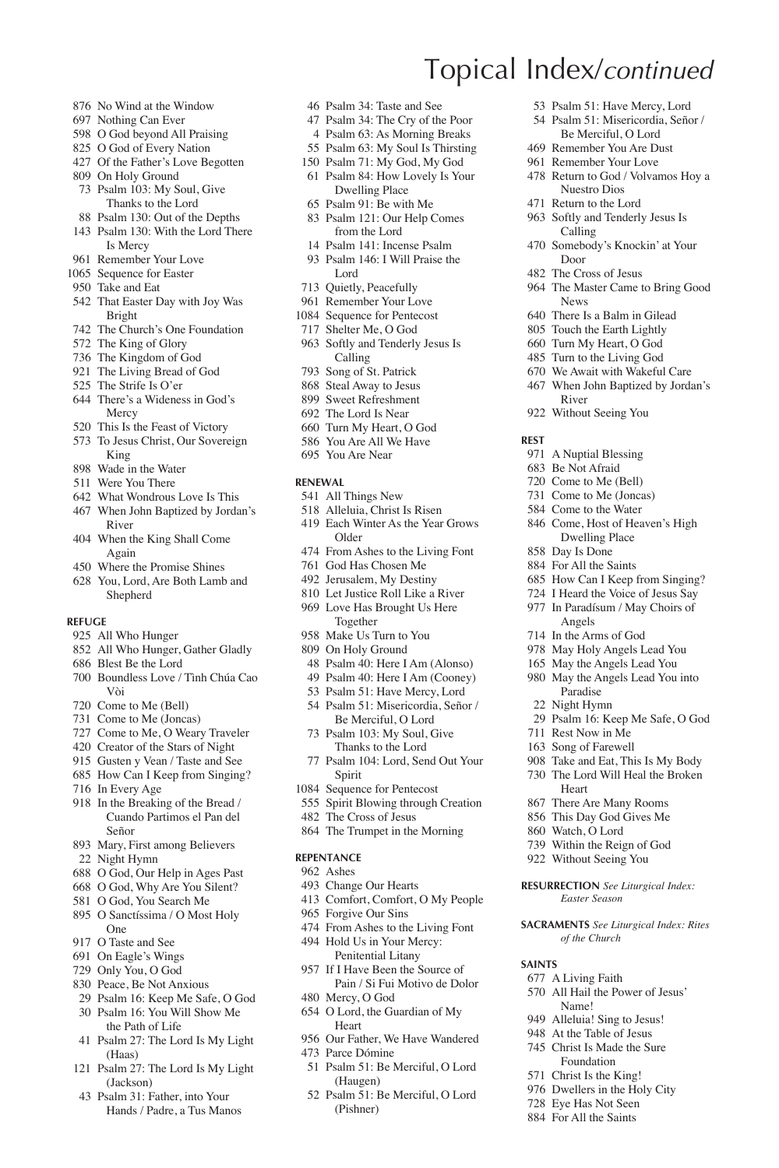- No Wind at the Window
- Nothing Can Ever
- O God beyond All Praising
- O God of Every Nation
- Of the Father's Love Begotten
- On Holy Ground Psalm 103: My Soul, Give Thanks to the Lord
- Psalm 130: Out of the Depths
- Psalm 130: With the Lord There Is Mercy
- Remember Your Love
- 1065 Sequence for Easter
- Take and Eat
- That Easter Day with Joy Was Bright
- The Church's One Foundation
- The King of Glory
- The Kingdom of God
- The Living Bread of God
- The Strife Is O'er
- There's a Wideness in God's Mercy
- This Is the Feast of Victory
- To Jesus Christ, Our Sovereign King
- Wade in the Water
- Were You There
- What Wondrous Love Is This
- When John Baptized by Jordan's River
- When the King Shall Come Again
- Where the Promise Shines
- You, Lord, Are Both Lamb and Shepherd

### **Refuge**

- All Who Hunger
- All Who Hunger, Gather Gladly
- Blest Be the Lord
- Boundless Love / Tình Chúa Cao Vòi
- Come to Me (Bell)
- Come to Me (Joncas)
- Come to Me, O Weary Traveler
- Creator of the Stars of Night
- Gusten y Vean / Taste and See
- How Can I Keep from Singing?
- In Every Age
- In the Breaking of the Bread / Cuando Partimos el Pan del Señor
- Mary, First among Believers Night Hymn
- O God, Our Help in Ages Past
- O God, Why Are You Silent?
- O God, You Search Me
- O Sanctíssima / O Most Holy One
- O Taste and See
- On Eagle's Wings
- Only You, O God
- Peace, Be Not Anxious
- Psalm 16: Keep Me Safe, O God Psalm 16: You Will Show Me
- the Path of Life Psalm 27: The Lord Is My Light (Haas)
- Psalm 27: The Lord Is My Light (Jackson)
- Psalm 31: Father, into Your Hands / Padre, a Tus Manos
- Psalm 34: Taste and See
- Psalm 34: The Cry of the Poor

Topical Index/*continued*

Door The Cross of Jesus

News There Is a Balm in Gilead Touch the Earth Lightly Turn My Heart, O God Turn to the Living God We Await with Wakeful Care When John Baptized by Jordan's

River Without Seeing You

 A Nuptial Blessing Be Not Afraid Come to Me (Bell) Come to Me (Joncas) Come to the Water Come, Host of Heaven's High Dwelling Place Day Is Done For All the Saints

 How Can I Keep from Singing? I Heard the Voice of Jesus Say In Paradísum / May Choirs of Angels In the Arms of God May Holy Angels Lead You May the Angels Lead You May the Angels Lead You into Paradise Night Hymn

Psalm 16: Keep Me Safe, O God

 Rest Now in Me Song of Farewell Take and Eat, This Is My Body The Lord Will Heal the Broken

Heart There Are Many Rooms This Day God Gives Me Watch, O Lord Within the Reign of God Without Seeing You **Resurrection** *See Liturgical Index: Easter Season* **Sacraments** *See Liturgical Index: Rites of the Church*

**Saints**

 A Living Faith All Hail the Power of Jesus' Name! Alleluia! Sing to Jesus! At the Table of Jesus Christ Is Made the Sure Foundation Christ Is the King! Dwellers in the Holy City Eye Has Not Seen For All the Saints

**Rest**

 Psalm 51: Have Mercy, Lord Psalm 51: Misericordia, Señor / Be Merciful, O Lord Remember You Are Dust Remember Your Love Return to God / Volvamos Hoy a Nuestro Dios Return to the Lord Softly and Tenderly Jesus Is Calling

Somebody's Knockin' at Your

The Master Came to Bring Good

- Psalm 63: As Morning Breaks
- Psalm 63: My Soul Is Thirsting
- Psalm 71: My God, My God Psalm 84: How Lovely Is Your
- Dwelling Place
- Psalm 91: Be with Me
- Psalm 121: Our Help Comes from the Lord
- Psalm 141: Incense Psalm
- Psalm 146: I Will Praise the Lord
- Quietly, Peacefully
- Remember Your Love
- Sequence for Pentecost
- Shelter Me, O God
- Softly and Tenderly Jesus Is Calling
- Song of St. Patrick
- Steal Away to Jesus Sweet Refreshment
- The Lord Is Near
- Turn My Heart, O God
- You Are All We Have
- You Are Near
- **Renewal**
- All Things New
- Alleluia, Christ Is Risen
- Each Winter As the Year Grows Older
- From Ashes to the Living Font
- God Has Chosen Me
- Jerusalem, My Destiny
- Let Justice Roll Like a River Love Has Brought Us Here Together
- Make Us Turn to You
- On Holy Ground
- Psalm 40: Here I Am (Alonso)
- Psalm 40: Here I Am (Cooney)
- Psalm 51: Have Mercy, Lord
- Psalm 51: Misericordia, Señor / Be Merciful, O Lord
- Psalm 103: My Soul, Give Thanks to the Lord
- Psalm 104: Lord, Send Out Your Spirit
- Sequence for Pentecost
- Spirit Blowing through Creation
- The Cross of Jesus
- The Trumpet in the Morning

#### **Repentance**

- Ashes
- Change Our Hearts

 Mercy, O God O Lord, the Guardian of My

**Heart** 

Parce Dómine

(Haugen)

(Pishner)

- Comfort, Comfort, O My People
- Forgive Our Sins
- From Ashes to the Living Font Hold Us in Your Mercy: Penitential Litany If I Have Been the Source of

Our Father, We Have Wandered

Psalm 51: Be Merciful, O Lord

Psalm 51: Be Merciful, O Lord

Pain / Si Fui Motivo de Dolor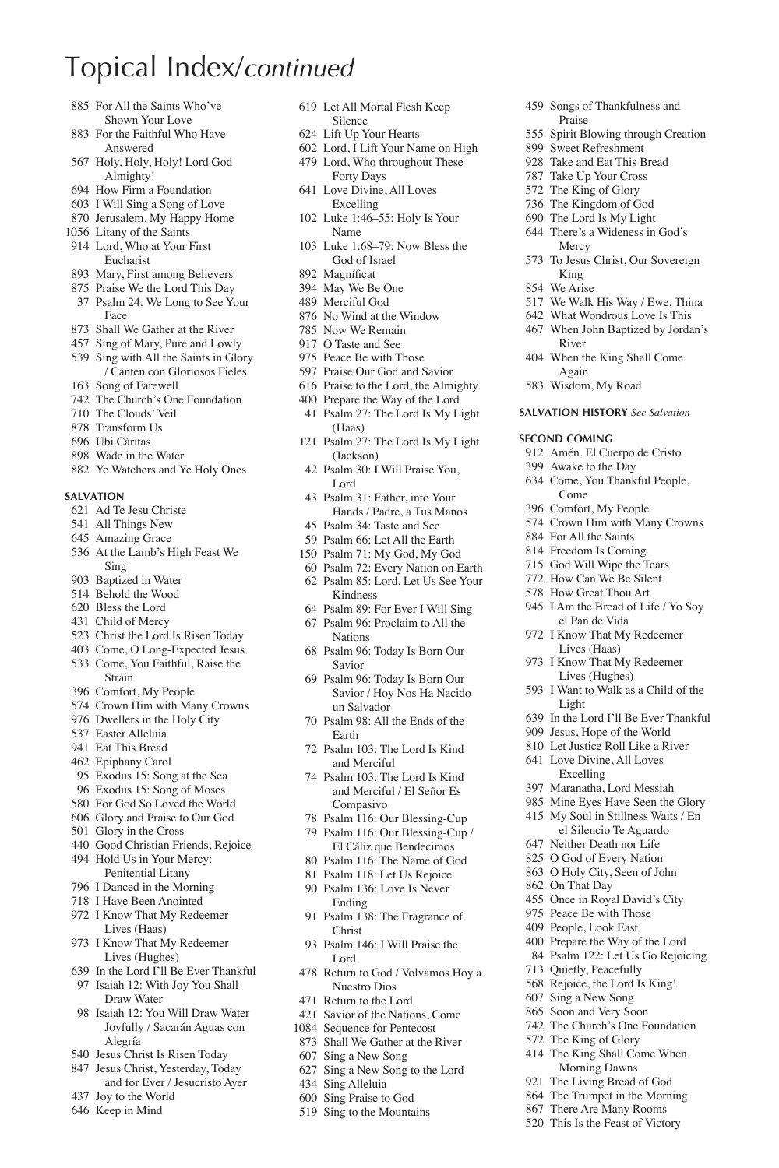- For All the Saints Who've Shown Your Love
- For the Faithful Who Have Answered
- Holy, Holy, Holy! Lord God Almighty!
- How Firm a Foundation
- I Will Sing a Song of Love
- Jerusalem, My Happy Home
- Litany of the Saints
- Lord, Who at Your First Eucharist
- Mary, First among Believers
- Praise We the Lord This Day Psalm 24: We Long to See Your Face
- Shall We Gather at the River
- Sing of Mary, Pure and Lowly
- Sing with All the Saints in Glory / Canten con Gloriosos Fieles
- Song of Farewell
- The Church's One Foundation
- The Clouds' Veil
- Transform Us
- Ubi Cáritas
- Wade in the Water
- Ye Watchers and Ye Holy Ones

### **Salvation**

- Ad Te Jesu Christe
- All Things New
- Amazing Grace
- At the Lamb's High Feast We Sing
- Baptized in Water
- Behold the Wood
- Bless the Lord
- Child of Mercy
- Christ the Lord Is Risen Today
- Come, O Long-Expected Jesus Come, You Faithful, Raise the Strain
- 
- Comfort, My People Crown Him with Many Crowns
- Dwellers in the Holy City
- Easter Alleluia
- Eat This Bread
- Epiphany Carol
- Exodus 15: Song at the Sea
- Exodus 15: Song of Moses
- For God So Loved the World
- Glory and Praise to Our God
- Glory in the Cross
- Good Christian Friends, Rejoice
- Hold Us in Your Mercy: Penitential Litany
- I Danced in the Morning
- I Have Been Anointed
- I Know That My Redeemer Lives (Haas)
- I Know That My Redeemer Lives (Hughes)
- In the Lord I'll Be Ever Thankful Isaiah 12: With Joy You Shall Draw Water
- Isaiah 12: You Will Draw Water Joyfully / Sacarán Aguas con Alegría
- Jesus Christ Is Risen Today
- Jesus Christ, Yesterday, Today and for Ever / Jesucristo Ayer
- Joy to the World
- Keep in Mind
- Let All Mortal Flesh Keep Silence
- Lift Up Your Hearts
- Lord, I Lift Your Name on High Lord, Who throughout These

 Songs of Thankfulness and Praise

 Spirit Blowing through Creation Sweet Refreshment Take and Eat This Bread Take Up Your Cross The King of Glory The Kingdom of God The Lord Is My Light There's a Wideness in God's Mercy

To Jesus Christ, Our Sovereign

 We Walk His Way / Ewe, Thina What Wondrous Love Is This When John Baptized by Jordan's

King We Arise

River When the King Shall Come Again Wisdom, My Road **Salvation History** *See Salvation*

**Second Coming**

Come Comfort, My People Crown Him with Many Crowns

 For All the Saints Freedom Is Coming God Will Wipe the Tears How Can We Be Silent How Great Thou Art I Am the Bread of Life / Yo Soy el Pan de Vida I Know That My Redeemer Lives (Haas) I Know That My Redeemer Lives (Hughes) I Want to Walk as a Child of the

Light

 In the Lord I'll Be Ever Thankful Jesus, Hope of the World Let Justice Roll Like a River Love Divine, All Loves Excelling Maranatha, Lord Messiah Mine Eyes Have Seen the Glory My Soul in Stillness Waits / En el Silencio Te Aguardo Neither Death nor Life O God of Every Nation O Holy City, Seen of John On That Day

 Once in Royal David's City Peace Be with Those People, Look East Prepare the Way of the Lord Psalm 122: Let Us Go Rejoicing

 Quietly, Peacefully Rejoice, the Lord Is King! Sing a New Song Soon and Very Soon The Church's One Foundation The King of Glory The King Shall Come When Morning Dawns The Living Bread of God The Trumpet in the Morning There Are Many Rooms This Is the Feast of Victory

 Amén. El Cuerpo de Cristo Awake to the Day Come, You Thankful People,

- Forty Days
- Love Divine, All Loves Excelling
- Luke 1:46–55: Holy Is Your Name
- Luke 1:68–79: Now Bless the God of Israel
- 892 Magníficat
- May We Be One
- Merciful God
- No Wind at the Window
- Now We Remain O Taste and See
- Peace Be with Those
- 
- Praise Our God and Savior
- Praise to the Lord, the Almighty Prepare the Way of the Lord
- Psalm 27: The Lord Is My Light (Haas)
- Psalm 27: The Lord Is My Light (Jackson)
- Psalm 30: I Will Praise You, Lord
- Psalm 31: Father, into Your Hands / Padre, a Tus Manos
- Psalm 34: Taste and See
- Psalm 66: Let All the Earth
- Psalm 71: My God, My God
- Psalm 72: Every Nation on Earth
- Psalm 85: Lord, Let Us See Your Kindness
- Psalm 89: For Ever I Will Sing
- Psalm 96: Proclaim to All the
- Nations Psalm 96: Today Is Born Our Savior
- Psalm 96: Today Is Born Our Savior / Hoy Nos Ha Nacido un Salvador
- Psalm 98: All the Ends of the Earth
- Psalm 103: The Lord Is Kind and Merciful
- Psalm 103: The Lord Is Kind and Merciful / El Señor Es Compasivo
- Psalm 116: Our Blessing-Cup
- Psalm 116: Our Blessing-Cup / El Cáliz que Bendecimos
- Psalm 116: The Name of God
- Psalm 118: Let Us Rejoice
- Psalm 136: Love Is Never
- Ending Psalm 138: The Fragrance of Christ
- Psalm 146: I Will Praise the Lord
- Return to God / Volvamos Hoy a Nuestro Dios
- Return to the Lord
- Savior of the Nations, Come
- Sequence for Pentecost
- Shall We Gather at the River
- Sing a New Song Sing a New Song to the Lord Sing Alleluia

 Sing Praise to God Sing to the Mountains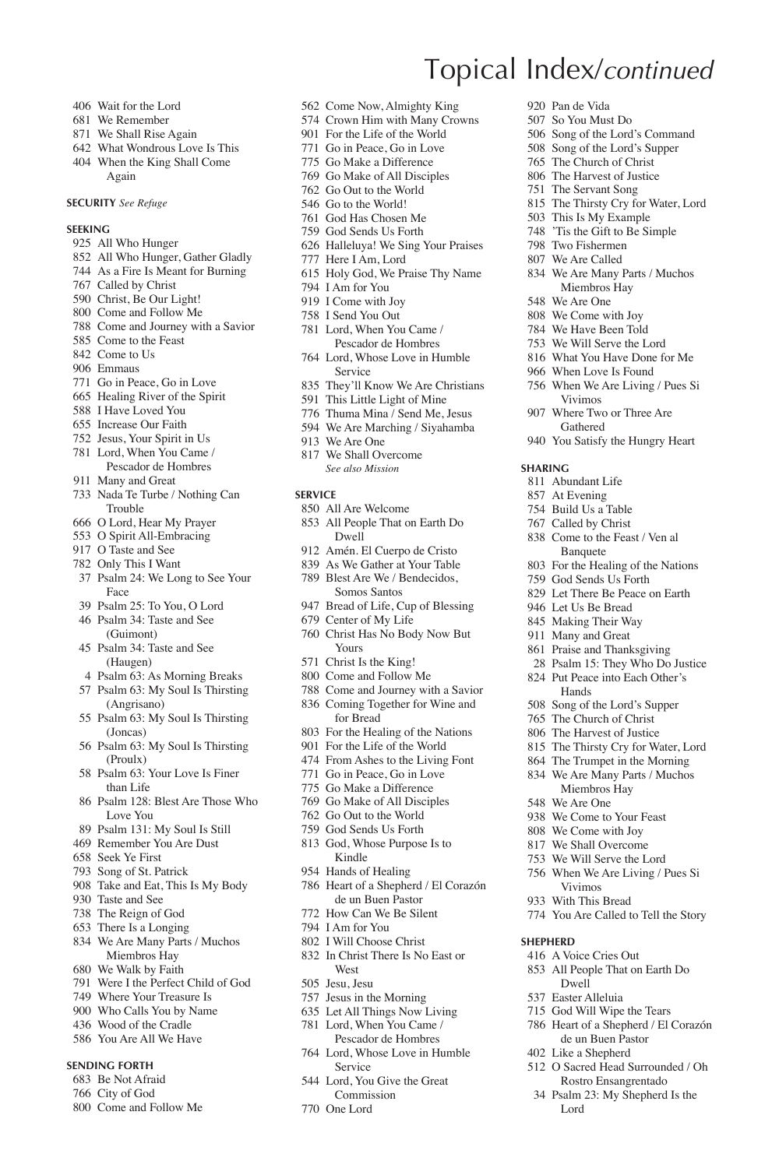- Wait for the Lord
- We Remember
- We Shall Rise Again
- What Wondrous Love Is This
- When the King Shall Come Again

### **Security** *See Refuge*

#### **Seeking**

- All Who Hunger
- All Who Hunger, Gather Gladly
- As a Fire Is Meant for Burning
- Called by Christ
- Christ, Be Our Light!
- Come and Follow Me
- Come and Journey with a Savior
- Come to the Feast
- Come to Us
- Emmaus
- Go in Peace, Go in Love
- Healing River of the Spirit
- I Have Loved You
- Increase Our Faith
- Jesus, Your Spirit in Us
- Lord, When You Came / Pescador de Hombres
- Many and Great
- Nada Te Turbe / Nothing Can Trouble
- O Lord, Hear My Prayer
- O Spirit All-Embracing
- O Taste and See
- Only This I Want
- Psalm 24: We Long to See Your Face
- Psalm 25: To You, O Lord
- Psalm 34: Taste and See
- (Guimont) Psalm 34: Taste and See (Haugen)
- Psalm 63: As Morning Breaks
- Psalm 63: My Soul Is Thirsting (Angrisano)
- Psalm 63: My Soul Is Thirsting (Joncas)
- Psalm 63: My Soul Is Thirsting (Proulx)
- Psalm 63: Your Love Is Finer than Life
- Psalm 128: Blest Are Those Who Love You
- Psalm 131: My Soul Is Still
- Remember You Are Dust
- Seek Ye First
- Song of St. Patrick
- Take and Eat, This Is My Body
- Taste and See
- The Reign of God
- There Is a Longing
- We Are Many Parts / Muchos Miembros Hay
- We Walk by Faith
- Were I the Perfect Child of God
- Where Your Treasure Is
- Who Calls You by Name
- Wood of the Cradle
- You Are All We Have

### **Sending Forth**

- Be Not Afraid
- City of God
- Come and Follow Me

Come Now, Almighty King

Topical Index/*continued*

 Pan de Vida So You Must Do Song of the Lord's Command Song of the Lord's Supper The Church of Christ The Harvest of Justice The Servant Song

**Sharing** Abundant Life At Evening Build Us a Table Called by Christ Come to the Feast / Ven al Banquete For the Healing of the Nations God Sends Us Forth Let There Be Peace on Earth Let Us Be Bread Making Their Way Many and Great Praise and Thanksgiving Psalm 15: They Who Do Justice Put Peace into Each Other's Hands Song of the Lord's Supper The Church of Christ The Harvest of Justice The Thirsty Cry for Water, Lord The Trumpet in the Morning We Are Many Parts / Muchos Miembros Hay We Are One We Come to Your Feast We Come with Joy We Shall Overcome We Will Serve the Lord When We Are Living / Pues Si Vivimos With This Bread

 The Thirsty Cry for Water, Lord This Is My Example 'Tis the Gift to Be Simple Two Fishermen We Are Called

 We Are Many Parts / Muchos Miembros Hay We Are One We Come with Joy We Have Been Told We Will Serve the Lord What You Have Done for Me When Love Is Found When We Are Living / Pues Si Vivimos Where Two or Three Are Gathered You Satisfy the Hungry Heart

You Are Called to Tell the Story

 O Sacred Head Surrounded / Oh Rostro Ensangrentado Psalm 23: My Shepherd Is the

**Shepherd**

 A Voice Cries Out All People That on Earth Do Dwell Easter Alleluia God Will Wipe the Tears Heart of a Shepherd / El Corazón de un Buen Pastor Like a Shepherd

Lord

- Crown Him with Many Crowns
- For the Life of the World Go in Peace, Go in Love
- 
- Go Make a Difference
- Go Make of All Disciples Go Out to the World
- Go to the World!
- God Has Chosen Me
- God Sends Us Forth
- Halleluya! We Sing Your Praises
- Here I Am, Lord
- Holy God, We Praise Thy Name
- I Am for You
- I Come with Joy
- I Send You Out
- Lord, When You Came /
- Pescador de Hombres Lord, Whose Love in Humble
- Service They'll Know We Are Christians
- This Little Light of Mine
- Thuma Mina / Send Me, Jesus
- We Are Marching / Siyahamba
- We Are One
- We Shall Overcome  *See also Mission*

#### **Service**

- All Are Welcome
- All People That on Earth Do Dwell
- Amén. El Cuerpo de Cristo
- As We Gather at Your Table
- Blest Are We / Bendecidos, Somos Santos
- Bread of Life, Cup of Blessing
- Center of My Life
- Christ Has No Body Now But Yours
- Christ Is the King!
- Come and Follow Me
- Come and Journey with a Savior
- Coming Together for Wine and for Bread
- For the Healing of the Nations
- For the Life of the World
- From Ashes to the Living Font
- Go in Peace, Go in Love
- Go Make a Difference

West Jesu, Jesu Jesus in the Morning Let All Things Now Living Lord, When You Came / Pescador de Hombres Lord, Whose Love in Humble Service Lord, You Give the Great Commission One Lord

 Go Make of All Disciples Go Out to the World God Sends Us Forth

 God, Whose Purpose Is to Kindle Hands of Healing

 Heart of a Shepherd / El Corazón de un Buen Pastor How Can We Be Silent I Am for You I Will Choose Christ In Christ There Is No East or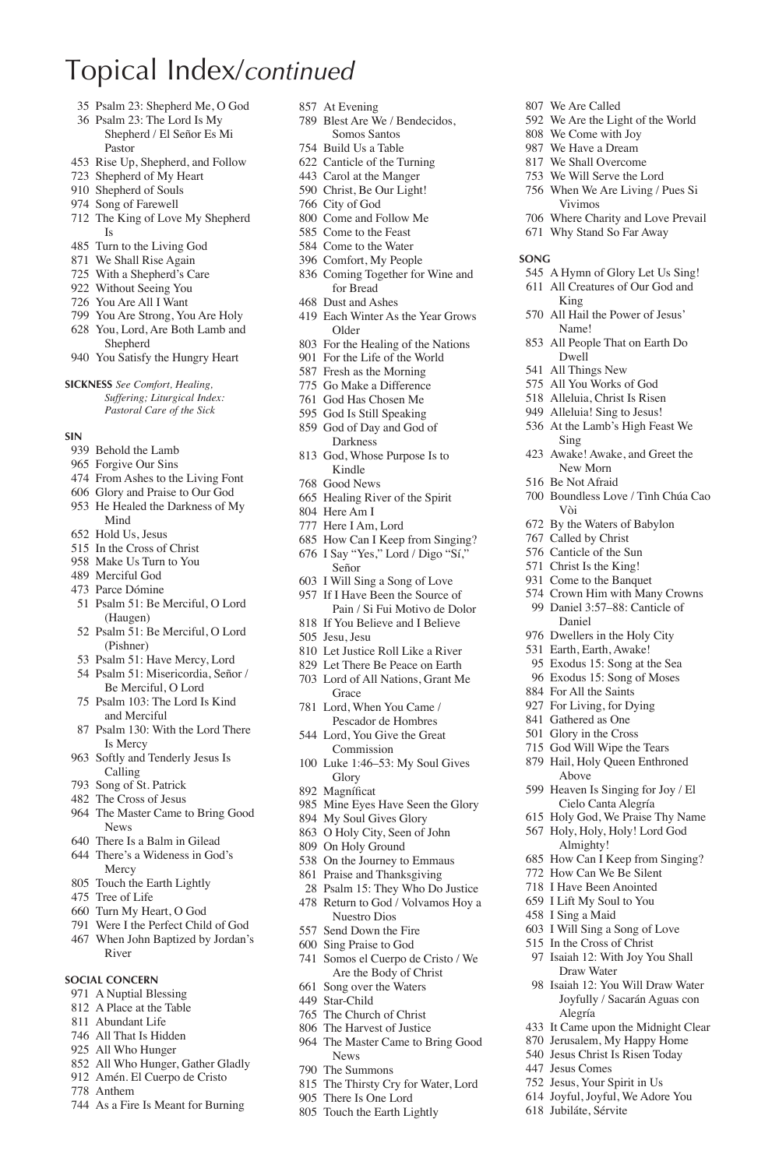- Psalm 23: Shepherd Me, O God
- Psalm 23: The Lord Is My Shepherd / El Señor Es Mi
	- Pastor
- Rise Up, Shepherd, and Follow
- Shepherd of My Heart
- Shepherd of Souls
- Song of Farewell
- The King of Love My Shepherd Is
- Turn to the Living God
- We Shall Rise Again
- With a Shepherd's Care
- Without Seeing You
- You Are All I Want
- You Are Strong, You Are Holy
- You, Lord, Are Both Lamb and Shepherd
- You Satisfy the Hungry Heart

**Sickness** *See Comfort, Healing,* 

*Suffering; Liturgical Index: Pastoral Care of the Sick*

### **Sin**

- Behold the Lamb
- Forgive Our Sins
- From Ashes to the Living Font
- Glory and Praise to Our God
- He Healed the Darkness of My Mind
- Hold Us, Jesus
- In the Cross of Christ
- Make Us Turn to You
- Merciful God
- Parce Dómine
- Psalm 51: Be Merciful, O Lord (Haugen)
- Psalm 51: Be Merciful, O Lord (Pishner)
- Psalm 51: Have Mercy, Lord
- Psalm 51: Misericordia, Señor /
- Be Merciful, O Lord Psalm 103: The Lord Is Kind and Merciful
- Psalm 130: With the Lord There Is Mercy
- Softly and Tenderly Jesus Is Calling
- Song of St. Patrick
- The Cross of Jesus
- The Master Came to Bring Good News
- There Is a Balm in Gilead
- There's a Wideness in God's **Mercy**
- Touch the Earth Lightly
- Tree of Life
- Turn My Heart, O God
- Were I the Perfect Child of God
- When John Baptized by Jordan's River

### **Social Concern**

- A Nuptial Blessing
- A Place at the Table
- Abundant Life
- All That Is Hidden
- All Who Hunger
- All Who Hunger, Gather Gladly
- Amén. El Cuerpo de Cristo
- Anthem
- As a Fire Is Meant for Burning
- At Evening
- Blest Are We / Bendecidos, Somos Santos

We Are Called

King All Hail the Power of Jesus' Name! All People That on Earth Do Dwell All Things New All You Works of God Alleluia, Christ Is Risen Alleluia! Sing to Jesus! At the Lamb's High Feast We

Sing

Vòi By the Waters of Babylon Called by Christ Canticle of the Sun Christ Is the King! Come to the Banquet Crown Him with Many Crowns Daniel 3:57–88: Canticle of Daniel Dwellers in the Holy City Earth, Earth, Awake! Exodus 15: Song at the Sea Exodus 15: Song of Moses For All the Saints For Living, for Dying Gathered as One Glory in the Cross God Will Wipe the Tears Hail, Holy Queen Enthroned Above

**Song**

 We Are the Light of the World We Come with Joy We Have a Dream We Shall Overcome We Will Serve the Lord When We Are Living / Pues Si Vivimos

 Where Charity and Love Prevail Why Stand So Far Away

 A Hymn of Glory Let Us Sing! All Creatures of Our God and

 Awake! Awake, and Greet the New Morn Be Not Afraid

Boundless Love / Tình Chúa Cao

 Heaven Is Singing for Joy / El Cielo Canta Alegría Holy God, We Praise Thy Name Holy, Holy, Holy! Lord God Almighty! How Can I Keep from Singing? How Can We Be Silent I Have Been Anointed I Lift My Soul to You I Sing a Maid I Will Sing a Song of Love In the Cross of Christ Isaiah 12: With Joy You Shall Draw Water Isaiah 12: You Will Draw Water Joyfully / Sacarán Aguas con

Alegría

 Jesus Comes Jesus, Your Spirit in Us Joyful, Joyful, We Adore You Jubiláte, Sérvite

 It Came upon the Midnight Clear Jerusalem, My Happy Home Jesus Christ Is Risen Today

- Build Us a Table
- Canticle of the Turning
- Carol at the Manger
- Christ, Be Our Light!
- City of God
- Come and Follow Me
- Come to the Feast
- Come to the Water
- Comfort, My People
- Coming Together for Wine and for Bread
- Dust and Ashes
- Each Winter As the Year Grows Older
- For the Healing of the Nations
- For the Life of the World
- Fresh as the Morning
- Go Make a Difference
- God Has Chosen Me God Is Still Speaking
- God of Day and God of Darkness
- God, Whose Purpose Is to Kindle
- Good News
- Healing River of the Spirit
- Here Am I
- Here I Am, Lord
- How Can I Keep from Singing? I Say "Yes," Lord / Digo "Sí,"
- Señor
- I Will Sing a Song of Love
- If I Have Been the Source of Pain / Si Fui Motivo de Dolor
- If You Believe and I Believe Jesu, Jesu
- Let Justice Roll Like a River
- Let There Be Peace on Earth
- Lord of All Nations, Grant Me **Grace**
- Lord, When You Came / Pescador de Hombres
- Lord, You Give the Great Commission
- Luke 1:46–53: My Soul Gives Glory
- 892 Magníficat
- Mine Eyes Have Seen the Glory
- My Soul Gives Glory
- O Holy City, Seen of John
- On Holy Ground

News The Summons

- On the Journey to Emmaus
- Praise and Thanksgiving Psalm 15: They Who Do Justice

 Return to God / Volvamos Hoy a Nuestro Dios Send Down the Fire Sing Praise to God Somos el Cuerpo de Cristo / We Are the Body of Christ Song over the Waters Star-Child The Church of Christ The Harvest of Justice The Master Came to Bring Good

 The Thirsty Cry for Water, Lord There Is One Lord Touch the Earth Lightly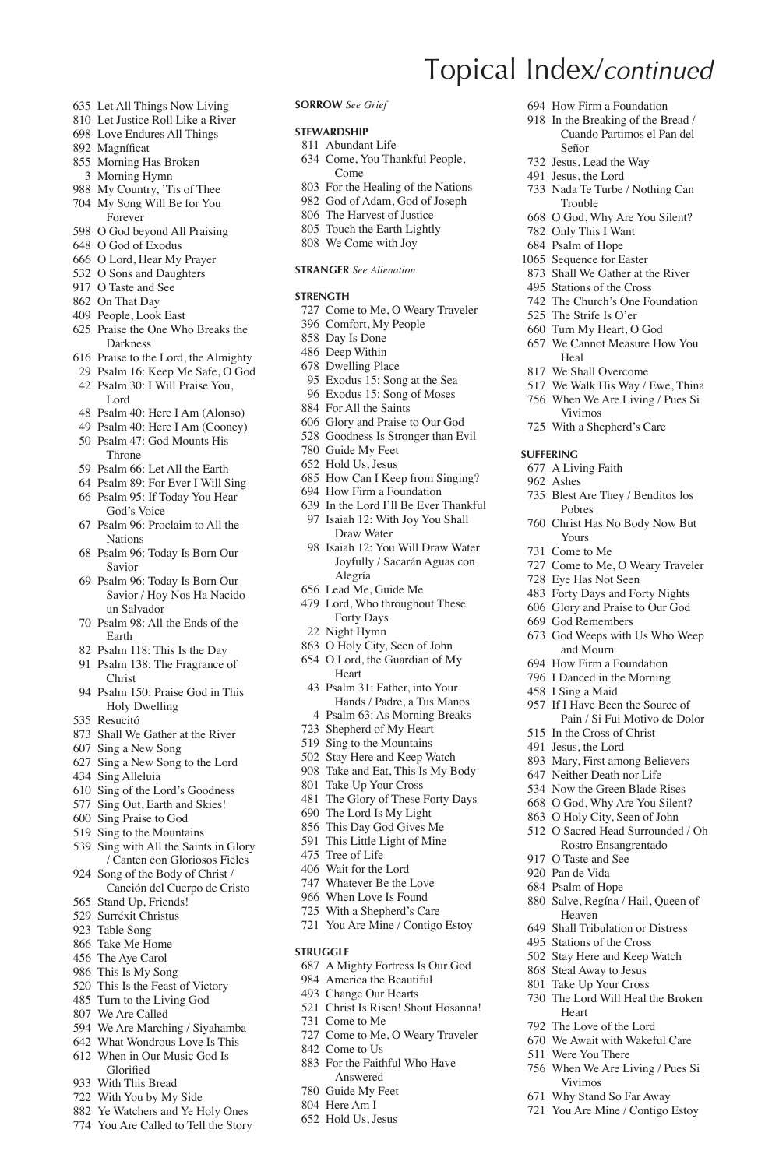- Let All Things Now Living
- Let Justice Roll Like a River Love Endures All Things
- 892 Magníficat
- Morning Has Broken
- Morning Hymn
- My Country, 'Tis of Thee
- My Song Will Be for You Forever
- O God beyond All Praising
- O God of Exodus
- O Lord, Hear My Prayer O Sons and Daughters
- O Taste and See
- On That Day
- People, Look East
- Praise the One Who Breaks the
- Darkness
- Praise to the Lord, the Almighty
- Psalm 16: Keep Me Safe, O God Psalm 30: I Will Praise You, Lord
- Psalm 40: Here I Am (Alonso)
- Psalm 40: Here I Am (Cooney)
- Psalm 47: God Mounts His Throne
- Psalm 66: Let All the Earth
- Psalm 89: For Ever I Will Sing
- Psalm 95: If Today You Hear God's Voice
- Psalm 96: Proclaim to All the Nations
- Psalm 96: Today Is Born Our Savior
- Psalm 96: Today Is Born Our Savior / Hoy Nos Ha Nacido un Salvador
- Psalm 98: All the Ends of the Earth
- Psalm 118: This Is the Day
- Psalm 138: The Fragrance of Christ
- Psalm 150: Praise God in This Holy Dwelling
- Resucitó
- Shall We Gather at the River
- Sing a New Song
- Sing a New Song to the Lord
- Sing Alleluia
- Sing of the Lord's Goodness
- Sing Out, Earth and Skies!
- Sing Praise to God
- Sing to the Mountains
- Sing with All the Saints in Glory / Canten con Gloriosos Fieles
- Song of the Body of Christ / Canción del Cuerpo de Cristo
- Stand Up, Friends!
- Surréxit Christus
- Table Song
- Take Me Home
- The Aye Carol
- This Is My Song
- This Is the Feast of Victory
- Turn to the Living God
- We Are Called
- We Are Marching / Siyahamba What Wondrous Love Is This
- When in Our Music God Is
- Glorified
- With This Bread
- With You by My Side
- Ye Watchers and Ye Holy Ones
- You Are Called to Tell the Story

### **Sorrow** *See Grief*

#### **Stewardship**

- Abundant Life
- Come, You Thankful People, Come

Topical Index/*continued*

Señor Jesus, Lead the Way Jesus, the Lord

Heal We Shall Overcome We Walk His Way / Ewe, Thina When We Are Living / Pues Si Vivimos With a Shepherd's Care

**Suffering** A Living Faith Ashes

 How Firm a Foundation In the Breaking of the Bread / Cuando Partimos el Pan del

 Nada Te Turbe / Nothing Can Trouble O God, Why Are You Silent? Only This I Want Psalm of Hope Sequence for Easter Shall We Gather at the River Stations of the Cross The Church's One Foundation The Strife Is O'er Turn My Heart, O God We Cannot Measure How You

 Blest Are They / Benditos los Pobres

Christ Has No Body Now But

 Come to Me, O Weary Traveler Eye Has Not Seen Forty Days and Forty Nights Glory and Praise to Our God God Remembers

 God Weeps with Us Who Weep and Mourn How Firm a Foundation I Danced in the Morning I Sing a Maid

 If I Have Been the Source of Pain / Si Fui Motivo de Dolor

 In the Cross of Christ Jesus, the Lord Mary, First among Believers Neither Death nor Life Now the Green Blade Rises O God, Why Are You Silent? O Holy City, Seen of John O Sacred Head Surrounded / Oh Rostro Ensangrentado

 O Taste and See Pan de Vida Psalm of Hope

Heaven Shall Tribulation or Distress Stations of the Cross Stay Here and Keep Watch Steal Away to Jesus Take Up Your Cross The Lord Will Heal the Broken

Heart The Love of the Lord We Await with Wakeful Care Were You There

Salve, Regína / Hail, Queen of

 When We Are Living / Pues Si Vivimos Why Stand So Far Away You Are Mine / Contigo Estoy

Yours Come to Me

- For the Healing of the Nations
- God of Adam, God of Joseph
- The Harvest of Justice
- Touch the Earth Lightly
- We Come with Joy

### **Stranger** *See Alienation*

### **STRENGTH**

- Come to Me, O Weary Traveler
- Comfort, My People
- Day Is Done
- Deep Within Dwelling Place
- Exodus 15: Song at the Sea
- Exodus 15: Song of Moses
- For All the Saints
- Glory and Praise to Our God
- Goodness Is Stronger than Evil
- Guide My Feet
- Hold Us, Jesus
- How Can I Keep from Singing?
- How Firm a Foundation
- In the Lord I'll Be Ever Thankful Isaiah 12: With Joy You Shall
- Draw Water Isaiah 12: You Will Draw Water
- Joyfully / Sacarán Aguas con Alegría Lead Me, Guide Me
- 
- Lord, Who throughout These Forty Days
- Night Hymn
- O Holy City, Seen of John
- O Lord, the Guardian of My Heart
- Psalm 31: Father, into Your Hands / Padre, a Tus Manos Psalm 63: As Morning Breaks
- Shepherd of My Heart
- Sing to the Mountains
- Stay Here and Keep Watch
- Take and Eat, This Is My Body
- Take Up Your Cross
- The Glory of These Forty Days
- The Lord Is My Light

 A Mighty Fortress Is Our God America the Beautiful Change Our Hearts Christ Is Risen! Shout Hosanna!

Come to Me, O Weary Traveler

 For the Faithful Who Have Answered Guide My Feet Here Am I Hold Us, Jesus

This Day God Gives Me

 Whatever Be the Love When Love Is Found With a Shepherd's Care You Are Mine / Contigo Estoy

- This Little Light of Mine
- Tree of Life Wait for the Lord

**Struggle**

Come to Me

842. Come to Us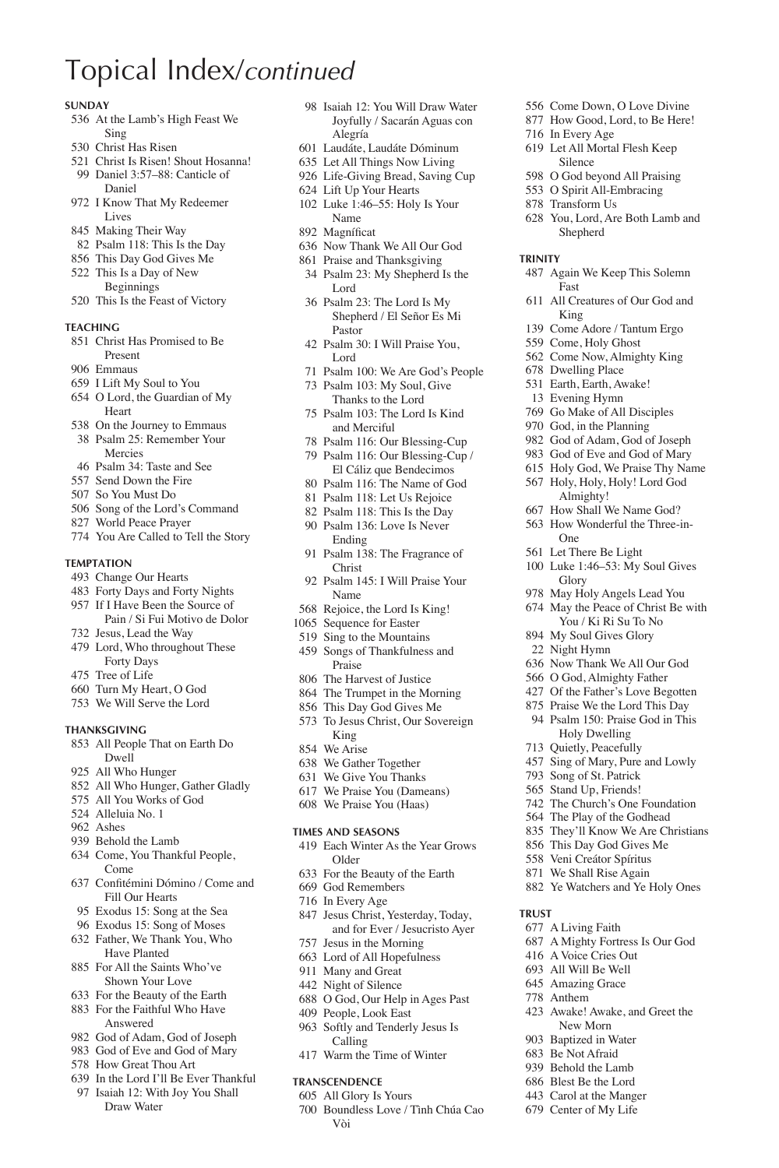#### **Sunday**

- At the Lamb's High Feast We Sing
- Christ Has Risen
- Christ Is Risen! Shout Hosanna! Daniel 3:57–88: Canticle of Daniel
- I Know That My Redeemer Lives
- Making Their Way
- Psalm 118: This Is the Day
- This Day God Gives Me
- This Is a Day of New
- Beginnings This Is the Feast of Victory
- **Teaching**
- Christ Has Promised to Be Present
- Emmaus
- I Lift My Soul to You
- O Lord, the Guardian of My Heart
- On the Journey to Emmaus
- Psalm 25: Remember Your Mercies
- Psalm 34: Taste and See
- Send Down the Fire
- So You Must Do
- Song of the Lord's Command
- World Peace Prayer
- You Are Called to Tell the Story

#### **Temptation**

- Change Our Hearts
- Forty Days and Forty Nights
- If I Have Been the Source of Pain / Si Fui Motivo de Dolor
- Jesus, Lead the Way
- Lord, Who throughout These Forty Days
- Tree of Life
- Turn My Heart, O God
- We Will Serve the Lord

### **Thanksgiving**

- All People That on Earth Do Dwell
- All Who Hunger
- All Who Hunger, Gather Gladly
- All You Works of God
- Alleluia No. 1
- Ashes
- Behold the Lamb
- Come, You Thankful People, Come
- 637 Confitémini Dómino / Come and Fill Our Hearts
- Exodus 15: Song at the Sea
- Exodus 15: Song of Moses
- Father, We Thank You, Who Have Planted
- For All the Saints Who've Shown Your Love
- For the Beauty of the Earth
- For the Faithful Who Have Answered
- God of Adam, God of Joseph
- God of Eve and God of Mary
- How Great Thou Art
- In the Lord I'll Be Ever Thankful Isaiah 12: With Joy You Shall
- Draw Water

 Isaiah 12: You Will Draw Water Joyfully / Sacarán Aguas con Alegría

 Come Down, O Love Divine How Good, Lord, to Be Here!

 You, Lord, Are Both Lamb and Shepherd

Again We Keep This Solemn

All Creatures of Our God and

 Come Adore / Tantum Ergo Come, Holy Ghost Come Now, Almighty King Dwelling Place Earth, Earth, Awake! Evening Hymn Go Make of All Disciples God, in the Planning God of Adam, God of Joseph God of Eve and God of Mary Holy God, We Praise Thy Name Holy, Holy, Holy! Lord God Almighty! How Shall We Name God? How Wonderful the Three-in-

 In Every Age Let All Mortal Flesh Keep Silence O God beyond All Praising O Spirit All-Embracing Transform Us

Fast

King

One Let There Be Light Luke 1:46–53: My Soul Gives

Glory May Holy Angels Lead You May the Peace of Christ Be with You / Ki Ri Su To No My Soul Gives Glory Night Hymn

**Trust**

A Living Faith

 A Mighty Fortress Is Our God A Voice Cries Out All Will Be Well Amazing Grace Anthem

 Awake! Awake, and Greet the New Morn Baptized in Water Be Not Afraid Behold the Lamb Blest Be the Lord Carol at the Manger Center of My Life

 Now Thank We All Our God O God, Almighty Father Of the Father's Love Begotten Praise We the Lord This Day Psalm 150: Praise God in This Holy Dwelling Quietly, Peacefully Sing of Mary, Pure and Lowly Song of St. Patrick Stand Up, Friends! The Church's One Foundation The Play of the Godhead They'll Know We Are Christians This Day God Gives Me Veni Creátor Spíritus We Shall Rise Again Ye Watchers and Ye Holy Ones

**Trinity**

- Laudáte, Laudáte Dóminum
- Let All Things Now Living
- Life-Giving Bread, Saving Cup
- Lift Up Your Hearts Luke 1:46–55: Holy Is Your
- Name
- 892 Magníficat
- Now Thank We All Our God
- Praise and Thanksgiving
- Psalm 23: My Shepherd Is the Lord
- Psalm 23: The Lord Is My Shepherd / El Señor Es Mi Pastor
- Psalm 30: I Will Praise You, Lord
- Psalm 100: We Are God's People
- Psalm 103: My Soul, Give Thanks to the Lord
- Psalm 103: The Lord Is Kind and Merciful
- Psalm 116: Our Blessing-Cup
- Psalm 116: Our Blessing-Cup / El Cáliz que Bendecimos
- Psalm 116: The Name of God
- Psalm 118: Let Us Rejoice Psalm 118: This Is the Day
- Psalm 136: Love Is Never
- Ending
- Psalm 138: The Fragrance of Christ
- Psalm 145: I Will Praise Your Name
- Rejoice, the Lord Is King!
- Sequence for Easter
- Sing to the Mountains
- Songs of Thankfulness and Praise
- The Harvest of Justice
- The Trumpet in the Morning
- This Day God Gives Me
- To Jesus Christ, Our Sovereign King
- We Arise
- We Gather Together
- We Give You Thanks
- We Praise You (Dameans) We Praise You (Haas)

#### **Times and Seasons**

- Each Winter As the Year Grows Older
- For the Beauty of the Earth
- God Remembers
- In Every Age
- Jesus Christ, Yesterday, Today, and for Ever / Jesucristo Ayer
- Jesus in the Morning
- Lord of All Hopefulness Many and Great
- Night of Silence

Calling Warm the Time of Winter

**Transcendence** All Glory Is Yours

Vòi

- 
- O God, Our Help in Ages Past People, Look East Softly and Tenderly Jesus Is

Boundless Love / Tình Chúa Cao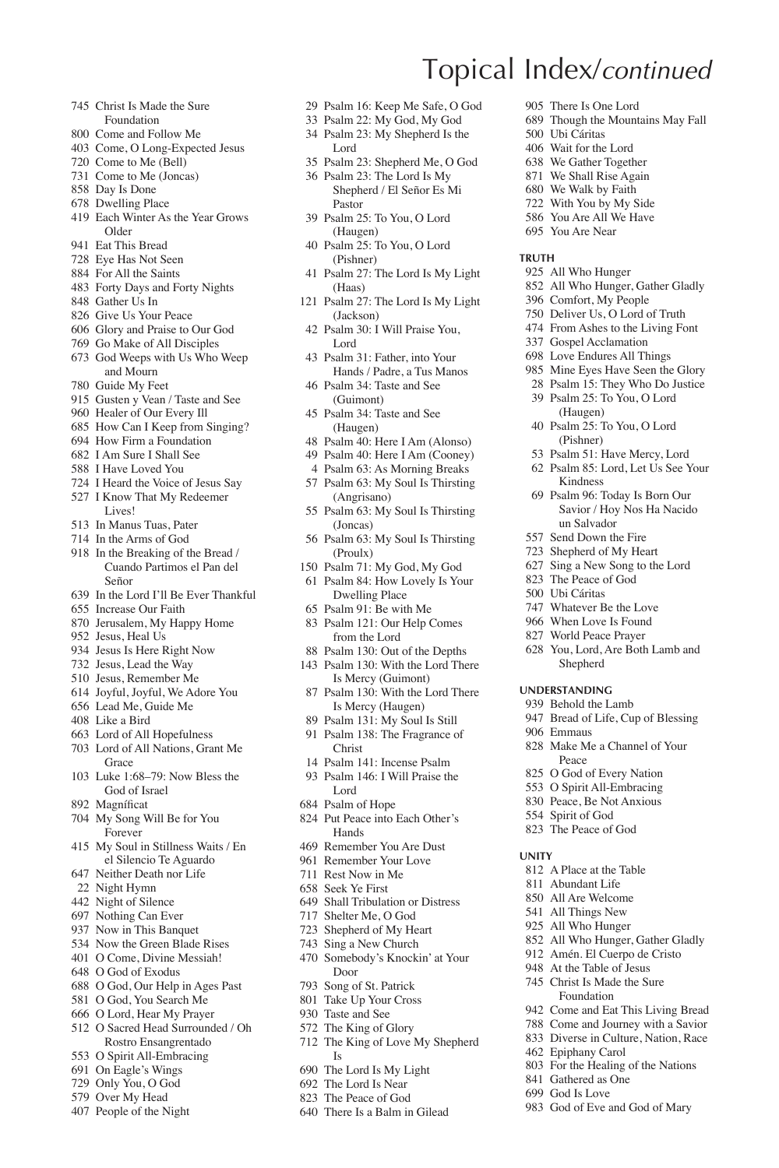- Christ Is Made the Sure Foundation
- Come and Follow Me
- Come, O Long-Expected Jesus
- Come to Me (Bell)
- Come to Me (Joncas)
- Day Is Done
- Dwelling Place
- Each Winter As the Year Grows Older
- Eat This Bread
- Eye Has Not Seen
- For All the Saints
- Forty Days and Forty Nights
- Gather Us In
- Give Us Your Peace
- Glory and Praise to Our God
- Go Make of All Disciples
- God Weeps with Us Who Weep and Mourn
- Guide My Feet
- Gusten y Vean / Taste and See
- Healer of Our Every Ill
- How Can I Keep from Singing?
- How Firm a Foundation
- I Am Sure I Shall See
- I Have Loved You
- I Heard the Voice of Jesus Say
- I Know That My Redeemer Lives!
- In Manus Tuas, Pater
- In the Arms of God
- In the Breaking of the Bread / Cuando Partimos el Pan del Señor
- In the Lord I'll Be Ever Thankful
- Increase Our Faith
- Jerusalem, My Happy Home
- Jesus, Heal Us
- Jesus Is Here Right Now
- Jesus, Lead the Way
- Jesus, Remember Me
- Joyful, Joyful, We Adore You
- Lead Me, Guide Me
- Like a Bird
- Lord of All Hopefulness
- Lord of All Nations, Grant Me Grace
- Luke 1:68–79: Now Bless the God of Israel
- 892 Magníficat
- My Song Will Be for You Forever
- My Soul in Stillness Waits / En el Silencio Te Aguardo
- Neither Death nor Life
- Night Hymn
- Night of Silence
- Nothing Can Ever
- Now in This Banquet
- Now the Green Blade Rises
- O Come, Divine Messiah!
- O God of Exodus
- O God, Our Help in Ages Past
- O God, You Search Me
- O Lord, Hear My Prayer
- O Sacred Head Surrounded / Oh Rostro Ensangrentado
- O Spirit All-Embracing
- On Eagle's Wings
- Only You, O God
- Over My Head
- People of the Night

Psalm 16: Keep Me Safe, O God

Topical Index/*continued*

 Ubi Cáritas Wait for the Lord We Gather Together We Shall Rise Again We Walk by Faith With You by My Side You Are All We Have You Are Near

**Truth**

 There Is One Lord Though the Mountains May Fall

All Who Hunger

Kindness Psalm 96: Today Is Born Our Savior / Hoy Nos Ha Nacido

un Salvador Send Down the Fire Shepherd of My Heart Sing a New Song to the Lord The Peace of God Ubi Cáritas Whatever Be the Love When Love Is Found World Peace Prayer You, Lord, Are Both Lamb and Shepherd **Understanding** Behold the Lamb Bread of Life, Cup of Blessing

Emmaus

**Unity**

 Make Me a Channel of Your Peace O God of Every Nation O Spirit All-Embracing Peace, Be Not Anxious Spirit of God The Peace of God

 A Place at the Table Abundant Life All Are Welcome All Things New All Who Hunger

Epiphany Carol

 All Who Hunger, Gather Gladly Amén. El Cuerpo de Cristo At the Table of Jesus Christ Is Made the Sure Foundation Come and Eat This Living Bread Come and Journey with a Savior Diverse in Culture, Nation, Race

 For the Healing of the Nations Gathered as One God Is Love

God of Eve and God of Mary

 All Who Hunger, Gather Gladly Comfort, My People Deliver Us, O Lord of Truth From Ashes to the Living Font Gospel Acclamation Love Endures All Things Mine Eyes Have Seen the Glory Psalm 15: They Who Do Justice Psalm 25: To You, O Lord (Haugen) Psalm 25: To You, O Lord (Pishner) Psalm 51: Have Mercy, Lord Psalm 85: Lord, Let Us See Your

- Psalm 22: My God, My God
- Psalm 23: My Shepherd Is the Lord
- Psalm 23: Shepherd Me, O God Psalm 23: The Lord Is My
- Shepherd / El Señor Es Mi Pastor
- Psalm 25: To You, O Lord (Haugen)
- Psalm 25: To You, O Lord (Pishner)
- Psalm 27: The Lord Is My Light (Haas)
- Psalm 27: The Lord Is My Light (Jackson)
- Psalm 30: I Will Praise You, Lord
- Psalm 31: Father, into Your Hands / Padre, a Tus Manos
- Psalm 34: Taste and See (Guimont)
- Psalm 34: Taste and See (Haugen)
- Psalm 40: Here I Am (Alonso)
- Psalm 40: Here I Am (Cooney)
- Psalm 63: As Morning Breaks
- Psalm 63: My Soul Is Thirsting (Angrisano)
- Psalm 63: My Soul Is Thirsting (Joncas)
- Psalm 63: My Soul Is Thirsting (Proulx)
- Psalm 71: My God, My God
- Psalm 84: How Lovely Is Your Dwelling Place
- Psalm 91: Be with Me
- Psalm 121: Our Help Comes from the Lord
- Psalm 130: Out of the Depths
- Psalm 130: With the Lord There Is Mercy (Guimont)
- Psalm 130: With the Lord There Is Mercy (Haugen)
- Psalm 131: My Soul Is Still Psalm 138: The Fragrance of
- Christ Psalm 141: Incense Psalm
- Psalm 146: I Will Praise the Lord
- Psalm of Hope
- Put Peace into Each Other's Hands
- Remember You Are Dust
- Remember Your Love
- Rest Now in Me
- Seek Ye First

Door Song of St. Patrick Take Up Your Cross Taste and See The King of Glory The King of Love My Shepherd

Is The Lord Is My Light The Lord Is Near The Peace of God There Is a Balm in Gilead

Shall Tribulation or Distress

Somebody's Knockin' at Your

- Shelter Me, O God
- Shepherd of My Heart Sing a New Church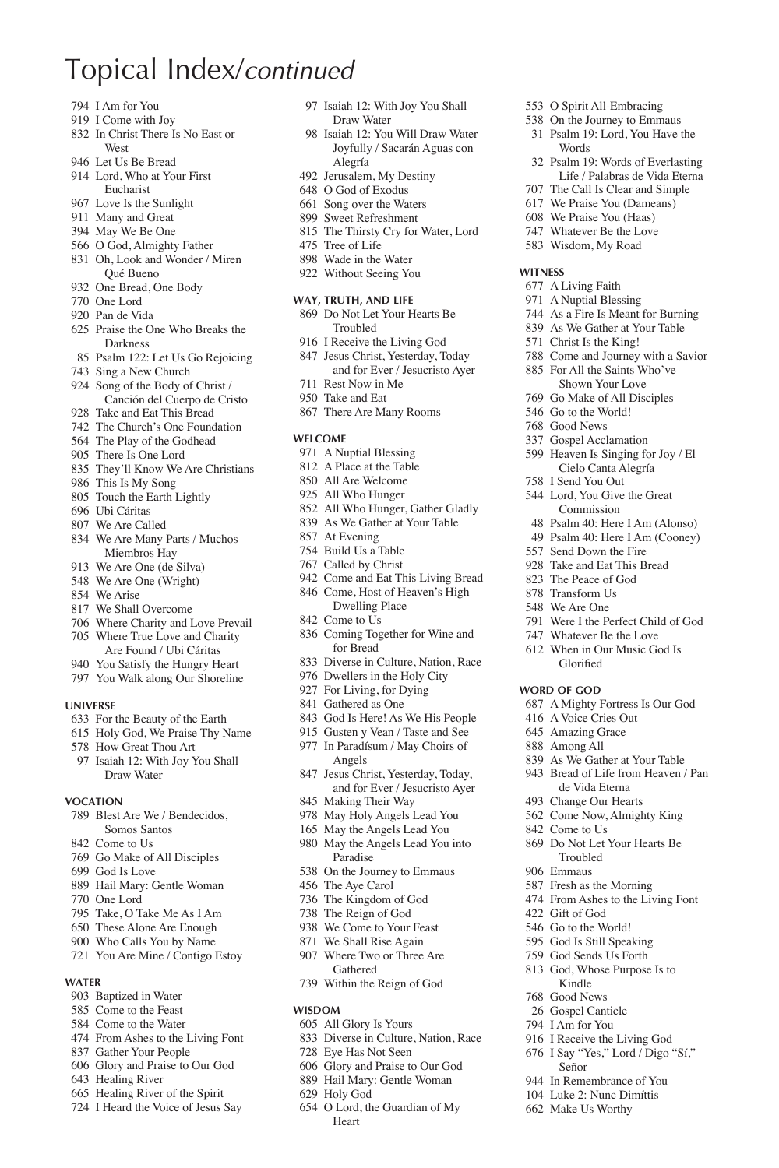- I Am for You
- I Come with Joy
- In Christ There Is No East or West
- Let Us Be Bread
- Lord, Who at Your First Eucharist
- Love Is the Sunlight
- Many and Great
- May We Be One
- O God, Almighty Father
- Oh, Look and Wonder / Miren Qué Bueno
- One Bread, One Body
- One Lord
- Pan de Vida
- Praise the One Who Breaks the Darkness
- Psalm 122: Let Us Go Rejoicing
- Sing a New Church
- Song of the Body of Christ / Canción del Cuerpo de Cristo
- Take and Eat This Bread
- The Church's One Foundation
- The Play of the Godhead
- There Is One Lord
- They'll Know We Are Christians
- This Is My Song
- Touch the Earth Lightly
- Ubi Cáritas
- We Are Called
- We Are Many Parts / Muchos Miembros Hay
- We Are One (de Silva)
- We Are One (Wright)
- We Arise
- We Shall Overcome
- Where Charity and Love Prevail
- Where True Love and Charity Are Found / Ubi Cáritas
- You Satisfy the Hungry Heart
- You Walk along Our Shoreline

### **Universe**

- For the Beauty of the Earth
- Holy God, We Praise Thy Name
- How Great Thou Art
- Isaiah 12: With Joy You Shall Draw Water

### **Vocation**

- Blest Are We / Bendecidos,
- Somos Santos
- Come to Us
- Go Make of All Disciples
- God Is Love
- Hail Mary: Gentle Woman
- One Lord
- Take, O Take Me As I Am
- These Alone Are Enough
- Who Calls You by Name
- You Are Mine / Contigo Estoy

### **Water**

- Baptized in Water
- Come to the Feast
- Come to the Water
- From Ashes to the Living Font
- Gather Your People
- Glory and Praise to Our God
- Healing River
- Healing River of the Spirit
- I Heard the Voice of Jesus Say

 Isaiah 12: With Joy You Shall Draw Water

 O Spirit All-Embracing On the Journey to Emmaus Psalm 19: Lord, You Have the

 Psalm 19: Words of Everlasting Life / Palabras de Vida Eterna The Call Is Clear and Simple We Praise You (Dameans) We Praise You (Haas) Whatever Be the Love Wisdom, My Road

 Were I the Perfect Child of God Whatever Be the Love When in Our Music God Is Glorified **Word of God**

 A Mighty Fortress Is Our God A Voice Cries Out Amazing Grace Among All

 As We Gather at Your Table Bread of Life from Heaven / Pan de Vida Eterna Change Our Hearts Come Now, Almighty King

 Do Not Let Your Hearts Be Troubled Emmaus Fresh as the Morning From Ashes to the Living Font

Come to Us

 Gift of God Go to the World! God Is Still Speaking God Sends Us Forth God, Whose Purpose Is to Kindle Good News Gospel Canticle I Am for You I Receive the Living God I Say "Yes," Lord / Digo "Sí,"

Señor In Remembrance of You Luke 2: Nunc Dimíttis Make Us Worthy

Words

**Witness** A Living Faith A Nuptial Blessing As a Fire Is Meant for Burning As We Gather at Your Table Christ Is the King! Come and Journey with a Savior For All the Saints Who've Shown Your Love Go Make of All Disciples Go to the World! Good News Gospel Acclamation Heaven Is Singing for Joy / El Cielo Canta Alegría I Send You Out Lord, You Give the Great Commission Psalm 40: Here I Am (Alonso) Psalm 40: Here I Am (Cooney) Send Down the Fire Take and Eat This Bread The Peace of God Transform Us We Are One

- Isaiah 12: You Will Draw Water Joyfully / Sacarán Aguas con Alegría
- Jerusalem, My Destiny
- O God of Exodus
- Song over the Waters
- Sweet Refreshment
- The Thirsty Cry for Water, Lord
- Tree of Life
- Wade in the Water Without Seeing You

- **Way, Truth, and Life** Do Not Let Your Hearts Be Troubled
- I Receive the Living God
- Jesus Christ, Yesterday, Today and for Ever / Jesucristo Ayer
- Rest Now in Me
- Take and Eat
- There Are Many Rooms

#### **Welcome**

- A Nuptial Blessing
- A Place at the Table
- All Are Welcome
- All Who Hunger
- All Who Hunger, Gather Gladly As We Gather at Your Table
- At Evening
- Build Us a Table
- Called by Christ
- Come and Eat This Living Bread
- Come, Host of Heaven's High Dwelling Place
- Come to Us
- Coming Together for Wine and for Bread
- Diverse in Culture, Nation, Race
- Dwellers in the Holy City
- For Living, for Dying
- Gathered as One

**Wisdom**

All Glory Is Yours

 Eye Has Not Seen Glory and Praise to Our God Hail Mary: Gentle Woman

Holy God

Heart

Diverse in Culture, Nation, Race

O Lord, the Guardian of My

- God Is Here! As We His People
- Gusten y Vean / Taste and See
- In Paradísum / May Choirs of Angels
- Jesus Christ, Yesterday, Today, and for Ever / Jesucristo Ayer Making Their Way May Holy Angels Lead You

 May the Angels Lead You May the Angels Lead You into Paradise On the Journey to Emmaus The Aye Carol The Kingdom of God The Reign of God We Come to Your Feast We Shall Rise Again Where Two or Three Are Gathered Within the Reign of God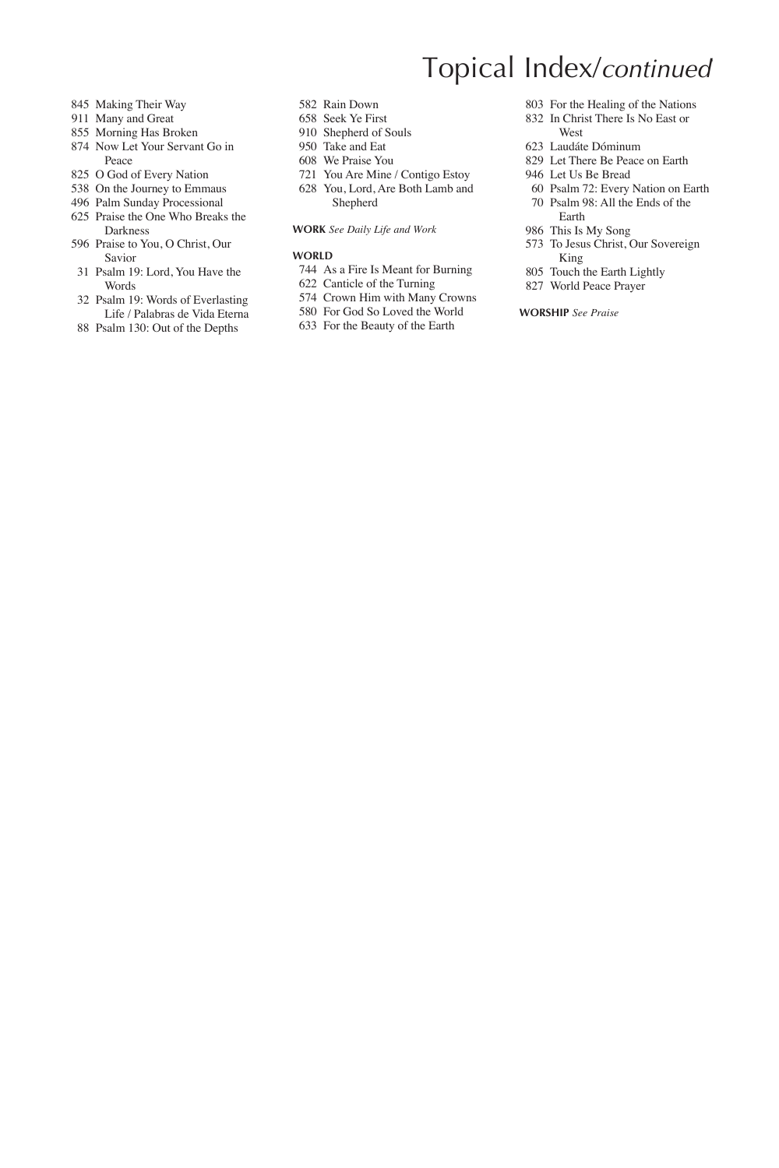- Making Their Way
- Many and Great
- Morning Has Broken
- Now Let Your Servant Go in Peace
- O God of Every Nation
- On the Journey to Emmaus
- Palm Sunday Processional
- Praise the One Who Breaks the Darkness
- Praise to You, O Christ, Our Savior
- Psalm 19: Lord, You Have the Words
- Psalm 19: Words of Everlasting Life / Palabras de Vida Eterna
- Psalm 130: Out of the Depths
- Rain Down
- Seek Ye First
- Shepherd of Souls
- Take and Eat
- We Praise You
- You Are Mine / Contigo Estoy
- You, Lord, Are Both Lamb and Shepherd

### **Work** *See Daily Life and Work*

#### **WORLD**

- As a Fire Is Meant for Burning
- Canticle of the Turning
- Crown Him with Many Crowns
- For God So Loved the World
- For the Beauty of the Earth
- For the Healing of the Nations
- In Christ There Is No East or West
- Laudáte Dóminum

**Topical Index/continued** 

- Let There Be Peace on Earth
- Let Us Be Bread
- Psalm 72: Every Nation on Earth Psalm 98: All the Ends of the
- Earth This Is My Song
- To Jesus Christ, Our Sovereign King
- Touch the Earth Lightly
- World Peace Prayer

### **Worship** *See Praise*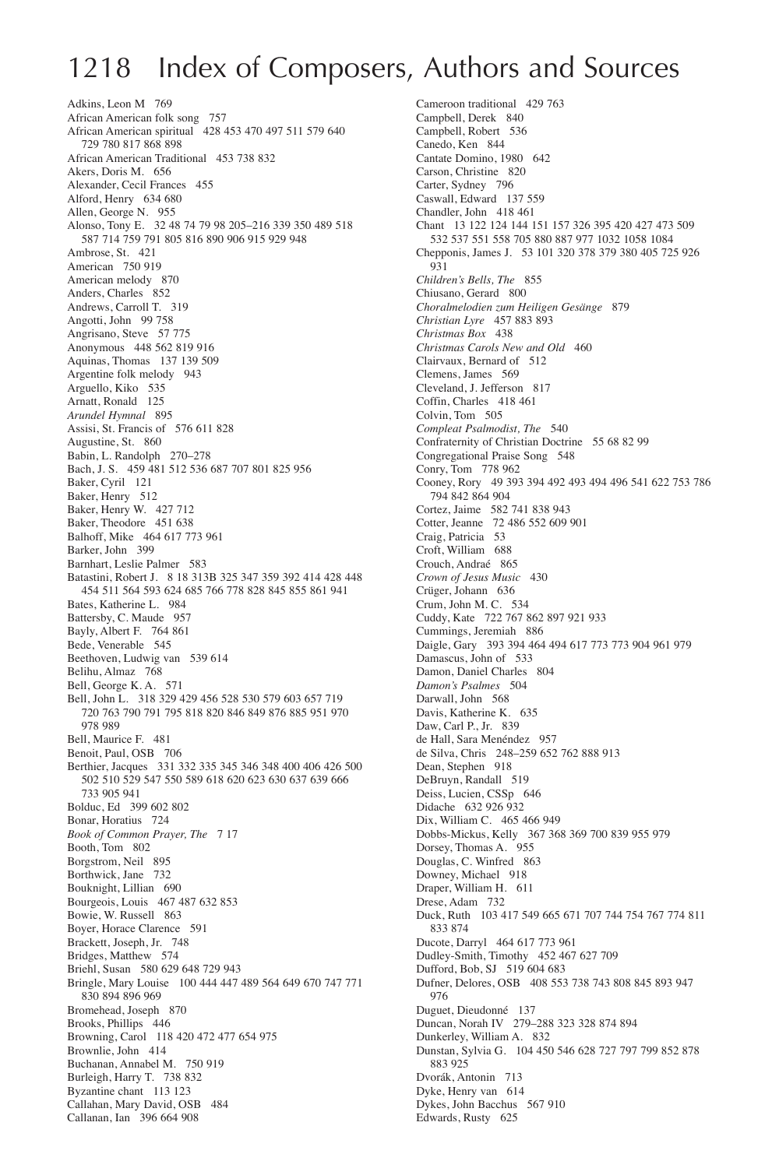# 1218 Index of Composers, Authors and Sources

Adkins, Leon M 769 African American folk song 757 African American spiritual 428 453 470 497 511 579 640 729 780 817 868 898 African American Traditional 453 738 832 Akers, Doris M. 656 Alexander, Cecil Frances 455 Alford, Henry 634 680 Allen, George N. 955 Alonso, Tony E. 32 48 74 79 98 205–216 339 350 489 518 587 714 759 791 805 816 890 906 915 929 948 Ambrose, St. 421 American 750 919 American melody 870 Anders, Charles 852 Andrews, Carroll T. 319 Angotti, John 99 758 Angrisano, Steve 57 775 Anonymous 448 562 819 916 Aquinas, Thomas 137 139 509 Argentine folk melody 943 Arguello, Kiko 535 Arnatt, Ronald 125 *Arundel Hymnal* 895 Assisi, St. Francis of 576 611 828 Augustine, St. 860 Babin, L. Randolph 270–278 Bach, J. S. 459 481 512 536 687 707 801 825 956 Baker, Cyril 121 Baker, Henry 512 Baker, Henry W. 427 712 Baker, Theodore 451 638 Balhoff, Mike 464 617 773 961 Barker, John 399 Barnhart, Leslie Palmer 583 Batastini, Robert J. 8 18 313B 325 347 359 392 414 428 448 454 511 564 593 624 685 766 778 828 845 855 861 941 Bates, Katherine L. 984 Battersby, C. Maude 957 Bayly, Albert F. 764 861 Bede, Venerable 545 Beethoven, Ludwig van 539 614 Belihu, Almaz 768 Bell, George K. A. 571 Bell, John L. 318 329 429 456 528 530 579 603 657 719 720 763 790 791 795 818 820 846 849 876 885 951 970 978 989 Bell, Maurice F. 481 Benoit, Paul, OSB 706 Berthier, Jacques 331 332 335 345 346 348 400 406 426 500 502 510 529 547 550 589 618 620 623 630 637 639 666 733 905 941 Bolduc, Ed 399 602 802 Bonar, Horatius 724 *Book of Common Prayer, The* 7 17 Booth, Tom 802 Borgstrom, Neil 895 Borthwick, Jane 732 Bouknight, Lillian 690 Bourgeois, Louis 467 487 632 853 Bowie, W. Russell 863 Boyer, Horace Clarence 591 Brackett, Joseph, Jr. 748 Bridges, Matthew 574 Briehl, Susan 580 629 648 729 943 Bringle, Mary Louise 100 444 447 489 564 649 670 747 771 830 894 896 969 Bromehead, Joseph 870 Brooks, Phillips 446 Browning, Carol 118 420 472 477 654 975 Brownlie, John 414 Buchanan, Annabel M. 750 919 Burleigh, Harry T. 738 832 Byzantine chant 113 123 Callahan, Mary David, OSB 484 Callanan, Ian 396 664 908

Cameroon traditional 429 763 Campbell, Derek 840 Campbell, Robert 536 Canedo, Ken 844 Cantate Domino, 1980 642 Carson, Christine 820 Carter, Sydney 796 Caswall, Edward 137 559 Chandler, John 418 461 Chant 13 122 124 144 151 157 326 395 420 427 473 509 532 537 551 558 705 880 887 977 1032 1058 1084 Chepponis, James J. 53 101 320 378 379 380 405 725 926 931 *Children's Bells, The* 855 Chiusano, Gerard 800 *Choralmelodien zum Heiligen Gesänge* 879 *Christian Lyre* 457 883 893 *Christmas Box* 438 *Christmas Carols New and Old* 460 Clairvaux, Bernard of 512 Clemens, James 569 Cleveland, J. Jefferson 817 Coffin, Charles 418 461 Colvin, Tom 505 *Compleat Psalmodist, The* 540 Confraternity of Christian Doctrine 55 68 82 99 Congregational Praise Song 548 Conry, Tom 778 962 Cooney, Rory 49 393 394 492 493 494 496 541 622 753 786 794 842 864 904 Cortez, Jaime 582 741 838 943 Cotter, Jeanne 72 486 552 609 901 Craig, Patricia 53 Croft, William 688 Crouch, Andraé 865 *Crown of Jesus Music* 430 Crüger, Johann 636 Crum, John M. C. 534 Cuddy, Kate 722 767 862 897 921 933 Cummings, Jeremiah 886 Daigle, Gary 393 394 464 494 617 773 773 904 961 979 Damascus, John of 533 Damon, Daniel Charles 804 *Damon's Psalmes* 504 Darwall John 568 Davis, Katherine K. 635 Daw, Carl P., Jr. 839 de Hall, Sara Menéndez 957 de Silva, Chris 248–259 652 762 888 913 Dean, Stephen 918 DeBruyn, Randall 519 Deiss, Lucien, CSSp 646 Didache 632 926 932 Dix, William C. 465 466 949 Dobbs-Mickus, Kelly 367 368 369 700 839 955 979 Dorsey, Thomas A. 955 Douglas, C. Winfred 863 Downey, Michael 918 Draper, William H. 611 Drese, Adam 732 Duck, Ruth 103 417 549 665 671 707 744 754 767 774 811 833 874 Ducote, Darryl 464 617 773 961 Dudley-Smith, Timothy 452 467 627 709 Dufford, Bob, SJ 519 604 683 Dufner, Delores, OSB 408 553 738 743 808 845 893 947 976 Duguet, Dieudonné 137 Duncan, Norah IV 279–288 323 328 874 894 Dunkerley, William A. 832 Dunstan, Sylvia G. 104 450 546 628 727 797 799 852 878 883 925 Dvorák, Antonin 713 Dyke, Henry van 614 Dykes, John Bacchus 567 910 Edwards, Rusty 625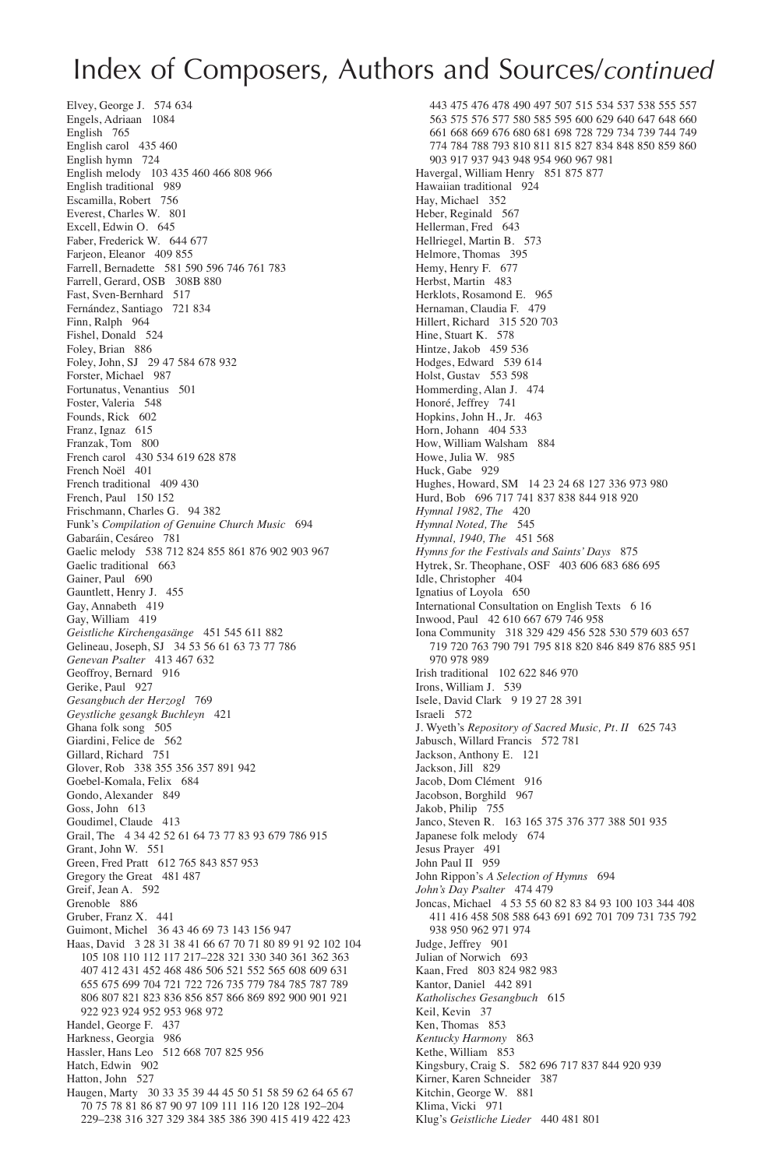### Index of Composers, Authors and Sources/*continued*

443 475 476 478 490 497 507 515 534 537 538 555 557 563 575 576 577 580 585 595 600 629 640 647 648 660 661 668 669 676 680 681 698 728 729 734 739 744 749 774 784 788 793 810 811 815 827 834 848 850 859 860 903 917 937 943 948 954 960 967 981 Havergal, William Henry 851 875 877 Hawaiian traditional 924 Hay, Michael 352 Heber, Reginald 567 Hellerman, Fred 643 Hellriegel, Martin B. 573 Helmore, Thomas 395 Hemy, Henry F. 677 Herbst, Martin 483 Herklots, Rosamond E. 965 Hernaman, Claudia F. 479 Hillert, Richard 315 520 703 Hine, Stuart K. 578 Hintze, Jakob 459 536 Hodges, Edward 539 614 Holst, Gustav 553 598 Hommerding, Alan J. 474 Honoré, Jeffrey 741 Hopkins, John H., Jr. 463 Horn, Johann 404 533 How, William Walsham 884 Howe, Julia W. 985 Huck, Gabe 929 Hughes, Howard, SM 14 23 24 68 127 336 973 980 Hurd, Bob 696 717 741 837 838 844 918 920 *Hymnal 1982, The* 420 *Hymnal Noted, The* 545 *Hymnal, 1940, The* 451 568 *Hymns for the Festivals and Saints' Days* 875 Hytrek, Sr. Theophane, OSF 403 606 683 686 695 Idle, Christopher 404 Ignatius of Loyola 650 International Consultation on English Texts 6 16 Inwood, Paul 42 610 667 679 746 958 Iona Community 318 329 429 456 528 530 579 603 657 719 720 763 790 791 795 818 820 846 849 876 885 951 970 978 989 Irish traditional 102 622 846 970 Irons, William J. 539 Isele, David Clark 9 19 27 28 391 Israeli 572 J. Wyeth's *Repository of Sacred Music, Pt. II* 625 743 Jabusch, Willard Francis 572 781 Jackson, Anthony E. 121 Jackson, Jill 829 Jacob, Dom Clément 916 Jacobson, Borghild 967 Jakob, Philip 755 Janco, Steven R. 163 165 375 376 377 388 501 935 Japanese folk melody 674 Jesus Prayer 491 John Paul II 959 John Rippon's *A Selection of Hymns* 694 *John's Day Psalter* 474 479 Joncas, Michael 4 53 55 60 82 83 84 93 100 103 344 408 411 416 458 508 588 643 691 692 701 709 731 735 792 938 950 962 971 974 Judge, Jeffrey 901 Julian of Norwich 693 Kaan, Fred 803 824 982 983 Kantor, Daniel 442 891 *Katholisches Gesangbuch* 615 Keil, Kevin 37 Ken, Thomas 853 *Kentucky Harmony* 863 Kethe, William 853 Kingsbury, Craig S. 582 696 717 837 844 920 939 Kirner, Karen Schneider 387 Kitchin, George W. 881 Klima, Vicki 971 Klug's *Geistliche Lieder* 440 481 801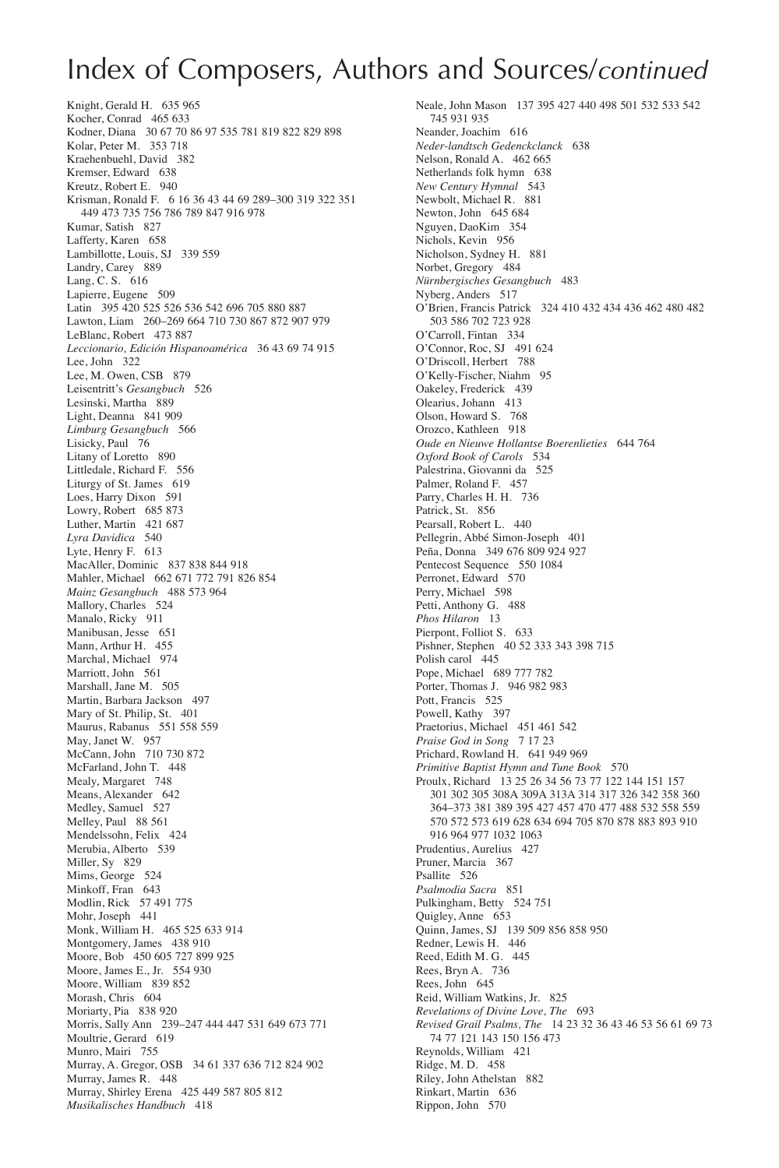# Index of Composers, Authors and Sources/*continued*

Knight, Gerald H. 635 965 Kocher, Conrad 465 633 Kodner, Diana 30 67 70 86 97 535 781 819 822 829 898 Kolar, Peter M. 353 718 Kraehenbuehl, David 382 Kremser, Edward 638 Kreutz, Robert E. 940 Krisman, Ronald F. 6 16 36 43 44 69 289–300 319 322 351 449 473 735 756 786 789 847 916 978 Kumar, Satish 827 Lafferty, Karen 658 Lambillotte, Louis, SJ 339 559 Landry, Carey 889 Lang, C. S. 616 Lapierre, Eugene 509 Latin 395 420 525 526 536 542 696 705 880 887 Lawton, Liam 260–269 664 710 730 867 872 907 979 LeBlanc, Robert 473 887 *Leccionario, Edición Hispanoamérica* 36 43 69 74 915 Lee, John 322 Lee, M. Owen, CSB 879 Leisentritt's *Gesangbuch* 526 Lesinski, Martha 889 Light, Deanna 841 909 *Limburg Gesangbuch* 566 Lisicky, Paul 76 Litany of Loretto 890 Littledale, Richard F. 556 Liturgy of St. James 619 Loes, Harry Dixon 591 Lowry, Robert 685 873 Luther, Martin 421 687 *Lyra Davidica* 540 Lyte, Henry F. 613 MacAller, Dominic 837 838 844 918 Mahler, Michael 662 671 772 791 826 854 *Mainz Gesangbuch* 488 573 964 Mallory, Charles 524 Manalo, Ricky 911 Manibusan, Jesse 651 Mann, Arthur H. 455 Marchal, Michael 974 Marriott, John 561 Marshall, Jane M. 505 Martin, Barbara Jackson 497 Mary of St. Philip, St. 401 Maurus, Rabanus 551 558 559 May, Janet W. 957 McCann, John 710 730 872 McFarland, John T. 448 Mealy, Margaret 748 Means, Alexander 642 Medley, Samuel 527 Melley, Paul 88 561 Mendelssohn, Felix 424 Merubia, Alberto 539 Miller, Sy 829 Mims, George 524 Minkoff, Fran 643 Modlin, Rick 57 491 775 Mohr, Joseph 441 Monk, William H. 465 525 633 914 Montgomery, James 438 910 Moore, Bob 450 605 727 899 925 Moore, James E., Jr. 554 930 Moore, William 839 852 Morash, Chris 604 Moriarty, Pia 838 920 Morris, Sally Ann 239–247 444 447 531 649 673 771 Moultrie, Gerard 619 Munro, Mairi 755 Murray, A. Gregor, OSB 34 61 337 636 712 824 902 Murray, James R. 448 Murray, Shirley Erena 425 449 587 805 812 *Musikalisches Handbuch* 418

Neale, John Mason 137 395 427 440 498 501 532 533 542 745 931 935 Neander, Joachim 616 *Neder-landtsch Gedenckclanck* 638 Nelson, Ronald A. 462 665 Netherlands folk hymn 638 *New Century Hymnal* 543 Newbolt, Michael R. 881 Newton, John 645 684 Nguyen, DaoKim 354 Nichols, Kevin 956 Nicholson, Sydney H. 881 Norbet, Gregory 484 *Nürnbergisches Gesangbuch* 483 Nyberg, Anders 517 O'Brien, Francis Patrick 324 410 432 434 436 462 480 482 503 586 702 723 928 O'Carroll, Fintan 334 O'Connor, Roc, SJ 491 624 O'Driscoll, Herbert 788 O'Kelly-Fischer, Niahm 95 Oakeley, Frederick 439 Olearius, Johann 413 Olson, Howard S. 768 Orozco, Kathleen 918 *Oude en Nieuwe Hollantse Boerenlieties* 644 764 *Oxford Book of Carols* 534 Palestrina, Giovanni da 525 Palmer, Roland F. 457 Parry, Charles H. H. 736 Patrick, St. 856 Pearsall, Robert L. 440 Pellegrin, Abbé Simon-Joseph 401 Peña, Donna 349 676 809 924 927 Pentecost Sequence 550 1084 Perronet, Edward 570 Perry, Michael 598 Petti, Anthony G. 488 *Phos Hilaron* 13 Pierpont, Folliot S. 633 Pishner, Stephen 40 52 333 343 398 715 Polish carol 445 Pope, Michael 689 777 782 Porter, Thomas J. 946 982 983 Pott, Francis 525 Powell, Kathy 397 Praetorius, Michael 451 461 542 *Praise God in Song* 7 17 23 Prichard, Rowland H. 641 949 969 *Primitive Baptist Hymn and Tune Book* 570 Proulx, Richard 13 25 26 34 56 73 77 122 144 151 157 301 302 305 308A 309A 313A 314 317 326 342 358 360 364–373 381 389 395 427 457 470 477 488 532 558 559 570 572 573 619 628 634 694 705 870 878 883 893 910 916 964 977 1032 1063 Prudentius, Aurelius 427 Pruner, Marcia 367 Psallite 526 *Psalmodia Sacra* 851 Pulkingham, Betty 524 751 Quigley, Anne 653 Quinn, James, SJ 139 509 856 858 950 Redner, Lewis H. 446 Reed, Edith M. G. 445 Rees, Bryn A. 736 Rees, John 645 Reid, William Watkins, Jr. 825 *Revelations of Divine Love, The* 693 *Revised Grail Psalms, The* 14 23 32 36 43 46 53 56 61 69 73 74 77 121 143 150 156 473 Reynolds, William 421 Ridge, M. D. 458 Riley, John Athelstan 882 Rinkart, Martin 636 Rippon, John 570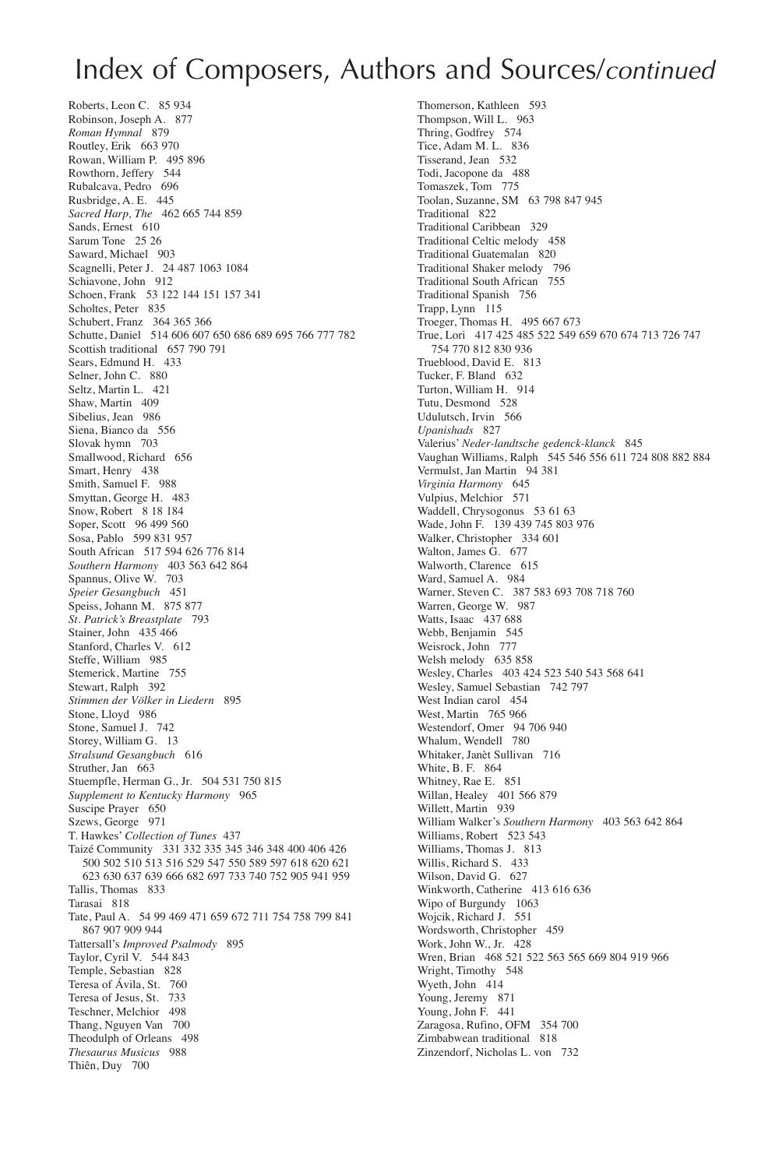### Index of Composers, Authors and Sources/*continued*

Roberts, Leon C. 85 934 Robinson, Joseph A. 877 *Roman Hymnal* 879 Routley, Erik 663 970 Rowan, William P. 495 896 Rowthorn, Jeffery 544 Rubalcava, Pedro 696 Rusbridge, A. E. 445 *Sacred Harp, The* 462 665 744 859 Sands, Ernest 610 Sarum Tone 25 26 Saward, Michael 903 Scagnelli, Peter J. 24 487 1063 1084 Schiavone, John 912 Schoen, Frank 53 122 144 151 157 341 Scholtes, Peter 835 Schubert, Franz 364 365 366 Schutte, Daniel 514 606 607 650 686 689 695 766 777 782 Scottish traditional 657 790 791 Sears, Edmund H. 433 Selner, John C. 880 Seltz, Martin L. 421 Shaw, Martin 409 Sibelius, Jean 986 Siena, Bianco da 556 Slovak hymn 703 Smallwood, Richard 656 Smart, Henry 438 Smith, Samuel F. 988 Smyttan, George H. 483 Snow, Robert 8 18 184 Soper, Scott 96 499 560 Sosa, Pablo 599 831 957 South African 517 594 626 776 814 *Southern Harmony* 403 563 642 864 Spannus, Olive W. 703 *Speier Gesangbuch* 451 Speiss, Johann M. 875 877 *St. Patrick's Breastplate* 793 Stainer, John 435 466 Stanford, Charles V. 612 Steffe, William 985 Stemerick, Martine 755 Stewart, Ralph 392 *Stimmen der Völker in Liedern* 895 Stone, Lloyd 986 Stone, Samuel J. 742 Storey, William G. 13 *Stralsund Gesangbuch* 616 Struther, Jan 663 Stuempfle, Herman G., Jr. 504 531 750 815 *Supplement to Kentucky Harmony* 965 Suscipe Prayer 650 Szews, George 971 T. Hawkes' *Collection of Tunes* 437 Taizé Community 331 332 335 345 346 348 400 406 426 500 502 510 513 516 529 547 550 589 597 618 620 621 623 630 637 639 666 682 697 733 740 752 905 941 959 Tallis, Thomas 833 Tarasai 818 Tate, Paul A. 54 99 469 471 659 672 711 754 758 799 841 867 907 909 944 Tattersall's *Improved Psalmody* 895 Taylor, Cyril V. 544 843 Temple, Sebastian 828 Teresa of Ávila, St. 760 Teresa of Jesus, St. 733 Teschner, Melchior 498 Thang, Nguyen Van 700 Theodulph of Orleans 498 *Thesaurus Musicus* 988 Thiên, Duy 700

Thomerson, Kathleen 593 Thompson, Will L. 963 Thring, Godfrey 574 Tice, Adam M. L. 836 Tisserand, Jean 532 Todi, Jacopone da 488 Tomaszek, Tom 775 Toolan, Suzanne, SM 63 798 847 945 Traditional 822 Traditional Caribbean 329 Traditional Celtic melody 458 Traditional Guatemalan<sup>5</sup>820 Traditional Shaker melody 796 Traditional South African 755 Traditional Spanish 756 Trapp, Lynn<sup>1</sup>115 Troeger, Thomas H. 495 667 673 True, Lori 417 425 485 522 549 659 670 674 713 726 747 754 770 812 830 936 Trueblood, David E. 813 Tucker, F. Bland 632 Turton, William H. 914 Tutu, Desmond 528 Udulutsch, Irvin 566 *Upanishads* 827 Valerius' *Neder-landtsche gedenck-klanck* 845 Vaughan Williams, Ralph 545 546 556 611 724 808 882 884 Vermulst, Jan Martin 94 381 *Virginia Harmony* 645 Vulpius, Melchior 571 Waddell, Chrysogonus 53 61 63 Wade, John F. 139 439 745 803 976 Walker, Christopher 334 601 Walton, James G. 677 Walworth, Clarence 615 Ward, Samuel A. 984 Warner, Steven C. 387 583 693 708 718 760 Warren, George W. 987 Watts, Isaac 437 688 Webb, Benjamin 545 Weisrock, John 777 Welsh melody 635 858 Wesley, Charles 403 424 523 540 543 568 641 Wesley, Samuel Sebastian 742 797 West Indian carol 454 West, Martin 765 966 Westendorf, Omer 94 706 940 Whalum, Wendell 780 Whitaker, Janèt Sullivan 716 White, B. F. 864 Whitney, Rae E. 851 Willan, Healey 401 566 879 Willett, Martin 939 William Walker's *Southern Harmony* 403 563 642 864 Williams, Robert 523 543 Williams, Thomas J. 813 Willis, Richard S. 433 Wilson, David G. 627 Winkworth, Catherine 413 616 636 Wipo of Burgundy 1063 Wojcik, Richard J. 551 Wordsworth, Christopher 459 Work, John W., Jr. 428 Wren, Brian 468 521 522 563 565 669 804 919 966 Wright, Timothy 548 Wyeth, John 414 Young, Jeremy 871 Young, John F. 441 Zaragosa, Rufino, OFM 354 700 Zimbabwean traditional 818 Zinzendorf, Nicholas L. von 732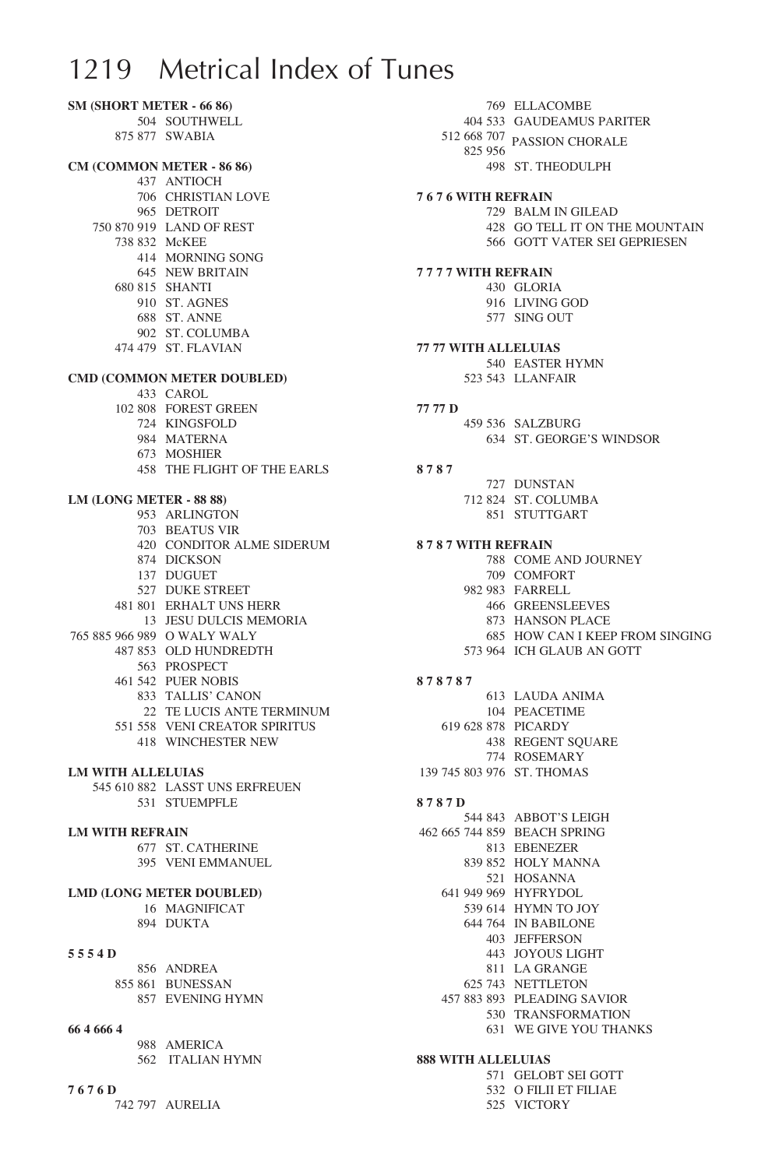**SM (Short Meter - 66 86)** 504 SOUTHWELL 875 877 SWABIA **CM (Common Meter - 86 86)** 437 ANTIOCH 706 CHRISTIAN LOVE 965 DETROIT 750 870 919 LAND OF REST 738 832 McKEE 414 MORNING SONG 645 NEW BRITAIN 680 815 SHANTI 910 ST. AGNES 688 ST. ANNE 902 ST. COLUMBA 474 479 ST. FLAVIAN **CMD (Common Meter Doubled)** 433 CAROL 102 808 FOREST GREEN 724 KINGSFOLD 984 MATERNA 673 MOSHIER 458 THE FLIGHT OF THE EARLS **LM (Long Meter - 88 88)** 953 ARLINGTON 703 BEATUS VIR 420 CONDITOR ALME SIDERUM 874 DICKSON 137 DUGUET 527 DUKE STREET 481 801 ERHALT UNS HERR 13 JESU DULCIS MEMORIA 765 885 966 989 O WALY WALY 487 853 OLD HUNDREDTH 563 PROSPECT 461 542 PUER NOBIS 833 TALLIS' CANON 22 TE LUCIS ANTE TERMINUM 551 558 VENI CREATOR SPIRITUS 418 WINCHESTER NEW **LM with alleluias** 545 610 882 LASST UNS ERFREUEN 531 STUEMPFLE **LM with refrain** 677 ST. CATHERINE 395 VENI EMMANUEL **LMD (LONG Meter Doubled)** 16 MAGNIFICAT 894 DUKTA **5 5 5 4 D** 856 ANDREA 855 861 BUNESSAN 857 EVENING HYMN **66 4 666 4** 988 AMERICA 562 ITALIAN HYMN **7 6 7 6 D**

512 668 707 PASSION CHORALE825 956 498 ST. THEODULPH **7 6 7 6 with refrain** 729 BALM IN GILEAD 428 GO TELL IT ON THE MOUNTAIN 566 GOTT VATER SEI GEPRIESEN **7 7 7 7 with refrain** 430 GLORIA 916 LIVING GOD 577 SING OUT **77 77 with alleluias**  540 EASTER HYMN 523 543 LLANFAIR **77 77 D** 459 536 SALZBURG 634 ST. GEORGE'S WINDSOR **8 7 8 7** 727 DUNSTAN 712 824 ST. COLUMBA 851 STUTTGART **8 7 8 7 with refrain** 788 COME AND JOURNEY 709 COMFORT 982 983 FARRELL 466 GREENSLEEVES 873 HANSON PLACE 685 HOW CAN I KEEP FROM SINGING 573 964 ICH GLAUB AN GOTT **8 7 8 7 8 7** 613 LAUDA ANIMA 104 PEACETIME 619 628 878 PICARDY 438 REGENT SQUARE 774 ROSEMARY 139 745 803 976 ST. THOMAS **8 7 8 7 D** 544 843 ABBOT'S LEIGH 462 665 744 859 BEACH SPRING 813 EBENEZER 839 852 HOLY MANNA 521 HOSANNA 641 949 969 HYFRYDOL 539 614 HYMN TO JOY 644 764 IN BABILONE 403 JEFFERSON 443 JOYOUS LIGHT 811 LA GRANGE 625 743 NETTLETON 457 883 893 PLEADING SAVIOR 530 TRANSFORMATION 631 WE GIVE YOU THANKS **888 with alleluias**  571 GELOBT SEI GOTT 532 O FILII ET FILIAE

525 VICTORY

769 ELLACOMBE 404 533 GAUDEAMUS PARITER

742 797 AURELIA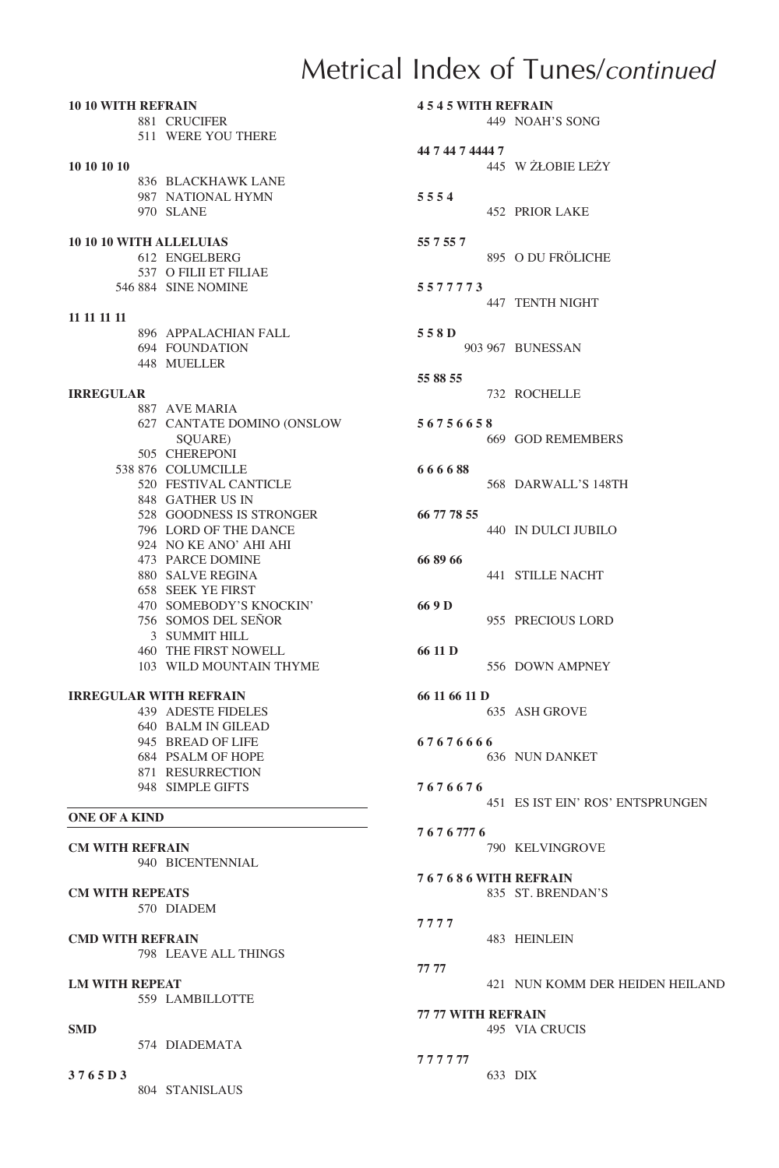# Metrical Index of Tunes/*continued*

| <b>10 10 WITH REFRAIN</b>      |                               |
|--------------------------------|-------------------------------|
|                                | 881 CRUCIFER                  |
|                                | 511 WERE YOU THERE            |
|                                |                               |
| 10 10 10 10                    |                               |
|                                | 836 BLACKHAWK LANE            |
|                                | 987 NATIONAL HYMN             |
|                                | 970 SLANE                     |
|                                |                               |
| <b>10 10 10 WITH ALLELUIAS</b> |                               |
|                                | 612 ENGELBERG                 |
|                                |                               |
|                                | 537 O FILII ET FILIAE         |
|                                | 546 884 SINE NOMINE           |
|                                |                               |
| 11 11 11 11                    |                               |
|                                | 896 APPALACHIAN FALL          |
|                                | 694 FOUNDATION                |
|                                | 448 MUELLER                   |
|                                |                               |
| <b>IRREGULAR</b>               |                               |
|                                | 887 AVE MARIA                 |
|                                | 627 CANTATE DOMINO (ONSLOW    |
|                                | SQUARE)                       |
|                                | 505 CHEREPONI                 |
|                                | 538 876 COLUMCILLE            |
|                                | 520 FESTIVAL CANTICLE         |
|                                | 848 GATHER US IN              |
|                                | 528 GOODNESS IS STRONGER      |
|                                | 796 LORD OF THE DANCE         |
|                                | 924 NO KE ANO' AHI AHI        |
|                                | 473 PARCE DOMINE              |
|                                | 880 SALVE REGINA              |
|                                | <b>658 SEEK YE FIRST</b>      |
|                                |                               |
|                                | 470 SOMEBODY'S KNOCKIN'       |
|                                | 756 SOMOS DEL SEÑOR           |
|                                | 3 SUMMIT HILL                 |
|                                | <b>460 THE FIRST NOWELL</b>   |
|                                | 103 WILD MOUNTAIN THYME       |
|                                |                               |
|                                | <b>IRREGULAR WITH REFRAIN</b> |
|                                | 439 ADESTE FIDELES            |
|                                | 640 BALM IN GILEAD            |
|                                | 945 BREAD OF LIFE             |
|                                | 684 PSALM OF HOPE             |
|                                | 871 RESURRECTION              |
|                                | 948 SIMPLE GIFTS              |
|                                |                               |
| <b>ONE OF A KIND</b>           |                               |
|                                |                               |
| <b>CM WITH REFRAIN</b>         |                               |
|                                | 940 BICENTENNIAL              |
|                                |                               |
| <b>CM WITH REPEATS</b>         |                               |
|                                | 570 DIADEM                    |
|                                |                               |
| <b>CMD WITH REFRAIN</b>        |                               |
|                                | 798 LEAVE ALL THINGS          |
|                                |                               |
| <b>LM WITH REPEAT</b>          |                               |
|                                | 559 LAMBILLOTTE               |
|                                |                               |
| <b>SMD</b>                     |                               |
|                                | 574 DIADEMATA                 |
|                                |                               |
|                                |                               |
| 3765D3                         |                               |
|                                | 804 STANISLAUS                |

| <b>4545 WITH REFRAIN</b>                    |  | 449 NOAH'S SONG                  |  |  |
|---------------------------------------------|--|----------------------------------|--|--|
| 44 7 44 7 4444 7                            |  | 445 W ŻŁOBIE LEŻY                |  |  |
| 5554                                        |  | <b>452 PRIOR LAKE</b>            |  |  |
| 55 7 55 7                                   |  | 895 O DU FRÖLICHE                |  |  |
| 5577773                                     |  | 447 TENTH NIGHT                  |  |  |
| 558D                                        |  | 903 967 BUNESSAN                 |  |  |
| 55 88 55                                    |  | 732 ROCHELLE                     |  |  |
| 56756658                                    |  | 669 GOD REMEMBERS                |  |  |
| 666688                                      |  | 568 DARWALL'S 148TH              |  |  |
| 66 77 78 55                                 |  | 440 IN DULCI JUBILO              |  |  |
| 66 89 66                                    |  | 441 STILLE NACHT                 |  |  |
| 66 9 D                                      |  | 955 PRECIOUS LORD                |  |  |
| 66 11 D                                     |  | 556 DOWN AMPNEY                  |  |  |
| 66 11 66 11 D                               |  | 635 ASH GROVE                    |  |  |
| 67676666                                    |  | <b>636 NUN DANKET</b>            |  |  |
| 7676676                                     |  | 451 ES IST EIN' ROS' ENTSPRUNGEN |  |  |
| 76767776                                    |  | <b>790 KELVINGROVE</b>           |  |  |
| 767686WITH REFRAIN                          |  | 835 ST. BRENDAN'S                |  |  |
| 7777                                        |  | 483 HEINLEIN                     |  |  |
| 77 77                                       |  | 421 NUN KOMM DER HEIDEN HEILAND  |  |  |
| <b>77 77 WITH REFRAIN</b><br>495 VIA CRUCIS |  |                                  |  |  |
| 777777                                      |  | 633 DIX                          |  |  |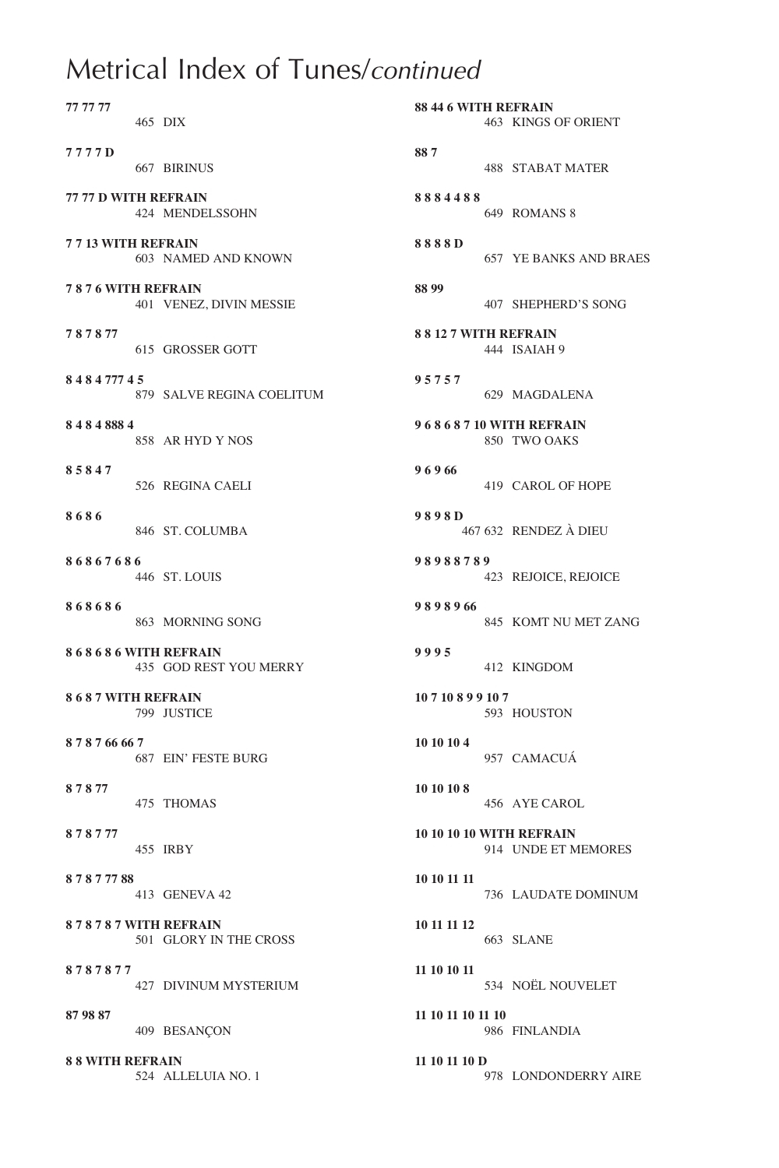# Metrical Index of Tunes/*continued*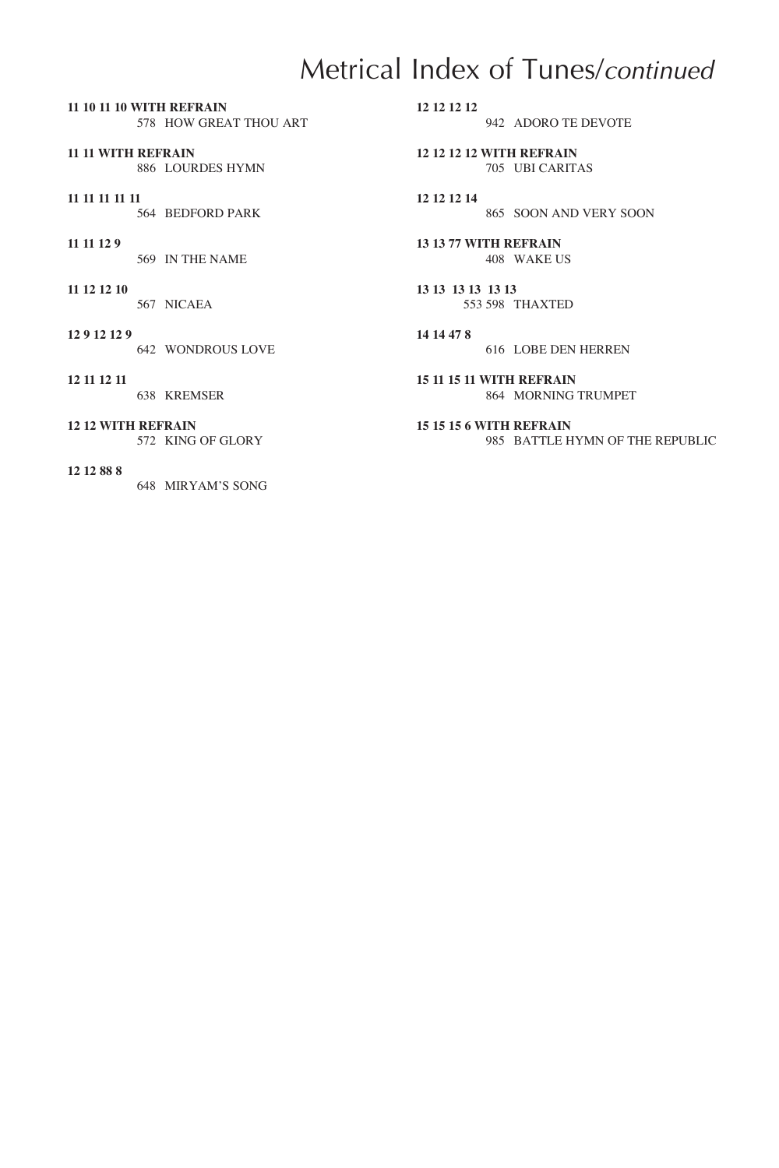# Metrical Index of Tunes/*continued*

**11 10 11 10 with refrain** 578 HOW GREAT THOU ART

**11 11 with refrain** 886 LOURDES HYMN

**11 11 11 11 11** 564 BEDFORD PARK

**11 11 12 9**

569 IN THE NAME

**11 12 12 10** 567 NICAEA

**12 9 12 12 9**

642 WONDROUS LOVE

**12 11 12 11**

638 KREMSER

**12 12 with refrain**

572 KING OF GLORY

**12 12 88 8**

648 MIRYAM'S SONG

**12 12 12 12**

942 ADORO TE DEVOTE

**12 12 12 12 with refrain** 705 UBI CARITAS

**12 12 12 14** 865 SOON AND VERY SOON

**13 13 77 with refrain** 408 WAKE US

**13 13 13 13 13 13** 553 598 THAXTED

**14 14 47 8** 616 LOBE DEN HERREN

**15 11 15 11 with refrain** 864 MORNING TRUMPET

**15 15 15 6 with refrain** 985 BATTLE HYMN OF THE REPUBLIC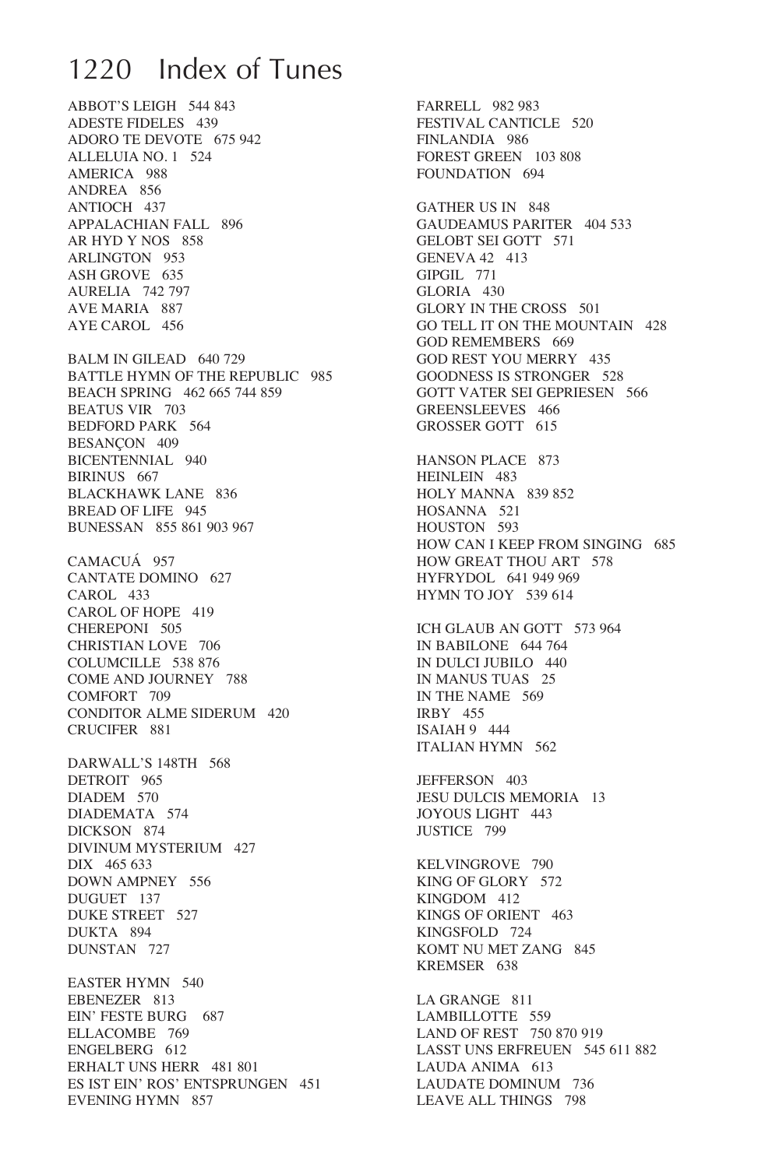# 1220 Index of Tunes

ABBOT'S LEIGH 544 843 ADESTE FIDELES 439 ADORO TE DEVOTE 675 942 ALLELUIA NO. 1 524 AMERICA 988 ANDREA 856 ANTIOCH 437 APPALACHIAN FALL 896 AR HYD Y NOS 858 ARLINGTON 953 ASH GROVE 635 AURELIA 742 797 AVE MARIA 887 AYE CAROL 456

BALM IN GILEAD 640 729 BATTLE HYMN OF THE REPUBLIC 985 BEACH SPRING 462 665 744 859 BEATUS VIR 703 BEDFORD PARK 564 BESANÇON 409 BICENTENNIAL 940 BIRINUS 667 BLACKHAWK LANE 836 BREAD OF LIFE 945 BUNESSAN 855 861 903 967

CAMACUÁ 957 CANTATE DOMINO 627 CAROL 433 CAROL OF HOPE 419 CHEREPONI 505 CHRISTIAN LOVE 706 COLUMCILLE 538 876 COME AND JOURNEY 788 COMFORT 709 CONDITOR ALME SIDERUM 420 CRUCIFER 881

DARWALL'S 148TH 568 DETROIT 965 DIADEM 570 DIADEMATA 574 DICKSON 874 DIVINUM MYSTERIUM 427 DIX 465 633 DOWN AMPNEY 556 DUGUET 137 DUKE STREET 527 DUKTA 894 DUNSTAN 727

EASTER HYMN 540 EBENEZER 813 EIN' FESTE BURG 687 ELLACOMBE 769 ENGELBERG 612 ERHALT UNS HERR 481 801 ES IST EIN' ROS' ENTSPRUNGEN 451 EVENING HYMN 857

FARRELL 982 983 FESTIVAL CANTICLE 520 FINLANDIA 986 FOREST GREEN 103 808 FOUNDATION 694 GATHER US IN 848 GAUDEAMUS PARITER 404 533 GELOBT SEI GOTT 571 GENEVA 42 413 GIPGIL 771 GLORIA 430 GLORY IN THE CROSS 501 GO TELL IT ON THE MOUNTAIN 428 GOD REMEMBERS 669 GOD REST YOU MERRY 435 GOODNESS IS STRONGER 528 GOTT VATER SEI GEPRIESEN 566 GREENSLEEVES 466 GROSSER GOTT 615 HANSON PLACE 873 HEINLEIN 483 HOLY MANNA 839 852 HOSANNA 521 HOUSTON 593 HOW CAN I KEEP FROM SINGING 685 HOW GREAT THOU ART 578 HYFRYDOL 641 949 969 HYMN TO JOY 539 614 ICH GLAUB AN GOTT 573 964 IN BABILONE 644 764 IN DULCI JUBILO 440 IN MANUS TUAS 25 IN THE NAME 569 IRBY 455 ISAIAH 9 444 ITALIAN HYMN 562 JEFFERSON 403 JESU DULCIS MEMORIA 13 JOYOUS LIGHT 443 JUSTICE 799 KELVINGROVE 790 KING OF GLORY 572 KINGDOM 412 KINGS OF ORIENT 463 KINGSFOLD 724 KOMT NU MET ZANG 845 KREMSER 638 LA GRANGE 811 LAMBILLOTTE 559 LAND OF REST 750 870 919 LASST UNS ERFREUEN 545 611 882 LAUDA ANIMA 613 LAUDATE DOMINUM 736

LEAVE ALL THINGS 798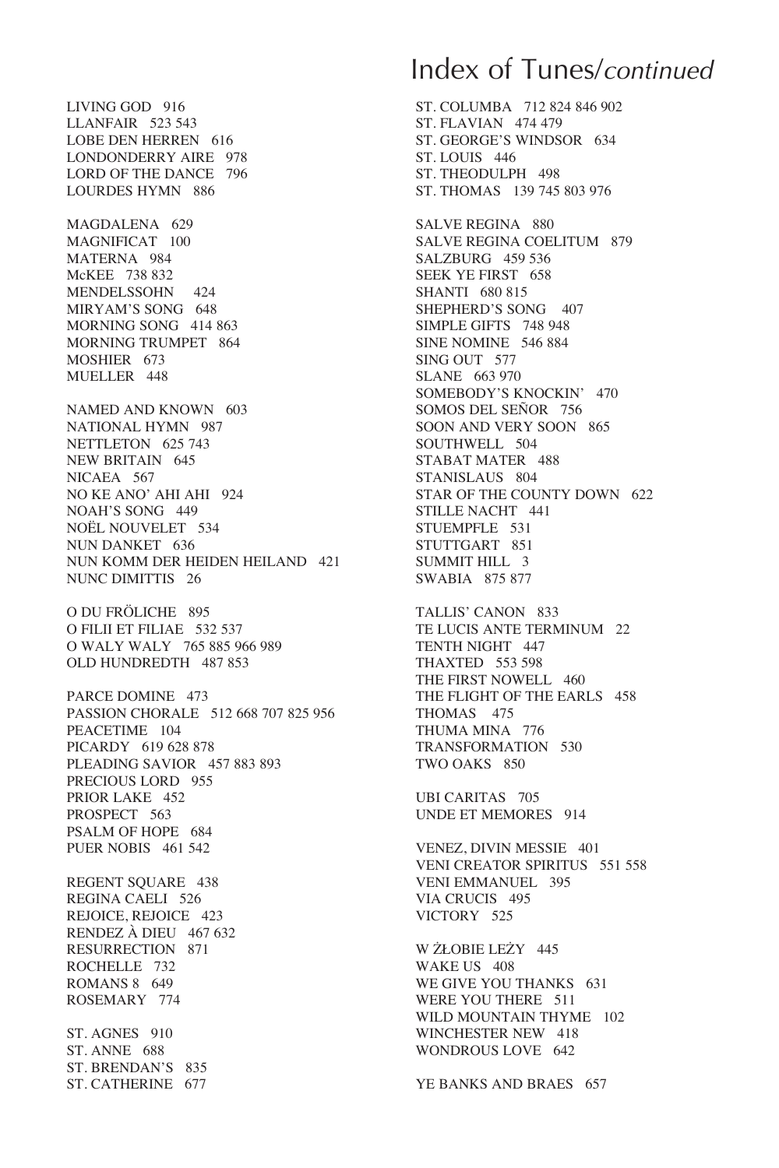LIVING GOD 916 LLANFAIR 523 543 LOBE DEN HERREN 616 LONDONDERRY AIRE 978 LORD OF THE DANCE 796 LOURDES HYMN 886

MAGDALENA 629 MAGNIFICAT 100 MATERNA 984 McKEE 738 832 MENDELSSOHN 424 MIRYAM'S SONG 648 MORNING SONG 414 863 MORNING TRUMPET 864 MOSHIER 673 MUELLER 448

NAMED AND KNOWN 603 NATIONAL HYMN 987 NETTLETON 625 743 NEW BRITAIN 645 NICAEA 567 NO KE ANO' AHI AHI 924 NOAH'S SONG 449 NOËL NOUVELET 534 NUN DANKET 636 NUN KOMM DER HEIDEN HEILAND 421 NUNC DIMITTIS 26

O DU FRÖLICHE 895 O FILII ET FILIAE 532 537 O WALY WALY 765 885 966 989 OLD HUNDREDTH 487 853

PARCE DOMINE 473 PASSION CHORALE 512 668 707 825 956 PEACETIME 104 PICARDY 619 628 878 PLEADING SAVIOR 457 883 893 PRECIOUS LORD 955 PRIOR LAKE 452 PROSPECT 563 PSALM OF HOPE 684 PUER NOBIS 461 542

REGENT SQUARE 438 REGINA CAELI 526 REJOICE, REJOICE 423 RENDEZ À DIEU 467 632 RESURRECTION 871 ROCHELLE 732 ROMANS 8 649 ROSEMARY 774

ST. AGNES 910 ST. ANNE 688 ST. BRENDAN'S 835 ST. CATHERINE 677

## Index of Tunes/*continued*

ST. COLUMBA 712 824 846 902 ST. FLAVIAN 474 479 ST. GEORGE'S WINDSOR 634 ST. LOUIS 446 ST. THEODULPH 498 ST. THOMAS 139 745 803 976

SALVE REGINA 880 SALVE REGINA COELITUM 879 SALZBURG 459 536 SEEK YE FIRST 658 SHANTI 680 815 SHEPHERD'S SONG 407 SIMPLE GIFTS 748 948 SINE NOMINE 546 884 SING OUT 577 SLANE 663 970 SOMEBODY'S KNOCKIN' 470 SOMOS DEL SEÑOR 756 SOON AND VERY SOON 865 SOUTHWELL 504 STABAT MATER 488 STANISLAUS 804 STAR OF THE COUNTY DOWN 622 STILLE NACHT 441 STUEMPFLE 531 STUTTGART 851 SUMMIT HILL 3 SWABIA 875 877

TALLIS' CANON 833 TE LUCIS ANTE TERMINUM 22 TENTH NIGHT 447 THAXTED 553 598 THE FIRST NOWELL 460 THE FLIGHT OF THE EARLS 458 THOMAS 475 THUMA MINA 776 TRANSFORMATION 530 TWO OAKS 850

UBI CARITAS 705 UNDE ET MEMORES 914

VENEZ, DIVIN MESSIE 401 VENI CREATOR SPIRITUS 551 558 VENI EMMANUEL 395 VIA CRUCIS 495 VICTORY 525

W ŻŁOBIE LEŻY 445 WAKE US 408 WE GIVE YOU THANKS 631 WERE YOU THERE 511 WILD MOUNTAIN THYME 102 WINCHESTER NEW 418 WONDROUS LOVE 642

YE BANKS AND BRAES 657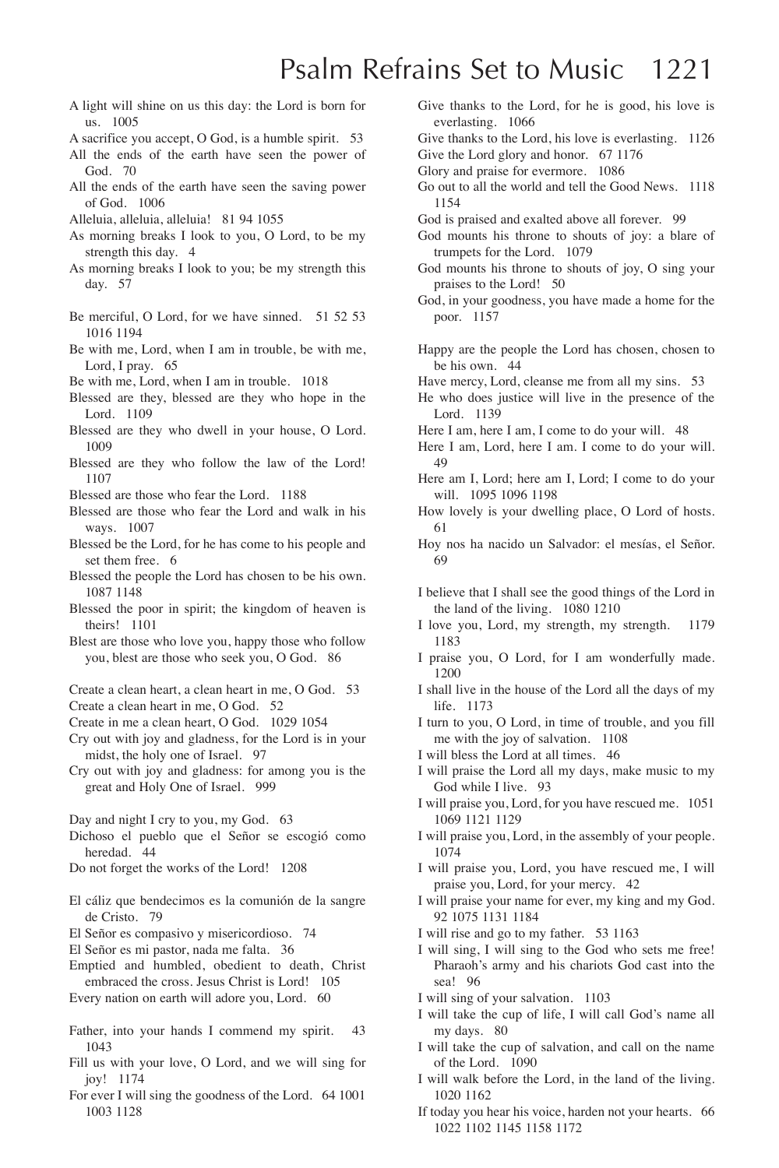# Psalm Refrains Set to Music 1221

A light will shine on us this day: the Lord is born for us. 1005

A sacrifice you accept, O God, is a humble spirit. 53

- All the ends of the earth have seen the power of God. 70
- All the ends of the earth have seen the saving power of God. 1006
- Alleluia, alleluia, alleluia! 81 94 1055
- As morning breaks I look to you, O Lord, to be my strength this day. 4
- As morning breaks I look to you; be my strength this day. 57
- Be merciful, O Lord, for we have sinned. 51 52 53 1016 1194
- Be with me, Lord, when I am in trouble, be with me, Lord, I pray. 65
- Be with me, Lord, when I am in trouble. 1018
- Blessed are they, blessed are they who hope in the Lord. 1109
- Blessed are they who dwell in your house, O Lord. 1009
- Blessed are they who follow the law of the Lord! 1107
- Blessed are those who fear the Lord. 1188
- Blessed are those who fear the Lord and walk in his ways. 1007
- Blessed be the Lord, for he has come to his people and set them free. 6
- Blessed the people the Lord has chosen to be his own. 1087 1148
- Blessed the poor in spirit; the kingdom of heaven is theirs! 1101
- Blest are those who love you, happy those who follow you, blest are those who seek you, O God. 86
- Create a clean heart, a clean heart in me, O God. 53
- Create a clean heart in me, O God. 52
- Create in me a clean heart, O God. 1029 1054
- Cry out with joy and gladness, for the Lord is in your midst, the holy one of Israel. 97
- Cry out with joy and gladness: for among you is the great and Holy One of Israel. 999
- Day and night I cry to you, my God. 63
- Dichoso el pueblo que el Señor se escogió como heredad. 44
- Do not forget the works of the Lord! 1208
- El cáliz que bendecimos es la comunión de la sangre de Cristo. 79
- El Señor es compasivo y misericordioso. 74
- El Señor es mi pastor, nada me falta. 36
- Emptied and humbled, obedient to death, Christ embraced the cross. Jesus Christ is Lord! 105
- Every nation on earth will adore you, Lord. 60
- Father, into your hands I commend my spirit. 43 1043
- Fill us with your love, O Lord, and we will sing for joy! 1174
- For ever I will sing the goodness of the Lord. 64 1001 1003 1128
- Give thanks to the Lord, for he is good, his love is everlasting. 1066
- Give thanks to the Lord, his love is everlasting. 1126 Give the Lord glory and honor. 67 1176
- Glory and praise for evermore. 1086
- Go out to all the world and tell the Good News. 1118 1154
- God is praised and exalted above all forever. 99
- God mounts his throne to shouts of joy: a blare of trumpets for the Lord. 1079
- God mounts his throne to shouts of joy, O sing your praises to the Lord! 50
- God, in your goodness, you have made a home for the poor. 1157
- Happy are the people the Lord has chosen, chosen to be his own. 44
- Have mercy, Lord, cleanse me from all my sins. 53
- He who does justice will live in the presence of the Lord. 1139
- Here I am, here I am, I come to do your will. 48
- Here I am, Lord, here I am. I come to do your will. 49
- Here am I, Lord; here am I, Lord; I come to do your will. 1095 1096 1198
- How lovely is your dwelling place, O Lord of hosts. 61
- Hoy nos ha nacido un Salvador: el mesías, el Señor. 69
- I believe that I shall see the good things of the Lord in the land of the living. 1080 1210
- I love you, Lord, my strength, my strength. 1179 1183
- I praise you, O Lord, for I am wonderfully made. 1200
- I shall live in the house of the Lord all the days of my life. 1173
- I turn to you, O Lord, in time of trouble, and you fill me with the joy of salvation. 1108
- I will bless the Lord at all times. 46
- I will praise the Lord all my days, make music to my God while I live. 93
- I will praise you, Lord, for you have rescued me. 1051 1069 1121 1129
- I will praise you, Lord, in the assembly of your people. 1074
- I will praise you, Lord, you have rescued me, I will praise you, Lord, for your mercy. 42
- I will praise your name for ever, my king and my God. 92 1075 1131 1184
- I will rise and go to my father. 53 1163
- I will sing, I will sing to the God who sets me free! Pharaoh's army and his chariots God cast into the sea! 96
- I will sing of your salvation. 1103
- I will take the cup of life, I will call God's name all my days. 80
- I will take the cup of salvation, and call on the name of the Lord. 1090
- I will walk before the Lord, in the land of the living. 1020 1162
- If today you hear his voice, harden not your hearts. 66 1022 1102 1145 1158 1172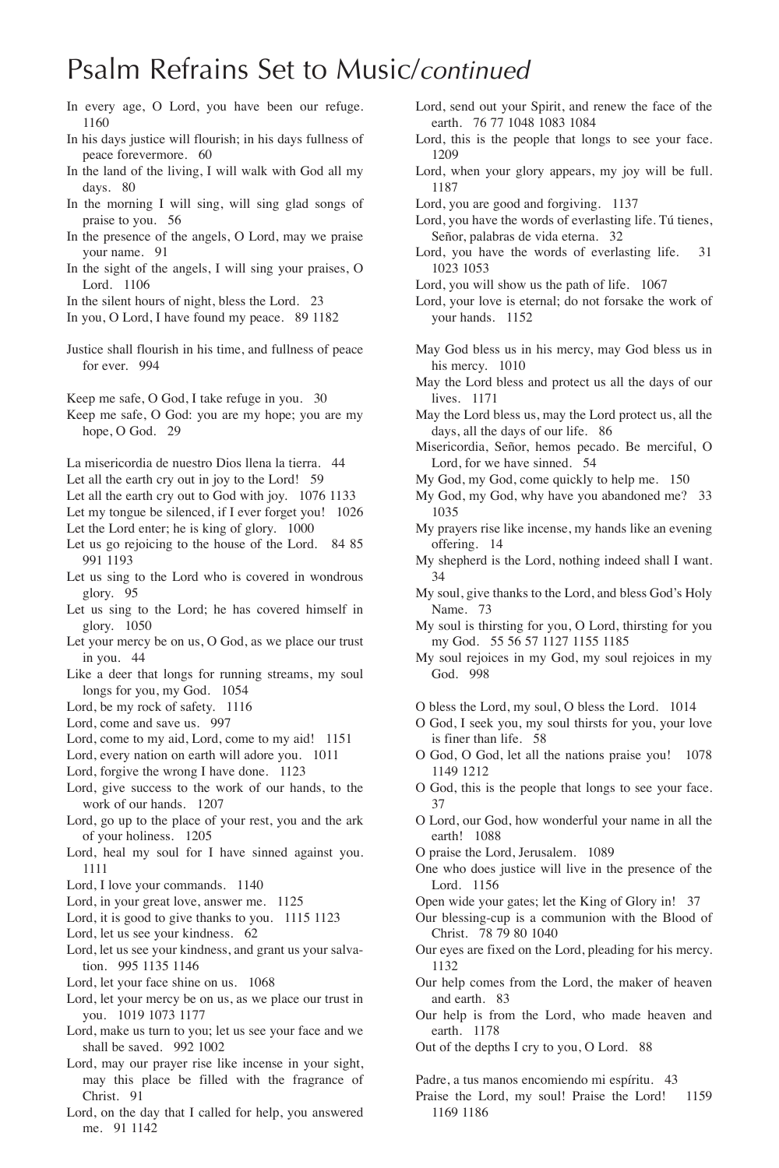# Psalm Refrains Set to Music/*continued*

- In every age, O Lord, you have been our refuge. 1160
- In his days justice will flourish; in his days fullness of peace forevermore. 60
- In the land of the living, I will walk with God all my days. 80
- In the morning I will sing, will sing glad songs of praise to you. 56
- In the presence of the angels, O Lord, may we praise your name. 91
- In the sight of the angels, I will sing your praises, O Lord. 1106
- In the silent hours of night, bless the Lord. 23
- In you, O Lord, I have found my peace. 89 1182
- Justice shall flourish in his time, and fullness of peace for ever. 994
- Keep me safe, O God, I take refuge in you. 30
- Keep me safe, O God: you are my hope; you are my hope, O God. 29
- La misericordia de nuestro Dios llena la tierra. 44
- Let all the earth cry out in joy to the Lord! 59
- Let all the earth cry out to God with joy. 1076 1133
- Let my tongue be silenced, if I ever forget you! 1026 Let the Lord enter; he is king of glory. 1000
- Let us go rejoicing to the house of the Lord. 84 85 991 1193
- Let us sing to the Lord who is covered in wondrous glory. 95
- Let us sing to the Lord; he has covered himself in glory. 1050
- Let your mercy be on us, O God, as we place our trust in you. 44
- Like a deer that longs for running streams, my soul longs for you, my God. 1054
- Lord, be my rock of safety. 1116
- Lord, come and save us. 997
- Lord, come to my aid, Lord, come to my aid! 1151
- Lord, every nation on earth will adore you. 1011
- Lord, forgive the wrong I have done. 1123
- Lord, give success to the work of our hands, to the work of our hands. 1207
- Lord, go up to the place of your rest, you and the ark of your holiness. 1205
- Lord, heal my soul for I have sinned against you. 1111
- Lord, I love your commands. 1140
- Lord, in your great love, answer me. 1125
- Lord, it is good to give thanks to you. 1115 1123
- Lord, let us see your kindness. 62
- Lord, let us see your kindness, and grant us your salvation. 995 1135 1146
- Lord, let your face shine on us. 1068
- Lord, let your mercy be on us, as we place our trust in you. 1019 1073 1177
- Lord, make us turn to you; let us see your face and we shall be saved. 992 1002
- Lord, may our prayer rise like incense in your sight, may this place be filled with the fragrance of Christ. 91
- Lord, on the day that I called for help, you answered me. 91 1142
- Lord, send out your Spirit, and renew the face of the earth. 76 77 1048 1083 1084
- Lord, this is the people that longs to see your face. 1209
- Lord, when your glory appears, my joy will be full. 1187
- Lord, you are good and forgiving. 1137
- Lord, you have the words of everlasting life. Tú tienes, Señor, palabras de vida eterna. 32
- Lord, you have the words of everlasting life. 31 1023 1053
- Lord, you will show us the path of life. 1067
- Lord, your love is eternal; do not forsake the work of your hands. 1152
- May God bless us in his mercy, may God bless us in his mercy. 1010
- May the Lord bless and protect us all the days of our lives. 1171
- May the Lord bless us, may the Lord protect us, all the days, all the days of our life. 86
- Misericordia, Señor, hemos pecado. Be merciful, O Lord, for we have sinned. 54
- My God, my God, come quickly to help me. 150
- My God, my God, why have you abandoned me? 33 1035
- My prayers rise like incense, my hands like an evening offering. 14
- My shepherd is the Lord, nothing indeed shall I want. 34
- My soul, give thanks to the Lord, and bless God's Holy Name. 73
- My soul is thirsting for you, O Lord, thirsting for you my God. 55 56 57 1127 1155 1185
- My soul rejoices in my God, my soul rejoices in my God. 998
- O bless the Lord, my soul, O bless the Lord. 1014
- O God, I seek you, my soul thirsts for you, your love is finer than life. 58
- O God, O God, let all the nations praise you! 1078 1149 1212
- O God, this is the people that longs to see your face. 37
- O Lord, our God, how wonderful your name in all the earth! 1088
- O praise the Lord, Jerusalem. 1089
- One who does justice will live in the presence of the Lord. 1156
- Open wide your gates; let the King of Glory in! 37
- Our blessing-cup is a communion with the Blood of Christ. 78 79 80 1040
- Our eyes are fixed on the Lord, pleading for his mercy. 1132
- Our help comes from the Lord, the maker of heaven and earth. 83
- Our help is from the Lord, who made heaven and earth. 1178
- Out of the depths I cry to you, O Lord. 88

Padre, a tus manos encomiendo mi espíritu. 43

Praise the Lord, my soul! Praise the Lord! 1159 1169 1186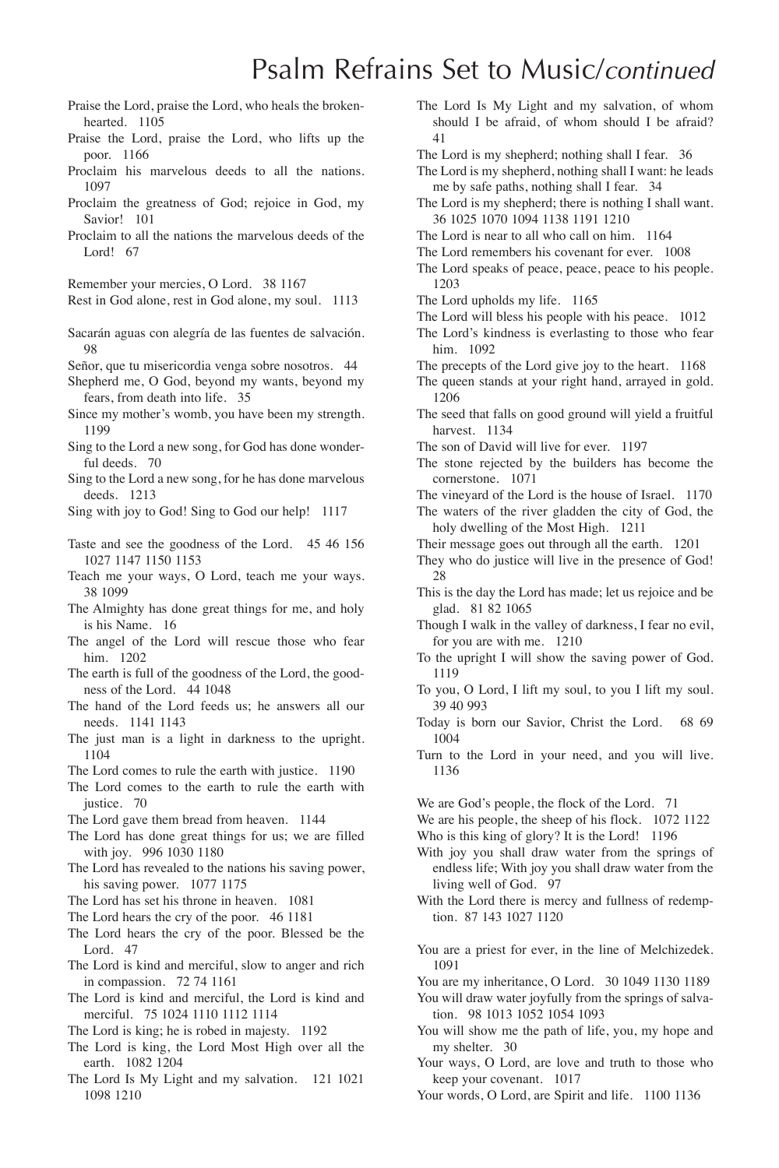# Psalm Refrains Set to Music/*continued*

- Praise the Lord, praise the Lord, who heals the brokenhearted. 1105
- Praise the Lord, praise the Lord, who lifts up the poor. 1166
- Proclaim his marvelous deeds to all the nations. 1097
- Proclaim the greatness of God; rejoice in God, my Savior! 101
- Proclaim to all the nations the marvelous deeds of the Lord! 67

Remember your mercies, O Lord. 38 1167

Rest in God alone, rest in God alone, my soul. 1113

Sacarán aguas con alegría de las fuentes de salvación. 98

Señor, que tu misericordia venga sobre nosotros. 44

- Shepherd me, O God, beyond my wants, beyond my fears, from death into life. 35
- Since my mother's womb, you have been my strength. 1199
- Sing to the Lord a new song, for God has done wonderful deeds. 70
- Sing to the Lord a new song, for he has done marvelous deeds. 1213

Sing with joy to God! Sing to God our help! 1117

- Taste and see the goodness of the Lord. 45 46 156 1027 1147 1150 1153
- Teach me your ways, O Lord, teach me your ways. 38 1099
- The Almighty has done great things for me, and holy is his Name. 16
- The angel of the Lord will rescue those who fear him. 1202
- The earth is full of the goodness of the Lord, the goodness of the Lord. 44 1048
- The hand of the Lord feeds us; he answers all our needs. 1141 1143
- The just man is a light in darkness to the upright. 1104
- The Lord comes to rule the earth with justice. 1190
- The Lord comes to the earth to rule the earth with justice. 70
- The Lord gave them bread from heaven. 1144
- The Lord has done great things for us; we are filled with joy. 996 1030 1180
- The Lord has revealed to the nations his saving power, his saving power. 1077 1175
- The Lord has set his throne in heaven. 1081
- The Lord hears the cry of the poor. 46 1181
- The Lord hears the cry of the poor. Blessed be the Lord. 47
- The Lord is kind and merciful, slow to anger and rich in compassion. 72 74 1161
- The Lord is kind and merciful, the Lord is kind and merciful. 75 1024 1110 1112 1114
- The Lord is king; he is robed in majesty. 1192
- The Lord is king, the Lord Most High over all the earth. 1082 1204
- The Lord Is My Light and my salvation. 121 1021 1098 1210
- The Lord Is My Light and my salvation, of whom should I be afraid, of whom should I be afraid? 41
- The Lord is my shepherd; nothing shall I fear. 36
- The Lord is my shepherd, nothing shall I want: he leads me by safe paths, nothing shall I fear. 34
- The Lord is my shepherd; there is nothing I shall want. 36 1025 1070 1094 1138 1191 1210
- The Lord is near to all who call on him. 1164
- The Lord remembers his covenant for ever. 1008
- The Lord speaks of peace, peace, peace to his people. 1203
- The Lord upholds my life. 1165
- The Lord will bless his people with his peace. 1012
- The Lord's kindness is everlasting to those who fear him. 1092
- The precepts of the Lord give joy to the heart. 1168
- The queen stands at your right hand, arrayed in gold. 1206
- The seed that falls on good ground will yield a fruitful harvest. 1134
- The son of David will live for ever. 1197
- The stone rejected by the builders has become the cornerstone. 1071
- The vineyard of the Lord is the house of Israel. 1170
- The waters of the river gladden the city of God, the holy dwelling of the Most High. 1211
- Their message goes out through all the earth. 1201
- They who do justice will live in the presence of God! 28
- This is the day the Lord has made; let us rejoice and be glad. 81 82 1065
- Though I walk in the valley of darkness, I fear no evil, for you are with me. 1210
- To the upright I will show the saving power of God. 1119
- To you, O Lord, I lift my soul, to you I lift my soul. 39 40 993
- Today is born our Savior, Christ the Lord. 68 69 1004
- Turn to the Lord in your need, and you will live. 1136

We are God's people, the flock of the Lord. 71

- We are his people, the sheep of his flock. 1072 1122 Who is this king of glory? It is the Lord! 1196
- With joy you shall draw water from the springs of endless life; With joy you shall draw water from the living well of God. 97
- With the Lord there is mercy and fullness of redemption. 87 143 1027 1120
- You are a priest for ever, in the line of Melchizedek. 1091
- You are my inheritance, O Lord. 30 1049 1130 1189
- You will draw water joyfully from the springs of salvation. 98 1013 1052 1054 1093
- You will show me the path of life, you, my hope and my shelter. 30
- Your ways, O Lord, are love and truth to those who keep your covenant. 1017
- Your words, O Lord, are Spirit and life. 1100 1136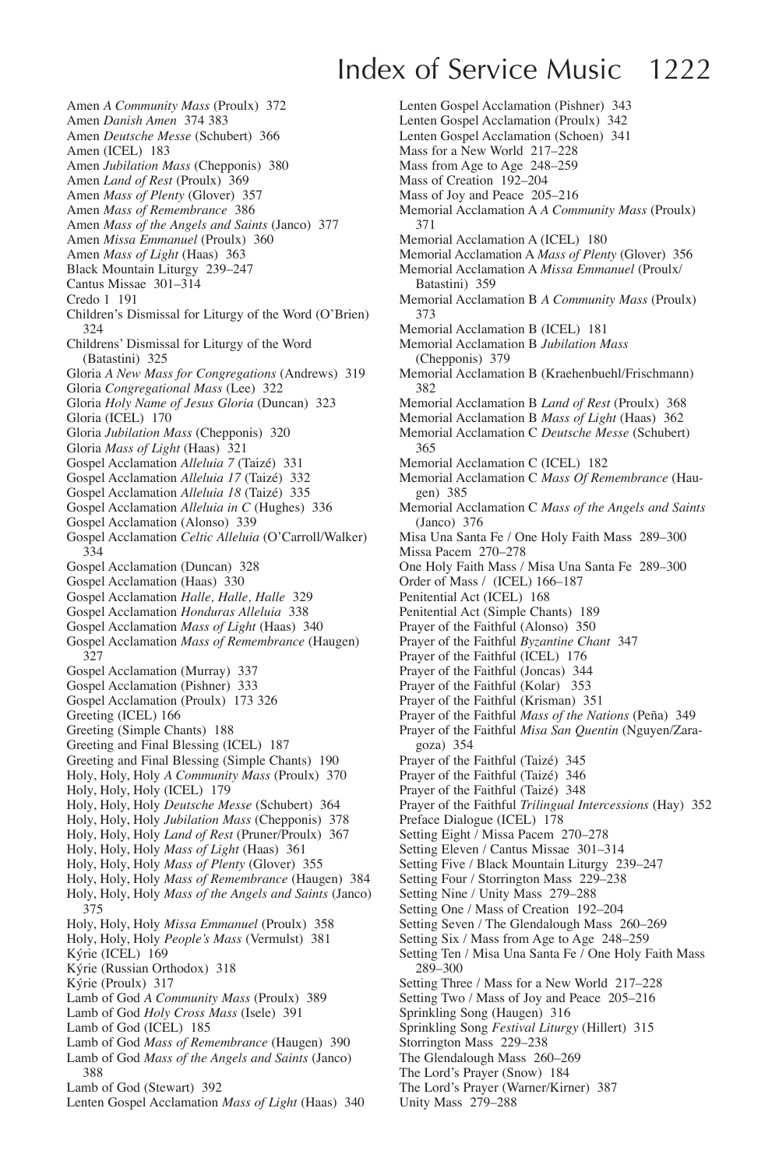# Index of Service Music 1222

- Amen *A Community Mass* (Proulx) 372
- Amen *Danish Amen* 374 383
- Amen *Deutsche Messe* (Schubert) 366
- Amen (ICEL) 183
- Amen *Jubilation Mass* (Chepponis) 380
- Amen *Land of Rest* (Proulx) 369
- Amen *Mass of Plenty* (Glover) 357
- Amen *Mass of Remembrance* 386 Amen *Mass of the Angels and Saints* (Janco) 377
- Amen *Missa Emmanuel* (Proulx) 360
- Amen *Mass of Light* (Haas) 363
- Black Mountain Liturgy 239–247
- Cantus Missae 301–314
- Credo 1 191
- Children's Dismissal for Liturgy of the Word (O'Brien) 324
- Childrens' Dismissal for Liturgy of the Word (Batastini) 325
- Gloria *A New Mass for Congregations* (Andrews) 319
- Gloria *Congregational Mass* (Lee) 322
- Gloria *Holy Name of Jesus Gloria* (Duncan) 323
- Gloria (ICEL) 170
- Gloria *Jubilation Mass* (Chepponis) 320
- Gloria *Mass of Light* (Haas) 321
- Gospel Acclamation *Alleluia 7* (Taizé) 331
- Gospel Acclamation *Alleluia 17* (Taizé) 332
- Gospel Acclamation *Alleluia 18* (Taizé) 335
- Gospel Acclamation *Alleluia in C* (Hughes) 336
- Gospel Acclamation (Alonso) 339
- Gospel Acclamation *Celtic Alleluia* (O'Carroll/Walker) 334
- Gospel Acclamation (Duncan) 328
- Gospel Acclamation (Haas) 330
- Gospel Acclamation *Halle, Halle, Halle* 329
- Gospel Acclamation *Honduras Alleluia* 338
- Gospel Acclamation *Mass of Light* (Haas) 340
- Gospel Acclamation *Mass of Remembrance* (Haugen) 327
- Gospel Acclamation (Murray) 337
- Gospel Acclamation (Pishner) 333
- Gospel Acclamation (Proulx) 173 326
- Greeting (ICEL) 166
- Greeting (Simple Chants) 188
- Greeting and Final Blessing (ICEL) 187
- Greeting and Final Blessing (Simple Chants) 190
- Holy, Holy, Holy *A Community Mass* (Proulx) 370
- Holy, Holy, Holy (ICEL) 179
- Holy, Holy, Holy *Deutsche Messe* (Schubert) 364
- Holy, Holy, Holy *Jubilation Mass* (Chepponis) 378
- Holy, Holy, Holy *Land of Rest* (Pruner/Proulx) 367
- Holy, Holy, Holy *Mass of Light* (Haas) 361
- Holy, Holy, Holy *Mass of Plenty* (Glover) 355
- Holy, Holy, Holy *Mass of Remembrance* (Haugen) 384
- Holy, Holy, Holy *Mass of the Angels and Saints* (Janco) 375
- Holy, Holy, Holy *Missa Emmanuel* (Proulx) 358
- Holy, Holy, Holy *People's Mass* (Vermulst) 381
- Kýrie (ICEL) 169
- Kýrie (Russian Orthodox) 318
- Kýrie (Proulx) 317
- Lamb of God *A Community Mass* (Proulx) 389
- Lamb of God *Holy Cross Mass* (Isele) 391
- Lamb of God (ICEL) 185
- Lamb of God *Mass of Remembrance* (Haugen) 390
- Lamb of God *Mass of the Angels and Saints* (Janco) 388
- Lamb of God (Stewart) 392
- Lenten Gospel Acclamation *Mass of Light* (Haas) 340
- Lenten Gospel Acclamation (Pishner) 343 Lenten Gospel Acclamation (Proulx) 342 Lenten Gospel Acclamation (Schoen) 341 Mass for a New World 217–228 Mass from Age to Age 248–259 Mass of Creation 192–204 Mass of Joy and Peace 205–216 Memorial Acclamation A *A Community Mass* (Proulx) 371 Memorial Acclamation A (ICEL) 180 Memorial Acclamation A *Mass of Plenty* (Glover) 356 Memorial Acclamation A *Missa Emmanuel* (Proulx/ Batastini) 359 Memorial Acclamation B *A Community Mass* (Proulx) 373 Memorial Acclamation B (ICEL) 181 Memorial Acclamation B *Jubilation Mass*  (Chepponis) 379 Memorial Acclamation B (Kraehenbuehl/Frischmann) 382 Memorial Acclamation B *Land of Rest* (Proulx) 368 Memorial Acclamation B *Mass of Light* (Haas) 362 Memorial Acclamation C *Deutsche Messe* (Schubert) 365 Memorial Acclamation C (ICEL) 182 Memorial Acclamation C *Mass Of Remembrance* (Haugen) 385 Memorial Acclamation C *Mass of the Angels and Saints*  (Janco) 376 Misa Una Santa Fe / One Holy Faith Mass 289–300 Missa Pacem 270–278 One Holy Faith Mass / Misa Una Santa Fe 289–300 Order of Mass / (ICEL) 166–187 Penitential Act (ICEL) 168 Penitential Act (Simple Chants) 189 Prayer of the Faithful (Alonso) 350 Prayer of the Faithful *Byzantine Chant* 347 Prayer of the Faithful (ICEL) 176 Prayer of the Faithful (Joncas) 344 Prayer of the Faithful (Kolar) 353 Prayer of the Faithful (Krisman) 351 Prayer of the Faithful *Mass of the Nations* (Peña) 349 Prayer of the Faithful *Misa San Quentin* (Nguyen/Zaragoza) 354 Prayer of the Faithful (Taizé) 345 Prayer of the Faithful (Taizé) 346 Prayer of the Faithful (Taizé) 348 Prayer of the Faithful *Trilingual Intercessions* (Hay) 352 Preface Dialogue (ICEL) 178 Setting Eight / Missa Pacem 270–278 Setting Eleven / Cantus Missae 301–314 Setting Five / Black Mountain Liturgy 239–247 Setting Four / Storrington Mass 229–238 Setting Nine / Unity Mass 279–288 Setting One / Mass of Creation 192–204 Setting Seven / The Glendalough Mass 260–269 Setting Six / Mass from Age to Age 248–259 Setting Ten / Misa Una Santa Fe / One Holy Faith Mass 289–300 Setting Three / Mass for a New World 217–228 Setting Two / Mass of Joy and Peace 205–216 Sprinkling Song (Haugen) 316 Sprinkling Song *Festival Liturgy* (Hillert) 315 Storrington Mass 229–238
- The Glendalough Mass 260–269
- The Lord's Prayer (Snow) 184
- The Lord's Prayer (Warner/Kirner) 387
- Unity Mass 279–288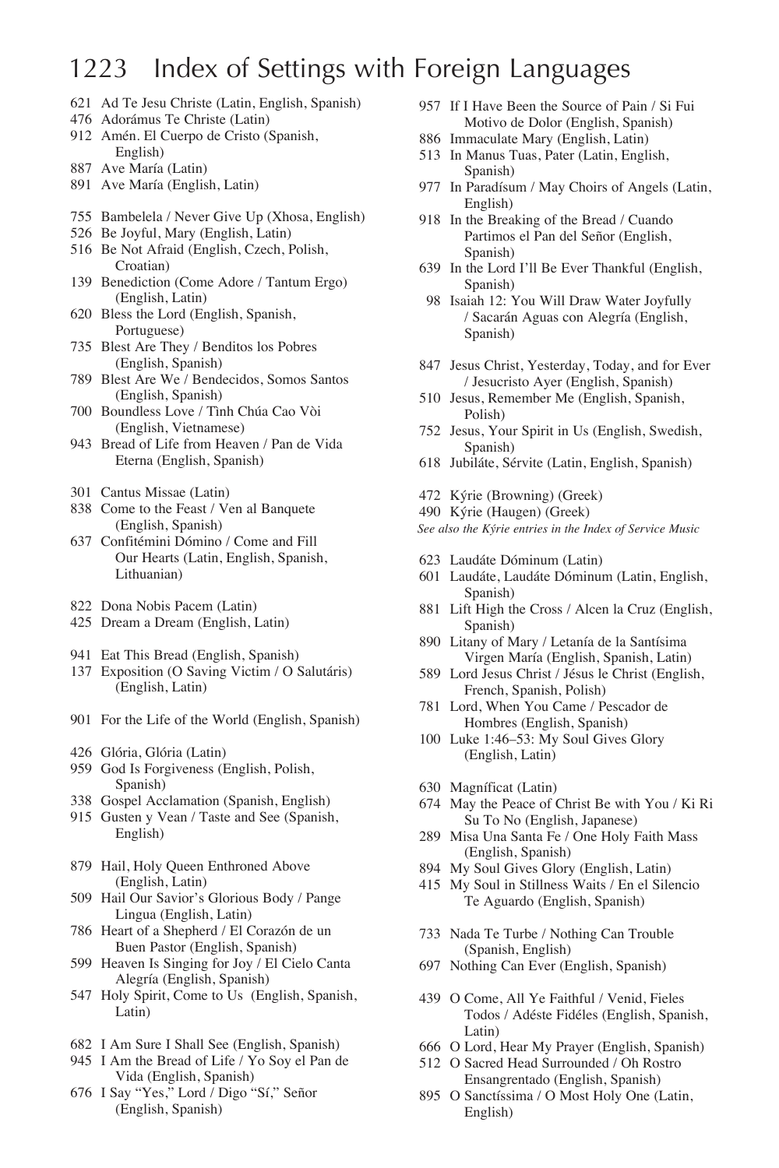### 1223 Index of Settings with Foreign Languages

- 621 Ad Te Jesu Christe (Latin, English, Spanish)
- 476 Adorámus Te Christe (Latin)
- 912 Amén. El Cuerpo de Cristo (Spanish, English)
- 887 Ave María (Latin)
- 891 Ave María (English, Latin)
- 755 Bambelela / Never Give Up (Xhosa, English)
- 526 Be Joyful, Mary (English, Latin)
- 516 Be Not Afraid (English, Czech, Polish, Croatian)
- 139 Benediction (Come Adore / Tantum Ergo) (English, Latin)
- 620 Bless the Lord (English, Spanish, Portuguese)
- 735 Blest Are They / Benditos los Pobres (English, Spanish)
- 789 Blest Are We / Bendecidos, Somos Santos (English, Spanish)
- 700 Boundless Love / Tình Chúa Cao Vòi (English, Vietnamese)
- 943 Bread of Life from Heaven / Pan de Vida Eterna (English, Spanish)
- 301 Cantus Missae (Latin)
- 838 Come to the Feast / Ven al Banquete (English, Spanish)
- 637 Confitémini Dómino / Come and Fill Our Hearts (Latin, English, Spanish, Lithuanian)
- 822 Dona Nobis Pacem (Latin)
- 425 Dream a Dream (English, Latin)
- 941 Eat This Bread (English, Spanish)
- 137 Exposition (O Saving Victim / O Salutáris) (English, Latin)
- 901 For the Life of the World (English, Spanish)
- 426 Glória, Glória (Latin)
- 959 God Is Forgiveness (English, Polish, Spanish)
- 338 Gospel Acclamation (Spanish, English)
- 915 Gusten y Vean / Taste and See (Spanish, English)
- 879 Hail, Holy Queen Enthroned Above (English, Latin)
- 509 Hail Our Savior's Glorious Body / Pange Lingua (English, Latin)
- 786 Heart of a Shepherd / El Corazón de un Buen Pastor (English, Spanish)
- 599 Heaven Is Singing for Joy / El Cielo Canta Alegría (English, Spanish)
- 547 Holy Spirit, Come to Us (English, Spanish, Latin)
- 682 I Am Sure I Shall See (English, Spanish)
- 945 I Am the Bread of Life / Yo Soy el Pan de Vida (English, Spanish)
- 676 I Say "Yes," Lord / Digo "Sí," Señor (English, Spanish)
- 957 If I Have Been the Source of Pain / Si Fui Motivo de Dolor (English, Spanish)
- 886 Immaculate Mary (English, Latin)
- 513 In Manus Tuas, Pater (Latin, English, Spanish)
- 977 In Paradísum / May Choirs of Angels (Latin, English)
- 918 In the Breaking of the Bread / Cuando Partimos el Pan del Señor (English, Spanish)
- 639 In the Lord I'll Be Ever Thankful (English, Spanish)
- 98 Isaiah 12: You Will Draw Water Joyfully / Sacarán Aguas con Alegría (English, Spanish)
- 847 Jesus Christ, Yesterday, Today, and for Ever / Jesucristo Ayer (English, Spanish)
- 510 Jesus, Remember Me (English, Spanish, Polish)
- 752 Jesus, Your Spirit in Us (English, Swedish, Spanish)
- 618 Jubiláte, Sérvite (Latin, English, Spanish)
- 472 Kýrie (Browning) (Greek)
- 490 Kýrie (Haugen) (Greek)

*See also the Kýrie entries in the Index of Service Music*

- 623 Laudáte Dóminum (Latin)
- 601 Laudáte, Laudáte Dóminum (Latin, English, Spanish)
- 881 Lift High the Cross / Alcen la Cruz (English, Spanish)
- 890 Litany of Mary / Letanía de la Santísima Virgen María (English, Spanish, Latin)
- 589 Lord Jesus Christ / Jésus le Christ (English, French, Spanish, Polish)
- 781 Lord, When You Came / Pescador de Hombres (English, Spanish)
- 100 Luke 1:46–53: My Soul Gives Glory (English, Latin)
- 630 Magníficat (Latin)
- 674 May the Peace of Christ Be with You / Ki Ri Su To No (English, Japanese)
- 289 Misa Una Santa Fe / One Holy Faith Mass (English, Spanish)
- 894 My Soul Gives Glory (English, Latin)
- 415 My Soul in Stillness Waits / En el Silencio Te Aguardo (English, Spanish)
- 733 Nada Te Turbe / Nothing Can Trouble (Spanish, English)
- 697 Nothing Can Ever (English, Spanish)
- 439 O Come, All Ye Faithful / Venid, Fieles Todos / Adéste Fidéles (English, Spanish, Latin)
- 666 O Lord, Hear My Prayer (English, Spanish)
- 512 O Sacred Head Surrounded / Oh Rostro Ensangrentado (English, Spanish)
- 895 O Sanctíssima / O Most Holy One (Latin, English)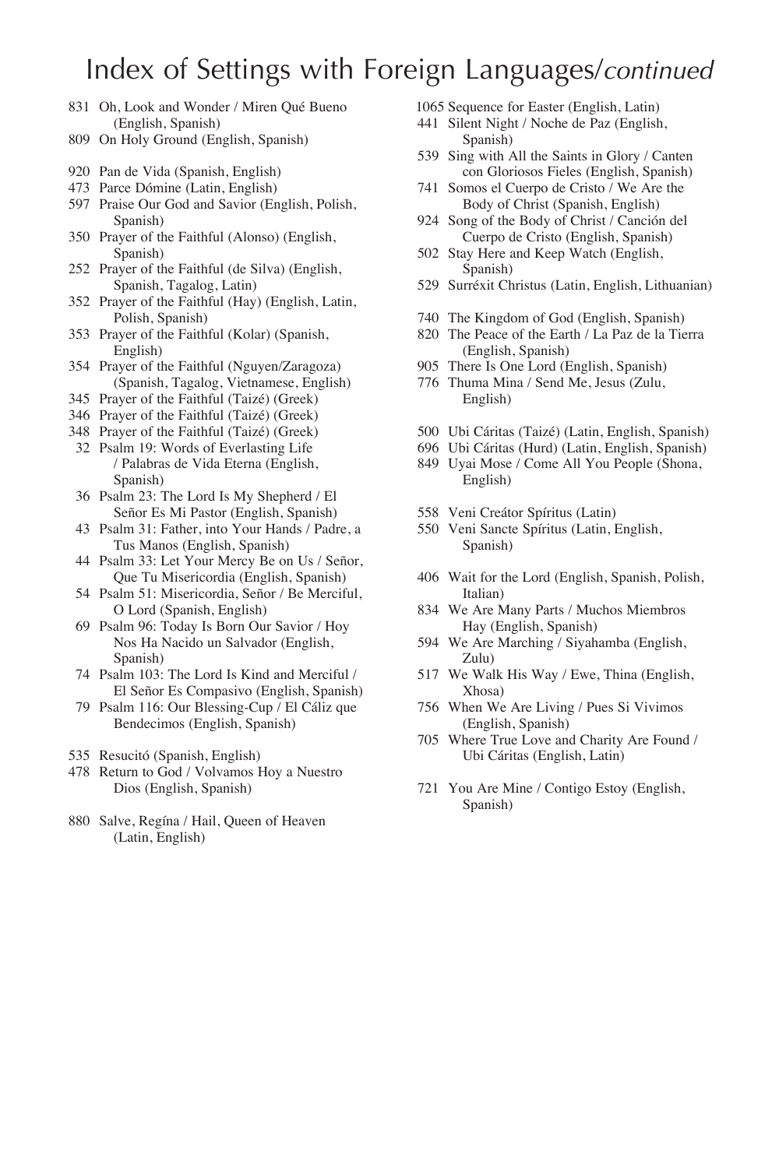# Index of Settings with Foreign Languages/*continued*

- 831 Oh, Look and Wonder / Miren Qué Bueno (English, Spanish)
- 809 On Holy Ground (English, Spanish)
- 920 Pan de Vida (Spanish, English)
- 473 Parce Dómine (Latin, English)
- 597 Praise Our God and Savior (English, Polish, Spanish)
- 350 Prayer of the Faithful (Alonso) (English, Spanish)
- 252 Prayer of the Faithful (de Silva) (English, Spanish, Tagalog, Latin)
- 352 Prayer of the Faithful (Hay) (English, Latin, Polish, Spanish)
- 353 Prayer of the Faithful (Kolar) (Spanish, English)
- 354 Prayer of the Faithful (Nguyen/Zaragoza) (Spanish, Tagalog, Vietnamese, English)
- 345 Prayer of the Faithful (Taizé) (Greek)
- 346 Prayer of the Faithful (Taizé) (Greek)
- 348 Prayer of the Faithful (Taizé) (Greek)
- 32 Psalm 19: Words of Everlasting Life / Palabras de Vida Eterna (English, Spanish)
- 36 Psalm 23: The Lord Is My Shepherd / El Señor Es Mi Pastor (English, Spanish)
- 43 Psalm 31: Father, into Your Hands / Padre, a Tus Manos (English, Spanish)
- 44 Psalm 33: Let Your Mercy Be on Us / Señor, Que Tu Misericordia (English, Spanish)
- 54 Psalm 51: Misericordia, Señor / Be Merciful, O Lord (Spanish, English)
- 69 Psalm 96: Today Is Born Our Savior / Hoy Nos Ha Nacido un Salvador (English, Spanish)
- 74 Psalm 103: The Lord Is Kind and Merciful / El Señor Es Compasivo (English, Spanish)
- 79 Psalm 116: Our Blessing-Cup / El Cáliz que Bendecimos (English, Spanish)
- 535 Resucitó (Spanish, English)
- 478 Return to God / Volvamos Hoy a Nuestro Dios (English, Spanish)
- 880 Salve, Regína / Hail, Queen of Heaven (Latin, English)

1065 Sequence for Easter (English, Latin)

- 441 Silent Night / Noche de Paz (English, Spanish)
- 539 Sing with All the Saints in Glory / Canten con Gloriosos Fieles (English, Spanish)
- 741 Somos el Cuerpo de Cristo / We Are the Body of Christ (Spanish, English)
- 924 Song of the Body of Christ / Canción del Cuerpo de Cristo (English, Spanish)
- 502 Stay Here and Keep Watch (English, Spanish)
- 529 Surréxit Christus (Latin, English, Lithuanian)
- 740 The Kingdom of God (English, Spanish)
- 820 The Peace of the Earth / La Paz de la Tierra (English, Spanish)
- 905 There Is One Lord (English, Spanish)
- 776 Thuma Mina / Send Me, Jesus (Zulu, English)
- 500 Ubi Cáritas (Taizé) (Latin, English, Spanish)
- 696 Ubi Cáritas (Hurd) (Latin, English, Spanish)
- 849 Uyai Mose / Come All You People (Shona, English)
- 558 Veni Creátor Spíritus (Latin)
- 550 Veni Sancte Spíritus (Latin, English, Spanish)
- 406 Wait for the Lord (English, Spanish, Polish, Italian)
- 834 We Are Many Parts / Muchos Miembros Hay (English, Spanish)
- 594 We Are Marching / Siyahamba (English, Zulu)
- 517 We Walk His Way / Ewe, Thina (English, Xhosa)
- 756 When We Are Living / Pues Si Vivimos (English, Spanish)
- 705 Where True Love and Charity Are Found / Ubi Cáritas (English, Latin)
- 721 You Are Mine / Contigo Estoy (English, Spanish)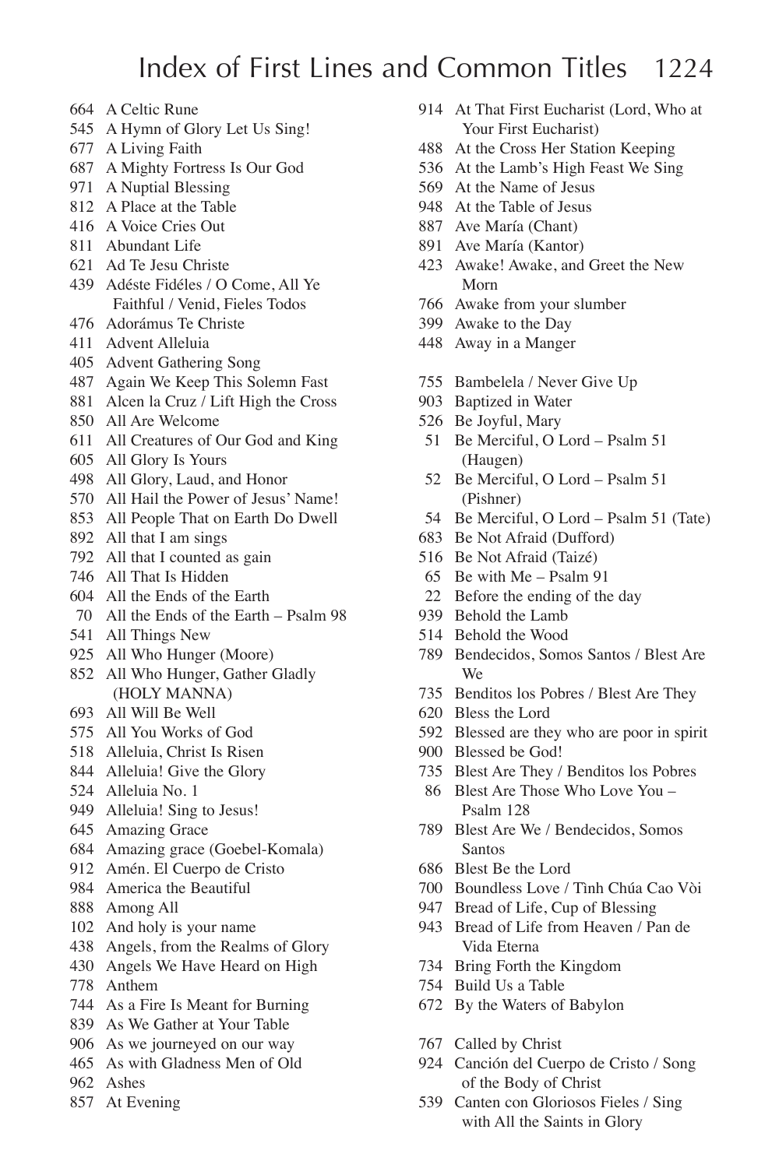# Index of First Lines and Common Titles 1224

- A Celtic Rune
- A Hymn of Glory Let Us Sing!
- A Living Faith
- A Mighty Fortress Is Our God
- A Nuptial Blessing
- A Place at the Table
- A Voice Cries Out
- Abundant Life
- Ad Te Jesu Christe
- Adéste Fidéles / O Come, All Ye Faithful / Venid, Fieles Todos
- Adorámus Te Christe
- Advent Alleluia
- Advent Gathering Song
- Again We Keep This Solemn Fast
- Alcen la Cruz / Lift High the Cross
- All Are Welcome
- All Creatures of Our God and King
- All Glory Is Yours
- All Glory, Laud, and Honor
- All Hail the Power of Jesus' Name!
- All People That on Earth Do Dwell
- All that I am sings
- All that I counted as gain
- All That Is Hidden
- All the Ends of the Earth
- All the Ends of the Earth Psalm 98
- All Things New
- All Who Hunger (Moore)
- All Who Hunger, Gather Gladly (HOLY MANNA)
- All Will Be Well
- All You Works of God
- Alleluia, Christ Is Risen
- Alleluia! Give the Glory
- Alleluia No. 1
- 949 Alleluia! Sing to Jesus!
- Amazing Grace
- Amazing grace (Goebel-Komala)
- Amén. El Cuerpo de Cristo
- America the Beautiful
- Among All
- And holy is your name
- Angels, from the Realms of Glory
- Angels We Have Heard on High
- Anthem
- As a Fire Is Meant for Burning
- As We Gather at Your Table
- As we journeyed on our way
- As with Gladness Men of Old
- Ashes
- At Evening
- At That First Eucharist (Lord, Who at Your First Eucharist)
- At the Cross Her Station Keeping
- At the Lamb's High Feast We Sing
- At the Name of Jesus
- At the Table of Jesus
- Ave María (Chant)
- Ave María (Kantor)
- Awake! Awake, and Greet the New Morn
- Awake from your slumber
- Awake to the Day
- Away in a Manger
- Bambelela / Never Give Up
- Baptized in Water
- Be Joyful, Mary
- Be Merciful, O Lord Psalm 51 (Haugen)
- Be Merciful, O Lord Psalm 51 (Pishner)
- Be Merciful, O Lord Psalm 51 (Tate)
- Be Not Afraid (Dufford)
- Be Not Afraid (Taizé)
- Be with Me Psalm 91
- Before the ending of the day
- Behold the Lamb
- Behold the Wood
- Bendecidos, Somos Santos / Blest Are We
- Benditos los Pobres / Blest Are They
- Bless the Lord
- Blessed are they who are poor in spirit
- Blessed be God!
- Blest Are They / Benditos los Pobres
- Blest Are Those Who Love You Psalm 128
- Blest Are We / Bendecidos, Somos Santos
- Blest Be the Lord
- Boundless Love / Tình Chúa Cao Vòi
- Bread of Life, Cup of Blessing
- Bread of Life from Heaven / Pan de Vida Eterna
- Bring Forth the Kingdom
- Build Us a Table
- By the Waters of Babylon
- Called by Christ
- Canción del Cuerpo de Cristo / Song of the Body of Christ
- Canten con Gloriosos Fieles / Sing with All the Saints in Glory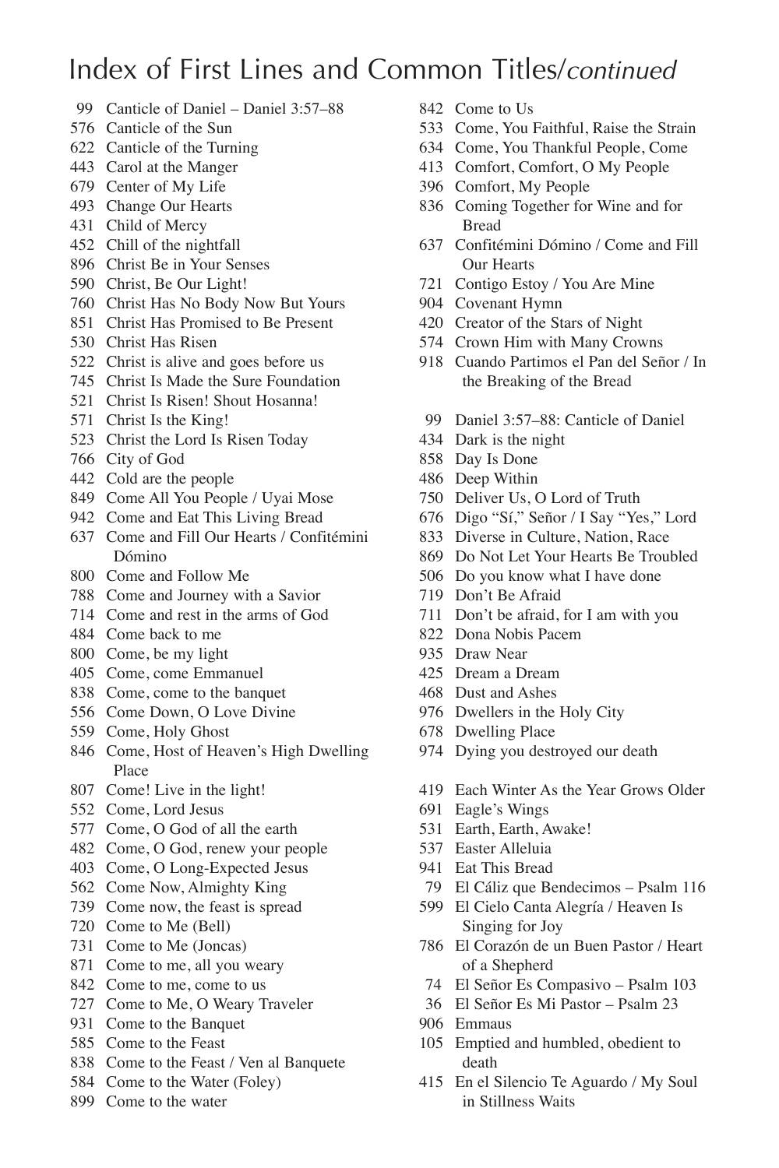- Canticle of Daniel Daniel 3:57–88
- Canticle of the Sun
- Canticle of the Turning
- Carol at the Manger
- Center of My Life
- Change Our Hearts
- Child of Mercy
- Chill of the nightfall
- Christ Be in Your Senses
- Christ, Be Our Light!
- Christ Has No Body Now But Yours
- Christ Has Promised to Be Present
- Christ Has Risen
- Christ is alive and goes before us
- Christ Is Made the Sure Foundation
- Christ Is Risen! Shout Hosanna!
- Christ Is the King!
- Christ the Lord Is Risen Today
- City of God
- Cold are the people
- Come All You People / Uyai Mose
- Come and Eat This Living Bread
- Come and Fill Our Hearts / Confitémini Dómino
- Come and Follow Me
- Come and Journey with a Savior
- Come and rest in the arms of God
- Come back to me
- Come, be my light
- Come, come Emmanuel
- Come, come to the banquet
- Come Down, O Love Divine
- Come, Holy Ghost
- Come, Host of Heaven's High Dwelling Place
- Come! Live in the light!
- Come, Lord Jesus
- Come, O God of all the earth
- Come, O God, renew your people
- Come, O Long-Expected Jesus
- Come Now, Almighty King
- Come now, the feast is spread
- Come to Me (Bell)
- Come to Me (Joncas)
- Come to me, all you weary
- Come to me, come to us
- Come to Me, O Weary Traveler
- Come to the Banquet
- Come to the Feast
- Come to the Feast / Ven al Banquete
- Come to the Water (Foley)
- Come to the water
- Come to Us
- Come, You Faithful, Raise the Strain
- Come, You Thankful People, Come
- Comfort, Comfort, O My People
- Comfort, My People
- Coming Together for Wine and for Bread
- Confitémini Dómino / Come and Fill Our Hearts
- Contigo Estoy / You Are Mine
- Covenant Hymn
- Creator of the Stars of Night
- Crown Him with Many Crowns
- Cuando Partimos el Pan del Señor / In the Breaking of the Bread
- Daniel 3:57–88: Canticle of Daniel
- Dark is the night
- Day Is Done
- Deep Within
- Deliver Us, O Lord of Truth
- Digo "Sí," Señor / I Say "Yes," Lord
- Diverse in Culture, Nation, Race
- Do Not Let Your Hearts Be Troubled
- Do you know what I have done
- Don't Be Afraid
- Don't be afraid, for I am with you
- Dona Nobis Pacem
- Draw Near
- Dream a Dream
- Dust and Ashes
- Dwellers in the Holy City
- Dwelling Place
- Dying you destroyed our death
- Each Winter As the Year Grows Older
- Eagle's Wings
- Earth, Earth, Awake!
- Easter Alleluia
- Eat This Bread
- El Cáliz que Bendecimos Psalm 116
- El Cielo Canta Alegría / Heaven Is Singing for Joy
- El Corazón de un Buen Pastor / Heart of a Shepherd
- El Señor Es Compasivo Psalm 103
- El Señor Es Mi Pastor Psalm 23
- Emmaus
- Emptied and humbled, obedient to death
- En el Silencio Te Aguardo / My Soul in Stillness Waits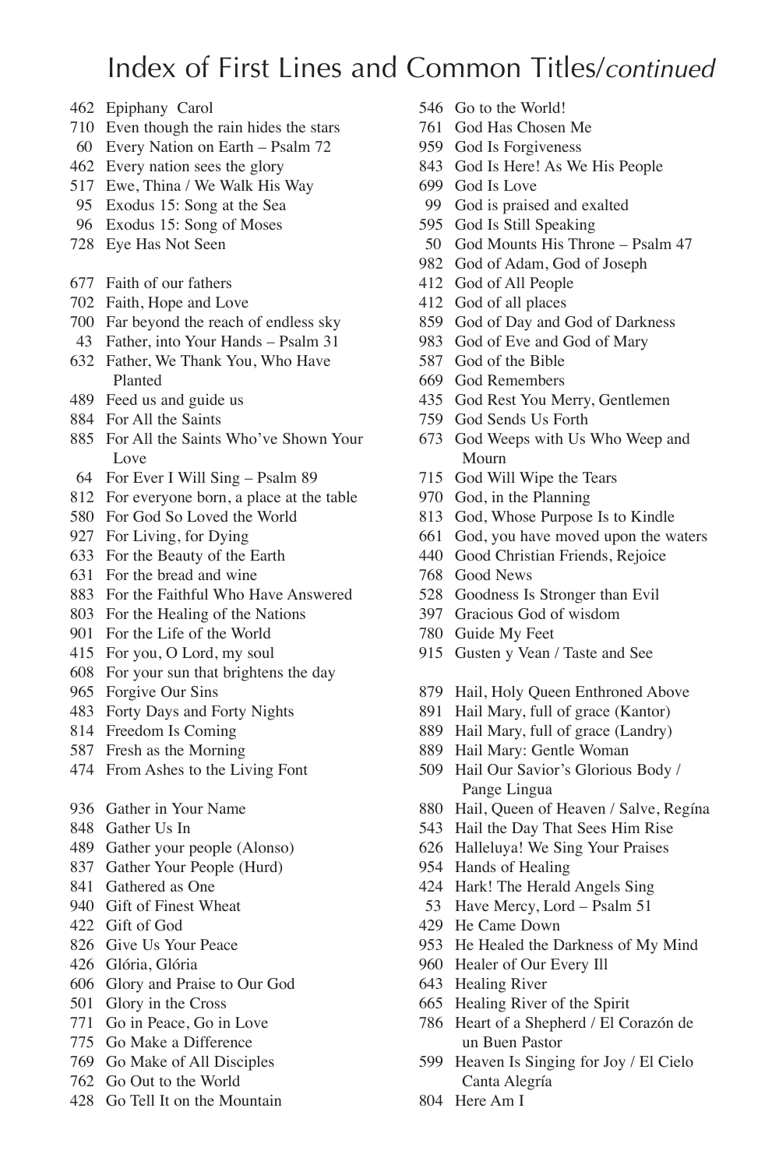- Epiphany Carol
- Even though the rain hides the stars
- Every Nation on Earth Psalm 72
- Every nation sees the glory
- Ewe, Thina / We Walk His Way
- Exodus 15: Song at the Sea
- Exodus 15: Song of Moses
- Eye Has Not Seen
- Faith of our fathers
- Faith, Hope and Love
- Far beyond the reach of endless sky
- Father, into Your Hands Psalm 31
- Father, We Thank You, Who Have Planted
- Feed us and guide us
- For All the Saints
- For All the Saints Who've Shown Your Love
- For Ever I Will Sing Psalm 89
- For everyone born, a place at the table
- For God So Loved the World
- For Living, for Dying
- For the Beauty of the Earth
- For the bread and wine
- For the Faithful Who Have Answered
- For the Healing of the Nations
- For the Life of the World
- For you, O Lord, my soul
- For your sun that brightens the day
- Forgive Our Sins
- Forty Days and Forty Nights
- Freedom Is Coming
- Fresh as the Morning
- From Ashes to the Living Font
- Gather in Your Name
- Gather Us In
- Gather your people (Alonso)
- Gather Your People (Hurd)
- Gathered as One
- Gift of Finest Wheat
- Gift of God
- Give Us Your Peace
- Glória, Glória
- Glory and Praise to Our God
- Glory in the Cross
- Go in Peace, Go in Love
- Go Make a Difference
- Go Make of All Disciples
- Go Out to the World
- Go Tell It on the Mountain
- Go to the World!
- God Has Chosen Me
- God Is Forgiveness
- God Is Here! As We His People
- God Is Love
- God is praised and exalted
- God Is Still Speaking
- God Mounts His Throne Psalm 47
- God of Adam, God of Joseph
- God of All People
- God of all places
- God of Day and God of Darkness
- God of Eve and God of Mary
- God of the Bible
- God Remembers
- God Rest You Merry, Gentlemen
- God Sends Us Forth
- God Weeps with Us Who Weep and Mourn
- God Will Wipe the Tears
- God, in the Planning
- God, Whose Purpose Is to Kindle
- God, you have moved upon the waters
- Good Christian Friends, Rejoice
- Good News
- Goodness Is Stronger than Evil
- Gracious God of wisdom
- Guide My Feet
- Gusten y Vean / Taste and See
- Hail, Holy Queen Enthroned Above
- Hail Mary, full of grace (Kantor)
- Hail Mary, full of grace (Landry)
- Hail Mary: Gentle Woman
- Hail Our Savior's Glorious Body / Pange Lingua
- Hail, Queen of Heaven / Salve, Regína
- Hail the Day That Sees Him Rise
- Halleluya! We Sing Your Praises
- Hands of Healing
- Hark! The Herald Angels Sing
- Have Mercy, Lord Psalm 51
- He Came Down
- He Healed the Darkness of My Mind
- Healer of Our Every Ill
- Healing River
- Healing River of the Spirit
- Heart of a Shepherd / El Corazón de un Buen Pastor
- Heaven Is Singing for Joy / El Cielo Canta Alegría
- Here Am I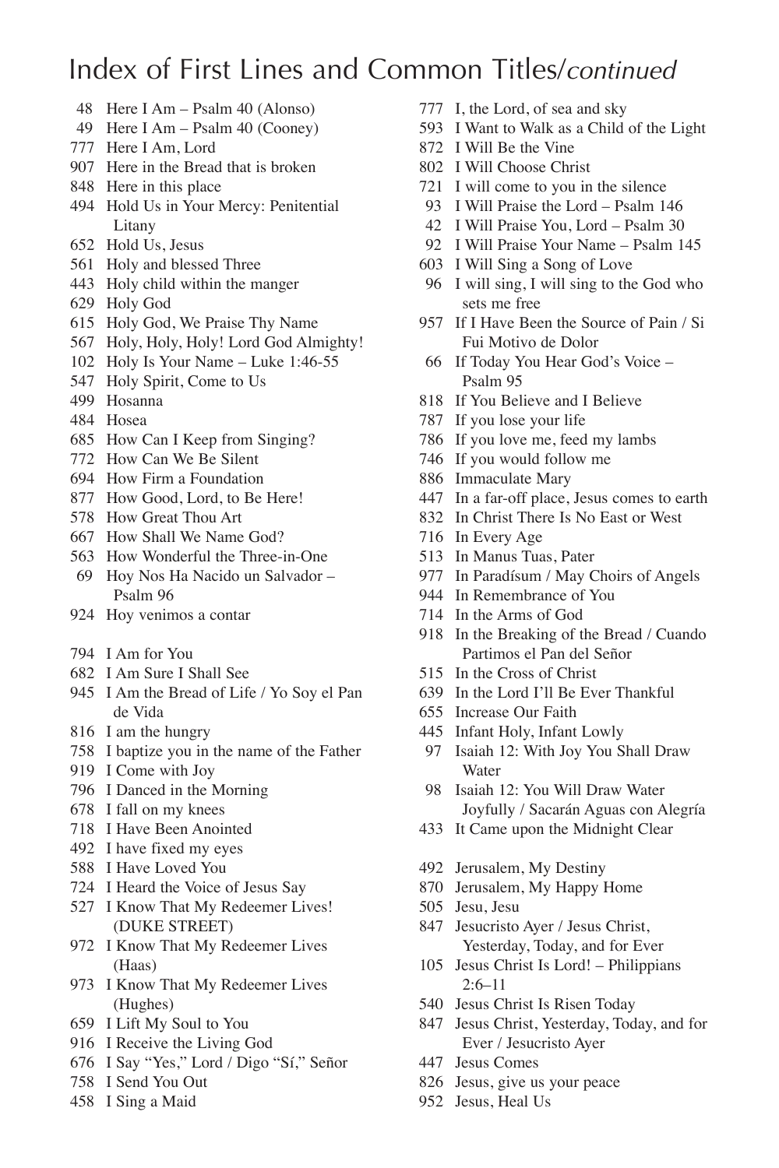- Here I Am Psalm 40 (Alonso)
- Here I Am Psalm 40 (Cooney)
- Here I Am, Lord
- Here in the Bread that is broken
- Here in this place
- Hold Us in Your Mercy: Penitential Litany
- Hold Us, Jesus
- Holy and blessed Three
- Holy child within the manger
- Holy God
- Holy God, We Praise Thy Name
- Holy, Holy, Holy! Lord God Almighty!
- Holy Is Your Name Luke 1:46-55
- Holy Spirit, Come to Us
- Hosanna
- Hosea
- How Can I Keep from Singing?
- How Can We Be Silent
- How Firm a Foundation
- How Good, Lord, to Be Here!
- How Great Thou Art
- How Shall We Name God?
- How Wonderful the Three-in-One Hoy Nos Ha Nacido un Salvador –
- Psalm 96
- Hoy venimos a contar
- I Am for You
- I Am Sure I Shall See
- I Am the Bread of Life / Yo Soy el Pan de Vida
- I am the hungry
- I baptize you in the name of the Father
- I Come with Joy
- I Danced in the Morning
- I fall on my knees
- I Have Been Anointed
- I have fixed my eyes
- I Have Loved You
- I Heard the Voice of Jesus Say
- I Know That My Redeemer Lives! (DUKE STREET)
- I Know That My Redeemer Lives (Haas)
- I Know That My Redeemer Lives (Hughes)
- I Lift My Soul to You
- I Receive the Living God
- I Say "Yes," Lord / Digo "Sí," Señor
- I Send You Out
- I Sing a Maid
- I, the Lord, of sea and sky
- I Want to Walk as a Child of the Light
- I Will Be the Vine
- I Will Choose Christ
- I will come to you in the silence
- I Will Praise the Lord Psalm 146
- I Will Praise You, Lord Psalm 30
- I Will Praise Your Name Psalm 145
- I Will Sing a Song of Love
- I will sing, I will sing to the God who sets me free
- If I Have Been the Source of Pain / Si Fui Motivo de Dolor
- If Today You Hear God's Voice Psalm 95
- If You Believe and I Believe
- If you lose your life
- If you love me, feed my lambs
- If you would follow me
- Immaculate Mary
- In a far-off place, Jesus comes to earth
- In Christ There Is No East or West
- In Every Age
- In Manus Tuas, Pater
- In Paradísum / May Choirs of Angels
- In Remembrance of You
- In the Arms of God
- In the Breaking of the Bread / Cuando Partimos el Pan del Señor
- In the Cross of Christ
- In the Lord I'll Be Ever Thankful
- Increase Our Faith
- Infant Holy, Infant Lowly
- Isaiah 12: With Joy You Shall Draw Water
- Isaiah 12: You Will Draw Water Joyfully / Sacarán Aguas con Alegría
- It Came upon the Midnight Clear
- Jerusalem, My Destiny
- Jerusalem, My Happy Home
- Jesu, Jesu
- Jesucristo Ayer / Jesus Christ, Yesterday, Today, and for Ever
- Jesus Christ Is Lord! Philippians  $2:6–11$
- Jesus Christ Is Risen Today
- Jesus Christ, Yesterday, Today, and for Ever / Jesucristo Ayer
- Jesus Comes
- Jesus, give us your peace
- Jesus, Heal Us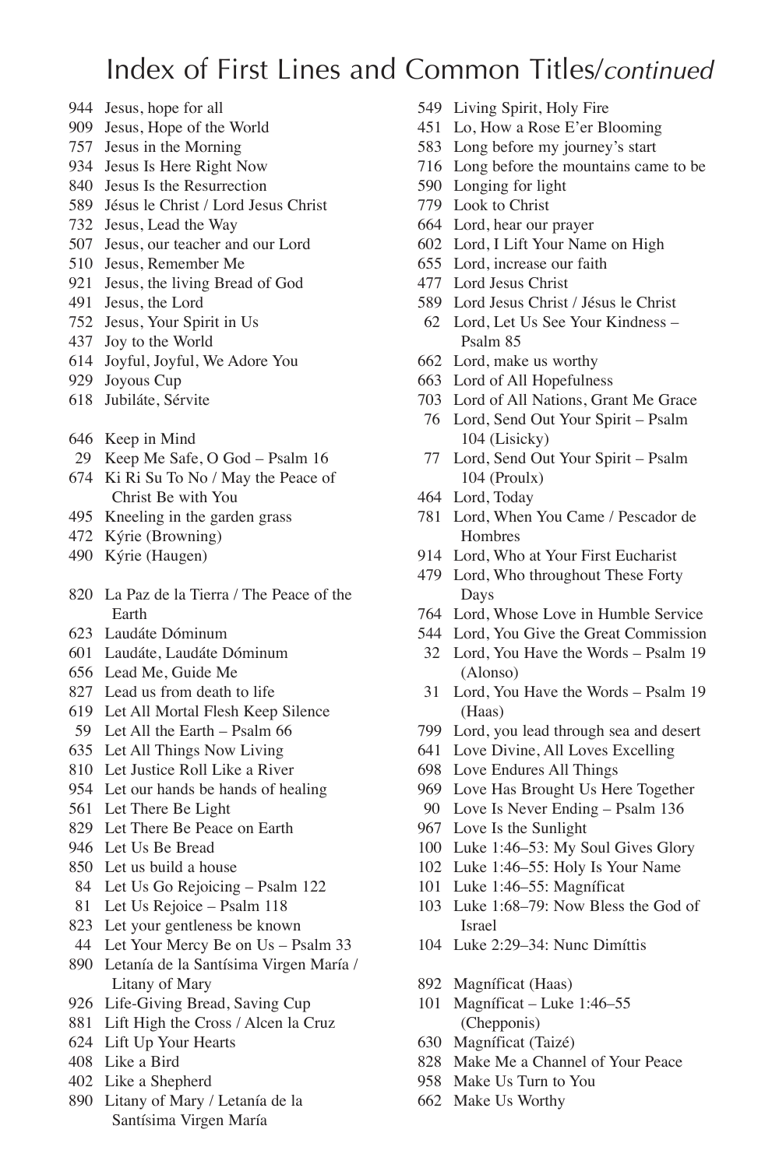- Jesus, hope for all
- Jesus, Hope of the World
- Jesus in the Morning
- Jesus Is Here Right Now
- Jesus Is the Resurrection
- Jésus le Christ / Lord Jesus Christ
- Jesus, Lead the Way
- Jesus, our teacher and our Lord
- Jesus, Remember Me
- Jesus, the living Bread of God
- Jesus, the Lord
- Jesus, Your Spirit in Us
- Joy to the World
- Joyful, Joyful, We Adore You
- Joyous Cup
- Jubiláte, Sérvite
- Keep in Mind
- Keep Me Safe, O God Psalm 16
- Ki Ri Su To No / May the Peace of Christ Be with You
- Kneeling in the garden grass
- Kýrie (Browning)
- Kýrie (Haugen)
- La Paz de la Tierra / The Peace of the Earth
- Laudáte Dóminum
- Laudáte, Laudáte Dóminum
- Lead Me, Guide Me
- Lead us from death to life
- Let All Mortal Flesh Keep Silence
- Let All the Earth Psalm 66
- Let All Things Now Living
- Let Justice Roll Like a River
- Let our hands be hands of healing
- Let There Be Light
- Let There Be Peace on Earth
- Let Us Be Bread
- Let us build a house
- Let Us Go Rejoicing Psalm 122
- Let Us Rejoice Psalm 118
- Let your gentleness be known
- Let Your Mercy Be on Us Psalm 33
- Letanía de la Santísima Virgen María / Litany of Mary
- Life-Giving Bread, Saving Cup
- Lift High the Cross / Alcen la Cruz
- Lift Up Your Hearts
- Like a Bird
- Like a Shepherd
- Litany of Mary / Letanía de la Santísima Virgen María
- Living Spirit, Holy Fire
- Lo, How a Rose E'er Blooming
- Long before my journey's start
- Long before the mountains came to be
- Longing for light
- Look to Christ
- Lord, hear our prayer
- Lord, I Lift Your Name on High
- Lord, increase our faith
- Lord Jesus Christ
- Lord Jesus Christ / Jésus le Christ
- Lord, Let Us See Your Kindness Psalm 85
- Lord, make us worthy
- Lord of All Hopefulness
- Lord of All Nations, Grant Me Grace
- Lord, Send Out Your Spirit Psalm 104 (Lisicky)
- Lord, Send Out Your Spirit Psalm 104 (Proulx)
- Lord, Today
- Lord, When You Came / Pescador de Hombres
- Lord, Who at Your First Eucharist
- Lord, Who throughout These Forty Days
- Lord, Whose Love in Humble Service
- Lord, You Give the Great Commission
- Lord, You Have the Words Psalm 19 (Alonso)
- Lord, You Have the Words Psalm 19 (Haas)
- Lord, you lead through sea and desert
- Love Divine, All Loves Excelling
- Love Endures All Things
- Love Has Brought Us Here Together
- Love Is Never Ending Psalm 136
- Love Is the Sunlight
- Luke 1:46–53: My Soul Gives Glory
- Luke 1:46–55: Holy Is Your Name
- Luke 1:46–55: Magníficat
- Luke 1:68–79: Now Bless the God of Israel
- Luke 2:29–34: Nunc Dimíttis
- Magníficat (Haas)
- Magníficat Luke 1:46–55 (Chepponis)
- Magníficat (Taizé)
- Make Me a Channel of Your Peace
- Make Us Turn to You
- Make Us Worthy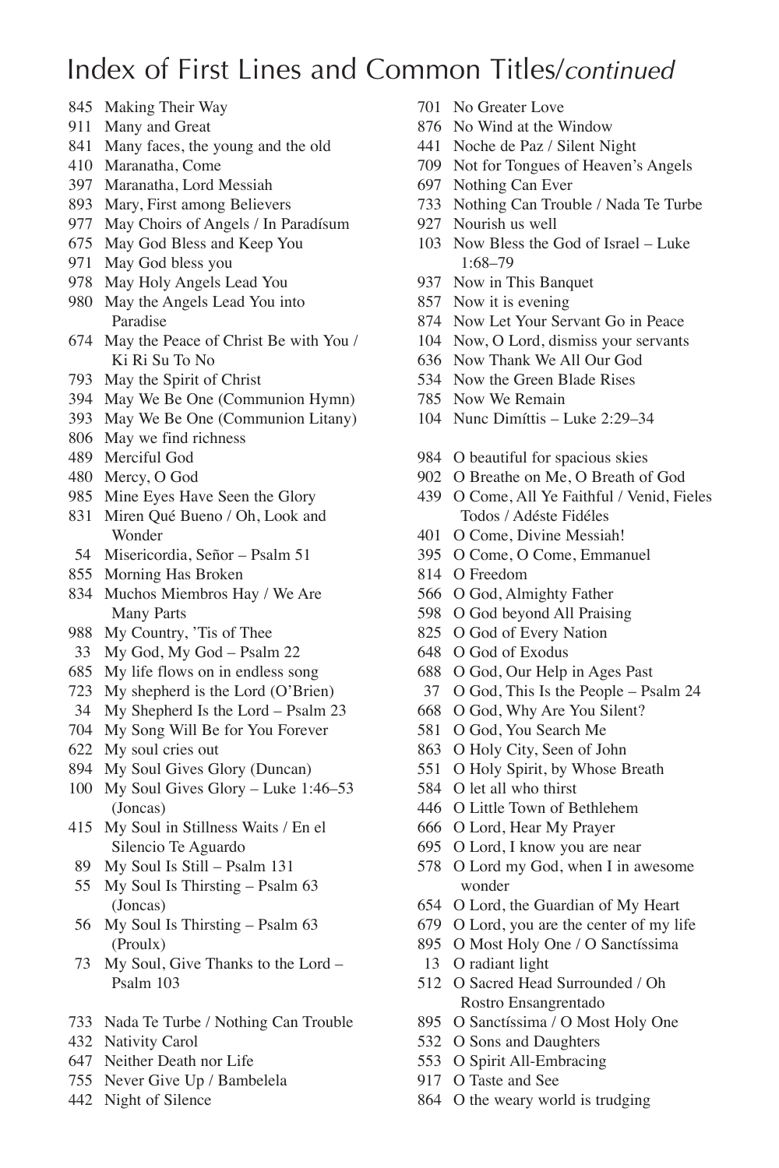- Making Their Way
- Many and Great
- Many faces, the young and the old
- Maranatha, Come
- Maranatha, Lord Messiah
- Mary, First among Believers
- May Choirs of Angels / In Paradísum
- May God Bless and Keep You
- May God bless you
- May Holy Angels Lead You
- May the Angels Lead You into Paradise
- May the Peace of Christ Be with You / Ki Ri Su To No
- May the Spirit of Christ
- May We Be One (Communion Hymn)
- May We Be One (Communion Litany)
- May we find richness
- Merciful God
- Mercy, O God
- Mine Eyes Have Seen the Glory
- Miren Qué Bueno / Oh, Look and Wonder
- Misericordia, Señor Psalm 51
- Morning Has Broken
- Muchos Miembros Hay / We Are Many Parts
- My Country, 'Tis of Thee
- My God, My God Psalm 22
- My life flows on in endless song
- My shepherd is the Lord (O'Brien)
- My Shepherd Is the Lord Psalm 23
- My Song Will Be for You Forever
- My soul cries out
- My Soul Gives Glory (Duncan)
- My Soul Gives Glory Luke 1:46–53 (Joncas)
- My Soul in Stillness Waits / En el Silencio Te Aguardo
- My Soul Is Still Psalm 131
- My Soul Is Thirsting Psalm 63 (Joncas)
- My Soul Is Thirsting Psalm 63 (Proulx)
- My Soul, Give Thanks to the Lord Psalm 103
- Nada Te Turbe / Nothing Can Trouble
- Nativity Carol
- Neither Death nor Life
- Never Give Up / Bambelela
- Night of Silence
- No Greater Love
- No Wind at the Window
- Noche de Paz / Silent Night
- Not for Tongues of Heaven's Angels
- Nothing Can Ever
- Nothing Can Trouble / Nada Te Turbe
- Nourish us well
- Now Bless the God of Israel Luke 1:68–79
- Now in This Banquet
- Now it is evening
- Now Let Your Servant Go in Peace
- Now, O Lord, dismiss your servants
- Now Thank We All Our God
- Now the Green Blade Rises
- Now We Remain
- Nunc Dimíttis Luke 2:29–34
- O beautiful for spacious skies
- O Breathe on Me, O Breath of God
- O Come, All Ye Faithful / Venid, Fieles Todos / Adéste Fidéles
- O Come, Divine Messiah!
- O Come, O Come, Emmanuel
- O Freedom
- O God, Almighty Father
- O God beyond All Praising
- O God of Every Nation
- O God of Exodus
- O God, Our Help in Ages Past
- O God, This Is the People Psalm 24
- O God, Why Are You Silent?
- O God, You Search Me
- O Holy City, Seen of John
- O Holy Spirit, by Whose Breath
- O let all who thirst
- O Little Town of Bethlehem
- O Lord, Hear My Prayer
- O Lord, I know you are near
- O Lord my God, when I in awesome wonder
- O Lord, the Guardian of My Heart
- O Lord, you are the center of my life
- O Most Holy One / O Sanctíssima
- O radiant light
- O Sacred Head Surrounded / Oh Rostro Ensangrentado
- O Sanctíssima / O Most Holy One
- O Sons and Daughters
- O Spirit All-Embracing
- O Taste and See
- O the weary world is trudging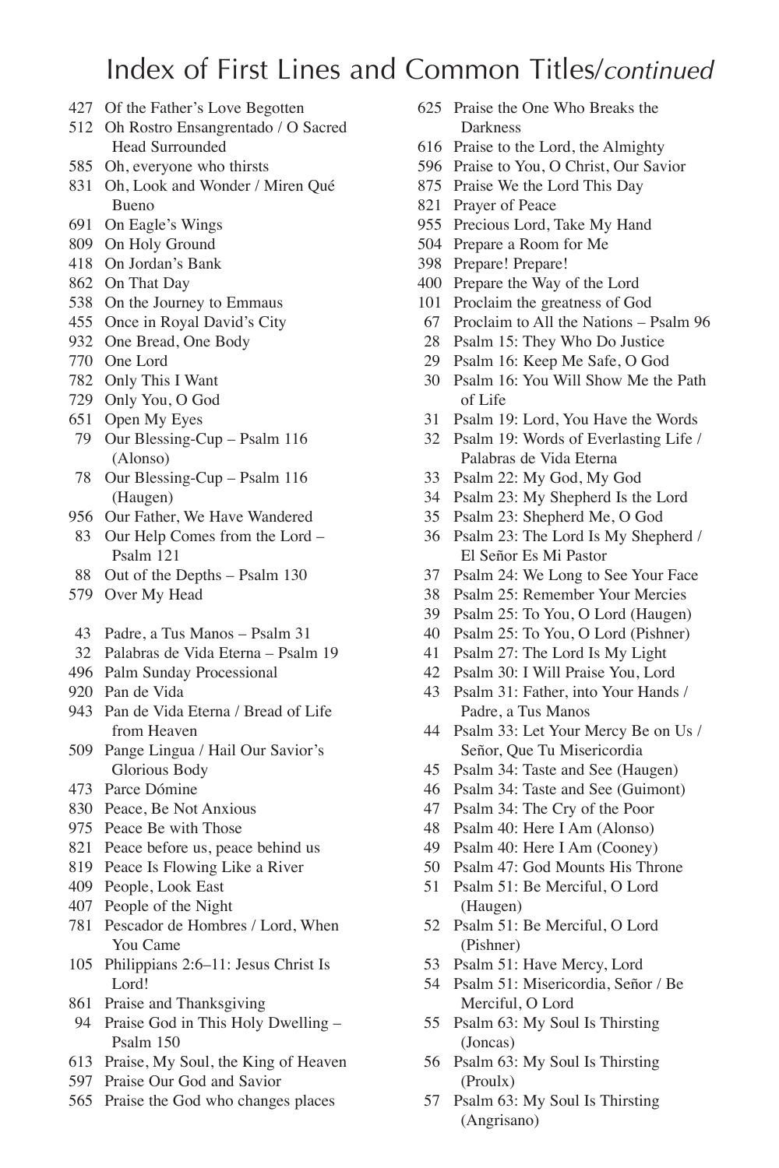- Of the Father's Love Begotten
- Oh Rostro Ensangrentado / O Sacred Head Surrounded
- Oh, everyone who thirsts
- Oh, Look and Wonder / Miren Qué Bueno
- On Eagle's Wings
- On Holy Ground
- On Jordan's Bank
- On That Day
- On the Journey to Emmaus
- Once in Royal David's City
- One Bread, One Body
- One Lord
- Only This I Want
- Only You, O God
- Open My Eyes
- Our Blessing-Cup Psalm 116 (Alonso)
- Our Blessing-Cup Psalm 116 (Haugen)
- Our Father, We Have Wandered
- Our Help Comes from the Lord Psalm 121
- Out of the Depths Psalm 130
- Over My Head
- Padre, a Tus Manos Psalm 31
- Palabras de Vida Eterna Psalm 19
- Palm Sunday Processional
- Pan de Vida
- Pan de Vida Eterna / Bread of Life from Heaven
- Pange Lingua / Hail Our Savior's Glorious Body
- Parce Dómine
- Peace, Be Not Anxious
- Peace Be with Those
- Peace before us, peace behind us
- Peace Is Flowing Like a River
- People, Look East
- People of the Night
- Pescador de Hombres / Lord, When You Came
- Philippians 2:6–11: Jesus Christ Is Lord!
- Praise and Thanksgiving
- Praise God in This Holy Dwelling Psalm 150
- Praise, My Soul, the King of Heaven
- Praise Our God and Savior
- Praise the God who changes places
- Praise the One Who Breaks the Darkness
- Praise to the Lord, the Almighty
- Praise to You, O Christ, Our Savior
- Praise We the Lord This Day
- Prayer of Peace
- Precious Lord, Take My Hand
- Prepare a Room for Me
- Prepare! Prepare!
- Prepare the Way of the Lord
- Proclaim the greatness of God
- Proclaim to All the Nations Psalm 96
- Psalm 15: They Who Do Justice
- Psalm 16: Keep Me Safe, O God
- Psalm 16: You Will Show Me the Path of Life
- Psalm 19: Lord, You Have the Words
- Psalm 19: Words of Everlasting Life / Palabras de Vida Eterna
- Psalm 22: My God, My God
- Psalm 23: My Shepherd Is the Lord
- Psalm 23: Shepherd Me, O God
- Psalm 23: The Lord Is My Shepherd / El Señor Es Mi Pastor
- Psalm 24: We Long to See Your Face
- Psalm 25: Remember Your Mercies
- Psalm 25: To You, O Lord (Haugen)
- Psalm 25: To You, O Lord (Pishner)
- Psalm 27: The Lord Is My Light
- Psalm 30: I Will Praise You, Lord
- Psalm 31: Father, into Your Hands / Padre, a Tus Manos
- Psalm 33: Let Your Mercy Be on Us / Señor, Que Tu Misericordia
- Psalm 34: Taste and See (Haugen)
- Psalm 34: Taste and See (Guimont)
- Psalm 34: The Cry of the Poor
- Psalm 40: Here I Am (Alonso)
- Psalm 40: Here I Am (Cooney)
- Psalm 47: God Mounts His Throne
- Psalm 51: Be Merciful, O Lord (Haugen)
- Psalm 51: Be Merciful, O Lord (Pishner)
- Psalm 51: Have Mercy, Lord
- Psalm 51: Misericordia, Señor / Be Merciful, O Lord
- Psalm 63: My Soul Is Thirsting (Joncas)
- Psalm 63: My Soul Is Thirsting (Proulx)
- Psalm 63: My Soul Is Thirsting (Angrisano)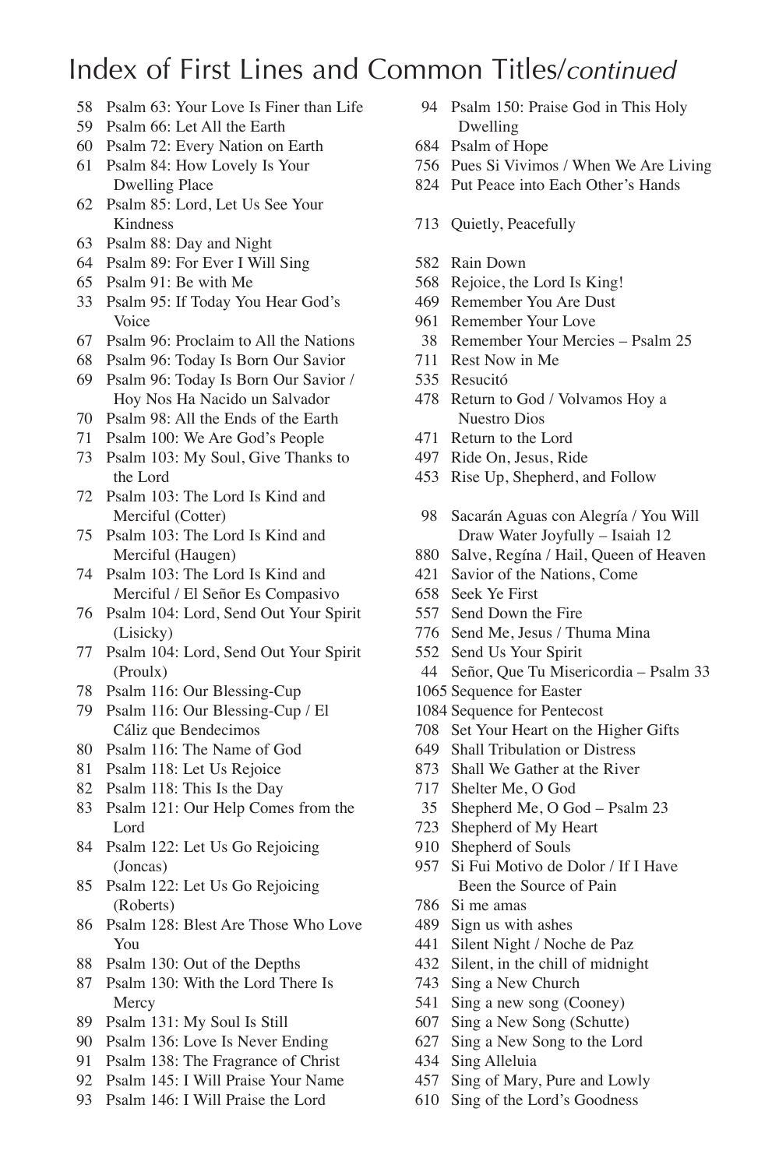- Psalm 63: Your Love Is Finer than Life
- Psalm 66: Let All the Earth
- Psalm 72: Every Nation on Earth
- Psalm 84: How Lovely Is Your Dwelling Place
- Psalm 85: Lord, Let Us See Your Kindness
- Psalm 88: Day and Night
- Psalm 89: For Ever I Will Sing
- Psalm 91: Be with Me
- Psalm 95: If Today You Hear God's Voice
- Psalm 96: Proclaim to All the Nations
- Psalm 96: Today Is Born Our Savior
- Psalm 96: Today Is Born Our Savior / Hoy Nos Ha Nacido un Salvador
- Psalm 98: All the Ends of the Earth
- Psalm 100: We Are God's People
- Psalm 103: My Soul, Give Thanks to the Lord
- Psalm 103: The Lord Is Kind and Merciful (Cotter)
- Psalm 103: The Lord Is Kind and Merciful (Haugen)
- Psalm 103: The Lord Is Kind and Merciful / El Señor Es Compasivo
- Psalm 104: Lord, Send Out Your Spirit (Lisicky)
- Psalm 104: Lord, Send Out Your Spirit (Proulx)
- Psalm 116: Our Blessing-Cup
- Psalm 116: Our Blessing-Cup / El Cáliz que Bendecimos
- Psalm 116: The Name of God
- Psalm 118: Let Us Rejoice
- Psalm 118: This Is the Day
- Psalm 121: Our Help Comes from the Lord
- Psalm 122: Let Us Go Rejoicing (Joncas)
- Psalm 122: Let Us Go Rejoicing (Roberts)
- Psalm 128: Blest Are Those Who Love You
- Psalm 130: Out of the Depths
- Psalm 130: With the Lord There Is Mercy
- Psalm 131: My Soul Is Still
- Psalm 136: Love Is Never Ending
- Psalm 138: The Fragrance of Christ
- Psalm 145: I Will Praise Your Name
- Psalm 146: I Will Praise the Lord
- Psalm 150: Praise God in This Holy Dwelling
- Psalm of Hope
- Pues Si Vivimos / When We Are Living
- Put Peace into Each Other's Hands
- Quietly, Peacefully
- Rain Down
- Rejoice, the Lord Is King!
- Remember You Are Dust
- Remember Your Love
- Remember Your Mercies Psalm 25
- Rest Now in Me
- Resucitó
- Return to God / Volvamos Hoy a Nuestro Dios
- Return to the Lord
- Ride On, Jesus, Ride
- Rise Up, Shepherd, and Follow
- Sacarán Aguas con Alegría / You Will Draw Water Joyfully – Isaiah 12
- Salve, Regína / Hail, Queen of Heaven
- Savior of the Nations, Come
- Seek Ye First
- Send Down the Fire
- Send Me, Jesus / Thuma Mina
- Send Us Your Spirit
- Señor, Que Tu Misericordia Psalm 33
- Sequence for Easter
- Sequence for Pentecost
- Set Your Heart on the Higher Gifts
- Shall Tribulation or Distress
- Shall We Gather at the River
- Shelter Me, O God
- Shepherd Me, O God Psalm 23
- Shepherd of My Heart
- Shepherd of Souls
- Si Fui Motivo de Dolor / If I Have Been the Source of Pain
- Si me amas
- Sign us with ashes
- Silent Night / Noche de Paz
- Silent, in the chill of midnight
- Sing a New Church
- Sing a new song (Cooney)
- Sing a New Song (Schutte)
- Sing a New Song to the Lord
- Sing Alleluia
- Sing of Mary, Pure and Lowly
- Sing of the Lord's Goodness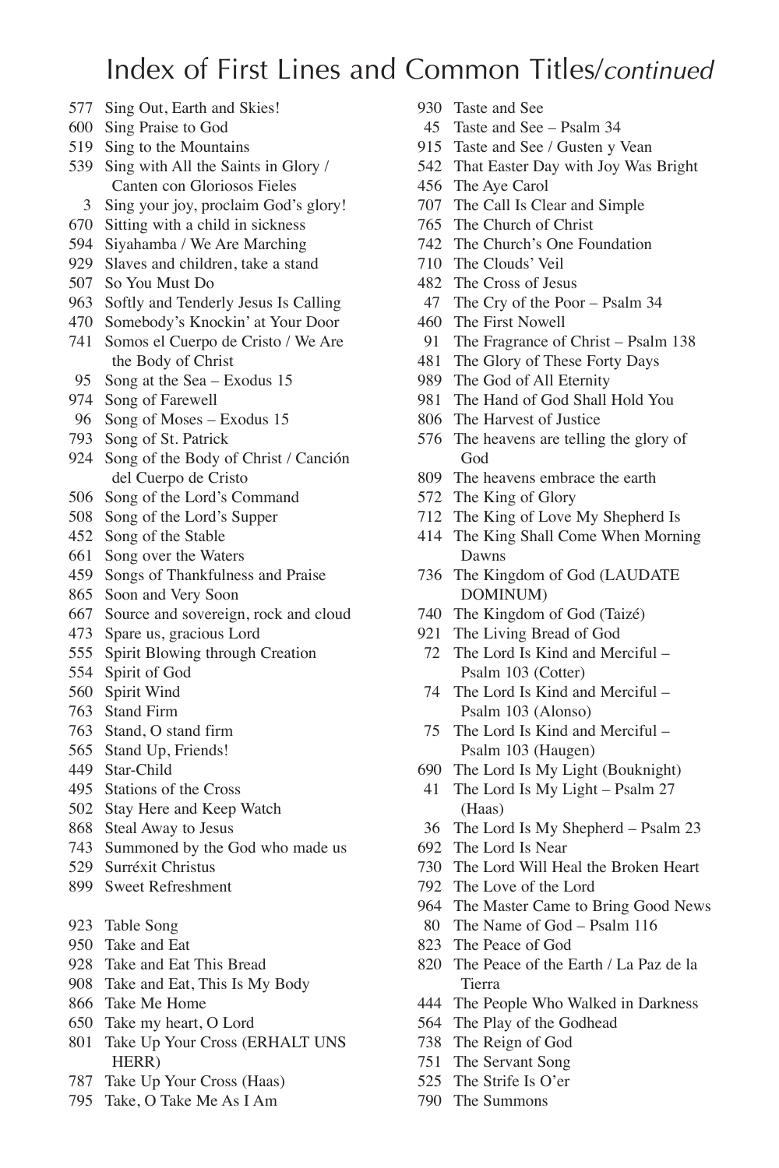- Sing Out, Earth and Skies!
- Sing Praise to God
- Sing to the Mountains
- Sing with All the Saints in Glory / Canten con Gloriosos Fieles
	- Sing your joy, proclaim God's glory!
- Sitting with a child in sickness
- Siyahamba / We Are Marching
- Slaves and children, take a stand
- So You Must Do
- Softly and Tenderly Jesus Is Calling
- Somebody's Knockin' at Your Door
- Somos el Cuerpo de Cristo / We Are the Body of Christ
- Song at the Sea Exodus 15
- Song of Farewell
- Song of Moses Exodus 15
- Song of St. Patrick
- Song of the Body of Christ / Canción del Cuerpo de Cristo
- Song of the Lord's Command
- Song of the Lord's Supper
- Song of the Stable
- Song over the Waters
- Songs of Thankfulness and Praise
- Soon and Very Soon
- Source and sovereign, rock and cloud
- Spare us, gracious Lord
- Spirit Blowing through Creation
- Spirit of God
- Spirit Wind
- Stand Firm
- Stand, O stand firm
- Stand Up, Friends!
- Star-Child
- Stations of the Cross
- Stay Here and Keep Watch
- Steal Away to Jesus
- Summoned by the God who made us
- Surréxit Christus
- Sweet Refreshment
- Table Song
- Take and Eat
- Take and Eat This Bread
- Take and Eat, This Is My Body
- Take Me Home
- Take my heart, O Lord
- Take Up Your Cross (ERHALT UNS HERR)
- Take Up Your Cross (Haas)
- Take, O Take Me As I Am
- Taste and See
- Taste and See Psalm 34
- Taste and See / Gusten y Vean
- That Easter Day with Joy Was Bright
- The Aye Carol
- The Call Is Clear and Simple
- The Church of Christ
- The Church's One Foundation
- The Clouds' Veil
- The Cross of Jesus
- The Cry of the Poor Psalm 34
- The First Nowell
- The Fragrance of Christ Psalm 138
- The Glory of These Forty Days
- The God of All Eternity
- The Hand of God Shall Hold You
- The Harvest of Justice
- The heavens are telling the glory of God
- The heavens embrace the earth
- The King of Glory
- The King of Love My Shepherd Is
- The King Shall Come When Morning Dawns
- The Kingdom of God (LAUDATE DOMINUM)
- The Kingdom of God (Taizé)
- The Living Bread of God
- The Lord Is Kind and Merciful Psalm 103 (Cotter)
- The Lord Is Kind and Merciful Psalm 103 (Alonso)
- The Lord Is Kind and Merciful Psalm 103 (Haugen)
- The Lord Is My Light (Bouknight)
- The Lord Is My Light Psalm 27 (Haas)
- The Lord Is My Shepherd Psalm 23
- The Lord Is Near
- The Lord Will Heal the Broken Heart
- The Love of the Lord
- The Master Came to Bring Good News
- The Name of God Psalm 116
- The Peace of God
- The Peace of the Earth / La Paz de la Tierra
- The People Who Walked in Darkness
- The Play of the Godhead
- The Reign of God
- The Servant Song
- The Strife Is O'er
- The Summons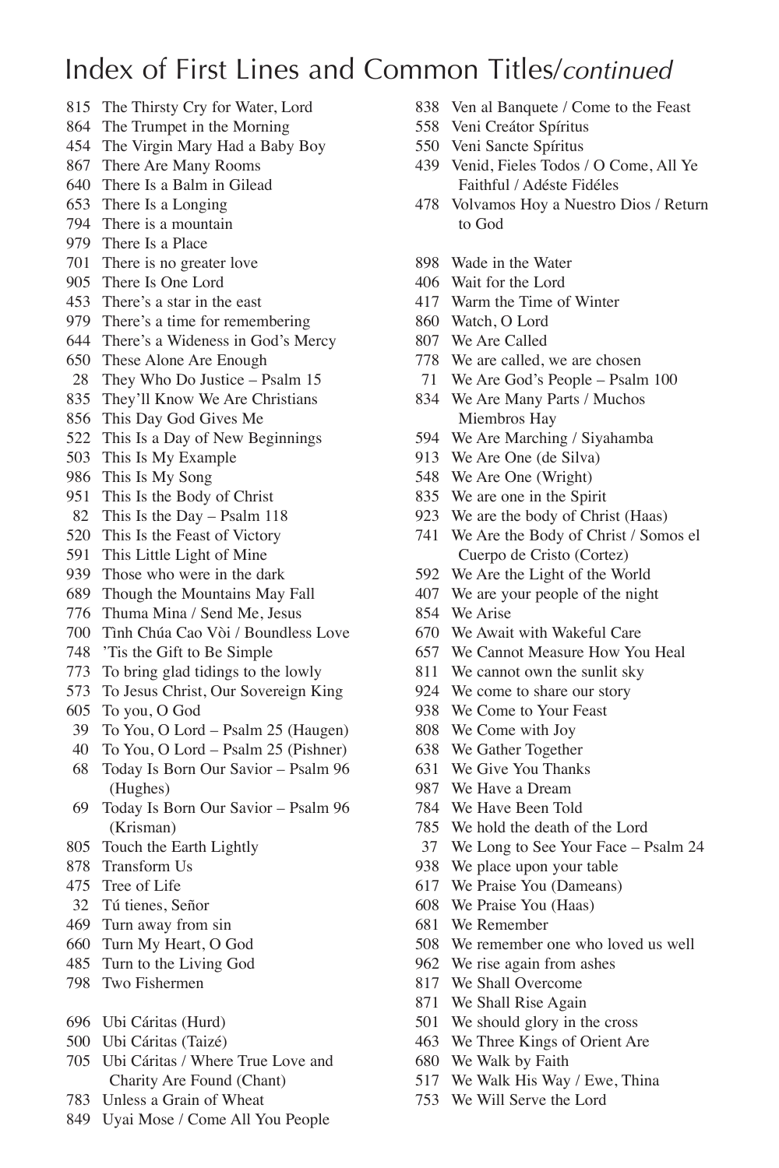- The Thirsty Cry for Water, Lord
- The Trumpet in the Morning
- The Virgin Mary Had a Baby Boy
- There Are Many Rooms
- There Is a Balm in Gilead
- There Is a Longing
- There is a mountain
- There Is a Place
- There is no greater love
- There Is One Lord
- There's a star in the east
- There's a time for remembering
- There's a Wideness in God's Mercy
- These Alone Are Enough
- They Who Do Justice Psalm 15
- They'll Know We Are Christians
- This Day God Gives Me
- This Is a Day of New Beginnings
- This Is My Example
- This Is My Song
- This Is the Body of Christ
- This Is the Day Psalm 118
- This Is the Feast of Victory
- This Little Light of Mine
- Those who were in the dark
- Though the Mountains May Fall
- Thuma Mina / Send Me, Jesus
- Tình Chúa Cao Vòi / Boundless Love
- 'Tis the Gift to Be Simple
- To bring glad tidings to the lowly
- To Jesus Christ, Our Sovereign King
- To you, O God
- To You, O Lord Psalm 25 (Haugen)
- To You, O Lord Psalm 25 (Pishner)
- Today Is Born Our Savior Psalm 96 (Hughes)
- Today Is Born Our Savior Psalm 96 (Krisman)
- Touch the Earth Lightly
- Transform Us
- Tree of Life
- Tú tienes, Señor
- Turn away from sin
- Turn My Heart, O God
- Turn to the Living God
- Two Fishermen
- Ubi Cáritas (Hurd)
- Ubi Cáritas (Taizé)
- Ubi Cáritas / Where True Love and Charity Are Found (Chant)
- Unless a Grain of Wheat
- Uyai Mose / Come All You People
- Ven al Banquete / Come to the Feast
- Veni Creátor Spíritus
- Veni Sancte Spíritus
- Venid, Fieles Todos / O Come, All Ye Faithful / Adéste Fidéles
- Volvamos Hoy a Nuestro Dios / Return to God
- Wade in the Water
- Wait for the Lord
- Warm the Time of Winter
- Watch, O Lord
- We Are Called
- We are called, we are chosen
- We Are God's People Psalm 100
- We Are Many Parts / Muchos Miembros Hay
- We Are Marching / Siyahamba
- We Are One (de Silva)
- We Are One (Wright)
- We are one in the Spirit
- We are the body of Christ (Haas)
- We Are the Body of Christ / Somos el Cuerpo de Cristo (Cortez)
- We Are the Light of the World
- We are your people of the night
- We Arise
- We Await with Wakeful Care
- We Cannot Measure How You Heal
- We cannot own the sunlit sky
- We come to share our story
- We Come to Your Feast
- We Come with Joy
- We Gather Together
- We Give You Thanks
- We Have a Dream
- We Have Been Told
- We hold the death of the Lord
- We Long to See Your Face Psalm 24
- We place upon your table
- We Praise You (Dameans)
- We Praise You (Haas)
- We Remember
- We remember one who loved us well
- We rise again from ashes
- We Shall Overcome
- We Shall Rise Again
- We should glory in the cross
- We Three Kings of Orient Are
- We Walk by Faith
- We Walk His Way / Ewe, Thina
- We Will Serve the Lord